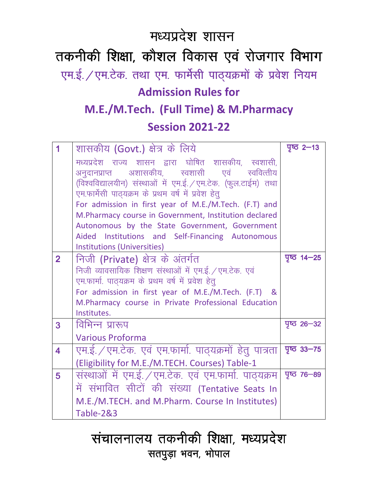# मध्यप्रदेश शासन

तकनीकी शिक्षा, कौशल विकास एवं रोजगार विभाग एम.ई. / एम.टेक. तथा एम. फार्मेसी पाठ्यक्रमों के प्रवेश नियम

# **Admission Rules for**

# **M.E./M.Tech. (Full Time) & M.Pharmacy**

## **Session 2021-22**

|                         | शासकीय (Govt.) क्षेत्र के लिये                                | $75$ 2-13             |
|-------------------------|---------------------------------------------------------------|-----------------------|
|                         | मध्यप्रदेश राज्य शासन द्वारा घोषित शासकीय, स्वशासी,           |                       |
|                         | अनुदानप्राप्त अशासकीय, स्वशासी एवं स्ववित्तीय                 |                       |
|                         | (विश्वविद्यालयीन) संस्थाओं में एम.ई. / एम.टेक. (फुल.टाईम) तथा |                       |
|                         | एम.फार्मेसी पाठ्यक्रम के प्रथम वर्ष में प्रवेश हेतू           |                       |
|                         | For admission in first year of M.E./M.Tech. (F.T) and         |                       |
|                         | M.Pharmacy course in Government, Institution declared         |                       |
|                         | Autonomous by the State Government, Government                |                       |
|                         | Aided Institutions and Self-Financing Autonomous              |                       |
|                         | <b>Institutions (Universities)</b>                            |                       |
| $\overline{2}$          | निजी (Private) क्षेत्र के अंतर्गत                             | $T\overline{G}$ 14-25 |
|                         | निजी व्यावसायिक शिक्षण संस्थाओं में एम.ई. / एम.टेक. एवं       |                       |
|                         | एम.फार्मा. पाठ्यक्रम के प्रथम वर्ष में प्रवेश हेतू            |                       |
|                         | For admission in first year of M.E./M.Tech. (F.T) &           |                       |
|                         | M.Pharmacy course in Private Professional Education           |                       |
|                         | Institutes.                                                   |                       |
| 3                       | विभिन्न प्रारूप                                               | $7^\circ$ 26 – 32     |
|                         | <b>Various Proforma</b>                                       |                       |
| $\overline{\mathbf{4}}$ | एम.ई. / एम.टेक. एवं एम.फार्मा. पाठ्यक्रमों हेतु पात्रता       | $45 - 75$             |
|                         | (Eligibility for M.E./M.TECH. Courses) Table-1                |                       |
| 5                       | संस्थाओं में एम.ई. / एम.टेक. एवं एम.फार्मा. पाठ्यक्रम         | <u>ਧੁ</u> ष्ठ 76–89   |
|                         | में संभावित सीटों की संख्या (Tentative Seats In               |                       |
|                         | M.E./M.TECH. and M.Pharm. Course In Institutes)               |                       |
|                         | <b>Table-2&amp;3</b>                                          |                       |

# संचालनालय तकनीकी शिक्षा, मध्यप्रदेश सतपुड़ा भवन, भोपाल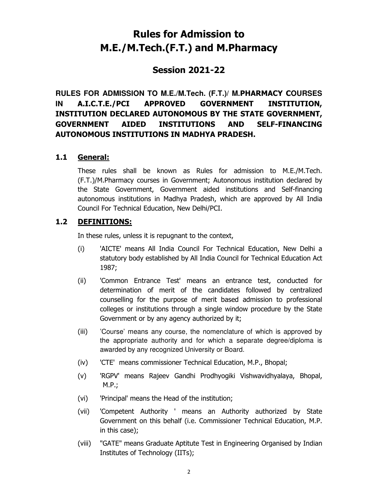## **Rules for Admission to M.E./M.Tech.(F.T.) and M.Pharmacy**

## **Session 2021-22**

**RULES FOR ADMISSION TO M.E./M.Tech. (F.T.)/ M.PHARMACY COURSES IN A.I.C.T.E./PCI APPROVED GOVERNMENT INSTITUTION, INSTITUTION DECLARED AUTONOMOUS BY THE STATE GOVERNMENT, GOVERNMENT AIDED INSTITUTIONS AND SELF-FINANCING AUTONOMOUS INSTITUTIONS IN MADHYA PRADESH.**

#### **1.1 General:**

These rules shall be known as Rules for admission to M.E./M.Tech. (F.T.)/M.Pharmacy courses in Government; Autonomous institution declared by the State Government, Government aided institutions and Self-financing autonomous institutions in Madhya Pradesh, which are approved by All India Council For Technical Education, New Delhi/PCI.

#### **1.2 DEFINITIONS:**

In these rules, unless it is repugnant to the context,

- (i) 'AICTE' means All India Council For Technical Education, New Delhi a statutory body established by All India Council for Technical Education Act 1987;
- (ii) 'Common Entrance Test' means an entrance test, conducted for determination of merit of the candidates followed by centralized counselling for the purpose of merit based admission to professional colleges or institutions through a single window procedure by the State Government or by any agency authorized by it;
- (iii) 'Course' means any course, the nomenclature of which is approved by the appropriate authority and for which a separate degree/diploma is awarded by any recognized University or Board.
- (iv) 'CTE' means commissioner Technical Education, M.P., Bhopal;
- (v) 'RGPV' means Rajeev Gandhi Prodhyogiki Vishwavidhyalaya, Bhopal, M.P.;
- (vi) 'Principal' means the Head of the institution;
- (vii) 'Competent Authority ' means an Authority authorized by State Government on this behalf (i.e. Commissioner Technical Education, M.P. in this case);
- (viii) "GATE" means Graduate Aptitute Test in Engineering Organised by Indian Institutes of Technology (IITs);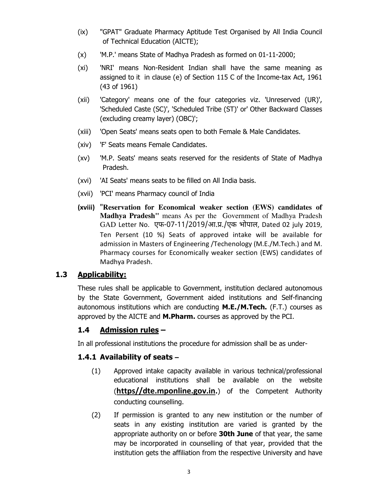- (ix) "GPAT" Graduate Pharmacy Aptitude Test Organised by All India Council of Technical Education (AICTE);
- (x) 'M.P.' means State of Madhya Pradesh as formed on 01-11-2000;
- (xi) 'NRI' means Non-Resident Indian shall have the same meaning as assigned to it in clause (e) of Section 115 C of the Income-tax Act, 1961 (43 of 1961)
- (xii) 'Category' means one of the four categories viz. 'Unreserved (UR)', 'Scheduled Caste (SC)', 'Scheduled Tribe (ST)' or' Other Backward Classes (excluding creamy layer) (OBC)';
- (xiii) 'Open Seats' means seats open to both Female & Male Candidates.
- (xiv) 'F' Seats means Female Candidates.
- (xv) 'M.P. Seats' means seats reserved for the residents of State of Madhya Pradesh.
- (xvi) 'AI Seats' means seats to be filled on All India basis.
- (xvii) 'PCI' means Pharmacy council of India
- **(xviii)** "**Reservation for Economical weaker section (EWS) candidates of Madhya Pradesh"** means As per the Government of Madhya Pradesh GAD Letter No. एफ-07-11/2019/आ.प्र./एक भोपाल, Dated 02 july 2019, Ten Persent (10 %) Seats of approved intake will be available for admission in Masters of Engineering /Techenology (M.E./M.Tech.) and M. Pharmacy courses for Economically weaker section (EWS) candidates of Madhya Pradesh.

### **1.3 Applicability:**

These rules shall be applicable to Government, institution declared autonomous by the State Government, Government aided institutions and Self-financing autonomous institutions which are conducting **M.E./M.Tech.** (F.T.) courses as approved by the AICTE and **M.Pharm.** courses as approved by the PCI.

### **1.4 Admission rules –**

In all professional institutions the procedure for admission shall be as under-

### **1.4.1 Availability of seats –**

- (1) Approved intake capacity available in various technical/professional educational institutions shall be available on the website (**https//dte.mponline.gov.in.**) of the Competent Authority conducting counselling.
- (2) If permission is granted to any new institution or the number of seats in any existing institution are varied is granted by the appropriate authority on or before **30th June** of that year, the same may be incorporated in counselling of that year, provided that the institution gets the affiliation from the respective University and have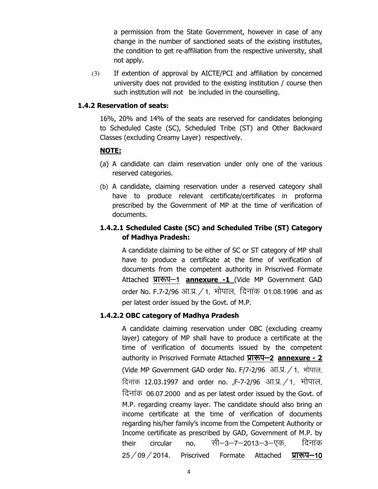a permission from the State Government, however in case of any change in the number of sanctioned seats of the existing institutes, the condition to get re-affiliation from the respective university, shall not apply.

(3) If extention of approval by AICTE/PCI and affiliation by concerned university does not provided to the existing institution / course then such institution will not be included in the counselling.

#### **1.4.2 Reservation of seats:**

16%, 20% and 14% of the seats are reserved for candidates belonging to Scheduled Caste (SC), Scheduled Tribe (ST) and Other Backward Classes (excluding Creamy Layer) respectively.

#### **NOTE:**

- (a) A candidate can claim reservation under only one of the various reserved categories.
- (b) A candidate, claiming reservation under a reserved category shall have to produce relevant certificate/certificates in proforma prescribed by the Government of MP at the time of verification of documents.

#### **1.4.2.1 Scheduled Caste (SC) and Scheduled Tribe (ST) Category of Madhya Pradesh:**

A candidate claiming to be either of SC or ST category of MP shall have to produce a certificate at the time of verification of documents from the competent authority in Priscrived Formate Attached प्रारूप-1 **annexure -1** (Vide MP Government GAD order No. F.7-2/96 आ.प्र. / 1, भोपाल, दिनांक 01.08.1996 and as per latest order issued by the Govt. of M.P.

#### **1.4.2.2 OBC category of Madhya Pradesh**

A candidate claiming reservation under OBC (excluding creamy layer) category of MP shall have to produce a certificate at the time of verification of documents issued by the competent authority in Priscrived Formate Attached प्रारूप-2 **annexure - 2** (Vide MP Government GAD order No. F/7-2/96 आ.प्र. / 1, भोपाल, दिनांक 12.03.1997 and order no. , F-7-2/96 आ.प्र.  $/1$ , भोपाल, दिनांक 06.07.2000 and as per latest order issued by the Govt. of M.P. regarding creamy layer. The candidate should also bring an income certificate at the time of verification of documents regarding his/her family's income from the Competent Authority or Income certificate as prescribed by GAD, Government of M.P. by their circular no. सी—3—7—2013—3—एक, दिनांक  $25/09/2014$ . Priscrived Formate Attached  $\overline{y_1x_2}-10$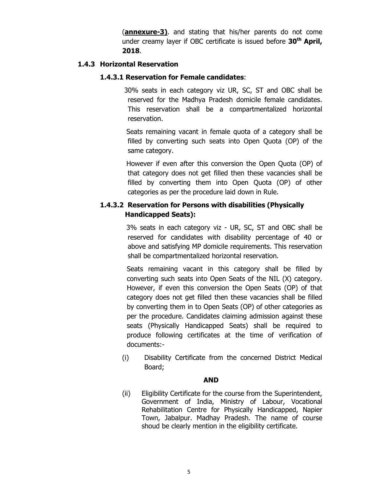(**annexure-3)**. and stating that his/her parents do not come under creamy layer if OBC certificate is issued before **30th April, 2018**.

#### **1.4.3 Horizontal Reservation**

#### **1.4.3.1 Reservation for Female candidates**:

 30% seats in each category viz UR, SC, ST and OBC shall be reserved for the Madhya Pradesh domicile female candidates. This reservation shall be a compartmentalized horizontal reservation.

 Seats remaining vacant in female quota of a category shall be filled by converting such seats into Open Quota (OP) of the same category.

 However if even after this conversion the Open Quota (OP) of that category does not get filled then these vacancies shall be filled by converting them into Open Quota (OP) of other categories as per the procedure laid down in Rule.

#### **1.4.3.2 Reservation for Persons with disabilities (Physically Handicapped Seats):**

 3% seats in each category viz - UR, SC, ST and OBC shall be reserved for candidates with disability percentage of 40 or above and satisfying MP domicile requirements. This reservation shall be compartmentalized horizontal reservation.

Seats remaining vacant in this category shall be filled by converting such seats into Open Seats of the NIL (X) category. However, if even this conversion the Open Seats (OP) of that category does not get filled then these vacancies shall be filled by converting them in to Open Seats (OP) of other categories as per the procedure. Candidates claiming admission against these seats (Physically Handicapped Seats) shall be required to produce following certificates at the time of verification of documents:-

(i) Disability Certificate from the concerned District Medical Board;

#### **AND**

(ii) Eligibility Certificate for the course from the Superintendent, Government of India, Ministry of Labour, Vocational Rehabilitation Centre for Physically Handicapped, Napier Town, Jabalpur. Madhay Pradesh. The name of course shoud be clearly mention in the eligibility certificate.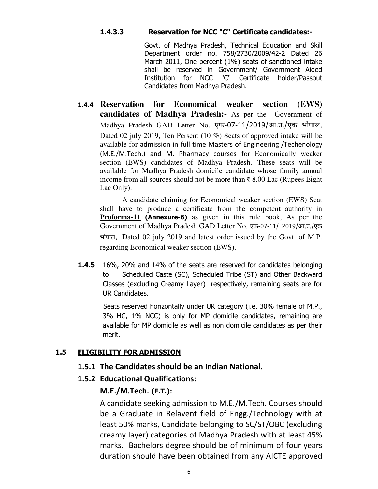#### **1.4.3.3 Reservation for NCC "C" Certificate candidates:-**

Govt. of Madhya Pradesh, Technical Education and Skill Department order no. 758/2730/2009/42-2 Dated 26 March 2011, One percent (1%) seats of sanctioned intake shall be reserved in Government/ Government Aided Institution for NCC "C" Certificate holder/Passout Candidates from Madhya Pradesh.

**1.4.4 Reservation for Economical weaker section (EWS) candidates of Madhya Pradesh:-** As per the Government of Madhya Pradesh GAD Letter No. एफ-07-11/2019/आ.प्र./एक भोपाल, Dated 02 july 2019, Ten Persent (10 %) Seats of approved intake will be available for admission in full time Masters of Engineering /Techenology (M.E./M.Tech.) and M. Pharmacy courses for Economically weaker section (EWS) candidates of Madhya Pradesh. These seats will be available for Madhya Pradesh domicile candidate whose family annual income from all sources should not be more than  $\bar{\tau}$  8.00 Lac (Rupees Eight) Lac Only).

A candidate claiming for Economical weaker section (EWS) Seat shall have to produce a certificate from the competent authority in **Proforma-11 (Annexure-6)** as given in this rule book, As per the Government of Madhya Pradesh GAD Letter No. एफ-07-11/ 2019/आ.प्र./एक भोपाल, Dated 02 july 2019 and latest order issued by the Govt. of M.P. regarding Economical weaker section (EWS).

**1.4.5** 16%, 20% and 14% of the seats are reserved for candidates belonging to Scheduled Caste (SC), Scheduled Tribe (ST) and Other Backward Classes (excluding Creamy Layer) respectively, remaining seats are for UR Candidates.

 Seats reserved horizontally under UR category (i.e. 30% female of M.P., 3% HC, 1% NCC) is only for MP domicile candidates, remaining are available for MP domicile as well as non domicile candidates as per their merit.

#### **1.5 ELIGIBILITY FOR ADMISSION**

#### **1.5.1 The Candidates should be an Indian National.**

#### **1.5.2 Educational Qualifications:**

#### **M.E./M.Tech. (F.T.):**

A candidate seeking admission to M.E./M.Tech. Courses should be a Graduate in Relavent field of Engg./Technology with at least 50% marks, Candidate belonging to SC/ST/OBC (excluding creamy layer) categories of Madhya Pradesh with at least 45% marks. Bachelors degree should be of minimum of four years duration should have been obtained from any AICTE approved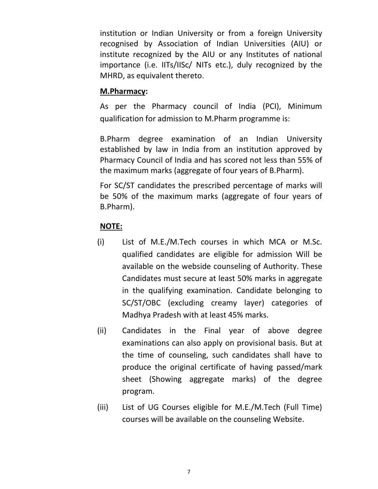institution or Indian University or from a foreign University recognised by Association of Indian Universities (AIU) or institute recognized by the AIU or any Institutes of national importance (i.e. IITs/IISc/ NITs etc.), duly recognized by the MHRD, as equivalent thereto.

### **M.Pharmacy:**

As per the Pharmacy council of India (PCI), Minimum qualification for admission to M.Pharm programme is:

B.Pharm degree examination of an Indian University established by law in India from an institution approved by Pharmacy Council of India and has scored not less than 55% of the maximum marks (aggregate of four years of B.Pharm).

For SC/ST candidates the prescribed percentage of marks will be 50% of the maximum marks (aggregate of four years of B.Pharm).

### **NOTE:**

- (i) List of M.E./M.Tech courses in which MCA or M.Sc. qualified candidates are eligible for admission Will be available on the webside counseling of Authority. These Candidates must secure at least 50% marks in aggregate in the qualifying examination. Candidate belonging to SC/ST/OBC (excluding creamy layer) categories of Madhya Pradesh with at least 45% marks.
- (ii) Candidates in the Final year of above degree examinations can also apply on provisional basis. But at the time of counseling, such candidates shall have to produce the original certificate of having passed/mark sheet (Showing aggregate marks) of the degree program.
- (iii) List of UG Courses eligible for M.E./M.Tech (Full Time) courses will be available on the counseling Website.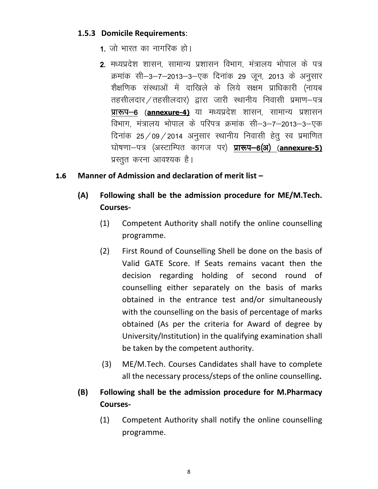### **1.5.3 Domicile Requirements**:

- 1. जो भारत का नागरिक हो।
- 2. मध्यप्रदेश शासन, सामान्य प्रशासन विभाग, मंत्रालय भोपाल के पत्र क्रमांक सी-3-7-2013-3-एक दिनांक 29 जून, 2013 के अनुसार शैक्षणिक संस्थाओं में दाखिले के लिये सक्षम प्राधिकारी (नायब तहसीलदार / तहसीलदार) द्वारा जारी स्थानीय निवासी प्रमाण-पत्र प्रारूप-6 (annexure-4) या मध्यप्रदेश शासन, सामान्य प्रशासन विभाग, मंत्रालय भोपाल के परिपत्र क्रमांक सी–3–7–2013–3–एक दिनांक 25/09/2014 अनुसार स्थानीय निवासी हेतू स्व प्रमाणित घोषणा-पत्र (अस्टाम्पित कागज पर) **प्रारूप-6(अ) (annexure-5)** प्रस्तुत करना आवश्यक है।

#### **1.6 Manner of Admission and declaration of merit list –**

- **(A) Following shall be the admission procedure for ME/M.Tech. Courses-** 
	- (1) Competent Authority shall notify the online counselling programme.
	- (2) First Round of Counselling Shell be done on the basis of Valid GATE Score. If Seats remains vacant then the decision regarding holding of second round of counselling either separately on the basis of marks obtained in the entrance test and/or simultaneously with the counselling on the basis of percentage of marks obtained (As per the criteria for Award of degree by University/Institution) in the qualifying examination shall be taken by the competent authority.
	- (3) ME/M.Tech. Courses Candidates shall have to complete all the necessary process/steps of the online counselling**.**
- **(B) Following shall be the admission procedure for M.Pharmacy Courses-** 
	- (1) Competent Authority shall notify the online counselling programme.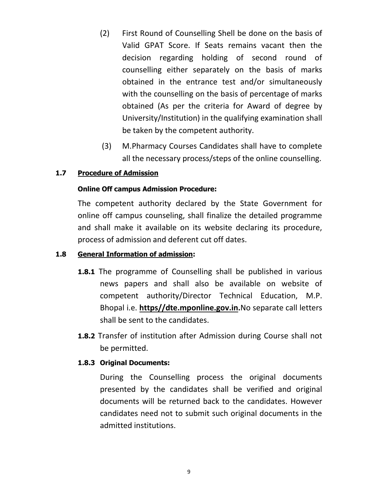- (2) First Round of Counselling Shell be done on the basis of Valid GPAT Score. If Seats remains vacant then the decision regarding holding of second round of counselling either separately on the basis of marks obtained in the entrance test and/or simultaneously with the counselling on the basis of percentage of marks obtained (As per the criteria for Award of degree by University/Institution) in the qualifying examination shall be taken by the competent authority.
- (3) M.Pharmacy Courses Candidates shall have to complete all the necessary process/steps of the online counselling.

#### **1.7 Procedure of Admission**

#### **Online Off campus Admission Procedure:**

The competent authority declared by the State Government for online off campus counseling, shall finalize the detailed programme and shall make it available on its website declaring its procedure, process of admission and deferent cut off dates.

#### **1.8 General Information of admission:**

- **1.8.1** The programme of Counselling shall be published in various news papers and shall also be available on website of competent authority/Director Technical Education, M.P. Bhopal i.e. **https//dte.mponline.gov.in.**No separate call letters shall be sent to the candidates.
- **1.8.2** Transfer of institution after Admission during Course shall not be permitted.

#### **1.8.3 Original Documents:**

During the Counselling process the original documents presented by the candidates shall be verified and original documents will be returned back to the candidates. However candidates need not to submit such original documents in the admitted institutions.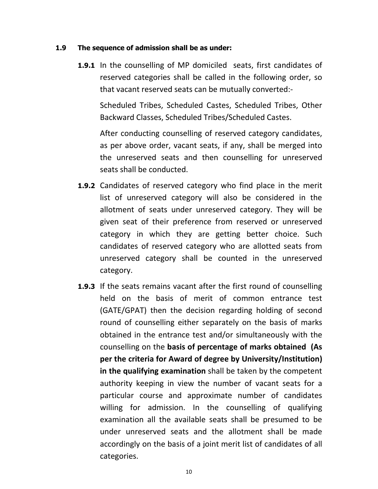#### **1.9 The sequence of admission shall be as under:**

**1.9.1** In the counselling of MP domiciled seats, first candidates of reserved categories shall be called in the following order, so that vacant reserved seats can be mutually converted:-

Scheduled Tribes, Scheduled Castes, Scheduled Tribes, Other Backward Classes, Scheduled Tribes/Scheduled Castes.

After conducting counselling of reserved category candidates, as per above order, vacant seats, if any, shall be merged into the unreserved seats and then counselling for unreserved seats shall be conducted.

- **1.9.2** Candidates of reserved category who find place in the merit list of unreserved category will also be considered in the allotment of seats under unreserved category. They will be given seat of their preference from reserved or unreserved category in which they are getting better choice. Such candidates of reserved category who are allotted seats from unreserved category shall be counted in the unreserved category.
- **1.9.3** If the seats remains vacant after the first round of counselling held on the basis of merit of common entrance test (GATE/GPAT) then the decision regarding holding of second round of counselling either separately on the basis of marks obtained in the entrance test and/or simultaneously with the counselling on the **basis of percentage of marks obtained (As per the criteria for Award of degree by University/Institution) in the qualifying examination** shall be taken by the competent authority keeping in view the number of vacant seats for a particular course and approximate number of candidates willing for admission. In the counselling of qualifying examination all the available seats shall be presumed to be under unreserved seats and the allotment shall be made accordingly on the basis of a joint merit list of candidates of all categories.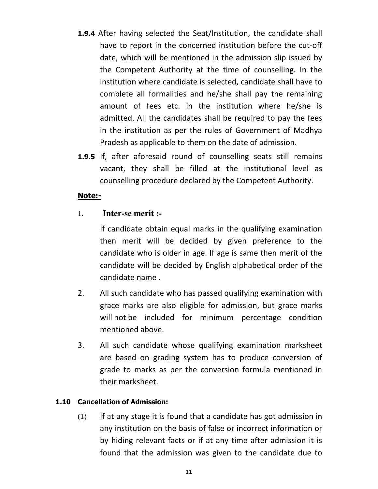- **1.9.4** After having selected the Seat/Institution, the candidate shall have to report in the concerned institution before the cut-off date, which will be mentioned in the admission slip issued by the Competent Authority at the time of counselling. In the institution where candidate is selected, candidate shall have to complete all formalities and he/she shall pay the remaining amount of fees etc. in the institution where he/she is admitted. All the candidates shall be required to pay the fees in the institution as per the rules of Government of Madhya Pradesh as applicable to them on the date of admission.
- **1.9.5** If, after aforesaid round of counselling seats still remains vacant, they shall be filled at the institutional level as counselling procedure declared by the Competent Authority.

## **Note:-**

## 1. **Inter-se merit :-**

If candidate obtain equal marks in the qualifying examination then merit will be decided by given preference to the candidate who is older in age. If age is same then merit of the candidate will be decided by English alphabetical order of the candidate name .

- 2. All such candidate who has passed qualifying examination with grace marks are also eligible for admission, but grace marks will not be included for minimum percentage condition mentioned above.
- 3. All such candidate whose qualifying examination marksheet are based on grading system has to produce conversion of grade to marks as per the conversion formula mentioned in their marksheet.

#### **1.10 Cancellation of Admission:**

(1) If at any stage it is found that a candidate has got admission in any institution on the basis of false or incorrect information or by hiding relevant facts or if at any time after admission it is found that the admission was given to the candidate due to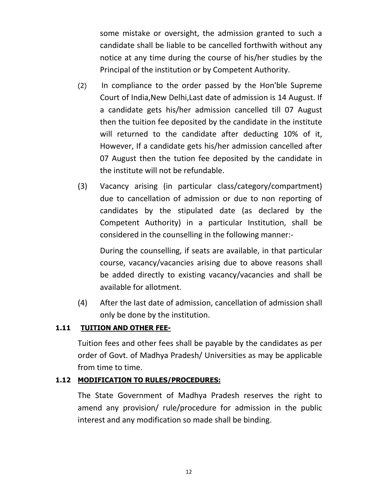some mistake or oversight, the admission granted to such a candidate shall be liable to be cancelled forthwith without any notice at any time during the course of his/her studies by the Principal of the institution or by Competent Authority.

- (2) In compliance to the order passed by the Hon'ble Supreme Court of India,New Delhi,Last date of admission is 14 August. If a candidate gets his/her admission cancelled till 07 August then the tuition fee deposited by the candidate in the institute will returned to the candidate after deducting 10% of it, However, If a candidate gets his/her admission cancelled after 07 August then the tution fee deposited by the candidate in the institute will not be refundable.
- (3) Vacancy arising (in particular class/category/compartment) due to cancellation of admission or due to non reporting of candidates by the stipulated date (as declared by the Competent Authority) in a particular Institution, shall be considered in the counselling in the following manner:-

During the counselling, if seats are available, in that particular course, vacancy/vacancies arising due to above reasons shall be added directly to existing vacancy/vacancies and shall be available for allotment.

(4) After the last date of admission, cancellation of admission shall only be done by the institution.

### **1.11 TUITION AND OTHER FEE-**

Tuition fees and other fees shall be payable by the candidates as per order of Govt. of Madhya Pradesh/ Universities as may be applicable from time to time.

### **1.12 MODIFICATION TO RULES/PROCEDURES:**

 The State Government of Madhya Pradesh reserves the right to amend any provision/ rule/procedure for admission in the public interest and any modification so made shall be binding.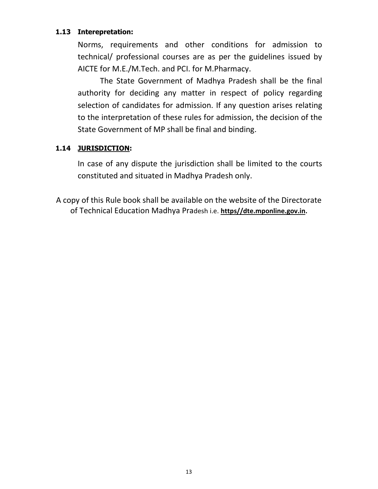#### **1.13 Interepretation:**

Norms, requirements and other conditions for admission to technical/ professional courses are as per the guidelines issued by AICTE for M.E./M.Tech. and PCI. for M.Pharmacy.

The State Government of Madhya Pradesh shall be the final authority for deciding any matter in respect of policy regarding selection of candidates for admission. If any question arises relating to the interpretation of these rules for admission, the decision of the State Government of MP shall be final and binding.

#### **1.14 JURISDICTION:**

In case of any dispute the jurisdiction shall be limited to the courts constituted and situated in Madhya Pradesh only.

A copy of this Rule book shall be available on the website of the Directorate of Technical Education Madhya Pradesh i.e. **https//dte.mponline.gov.in.**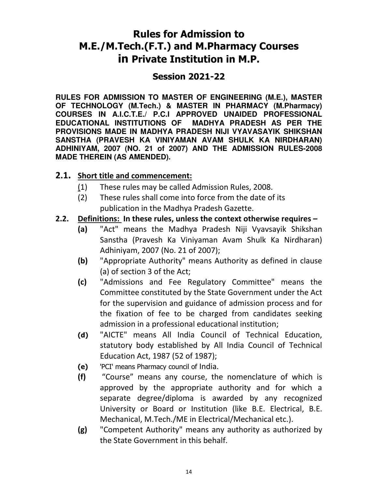## **Rules for Admission to M.E./M.Tech.(F.T.) and M.Pharmacy Courses in Private Institution in M.P.**

## **Session 2021-22**

**RULES FOR ADMISSION TO MASTER OF ENGINEERING (M.E.), MASTER OF TECHNOLOGY (M.Tech.) & MASTER IN PHARMACY (M.Pharmacy) COURSES IN A.I.C.T.E./ P.C.I APPROVED UNAIDED PROFESSIONAL EDUCATIONAL INSTITUTIONS OF MADHYA PRADESH AS PER THE PROVISIONS MADE IN MADHYA PRADESH NIJI VYAVASAYIK SHIKSHAN SANSTHA (PRAVESH KA VINIYAMAN AVAM SHULK KA NIRDHARAN) ADHINIYAM, 2007 (NO. 21 of 2007) AND THE ADMISSION RULES-2008 MADE THEREIN (AS AMENDED).** 

## **2.1. Short title and commencement:**

- (1) These rules may be called Admission Rules, 2008.
- (2) These rules shall come into force from the date of its publication in the Madhya Pradesh Gazette.

## **2.2. Definitions: In these rules, unless the context otherwise requires –**

- **(a)** "Act" means the Madhya Pradesh Niji Vyavsayik Shikshan Sanstha (Pravesh Ka Viniyaman Avam Shulk Ka Nirdharan) Adhiniyam, 2007 (No. 21 of 2007);
- **(b)** "Appropriate Authority" means Authority as defined in clause (a) of section 3 of the Act;
- **(c)** "Admissions and Fee Regulatory Committee" means the Committee constituted by the State Government under the Act for the supervision and guidance of admission process and for the fixation of fee to be charged from candidates seeking admission in a professional educational institution;
- **(d)** "AICTE" means All India Council of Technical Education, statutory body established by All India Council of Technical Education Act, 1987 (52 of 1987);
- **(e)** 'PCI' means Pharmacy council of India.
- **(f)** "Course" means any course, the nomenclature of which is approved by the appropriate authority and for which a separate degree/diploma is awarded by any recognized University or Board or Institution (like B.E. Electrical, B.E. Mechanical, M.Tech./ME in Electrical/Mechanical etc.).
- **(g)** "Competent Authority" means any authority as authorized by the State Government in this behalf.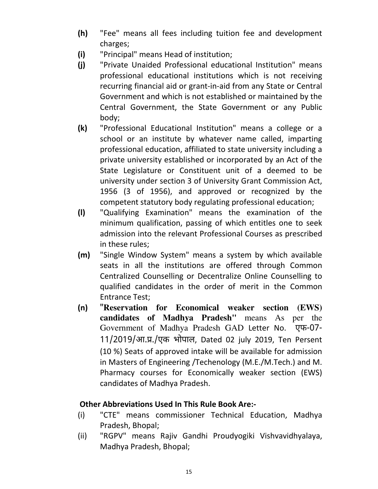- **(h)** "Fee" means all fees including tuition fee and development charges;
- **(i)** "Principal" means Head of institution;
- **(j)** "Private Unaided Professional educational Institution" means professional educational institutions which is not receiving recurring financial aid or grant-in-aid from any State or Central Government and which is not established or maintained by the Central Government, the State Government or any Public body;
- **(k)** "Professional Educational Institution" means a college or a school or an institute by whatever name called, imparting professional education, affiliated to state university including a private university established or incorporated by an Act of the State Legislature or Constituent unit of a deemed to be university under section 3 of University Grant Commission Act, 1956 (3 of 1956), and approved or recognized by the competent statutory body regulating professional education;
- **(l)** "Qualifying Examination" means the examination of the minimum qualification, passing of which entitles one to seek admission into the relevant Professional Courses as prescribed in these rules;
- **(m)** "Single Window System" means a system by which available seats in all the institutions are offered through Common Centralized Counselling or Decentralize Online Counselling to qualified candidates in the order of merit in the Common Entrance Test;
- **(n)** "**Reservation for Economical weaker section (EWS) candidates of Madhya Pradesh"** means As per the Government of Madhya Pradesh GAD Letter No. एफ आएक भोपाल, Dated 02 july 2019, Ten Persent (10 %) Seats of approved intake will be available for admission in Masters of Engineering /Techenology (M.E./M.Tech.) and M. Pharmacy courses for Economically weaker section (EWS) candidates of Madhya Pradesh.

## **Other Abbreviations Used In This Rule Book Are:-**

- (i) "CTE" means commissioner Technical Education, Madhya Pradesh, Bhopal;
- (ii) "RGPV" means Rajiv Gandhi Proudyogiki Vishvavidhyalaya, Madhya Pradesh, Bhopal;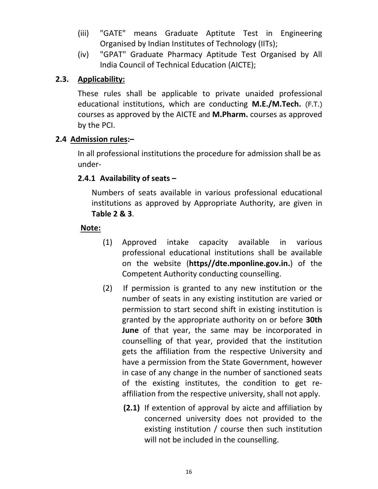- (iii) "GATE" means Graduate Aptitute Test in Engineering Organised by Indian Institutes of Technology (IITs);
- (iv) "GPAT" Graduate Pharmacy Aptitude Test Organised by All India Council of Technical Education (AICTE);

## **2.3. Applicability:**

These rules shall be applicable to private unaided professional educational institutions, which are conducting **M.E./M.Tech.** (F.T.) courses as approved by the AICTE and **M.Pharm.** courses as approved by the PCI.

## **2.4 Admission rules:–**

In all professional institutions the procedure for admission shall be as under-

## **2.4.1 Availability of seats –**

Numbers of seats available in various professional educational institutions as approved by Appropriate Authority, are given in **Table 2 & 3**.

## **Note:**

- (1) Approved intake capacity available in various professional educational institutions shall be available on the website (**https//dte.mponline.gov.in.**) of the Competent Authority conducting counselling.
- (2) If permission is granted to any new institution or the number of seats in any existing institution are varied or permission to start second shift in existing institution is granted by the appropriate authority on or before **30th June** of that year, the same may be incorporated in counselling of that year, provided that the institution gets the affiliation from the respective University and have a permission from the State Government, however in case of any change in the number of sanctioned seats of the existing institutes, the condition to get reaffiliation from the respective university, shall not apply.
	- **(2.1)** If extention of approval by aicte and affiliation by concerned university does not provided to the existing institution / course then such institution will not be included in the counselling.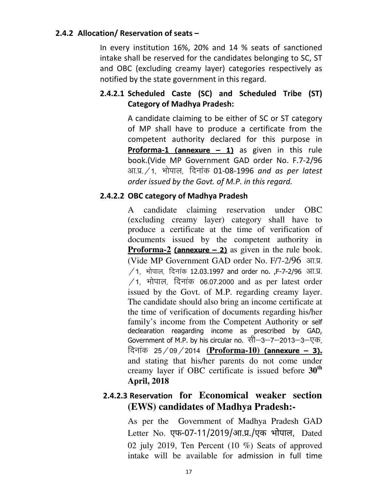### **2.4.2 Allocation/ Reservation of seats –**

In every institution 16%, 20% and 14 % seats of sanctioned intake shall be reserved for the candidates belonging to SC, ST and OBC (excluding creamy layer) categories respectively as notified by the state government in this regard.

## **2.4.2.1 Scheduled Caste (SC) and Scheduled Tribe (ST) Category of Madhya Pradesh:**

 A candidate claiming to be either of SC or ST category of MP shall have to produce a certificate from the competent authority declared for this purpose in **Proforma-1 (annexure – 1)** as given in this rule book.(Vide MP Government GAD order No. F.7-2/96 आ.प्र. / 1, भोपाल, दिनांक 01-08-1996 *and as per latest order issued by the Govt. of M.P. in this regard.*

### **2.4.2.2 OBC category of Madhya Pradesh**

A candidate claiming reservation under OBC (excluding creamy layer) category shall have to produce a certificate at the time of verification of documents issued by the competent authority in **Proforma-2** (**annexure – 2**) as given in the rule book. (Vide MP Government GAD order No.  $F/7-2/96$   $F/J$ .  $/1$ , भोपाल, दिनांक 12.03.1997 and order no. ,F-7-2/96 आ.प्र.  $/1$ , भोपाल, दिनांक 06.07.2000 and as per latest order issued by the Govt. of M.P. regarding creamy layer. The candidate should also bring an income certificate at the time of verification of documents regarding his/her family's income from the Competent Authority or self declearation reagarding income as prescribed by GAD, Government of M.P. by his circular no. सी–3–7–2013–3–एक, <u>दिनांक 25/09/2014 (Proforma-10)</u> (annexure – 3). and stating that his/her parents do not come under creamy layer if OBC certificate is issued before **30th April, 2018** 

## **2.4.2.3 Reservation for Economical weaker section (EWS) candidates of Madhya Pradesh:-**

As per the Government of Madhya Pradesh GAD Letter No. एफ-07-11/2019/आ.प्र./एक भोपाल, Dated 02 july 2019, Ten Percent (10 %) Seats of approved intake will be available for admission in full time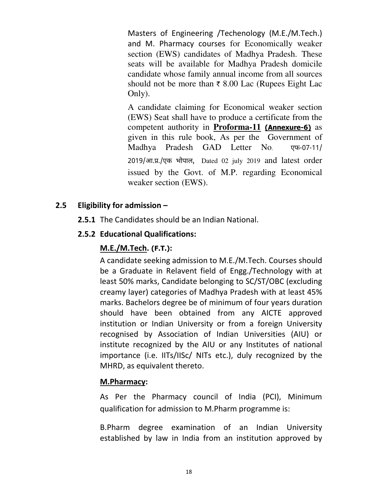Masters of Engineering /Techenology (M.E./M.Tech.) and M. Pharmacy courses for Economically weaker section (EWS) candidates of Madhya Pradesh. These seats will be available for Madhya Pradesh domicile candidate whose family annual income from all sources should not be more than  $\bar{\tau}$  8.00 Lac (Rupees Eight Lac Only).

A candidate claiming for Economical weaker section (EWS) Seat shall have to produce a certificate from the competent authority in **Proforma-11 (Annexure-6)** as given in this rule book, As per the Government of Madhya Pradesh GAD Letter No. एफ आएक भोपाल, Dated 02 july 2019 and latest order issued by the Govt. of M.P. regarding Economical weaker section (EWS).

## **2.5 Eligibility for admission –**

**2.5.1** The Candidates should be an Indian National.

## **2.5.2 Educational Qualifications:**

## **M.E./M.Tech. (F.T.):**

A candidate seeking admission to M.E./M.Tech. Courses should be a Graduate in Relavent field of Engg./Technology with at least 50% marks, Candidate belonging to SC/ST/OBC (excluding creamy layer) categories of Madhya Pradesh with at least 45% marks. Bachelors degree be of minimum of four years duration should have been obtained from any AICTE approved institution or Indian University or from a foreign University recognised by Association of Indian Universities (AIU) or institute recognized by the AIU or any Institutes of national importance (i.e. IITs/IISc/ NITs etc.), duly recognized by the MHRD, as equivalent thereto.

### **M.Pharmacy:**

As Per the Pharmacy council of India (PCI), Minimum qualification for admission to M.Pharm programme is:

B.Pharm degree examination of an Indian University established by law in India from an institution approved by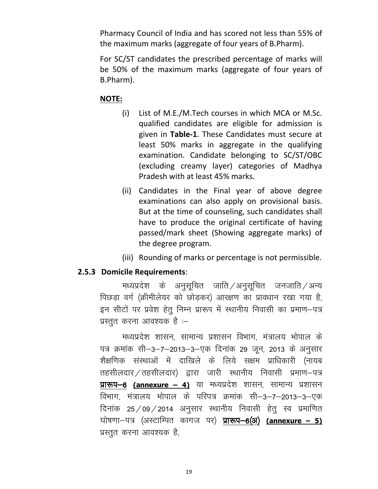Pharmacy Council of India and has scored not less than 55% of the maximum marks (aggregate of four years of B.Pharm).

For SC/ST candidates the prescribed percentage of marks will be 50% of the maximum marks (aggregate of four years of B.Pharm).

#### **NOTE:**

- (i) List of M.E./M.Tech courses in which MCA or M.Sc. qualified candidates are eligible for admission is given in **Table-1**. These Candidates must secure at least 50% marks in aggregate in the qualifying examination. Candidate belonging to SC/ST/OBC (excluding creamy layer) categories of Madhya Pradesh with at least 45% marks.
- (ii) Candidates in the Final year of above degree examinations can also apply on provisional basis. But at the time of counseling, such candidates shall have to produce the original certificate of having passed/mark sheet (Showing aggregate marks) of the degree program.
- (iii) Rounding of marks or percentage is not permissible.

### **2.5.3 Domicile Requirements**:

मध्यप्रदेश के अनुसूचित जाति $/$ अनुसूचित जनजाति $/$ अन्य पिछड़ा वर्ग (क्रीमीलेयर को छोड़कर) आरक्षण का प्रावधान रखा गया है, इन सीटों पर प्रवेश हेतु निम्न प्रारूप में स्थानीय निवासी का प्रमाण-पत्र प्रस्तुत करना आवश्यक है $:=$ 

मध्यप्रदेश शासन, सामान्य प्रशासन विभाग, मंत्रालय भोपाल के पत्र क्रमांक सी–3–7–2013–3–एक दिनांक 29 जून, 2013 के अनुसार शैक्षणिक संस्थाओं में दाखिले के लिये सक्षम प्राधिकारी (नायब तहसीलदार $\angle$ तहसीलदार) द्वारा जारी स्थानीय निवासी प्रमाण–पत्र **प्रारूप-6 (annexure – 4)** या मध्यप्रदेश शासन, सामान्य प्रशासन विभाग, मंत्रालय भोपाल के परिपत्र क्रमांक सी–3–7–2013–3–एक दिनांक 25/09/2014 अनुसार स्थानीय निवासी हेतू स्व प्रमाणित घोषणा-पत्र (अस्टाम्पित कागज पर) **प्रारूप-6(अ) <u>(annexure – 5)</u>** प्रस्तुत करना आवश्यक है,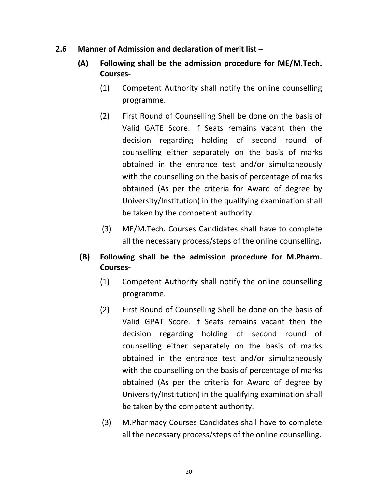- **2.6 Manner of Admission and declaration of merit list** 
	- **(A) Following shall be the admission procedure for ME/M.Tech. Courses-** 
		- (1) Competent Authority shall notify the online counselling programme.
		- (2) First Round of Counselling Shell be done on the basis of Valid GATE Score. If Seats remains vacant then the decision regarding holding of second round of counselling either separately on the basis of marks obtained in the entrance test and/or simultaneously with the counselling on the basis of percentage of marks obtained (As per the criteria for Award of degree by University/Institution) in the qualifying examination shall be taken by the competent authority.
		- (3) ME/M.Tech. Courses Candidates shall have to complete all the necessary process/steps of the online counselling**.**
	- **(B) Following shall be the admission procedure for M.Pharm. Courses-** 
		- (1) Competent Authority shall notify the online counselling programme.
		- (2) First Round of Counselling Shell be done on the basis of Valid GPAT Score. If Seats remains vacant then the decision regarding holding of second round of counselling either separately on the basis of marks obtained in the entrance test and/or simultaneously with the counselling on the basis of percentage of marks obtained (As per the criteria for Award of degree by University/Institution) in the qualifying examination shall be taken by the competent authority.
		- (3) M.Pharmacy Courses Candidates shall have to complete all the necessary process/steps of the online counselling.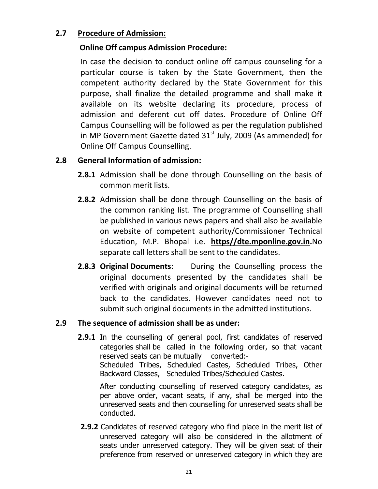## **2.7 Procedure of Admission:**

## **Online Off campus Admission Procedure:**

In case the decision to conduct online off campus counseling for a particular course is taken by the State Government, then the competent authority declared by the State Government for this purpose, shall finalize the detailed programme and shall make it available on its website declaring its procedure, process of admission and deferent cut off dates. Procedure of Online Off Campus Counselling will be followed as per the regulation published in MP Government Gazette dated 31<sup>st</sup> July, 2009 (As ammended) for Online Off Campus Counselling.

## **2.8 General Information of admission:**

- **2.8.1** Admission shall be done through Counselling on the basis of common merit lists.
- **2.8.2** Admission shall be done through Counselling on the basis of the common ranking list. The programme of Counselling shall be published in various news papers and shall also be available on website of competent authority/Commissioner Technical Education, M.P. Bhopal i.e. **https//dte.mponline.gov.in.**No separate call letters shall be sent to the candidates.
- **2.8.3 Original Documents:** During the Counselling process the original documents presented by the candidates shall be verified with originals and original documents will be returned back to the candidates. However candidates need not to submit such original documents in the admitted institutions.

## **2.9 The sequence of admission shall be as under:**

**2.9.1** In the counselling of general pool, first candidates of reserved categories shall be called in the following order, so that vacant reserved seats can be mutually converted:- Scheduled Tribes, Scheduled Castes, Scheduled Tribes, Other Backward Classes, Scheduled Tribes/Scheduled Castes.

After conducting counselling of reserved category candidates, as per above order, vacant seats, if any, shall be merged into the unreserved seats and then counselling for unreserved seats shall be conducted.

**2.9.2** Candidates of reserved category who find place in the merit list of unreserved category will also be considered in the allotment of seats under unreserved category. They will be given seat of their preference from reserved or unreserved category in which they are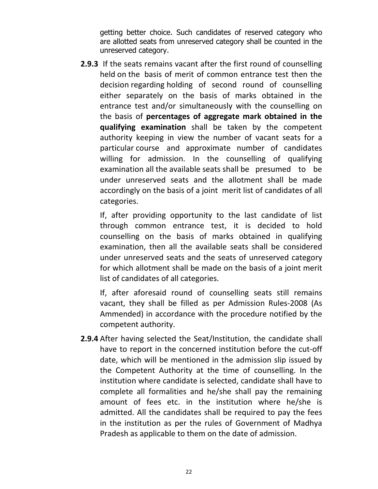getting better choice. Such candidates of reserved category who are allotted seats from unreserved category shall be counted in the unreserved category.

**2.9.3** If the seats remains vacant after the first round of counselling held on the basis of merit of common entrance test then the decision regarding holding of second round of counselling either separately on the basis of marks obtained in the entrance test and/or simultaneously with the counselling on the basis of **percentages of aggregate mark obtained in the qualifying examination** shall be taken by the competent authority keeping in view the number of vacant seats for a particular course and approximate number of candidates willing for admission. In the counselling of qualifying examination all the available seats shall be presumed to be under unreserved seats and the allotment shall be made accordingly on the basis of a joint merit list of candidates of all categories.

If, after providing opportunity to the last candidate of list through common entrance test, it is decided to hold counselling on the basis of marks obtained in qualifying examination, then all the available seats shall be considered under unreserved seats and the seats of unreserved category for which allotment shall be made on the basis of a joint merit list of candidates of all categories.

If, after aforesaid round of counselling seats still remains vacant, they shall be filled as per Admission Rules-2008 (As Ammended) in accordance with the procedure notified by the competent authority.

**2.9.4** After having selected the Seat/Institution, the candidate shall have to report in the concerned institution before the cut-off date, which will be mentioned in the admission slip issued by the Competent Authority at the time of counselling. In the institution where candidate is selected, candidate shall have to complete all formalities and he/she shall pay the remaining amount of fees etc. in the institution where he/she is admitted. All the candidates shall be required to pay the fees in the institution as per the rules of Government of Madhya Pradesh as applicable to them on the date of admission.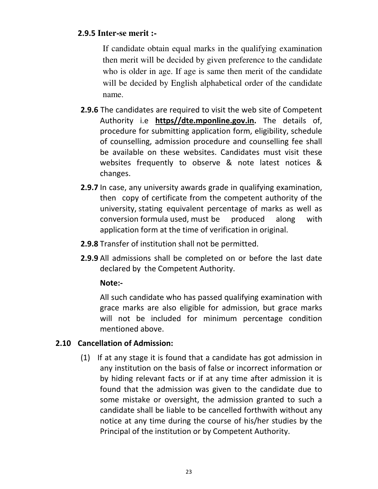## **2.9.5 Inter-se merit :-**

If candidate obtain equal marks in the qualifying examination then merit will be decided by given preference to the candidate who is older in age. If age is same then merit of the candidate will be decided by English alphabetical order of the candidate name.

- **2.9.6** The candidates are required to visit the web site of Competent Authority i.e **https//dte.mponline.gov.in.** The details of, procedure for submitting application form, eligibility, schedule of counselling, admission procedure and counselling fee shall be available on these websites. Candidates must visit these websites frequently to observe & note latest notices & changes.
- **2.9.7** In case, any university awards grade in qualifying examination, then copy of certificate from the competent authority of the university, stating equivalent percentage of marks as well as conversion formula used, must be produced along with application form at the time of verification in original.
- **2.9.8** Transfer of institution shall not be permitted.
- **2.9.9** All admissions shall be completed on or before the last date declared by the Competent Authority.

### **Note:-**

All such candidate who has passed qualifying examination with grace marks are also eligible for admission, but grace marks will not be included for minimum percentage condition mentioned above.

### **2.10 Cancellation of Admission:**

(1) If at any stage it is found that a candidate has got admission in any institution on the basis of false or incorrect information or by hiding relevant facts or if at any time after admission it is found that the admission was given to the candidate due to some mistake or oversight, the admission granted to such a candidate shall be liable to be cancelled forthwith without any notice at any time during the course of his/her studies by the Principal of the institution or by Competent Authority.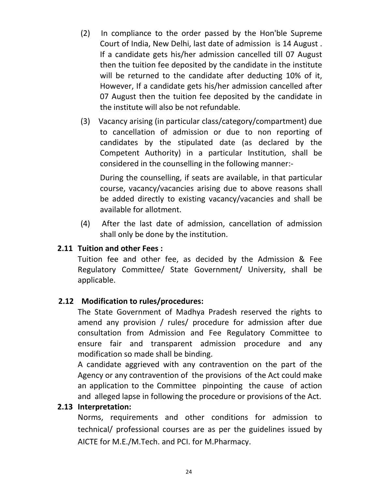- (2) In compliance to the order passed by the Hon'ble Supreme Court of India, New Delhi, last date of admission is 14 August . If a candidate gets his/her admission cancelled till 07 August then the tuition fee deposited by the candidate in the institute will be returned to the candidate after deducting 10% of it, However, If a candidate gets his/her admission cancelled after 07 August then the tuition fee deposited by the candidate in the institute will also be not refundable.
- (3) Vacancy arising (in particular class/category/compartment) due to cancellation of admission or due to non reporting of candidates by the stipulated date (as declared by the Competent Authority) in a particular Institution, shall be considered in the counselling in the following manner:-

During the counselling, if seats are available, in that particular course, vacancy/vacancies arising due to above reasons shall be added directly to existing vacancy/vacancies and shall be available for allotment.

(4) After the last date of admission, cancellation of admission shall only be done by the institution.

### **2.11 Tuition and other Fees :**

 Tuition fee and other fee, as decided by the Admission & Fee Regulatory Committee/ State Government/ University, shall be applicable.

### **2.12 Modification to rules/procedures:**

 The State Government of Madhya Pradesh reserved the rights to amend any provision / rules/ procedure for admission after due consultation from Admission and Fee Regulatory Committee to ensure fair and transparent admission procedure and any modification so made shall be binding.

A candidate aggrieved with any contravention on the part of the Agency or any contravention of the provisions of the Act could make an application to the Committee pinpointing the cause of action and alleged lapse in following the procedure or provisions of the Act.

#### **2.13 Interpretation:**

Norms, requirements and other conditions for admission to technical/ professional courses are as per the guidelines issued by AICTE for M.E./M.Tech. and PCI. for M.Pharmacy.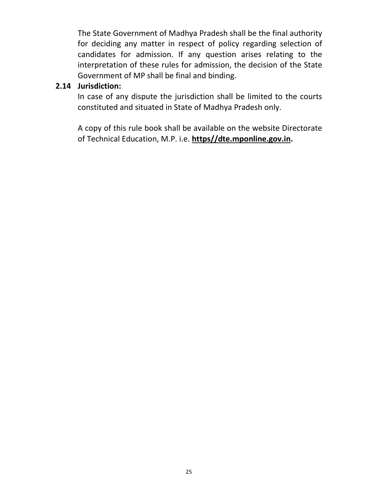The State Government of Madhya Pradesh shall be the final authority for deciding any matter in respect of policy regarding selection of candidates for admission. If any question arises relating to the interpretation of these rules for admission, the decision of the State Government of MP shall be final and binding.

## **2.14 Jurisdiction:**

In case of any dispute the jurisdiction shall be limited to the courts constituted and situated in State of Madhya Pradesh only.

A copy of this rule book shall be available on the website Directorate of Technical Education, M.P. i.e. **https//dte.mponline.gov.in.**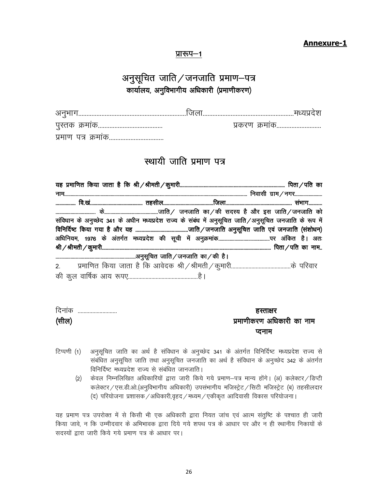#### **Annexure-1**

#### प्रारूप $-1$

## अनुसूचित जाति $\sqrt$ जनजाति प्रमाण–पत्र कार्यालय, अनुविभागीय अधिकारी (प्रमाणीकरण)

| ЯНІЧІ<br>un l<br>ch Hid<br> |  |
|-----------------------------|--|

## स्थायी जाति प्रमाण पत्र

| संविधान के अनुच्छेद 341 के अधीन मध्यप्रदेश राज्य के संबंध में अनुसूचित जाति/अनुसूचित जनजाति के रूप में |  |  |
|--------------------------------------------------------------------------------------------------------|--|--|
|                                                                                                        |  |  |
|                                                                                                        |  |  |
|                                                                                                        |  |  |
|                                                                                                        |  |  |
|                                                                                                        |  |  |
|                                                                                                        |  |  |

| दिनांक<br> | हस्ताक्षर                 |
|------------|---------------------------|
| (सील)      | प्रमाणीकरण अधिकारी का नाम |
|            | प्टनाम                    |

- टिप्पणी (1) अनुसूचित जाति का अर्थ है संविधान के अनुच्छेद 341 के अंतर्गत विनिर्दिष्ट मध्यप्रदेश राज्य से संबंधित अनुसूचित जाति तथा अनुसूचित जनजाति का अर्थ है संविधान के अनुच्छेद 342 के अंतर्गत विनिर्दिष्ट मध्यप्रदेश राज्य से संबंधित जानजाति।
	- (2) केवल निम्नलिखित अधिकारियों द्वारा जारी किये गये प्रमाण-पत्र मान्य होंगे। (अ) कलेक्टर / डिप्टी कलेक्टर / एस.डी.ओ.(अनुविभागीय अधिकारी) उपसंभागीय मजिस्ट्रेट / सिटी मजिस्ट्रेट (ब) तहसीलदार  $(q)$  परियोजना प्रशासक / अधिकारी,वृहद / मध्यम / एकीकृत आदिवासी विकास परियोजना ।

यह प्रमाण पत्र उपरोक्त में से किसी भी एक अधिकारी द्वारा नियत जांच एवं आत्म संतुष्टि के पश्चात ही जारी किया जावे, न कि उम्मीदवार के अभिभावक द्वारा दिये गये शपथ पत्र के आधार पर और न ही स्थानीय निकायों के सदस्यों द्वारा जारी किये गये प्रमाण पत्र के आधार पर।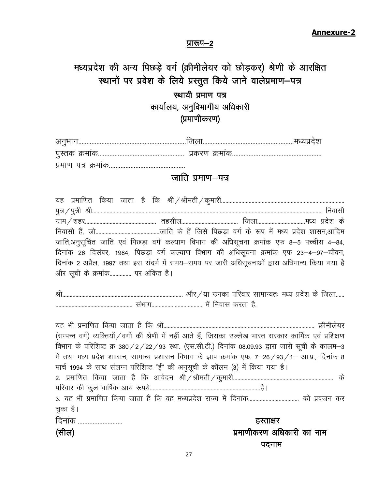प्रारूप-2

## मध्यप्रदेश की अन्य पिछड़े वर्ग (क्रीमीलेयर को छोड़कर) श्रेणी के आरक्षित स्थानों पर प्रवेश के लिये प्रस्तुत किये जाने वालेप्रमाण-पत्र

## स्थायी प्रमाण पत्र कार्यालय, अनुविभागीय अधिकारी  $(y$ माणीकरण)

| u~ |  |
|----|--|

## जाति प्रमाण $-$ पत्र

| जाति,अनुसूचित जाति एवं पिछड़ा वर्ग कल्याण विभाग की अधिसूचना क्रमांक एफ 8–5 पच्चीस 4–84,        |  |  |
|------------------------------------------------------------------------------------------------|--|--|
| दिनांक 26 दिसंबर, 1984, पिछड़ा वर्ग कल्याण विभाग की अधिसूचना क्रमांक एफ 23–4–97–चौवन,          |  |  |
| दिनांक 2 अप्रैल, 1997 तथा इस संदर्भ में समय–समय पर जारी अधिसूचनाओं द्वारा अधिमान्य किया गया है |  |  |
| और सूची के क्रमांक पर अंकित है।                                                                |  |  |

Jh----------------------------------------------------------------------------------- vkSj@;k mudk ifjokj lkekU;r% e/; izns'k d s ftyk------ ----------------------------------------------------- l aHkkx----------------------------------- esa fuokl djrk gS-

| (सम्पन्न वर्ग) व्यक्तियों / वर्गो की श्रेणी में नहीं आते हैं, जिसका उल्लेख भारत सरकार कार्मिक एवं प्रशिक्षण |
|-------------------------------------------------------------------------------------------------------------|
| विभाग के परिशिष्ट क्र 380 / 2 / 22 / 93 स्था. (एस.सी.टी.) दिनांक 08.09.93 द्वारा जारी सूची के कालम-3        |
| में तथा मध्य प्रदेश शाासन, सामान्य प्रशासन विभाग के ज्ञाप क्रमांक एफ. 7–26/93/1– आ.प्र., दिनांक 8           |
| मार्च 1994 के साथ संलग्न परिशिष्ट "ई" की अनुसूची के कॉलम (3) में किया गया है।                               |
|                                                                                                             |
|                                                                                                             |
| 3. यह भी प्रमाणित किया जाता है कि वह मध्यप्रदेश राज्य में दिनांक को प्रवजन कर                               |
| चुका है।                                                                                                    |
| दिनांक<br>हस्ताक्षर                                                                                         |
| प्रमाणीकरण अधिकारी का नाम<br>(सील)                                                                          |
| पदनाम                                                                                                       |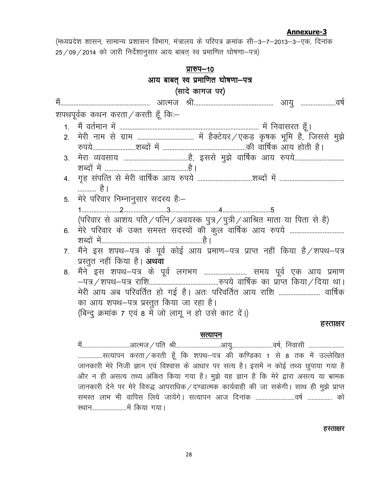## **Annexure-3 Annexure-3**

(मध्यप्रदेश शासन, सामान्य प्रशासन विभाग, मंत्रालय के परिपत्र क्रमांक सी–3–7–2013–3–एक, दिनांक  $25/09/2014$  को जारी निर्देशानुसार आय बाबत् स्व प्रमाणित घोषणा-पत्र)

|    | प्रारुप–10                                                                                  |  |  |  |  |  |  |
|----|---------------------------------------------------------------------------------------------|--|--|--|--|--|--|
|    | आय बाबत् स्व प्रमाणित घोषणा—पत्र                                                            |  |  |  |  |  |  |
|    | (सादे कागज पर)                                                                              |  |  |  |  |  |  |
|    |                                                                                             |  |  |  |  |  |  |
|    | शपथपूर्वक कथन करता∕करती हूँ कि≔                                                             |  |  |  |  |  |  |
|    |                                                                                             |  |  |  |  |  |  |
| 2. |                                                                                             |  |  |  |  |  |  |
|    |                                                                                             |  |  |  |  |  |  |
| 3. |                                                                                             |  |  |  |  |  |  |
|    |                                                                                             |  |  |  |  |  |  |
|    |                                                                                             |  |  |  |  |  |  |
|    | है ।                                                                                        |  |  |  |  |  |  |
|    | 5. मेरे परिवार निम्नानुसार सदस्य है:-                                                       |  |  |  |  |  |  |
|    |                                                                                             |  |  |  |  |  |  |
|    | (परिवार से आशय पति / पत्नि / अवयस्क पुत्र / पुत्री / आश्रित माता या पिता से है)             |  |  |  |  |  |  |
| 6. |                                                                                             |  |  |  |  |  |  |
|    |                                                                                             |  |  |  |  |  |  |
| 7. | मैंने इस शपथ–पत्र के पूर्व कोई आय प्रमाण–पत्र प्राप्त नहीं किया है/शपथ–पत्र                 |  |  |  |  |  |  |
|    | प्रस्तुत नहीं किया है। अथवा                                                                 |  |  |  |  |  |  |
| 8. | मैंने इस शपथ–पत्र के पूर्व लगभग  समय पूर्व एक आय प्रमाण                                     |  |  |  |  |  |  |
|    | मेरी आय अब परिवर्तित हो गई है। अतः परिवर्तित आय राशि  वार्षिक                               |  |  |  |  |  |  |
|    | का आय शपथ–पत्र प्रस्तुत किया जा रहा है।                                                     |  |  |  |  |  |  |
|    | (बिन्दु क्रमांक 7 एवं 8 में जो लागू न हो उसे काट दें।)                                      |  |  |  |  |  |  |
|    | हस्ताक्षर                                                                                   |  |  |  |  |  |  |
|    |                                                                                             |  |  |  |  |  |  |
|    | सत्यापन                                                                                     |  |  |  |  |  |  |
|    | सत्यापन करता / करती हूँ कि शपथ–पत्र की कण्डिका 1 से 8 तक में उल्लेखित                       |  |  |  |  |  |  |
|    | जानकारी मेरे निजी ज्ञान एवं विश्वास के आधार पर सत्य है। इसमें न कोई तथ्य छुपाया गया है      |  |  |  |  |  |  |
|    | और न ही असत्य तथ्य अंकित किया गया है। मुझे यह ज्ञान है कि मेरे द्वारा असत्य या भ्रामक       |  |  |  |  |  |  |
|    | जानकारी देने पर मेरे विरुद्ध आपराधिक / दण्डात्मक कार्यवाही की जा सकेगी। साथ ही मुझे प्राप्त |  |  |  |  |  |  |

#### हस्ताक्षर

LFkku------------------------esa fd;k x;kA

समस्त लाभ भी वापिस लिये जायेंगे। सत्यापन आज दिनांक ................................वर्ष .................. को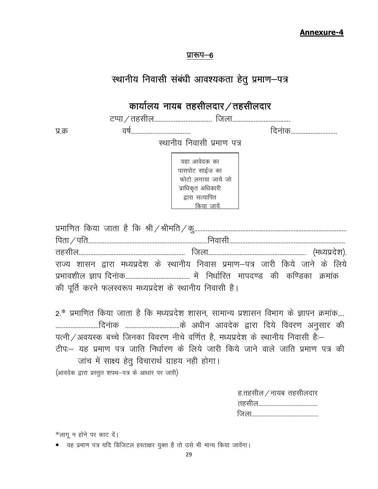#### **Annexure-4**

#### प्रारूप–6

## स्थानीय निवासी संबंधी आवश्यकता हेतु प्रमाण-पत्र

## कार्यालय नायब तहसीलदार / तहसीलदार

VIik@rglhy----------------------------------- ftyk-----------------------------------

iz-Ø o"k Z------------------------------------ fnuakd----------------------------

स्थानीय निवासी प्रमाण पत्र

यहा आवेदक का पासपोट साईज का फोटो लगाया जाये जो प्राधिकृत अधिकारी द्वारा सत्यापित किया जायें

|  | राज्य शासन द्वारा मध्यप्रदेश के स्थानीय निवास प्रमाण–पत्र जारी किये जाने के लिये |  |  |  |  |  |
|--|----------------------------------------------------------------------------------|--|--|--|--|--|
|  |                                                                                  |  |  |  |  |  |
|  | की पूर्ति करने फलस्वरूप मध्यप्रदेश के स्थानीय निवासी है।                         |  |  |  |  |  |

2.\* प्रमाणित किया जाता है कि मध्यप्रदेश शासन, सामान्य प्रशासन विभाग के ज्ञापन क्रमांक.... --------------------------fnu akd ---------------------------------d s v/khu vkonsd }kjk fn;s fooj.k vuqlkj dh पत्नी / अवयस्क बच्चे जिनका विवरण नीचे वर्णित है, मध्यप्रदेश के स्थानीय निवासी है:– टीपः यह प्रमाण पत्र जाति निर्धारण के लिये जारी किये जाने वाले जाति प्रमाण पत्र की जांच में साक्ष्य हेतू विचारार्थ ग्राहय नही होगा।  $($ आवदेक द्वारा प्रस्तुत शपथ-पत्र के आधार पर जारी)

| ह.तहसील $\angle$ नायब तहसीलदार |
|--------------------------------|
|                                |
|                                |

\*लागू न होने पर काट दें।

• यह प्रमाण पत्र यदि डिजिटल हस्ताक्षर युक्त है तो उसे भी मान्य किया जावेंगा।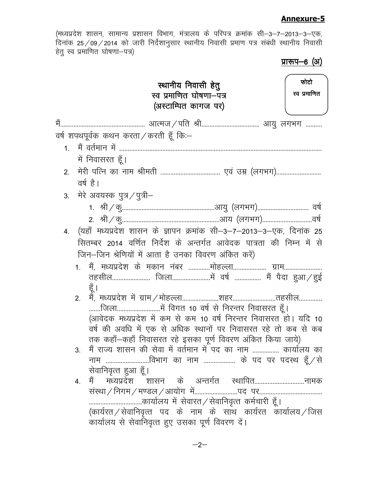#### **Annexure-5**

(मध्यप्रदेश शासन, सामान्य प्रशासन विभाग, मंत्रालय के परिपत्र क्रमांक सी–3–7–2013–3–एक, दिनांक 25 $\,$  09 $\,$  2014 को जारी निर्देशानुसार स्थानीय निवासी प्रमाण पत्र संबंधी स्थानीय निवासी हेतु स्व प्रमाणित घोषणा—पत्र)

<u>प्रारूप-6 (अ)</u>

|           | स्थानीय निवासी हेतु<br>स्व प्रमाणित घोषणा–पत्र<br>(अस्टाम्पित कागज पर) | फोटो<br>स्व प्रमाणित |
|-----------|------------------------------------------------------------------------|----------------------|
| में       |                                                                        |                      |
|           | वर्ष शपथपूर्वक कथन करता ⁄ करती हूँ कि:–                                |                      |
| $1 \quad$ |                                                                        |                      |
|           | में निवासरत हूँ।                                                       |                      |
|           |                                                                        |                      |
|           | वर्ष है।                                                               |                      |
|           | 3.   मेरे अवयस्क पुत्र/पुत्री–                                         |                      |
|           |                                                                        |                      |
|           |                                                                        |                      |
| 4.        | (यहाँ मध्यप्रदेश शासन के ज्ञापन क्रमांक सी–3–7–2013–3–एक, दिनांक 25    |                      |
|           | सितम्बर 2014 वर्णित निर्देश के अन्तर्गत आवेदक पात्रता की निम्न में से  |                      |
|           | जिन–जिन श्रेणियों में आता है उनका विवरण अंकित करें)                    |                      |
|           | 1. मैं, मध्यप्रदेश के मकान नंबर मोहल्ला ग्राम                          |                      |
|           |                                                                        |                      |
|           | हूँ ।<br>2.                                                            |                      |
|           |                                                                        |                      |
|           | (आवेदक मध्यप्रदेश में कम से कम 10 वर्ष निरन्तर निवासरत हो। यदि 10      |                      |
|           | वर्ष की अवधि में एक से अधिक स्थानों पर निवासरत रहे तो कब से कब         |                      |
|           | तक कहाँ—कहाँ निवासरत रहे इसका पूर्ण विवरण अंकित किया जाये)             |                      |
|           | मैं राज्य शासन की सेवा में वर्तमान में पद का नाम  कार्यालय का          |                      |
|           | नाम विभाग का नाम  के पद पर पदस्थ हूँ / से<br>सेवानिवृत्त हुआ हूँ।      |                      |
|           | मैं मध्यप्रदेश शासन के अन्तर्गत स्थापितनामक<br>4.                      |                      |
|           |                                                                        |                      |
|           | कार्यालय में सेवारत ⁄ सेवानिवृत्त कर्मचारी हूँ।                        |                      |
|           | (कार्यरत / सेवानिवृत्त पद के नाम के साथ कार्यरत कार्यालय / जिस         |                      |
|           | कार्यालय से सेवानिवृत्त हुए उसका पूर्ण विवरण दें।                      |                      |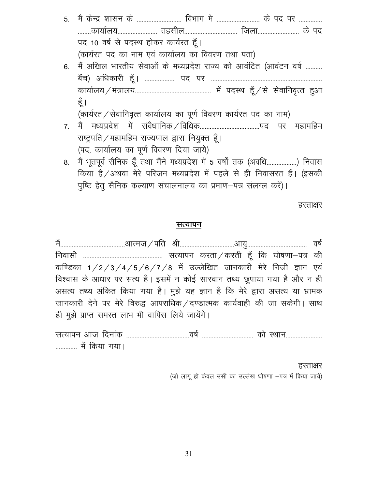- 5- eS a d sUnz 'kklu d s --------------------------- foHkkx esa -------------------------- d s in ij -------------- ........कार्यालय........................... तहसील................................ जिला........................... के पद पद 10 वर्ष से पदस्थ होकर कार्यरत हूँ। (कार्यरत पद का नाम एवं कार्यालय का विवरण तथा पता)
- 6. मैं अखिल भारतीय सेवाओं के मध्यप्रदेश राज्य को आवंटित (आवंटन वर्ष .......... cS ap½ vf/kdkjh g w¡A ------------------ in ij ------------------------------------------------------------------ dk;k Zy;@e a=ky;---------------------------------------------- e sa inLFk g w¡@l s l sokfuo`Rr g qvk हूँ ।

(कार्यरत / सेवानिवृत्त कार्यालय का पूर्ण विवरण कार्यरत पद का नाम)

- 7- eS a e/;izn s'k e s a l aoS/kkfud@fof/kd------------------------------------in ij egkefge राष्ट्रपति / महामहिम राज्यपाल द्वारा नियुक्त हूँ। (पद, कार्यालय का पूर्ण विवरण दिया जाये)
- 8. मैं भूतपूर्व सैनिक हूँ तथा मैंने मध्यप्रदेश में 5 वर्षों तक (अवधि..................) निवास किया है/अथवा मेरे परिजन मध्यप्रदेश में पहले से ही निवासरत हैं। (इसकी पुष्टि हेतु सैनिक कल्याण संचालनालय का प्रमाण-पत्र संलग्ल करें)।

हस्ताक्षर

#### सत्यापन

eS a---------------------------------------vkRet@ifr Jh---------------------------------vk;q------------------------------------ o"k Z fuoklh ------------------------------------------------ lR;kiu djrk@djrh g w¡ fd ?kks"k.kk&i= dh कण्डिका 1/2/3/4/5/6/7/8 में उल्लेखित जानकारी मेरे निजी ज्ञान एवं विश्वास के आधार पर सत्य है। इसमें न कोई सारवान तथ्य छुपाया गया है और न ही असत्य तथ्य अंकित किया गया है। मुझे यह ज्ञान है कि मेरे द्वारा असत्य या भ्रामक जानकारी देने पर मेरे विरुद्ध आपराधिक / दण्डात्मक कार्यवाही की जा सकेगी। साथ ही मूझे प्राप्त समस्त लाभ भी वापिस लिये जायेंगे।

lR;kiu vkt fnuk ad --------------------------------------o"k Z ------------------------------- dk s LFkku---------------------- ------------- e sa fd;k x;kA

#### हस्ताक्षर

(जो लागू हो केवल उसी का उल्लेख घोषणा -पत्र में किया जाये)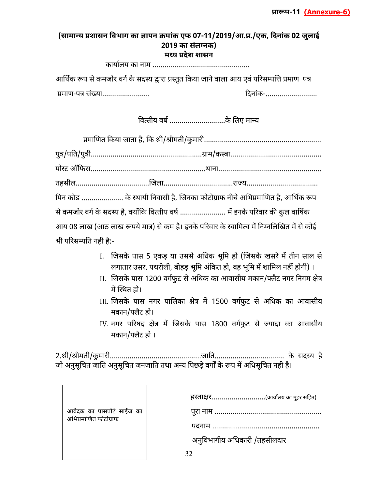#### (सामान्य प्रशासन विभाग का ज्ञापन क्रमांक एफ 07-11/2019/आ.प्र./एक, दिनांक 02 जुलाई **2019** का संलग्नक) **म( य देश शासन**

कायालय का नाम

आर्थिक रूप से कमजोर वर्ग के सदस्य द्वारा प्रस्तुत किया जाने वाला आय एवं परिसम्पत्ति प्रमाण पत्र माणप. सं/ या 0दनांक

वित्तीय वर्ष ...........................के लिए मान्य

|                       | पिन कोड  के स्थायी निवासी है, जिनका फोटोग्राफ नीचे अभिप्रमाणित है, आर्थिक रूप               |  |
|-----------------------|---------------------------------------------------------------------------------------------|--|
|                       | से कमजोर वर्ग के सदस्य है, क्योंकि वित्तीय वर्ष  में इनके परिवार की कुल वार्षिक             |  |
|                       | आय 08 लाख (आठ लाख रूपये मात्र) से कम है। इनके परिवार के स्वामित्व में निम्नलिखित में से कोई |  |
| भी परिसम्पति नही है:- |                                                                                             |  |

- I. जिसके पास 5 एकड़ या उससे अधिक भूमि हो (जिसके खसरे में तीन साल से लगातार उसर, पथरीली, बीहड़ भूमि अंकित हो, वह भूमि में शामिल नहीं होगी) ।
- II. जिसके पास 1200 वर्गफुट से अधिक का आवासीय मकान/फ्लैट नगर निगम क्षेत्र में स्थित हो।
- III. जिसके पास नगर पालिका क्षेत्र में 1500 वर्गफुट से अधिक का आवासीय मकान/फ्लैट हो।
- IV. नगर परिषद क्षेत्र में जिसके पास 1800 वर्गफुट से ज्यादा का आवासीय मकान/फ्लैट हो ।

9ी9ीमतीकु मारीजा'त के सद# य है जो अनुसूचित जाति अनुसूचित जनजाति तथा अन्य पिछड़े वर्गों के रूप में अधिसूचित नही है।

|                                                    | हस्ताक्षर(कार्यालय का मुहर सहित) |
|----------------------------------------------------|----------------------------------|
| आवेदक का पासपोर्ट साईज का<br>अभिप्रमाणित फोटोग्राफ |                                  |
|                                                    |                                  |
|                                                    | अनुविभागीय अधिकारी /तहसीलदार     |
|                                                    |                                  |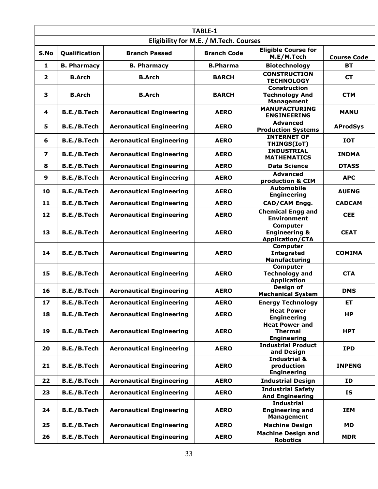| TABLE-1                                |                    |                                 |                    |                                                                   |                    |
|----------------------------------------|--------------------|---------------------------------|--------------------|-------------------------------------------------------------------|--------------------|
| Eligibility for M.E. / M.Tech. Courses |                    |                                 |                    |                                                                   |                    |
| S.No                                   | Qualification      | <b>Branch Passed</b>            | <b>Branch Code</b> | <b>Eligible Course for</b><br>M.E/M.Tech                          | <b>Course Code</b> |
| 1                                      | <b>B. Pharmacy</b> | <b>B. Pharmacy</b>              | <b>B.Pharma</b>    | <b>Biotechnology</b>                                              | <b>BT</b>          |
| $\overline{2}$                         | <b>B.Arch</b>      | <b>B.Arch</b>                   | <b>BARCH</b>       | <b>CONSTRUCTION</b><br><b>TECHNOLOGY</b>                          | <b>CT</b>          |
| 3                                      | <b>B.Arch</b>      | <b>B.Arch</b>                   | <b>BARCH</b>       | <b>Construction</b><br><b>Technology And</b><br><b>Management</b> | <b>CTM</b>         |
| 4                                      | B.E./B.Tech        | <b>Aeronautical Engineering</b> | <b>AERO</b>        | <b>MANUFACTURING</b><br><b>ENGINEERING</b>                        | <b>MANU</b>        |
| 5                                      | B.E./B.Tech        | <b>Aeronautical Engineering</b> | <b>AERO</b>        | <b>Advanced</b><br><b>Production Systems</b>                      | <b>AProdSys</b>    |
| 6                                      | B.E./B.Tech        | <b>Aeronautical Engineering</b> | <b>AERO</b>        | <b>INTERNET OF</b><br>THINGS(IoT)                                 | <b>IOT</b>         |
| 7                                      | B.E./B.Tech        | <b>Aeronautical Engineering</b> | <b>AERO</b>        | <b>INDUSTRIAL</b><br><b>MATHEMATICS</b>                           | <b>INDMA</b>       |
| 8                                      | B.E./B.Tech        | <b>Aeronautical Engineering</b> | <b>AERO</b>        | <b>Data Science</b>                                               | <b>DTASS</b>       |
| 9                                      | B.E./B.Tech        | <b>Aeronautical Engineering</b> | <b>AERO</b>        | <b>Advanced</b><br>production & CIM                               | <b>APC</b>         |
| 10                                     | B.E./B.Tech        | <b>Aeronautical Engineering</b> | <b>AERO</b>        | <b>Automobile</b><br><b>Engineering</b>                           | <b>AUENG</b>       |
| 11                                     | B.E./B.Tech        | <b>Aeronautical Engineering</b> | <b>AERO</b>        | CAD/CAM Engg.                                                     | <b>CADCAM</b>      |
| 12                                     | B.E./B.Tech        | <b>Aeronautical Engineering</b> | <b>AERO</b>        | <b>Chemical Engg and</b><br><b>Environment</b>                    | <b>CEE</b>         |
| 13                                     | B.E./B.Tech        | <b>Aeronautical Engineering</b> | <b>AERO</b>        | Computer<br><b>Engineering &amp;</b><br><b>Application/CTA</b>    | <b>CEAT</b>        |
| 14                                     | B.E./B.Tech        | <b>Aeronautical Engineering</b> | <b>AERO</b>        | Computer<br><b>Integrated</b><br>Manufacturing                    | <b>COMIMA</b>      |
| 15                                     | B.E./B.Tech        | <b>Aeronautical Engineering</b> | <b>AERO</b>        | Computer<br><b>Technology and</b><br><b>Application</b>           | <b>CTA</b>         |
| 16                                     | B.E./B.Tech        | <b>Aeronautical Engineering</b> | <b>AERO</b>        | Design of<br><b>Mechanical System</b>                             | <b>DMS</b>         |
| 17                                     | B.E./B.Tech        | <b>Aeronautical Engineering</b> | <b>AERO</b>        | <b>Energy Technology</b>                                          | ET                 |
| 18                                     | B.E./B.Tech        | <b>Aeronautical Engineering</b> | <b>AERO</b>        | <b>Heat Power</b><br><b>Engineering</b>                           | HP                 |
| 19                                     | B.E./B.Tech        | <b>Aeronautical Engineering</b> | <b>AERO</b>        | <b>Heat Power and</b><br><b>Thermal</b><br><b>Engineering</b>     | <b>HPT</b>         |
| 20                                     | B.E./B.Tech        | <b>Aeronautical Engineering</b> | <b>AERO</b>        | <b>Industrial Product</b><br>and Design                           | <b>IPD</b>         |
| 21                                     | B.E./B.Tech        | <b>Aeronautical Engineering</b> | <b>AERO</b>        | <b>Industrial &amp;</b><br>production<br><b>Engineering</b>       | <b>INPENG</b>      |
| 22                                     | B.E./B.Tech        | <b>Aeronautical Engineering</b> | <b>AERO</b>        | <b>Industrial Design</b>                                          | ID                 |
| 23                                     | B.E./B.Tech        | <b>Aeronautical Engineering</b> | <b>AERO</b>        | <b>Industrial Safety</b><br><b>And Engineering</b>                | IS                 |
| 24                                     | <b>B.E./B.Tech</b> | <b>Aeronautical Engineering</b> | <b>AERO</b>        | <b>Industrial</b><br><b>Engineering and</b><br><b>Management</b>  | <b>IEM</b>         |
| 25                                     | B.E./B.Tech        | <b>Aeronautical Engineering</b> | <b>AERO</b>        | <b>Machine Design</b>                                             | <b>MD</b>          |
| 26                                     | B.E./B.Tech        | <b>Aeronautical Engineering</b> | <b>AERO</b>        | <b>Machine Design and</b><br><b>Robotics</b>                      | <b>MDR</b>         |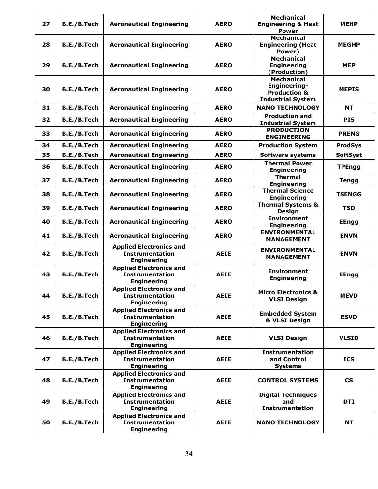|    |             |                                                                                |             | <b>Mechanical</b>                                                                        |                          |
|----|-------------|--------------------------------------------------------------------------------|-------------|------------------------------------------------------------------------------------------|--------------------------|
| 27 | B.E./B.Tech | <b>Aeronautical Engineering</b>                                                | <b>AERO</b> | <b>Engineering &amp; Heat</b><br><b>Power</b>                                            | <b>MEHP</b>              |
| 28 | B.E./B.Tech | <b>Aeronautical Engineering</b>                                                | <b>AERO</b> | <b>Mechanical</b><br><b>Engineering (Heat</b><br>Power)                                  | <b>MEGHP</b>             |
| 29 | B.E./B.Tech | <b>Aeronautical Engineering</b>                                                | <b>AERO</b> | <b>Mechanical</b><br><b>Engineering</b><br>(Production)                                  | <b>MEP</b>               |
| 30 | B.E./B.Tech | <b>Aeronautical Engineering</b>                                                | <b>AERO</b> | <b>Mechanical</b><br>Engineering-<br><b>Production &amp;</b><br><b>Industrial System</b> | <b>MEPIS</b>             |
| 31 | B.E./B.Tech | <b>Aeronautical Engineering</b>                                                | <b>AERO</b> | <b>NANO TECHNOLOGY</b>                                                                   | <b>NT</b>                |
| 32 | B.E./B.Tech | <b>Aeronautical Engineering</b>                                                | <b>AERO</b> | <b>Production and</b><br><b>Industrial System</b>                                        | <b>PIS</b>               |
| 33 | B.E./B.Tech | <b>Aeronautical Engineering</b>                                                | <b>AERO</b> | <b>PRODUCTION</b><br><b>ENGINEERING</b>                                                  | <b>PRENG</b>             |
| 34 | B.E./B.Tech | <b>Aeronautical Engineering</b>                                                | <b>AERO</b> | <b>Production System</b>                                                                 | <b>ProdSys</b>           |
| 35 | B.E./B.Tech | <b>Aeronautical Engineering</b>                                                | <b>AERO</b> | <b>Software systems</b>                                                                  | <b>SoftSyst</b>          |
| 36 | B.E./B.Tech | <b>Aeronautical Engineering</b>                                                | <b>AERO</b> | <b>Thermal Power</b><br><b>Engineering</b>                                               | <b>TPEngg</b>            |
| 37 | B.E./B.Tech | <b>Aeronautical Engineering</b>                                                | <b>AERO</b> | <b>Thermal</b><br><b>Engineering</b>                                                     | <b>Tengg</b>             |
| 38 | B.E./B.Tech | <b>Aeronautical Engineering</b>                                                | <b>AERO</b> | <b>Thermal Science</b><br><b>Engineering</b>                                             | <b>TSENGG</b>            |
| 39 | B.E./B.Tech | <b>Aeronautical Engineering</b>                                                | <b>AERO</b> | <b>Thermal Systems &amp;</b><br><b>Design</b>                                            | <b>TSD</b>               |
| 40 | B.E./B.Tech | <b>Aeronautical Engineering</b>                                                | <b>AERO</b> | <b>Environment</b><br><b>Engineering</b>                                                 | <b>EEngg</b>             |
| 41 | B.E./B.Tech | <b>Aeronautical Engineering</b>                                                | <b>AERO</b> | <b>ENVIRONMENTAL</b><br><b>MANAGEMENT</b>                                                | <b>ENVM</b>              |
| 42 | B.E./B.Tech | <b>Applied Electronics and</b><br><b>Instrumentation</b><br><b>Engineering</b> | <b>AEIE</b> | <b>ENVIRONMENTAL</b><br><b>MANAGEMENT</b>                                                | <b>ENVM</b>              |
| 43 | B.E./B.Tech | <b>Applied Electronics and</b><br><b>Instrumentation</b><br><b>Engineering</b> | <b>AEIE</b> | <b>Environment</b><br><b>Engineering</b>                                                 | <b>EEngg</b>             |
| 44 | B.E./B.Tech | <b>Applied Electronics and</b><br><b>Instrumentation</b><br><b>Engineering</b> | <b>AEIE</b> | <b>Micro Electronics &amp;</b><br><b>VLSI Design</b>                                     | <b>MEVD</b>              |
| 45 | B.E./B.Tech | <b>Applied Electronics and</b><br><b>Instrumentation</b><br><b>Engineering</b> | <b>AEIE</b> | <b>Embedded System</b><br>& VLSI Design                                                  | <b>ESVD</b>              |
| 46 | B.E./B.Tech | <b>Applied Electronics and</b><br><b>Instrumentation</b><br><b>Engineering</b> | <b>AEIE</b> | <b>VLSI Design</b>                                                                       | <b>VLSID</b>             |
| 47 | B.E./B.Tech | <b>Applied Electronics and</b><br><b>Instrumentation</b><br><b>Engineering</b> | <b>AEIE</b> | <b>Instrumentation</b><br>and Control<br><b>Systems</b>                                  | <b>ICS</b>               |
| 48 | B.E./B.Tech | <b>Applied Electronics and</b><br><b>Instrumentation</b><br><b>Engineering</b> | <b>AEIE</b> | <b>CONTROL SYSTEMS</b>                                                                   | $\mathsf{CS}\phantom{0}$ |
| 49 | B.E./B.Tech | <b>Applied Electronics and</b><br><b>Instrumentation</b><br><b>Engineering</b> | <b>AEIE</b> | <b>Digital Techniques</b><br>and<br><b>Instrumentation</b>                               | <b>DTI</b>               |
| 50 | B.E./B.Tech | <b>Applied Electronics and</b><br><b>Instrumentation</b><br><b>Engineering</b> | <b>AEIE</b> | <b>NANO TECHNOLOGY</b>                                                                   | <b>NT</b>                |
|    |             |                                                                                |             |                                                                                          |                          |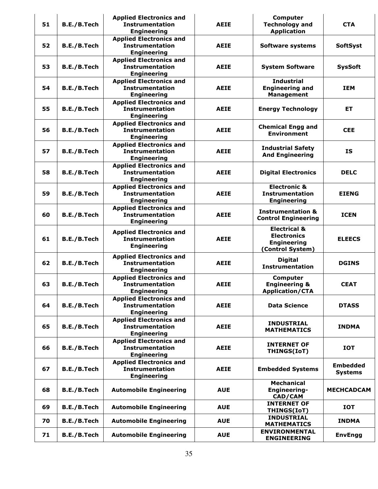| 51 | B.E./B.Tech | <b>Applied Electronics and</b><br><b>Instrumentation</b><br><b>Engineering</b> | <b>AEIE</b> | Computer<br><b>Technology and</b><br><b>Application</b>                                 | <b>CTA</b>                        |
|----|-------------|--------------------------------------------------------------------------------|-------------|-----------------------------------------------------------------------------------------|-----------------------------------|
| 52 | B.E./B.Tech | <b>Applied Electronics and</b><br><b>Instrumentation</b><br><b>Engineering</b> | <b>AEIE</b> | <b>Software systems</b>                                                                 | <b>SoftSyst</b>                   |
| 53 | B.E./B.Tech | <b>Applied Electronics and</b><br><b>Instrumentation</b><br><b>Engineering</b> | <b>AEIE</b> | <b>System Software</b>                                                                  | <b>SysSoft</b>                    |
| 54 | B.E./B.Tech | <b>Applied Electronics and</b><br><b>Instrumentation</b><br><b>Engineering</b> | <b>AEIE</b> | <b>Industrial</b><br><b>Engineering and</b><br><b>Management</b>                        | <b>IEM</b>                        |
| 55 | B.E./B.Tech | <b>Applied Electronics and</b><br><b>Instrumentation</b><br><b>Engineering</b> | <b>AEIE</b> | <b>Energy Technology</b>                                                                | ET.                               |
| 56 | B.E./B.Tech | <b>Applied Electronics and</b><br><b>Instrumentation</b><br><b>Engineering</b> | <b>AEIE</b> | <b>Chemical Engg and</b><br><b>Environment</b>                                          | <b>CEE</b>                        |
| 57 | B.E./B.Tech | <b>Applied Electronics and</b><br><b>Instrumentation</b><br><b>Engineering</b> | <b>AEIE</b> | <b>Industrial Safety</b><br><b>And Engineering</b>                                      | <b>IS</b>                         |
| 58 | B.E./B.Tech | <b>Applied Electronics and</b><br><b>Instrumentation</b><br><b>Engineering</b> | <b>AEIE</b> | <b>Digital Electronics</b>                                                              | <b>DELC</b>                       |
| 59 | B.E./B.Tech | <b>Applied Electronics and</b><br><b>Instrumentation</b><br><b>Engineering</b> | <b>AEIE</b> | <b>Electronic &amp;</b><br><b>Instrumentation</b><br><b>Engineering</b>                 | <b>EIENG</b>                      |
| 60 | B.E./B.Tech | <b>Applied Electronics and</b><br><b>Instrumentation</b><br><b>Engineering</b> | <b>AEIE</b> | <b>Instrumentation &amp;</b><br><b>Control Engineering</b>                              | <b>ICEN</b>                       |
| 61 | B.E./B.Tech | <b>Applied Electronics and</b><br><b>Instrumentation</b><br><b>Engineering</b> | <b>AEIE</b> | <b>Electrical &amp;</b><br><b>Electronics</b><br><b>Engineering</b><br>(Control System) | <b>ELEECS</b>                     |
| 62 | B.E./B.Tech | <b>Applied Electronics and</b><br><b>Instrumentation</b><br><b>Engineering</b> | <b>AEIE</b> | <b>Digital</b><br><b>Instrumentation</b>                                                | <b>DGINS</b>                      |
| 63 | B.E./B.Tech | <b>Applied Electronics and</b><br><b>Instrumentation</b><br><b>Engineering</b> | <b>AEIE</b> | <b>Computer</b><br><b>Engineering &amp;</b><br><b>Application/CTA</b>                   | <b>CEAT</b>                       |
| 64 | B.E./B.Tech | <b>Applied Electronics and</b><br><b>Instrumentation</b><br><b>Engineering</b> | <b>AEIE</b> | <b>Data Science</b>                                                                     | <b>DTASS</b>                      |
| 65 | B.E./B.Tech | <b>Applied Electronics and</b><br><b>Instrumentation</b><br><b>Engineering</b> | <b>AEIE</b> | <b>INDUSTRIAL</b><br><b>MATHEMATICS</b>                                                 | <b>INDMA</b>                      |
| 66 | B.E./B.Tech | <b>Applied Electronics and</b><br><b>Instrumentation</b><br><b>Engineering</b> | <b>AEIE</b> | <b>INTERNET OF</b><br>THINGS(IoT)                                                       | <b>IOT</b>                        |
| 67 | B.E./B.Tech | <b>Applied Electronics and</b><br><b>Instrumentation</b><br><b>Engineering</b> | <b>AEIE</b> | <b>Embedded Systems</b>                                                                 | <b>Embedded</b><br><b>Systems</b> |
| 68 | B.E./B.Tech | <b>Automobile Engineering</b>                                                  | <b>AUE</b>  | <b>Mechanical</b><br>Engineering-<br>CAD/CAM                                            | <b>MECHCADCAM</b>                 |
| 69 | B.E./B.Tech | <b>Automobile Engineering</b>                                                  | <b>AUE</b>  | <b>INTERNET OF</b><br>THINGS(IoT)                                                       | <b>IOT</b>                        |
| 70 | B.E./B.Tech | <b>Automobile Engineering</b>                                                  | <b>AUE</b>  | <b>INDUSTRIAL</b><br><b>MATHEMATICS</b>                                                 | <b>INDMA</b>                      |
| 71 | B.E./B.Tech | <b>Automobile Engineering</b>                                                  | <b>AUE</b>  | <b>ENVIRONMENTAL</b><br><b>ENGINEERING</b>                                              | <b>EnvEngg</b>                    |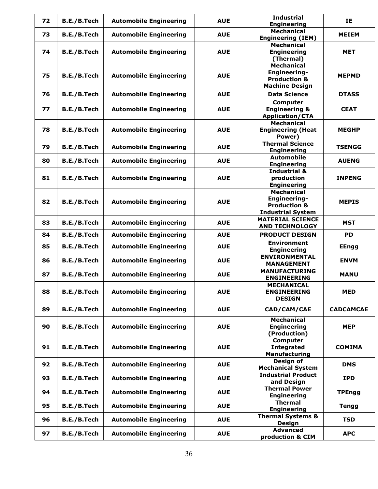| 72 | B.E./B.Tech        | <b>Automobile Engineering</b> | <b>AUE</b> | <b>Industrial</b><br><b>Engineering</b>                                                  | IE               |
|----|--------------------|-------------------------------|------------|------------------------------------------------------------------------------------------|------------------|
| 73 | B.E./B.Tech        | <b>Automobile Engineering</b> | <b>AUE</b> | <b>Mechanical</b><br><b>Engineering (IEM)</b>                                            | <b>MEIEM</b>     |
| 74 | B.E./B.Tech        | <b>Automobile Engineering</b> | <b>AUE</b> | <b>Mechanical</b><br><b>Engineering</b><br>(Thermal)                                     | <b>MET</b>       |
| 75 | B.E./B.Tech        | <b>Automobile Engineering</b> | <b>AUE</b> | <b>Mechanical</b><br>Engineering-<br><b>Production &amp;</b><br><b>Machine Design</b>    | <b>MEPMD</b>     |
| 76 | B.E./B.Tech        | <b>Automobile Engineering</b> | <b>AUE</b> | <b>Data Science</b>                                                                      | <b>DTASS</b>     |
| 77 | B.E./B.Tech        | <b>Automobile Engineering</b> | <b>AUE</b> | <b>Computer</b><br><b>Engineering &amp;</b><br><b>Application/CTA</b>                    | <b>CEAT</b>      |
| 78 | B.E./B.Tech        | <b>Automobile Engineering</b> | <b>AUE</b> | <b>Mechanical</b><br><b>Engineering (Heat</b><br>Power)                                  | <b>MEGHP</b>     |
| 79 | B.E./B.Tech        | <b>Automobile Engineering</b> | <b>AUE</b> | <b>Thermal Science</b><br><b>Engineering</b>                                             | <b>TSENGG</b>    |
| 80 | B.E./B.Tech        | <b>Automobile Engineering</b> | <b>AUE</b> | <b>Automobile</b><br><b>Engineering</b>                                                  | <b>AUENG</b>     |
| 81 | B.E./B.Tech        | <b>Automobile Engineering</b> | <b>AUE</b> | <b>Industrial &amp;</b><br>production<br><b>Engineering</b>                              | <b>INPENG</b>    |
| 82 | B.E./B.Tech        | <b>Automobile Engineering</b> | <b>AUE</b> | <b>Mechanical</b><br>Engineering-<br><b>Production &amp;</b><br><b>Industrial System</b> | <b>MEPIS</b>     |
| 83 | B.E./B.Tech        | <b>Automobile Engineering</b> | <b>AUE</b> | <b>MATERIAL SCIENCE</b><br><b>AND TECHNOLOGY</b>                                         | <b>MST</b>       |
| 84 | B.E./B.Tech        | <b>Automobile Engineering</b> | <b>AUE</b> | <b>PRODUCT DESIGN</b>                                                                    | <b>PD</b>        |
| 85 | B.E./B.Tech        | <b>Automobile Engineering</b> | <b>AUE</b> | <b>Environment</b><br><b>Engineering</b>                                                 | <b>EEngg</b>     |
| 86 | B.E./B.Tech        | <b>Automobile Engineering</b> | <b>AUE</b> | <b>ENVIRONMENTAL</b><br><b>MANAGEMENT</b>                                                | <b>ENVM</b>      |
| 87 | B.E./B.Tech        | <b>Automobile Engineering</b> | <b>AUE</b> | <b>MANUFACTURING</b><br><b>ENGINEERING</b>                                               | <b>MANU</b>      |
| 88 | <b>B.E./B.Tech</b> | <b>Automobile Engineering</b> | <b>AUE</b> | <b>MECHANICAL</b><br>ENGINEEKING<br><b>DESIGN</b>                                        | <b>MED</b>       |
| 89 | B.E./B.Tech        | <b>Automobile Engineering</b> | <b>AUE</b> | CAD/CAM/CAE                                                                              | <b>CADCAMCAE</b> |
| 90 | B.E./B.Tech        | <b>Automobile Engineering</b> | <b>AUE</b> | <b>Mechanical</b><br><b>Engineering</b><br>(Production)                                  | <b>MEP</b>       |
| 91 | B.E./B.Tech        | <b>Automobile Engineering</b> | <b>AUE</b> | <b>Computer</b><br><b>Integrated</b><br><b>Manufacturing</b>                             | <b>COMIMA</b>    |
| 92 | B.E./B.Tech        | <b>Automobile Engineering</b> | <b>AUE</b> | Design of<br><b>Mechanical System</b>                                                    | <b>DMS</b>       |
| 93 | B.E./B.Tech        | <b>Automobile Engineering</b> | <b>AUE</b> | <b>Industrial Product</b><br>and Design                                                  | <b>IPD</b>       |
| 94 | B.E./B.Tech        | <b>Automobile Engineering</b> | <b>AUE</b> | <b>Thermal Power</b><br><b>Engineering</b>                                               | <b>TPEngg</b>    |
| 95 | B.E./B.Tech        | <b>Automobile Engineering</b> | <b>AUE</b> | <b>Thermal</b><br><b>Engineering</b>                                                     | <b>Tengg</b>     |
| 96 | B.E./B.Tech        | <b>Automobile Engineering</b> | <b>AUE</b> | <b>Thermal Systems &amp;</b><br><b>Design</b>                                            | <b>TSD</b>       |
| 97 | B.E./B.Tech        | <b>Automobile Engineering</b> | <b>AUE</b> | <b>Advanced</b><br>production & CIM                                                      | <b>APC</b>       |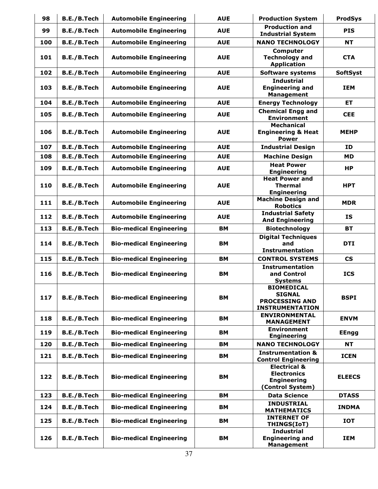| 98  | B.E./B.Tech | <b>Automobile Engineering</b>  | <b>AUE</b> | <b>Production System</b>                                                                | <b>ProdSys</b>           |
|-----|-------------|--------------------------------|------------|-----------------------------------------------------------------------------------------|--------------------------|
| 99  | B.E./B.Tech | <b>Automobile Engineering</b>  | <b>AUE</b> | <b>Production and</b><br><b>Industrial System</b>                                       | <b>PIS</b>               |
| 100 | B.E./B.Tech | <b>Automobile Engineering</b>  | <b>AUE</b> | <b>NANO TECHNOLOGY</b>                                                                  | <b>NT</b>                |
| 101 | B.E./B.Tech | <b>Automobile Engineering</b>  | <b>AUE</b> | Computer<br><b>Technology and</b><br><b>Application</b>                                 | <b>CTA</b>               |
| 102 | B.E./B.Tech | <b>Automobile Engineering</b>  | <b>AUE</b> | <b>Software systems</b>                                                                 | <b>SoftSyst</b>          |
| 103 | B.E./B.Tech | <b>Automobile Engineering</b>  | <b>AUE</b> | <b>Industrial</b><br><b>Engineering and</b><br><b>Management</b>                        | <b>IEM</b>               |
| 104 | B.E./B.Tech | <b>Automobile Engineering</b>  | <b>AUE</b> | <b>Energy Technology</b>                                                                | <b>ET</b>                |
| 105 | B.E./B.Tech | <b>Automobile Engineering</b>  | <b>AUE</b> | <b>Chemical Engg and</b><br><b>Environment</b>                                          | <b>CEE</b>               |
| 106 | B.E./B.Tech | <b>Automobile Engineering</b>  | <b>AUE</b> | <b>Mechanical</b><br><b>Engineering &amp; Heat</b><br><b>Power</b>                      | <b>MEHP</b>              |
| 107 | B.E./B.Tech | <b>Automobile Engineering</b>  | <b>AUE</b> | <b>Industrial Design</b>                                                                | ID                       |
| 108 | B.E./B.Tech | <b>Automobile Engineering</b>  | <b>AUE</b> | <b>Machine Design</b>                                                                   | <b>MD</b>                |
| 109 | B.E./B.Tech | <b>Automobile Engineering</b>  | <b>AUE</b> | <b>Heat Power</b><br><b>Engineering</b>                                                 | <b>HP</b>                |
| 110 | B.E./B.Tech | <b>Automobile Engineering</b>  | <b>AUE</b> | <b>Heat Power and</b><br><b>Thermal</b><br><b>Engineering</b>                           | <b>HPT</b>               |
| 111 | B.E./B.Tech | <b>Automobile Engineering</b>  | <b>AUE</b> | <b>Machine Design and</b><br><b>Robotics</b>                                            | <b>MDR</b>               |
| 112 | B.E./B.Tech | <b>Automobile Engineering</b>  | <b>AUE</b> | <b>Industrial Safety</b><br><b>And Engineering</b>                                      | IS                       |
| 113 | B.E./B.Tech | <b>Bio-medical Engineering</b> | BM         | <b>Biotechnology</b>                                                                    | <b>BT</b>                |
| 114 | B.E./B.Tech | <b>Bio-medical Engineering</b> | BM         | <b>Digital Techniques</b><br>and<br><b>Instrumentation</b>                              | <b>DTI</b>               |
| 115 | B.E./B.Tech | <b>Bio-medical Engineering</b> | BM         | <b>CONTROL SYSTEMS</b>                                                                  | $\mathsf{CS}\phantom{0}$ |
| 116 | B.E./B.Tech | <b>Bio-medical Engineering</b> | BM         | <b>Instrumentation</b><br>and Control<br><b>Systems</b>                                 | <b>ICS</b>               |
| 117 | B.E./B.Tech | <b>Bio-medical Engineering</b> | <b>BM</b>  | <b>BIOMEDICAL</b><br><b>SIGNAL</b><br><b>PROCESSING AND</b><br><b>INSTRUMENTATION</b>   | <b>BSPI</b>              |
| 118 | B.E./B.Tech | <b>Bio-medical Engineering</b> | BM         | <b>ENVIRONMENTAL</b><br><b>MANAGEMENT</b>                                               | <b>ENVM</b>              |
| 119 | B.E./B.Tech | <b>Bio-medical Engineering</b> | <b>BM</b>  | <b>Environment</b><br><b>Engineering</b>                                                | <b>EEngg</b>             |
| 120 | B.E./B.Tech | <b>Bio-medical Engineering</b> | BM         | <b>NANO TECHNOLOGY</b>                                                                  | NT.                      |
| 121 | B.E./B.Tech | <b>Bio-medical Engineering</b> | BM         | <b>Instrumentation &amp;</b><br><b>Control Engineering</b>                              | <b>ICEN</b>              |
| 122 | B.E./B.Tech | <b>Bio-medical Engineering</b> | <b>BM</b>  | <b>Electrical &amp;</b><br><b>Electronics</b><br><b>Engineering</b><br>(Control System) | <b>ELEECS</b>            |
| 123 | B.E./B.Tech | <b>Bio-medical Engineering</b> | <b>BM</b>  | <b>Data Science</b>                                                                     | <b>DTASS</b>             |
| 124 | B.E./B.Tech | <b>Bio-medical Engineering</b> | <b>BM</b>  | <b>INDUSTRIAL</b><br><b>MATHEMATICS</b>                                                 | <b>INDMA</b>             |
| 125 | B.E./B.Tech | <b>Bio-medical Engineering</b> | <b>BM</b>  | <b>INTERNET OF</b><br>THINGS(IoT)                                                       | <b>IOT</b>               |
| 126 | B.E./B.Tech | <b>Bio-medical Engineering</b> | BМ         | <b>Industrial</b><br><b>Engineering and</b><br><b>Management</b>                        | <b>IEM</b>               |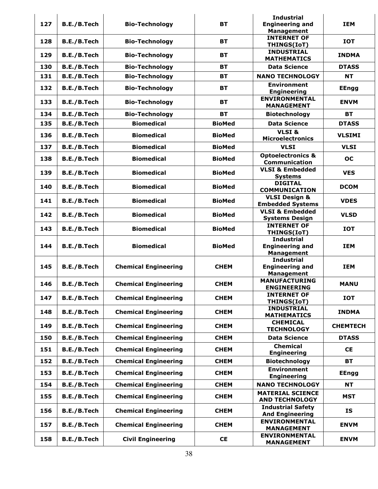| 127 | B.E./B.Tech        | <b>Bio-Technology</b>       | <b>BT</b>     | <b>Industrial</b><br><b>Engineering and</b><br><b>Management</b> | <b>IEM</b>      |
|-----|--------------------|-----------------------------|---------------|------------------------------------------------------------------|-----------------|
| 128 | <b>B.E./B.Tech</b> | <b>Bio-Technology</b>       | <b>BT</b>     | <b>INTERNET OF</b><br>THINGS(IoT)                                | <b>IOT</b>      |
| 129 | B.E./B.Tech        | <b>Bio-Technology</b>       | <b>BT</b>     | <b>INDUSTRIAL</b><br><b>MATHEMATICS</b>                          | <b>INDMA</b>    |
| 130 | B.E./B.Tech        | <b>Bio-Technology</b>       | <b>BT</b>     | <b>Data Science</b>                                              | <b>DTASS</b>    |
| 131 | B.E./B.Tech        | <b>Bio-Technology</b>       | <b>BT</b>     | <b>NANO TECHNOLOGY</b>                                           | <b>NT</b>       |
| 132 | B.E./B.Tech        | <b>Bio-Technology</b>       | <b>BT</b>     | <b>Environment</b><br><b>Engineering</b>                         | <b>EEngg</b>    |
| 133 | B.E./B.Tech        | <b>Bio-Technology</b>       | <b>BT</b>     | <b>ENVIRONMENTAL</b><br><b>MANAGEMENT</b>                        | <b>ENVM</b>     |
| 134 | B.E./B.Tech        | <b>Bio-Technology</b>       | <b>BT</b>     | <b>Biotechnology</b>                                             | <b>BT</b>       |
| 135 | B.E./B.Tech        | <b>Biomedical</b>           | <b>BioMed</b> | <b>Data Science</b>                                              | <b>DTASS</b>    |
|     |                    |                             |               | VLSI&                                                            |                 |
| 136 | B.E./B.Tech        | <b>Biomedical</b>           | <b>BioMed</b> | <b>Microelectronics</b>                                          | <b>VLSIMI</b>   |
| 137 | B.E./B.Tech        | <b>Biomedical</b>           | <b>BioMed</b> | <b>VLSI</b>                                                      | <b>VLSI</b>     |
| 138 | B.E./B.Tech        | <b>Biomedical</b>           | <b>BioMed</b> | <b>Optoelectronics &amp;</b><br><b>Communication</b>             | <b>OC</b>       |
| 139 | B.E./B.Tech        | <b>Biomedical</b>           | <b>BioMed</b> | <b>VLSI &amp; Embedded</b><br><b>Systems</b>                     | <b>VES</b>      |
| 140 | B.E./B.Tech        | <b>Biomedical</b>           | <b>BioMed</b> | <b>DIGITAL</b><br><b>COMMUNICATION</b>                           | <b>DCOM</b>     |
| 141 | B.E./B.Tech        | <b>Biomedical</b>           | <b>BioMed</b> | <b>VLSI Design &amp;</b><br><b>Embedded Systems</b>              | <b>VDES</b>     |
| 142 | B.E./B.Tech        | <b>Biomedical</b>           | <b>BioMed</b> | <b>VLSI &amp; Embedded</b><br><b>Systems Design</b>              | <b>VLSD</b>     |
| 143 | B.E./B.Tech        | <b>Biomedical</b>           | <b>BioMed</b> | <b>INTERNET OF</b><br>THINGS(IoT)                                | <b>IOT</b>      |
| 144 | B.E./B.Tech        | <b>Biomedical</b>           | <b>BioMed</b> | <b>Industrial</b><br><b>Engineering and</b><br><b>Management</b> | <b>IEM</b>      |
| 145 | B.E./B.Tech        | <b>Chemical Engineering</b> | <b>CHEM</b>   | <b>Industrial</b><br><b>Engineering and</b><br><b>Management</b> | <b>IEM</b>      |
| 146 | B.E./B.Tech        | <b>Chemical Engineering</b> | <b>CHEM</b>   | <b>MANUFACTURING</b><br><b>ENGINEERING</b>                       | <b>MANU</b>     |
| 147 | B.E./B.Tech        | <b>Chemical Engineering</b> | <b>CHEM</b>   | <b>INTERNET OF</b><br>THINGS(IoT)                                | <b>IOT</b>      |
| 148 | B.E./B.Tech        | <b>Chemical Engineering</b> | <b>CHEM</b>   | <b>INDUSTRIAL</b><br><b>MATHEMATICS</b>                          | <b>INDMA</b>    |
| 149 | B.E./B.Tech        | <b>Chemical Engineering</b> | <b>CHEM</b>   | <b>CHEMICAL</b><br><b>TECHNOLOGY</b>                             | <b>CHEMTECH</b> |
| 150 | B.E./B.Tech        | <b>Chemical Engineering</b> | <b>CHEM</b>   | <b>Data Science</b>                                              | <b>DTASS</b>    |
| 151 | B.E./B.Tech        | <b>Chemical Engineering</b> | <b>CHEM</b>   | <b>Chemical</b><br><b>Engineering</b>                            | <b>CE</b>       |
| 152 | B.E./B.Tech        | <b>Chemical Engineering</b> | <b>CHEM</b>   | <b>Biotechnology</b>                                             | <b>BT</b>       |
| 153 | B.E./B.Tech        | <b>Chemical Engineering</b> | <b>CHEM</b>   | <b>Environment</b><br><b>Engineering</b>                         | <b>EEngg</b>    |
| 154 | B.E./B.Tech        | <b>Chemical Engineering</b> | <b>CHEM</b>   | <b>NANO TECHNOLOGY</b>                                           | <b>NT</b>       |
| 155 | B.E./B.Tech        | <b>Chemical Engineering</b> | <b>CHEM</b>   | <b>MATERIAL SCIENCE</b><br><b>AND TECHNOLOGY</b>                 | <b>MST</b>      |
| 156 | B.E./B.Tech        | <b>Chemical Engineering</b> | <b>CHEM</b>   | <b>Industrial Safety</b><br><b>And Engineering</b>               | IS              |
| 157 | B.E./B.Tech        | <b>Chemical Engineering</b> | <b>CHEM</b>   | <b>ENVIRONMENTAL</b><br><b>MANAGEMENT</b>                        | <b>ENVM</b>     |
| 158 | B.E./B.Tech        | <b>Civil Engineering</b>    | <b>CE</b>     | <b>ENVIRONMENTAL</b><br><b>MANAGEMENT</b>                        | <b>ENVM</b>     |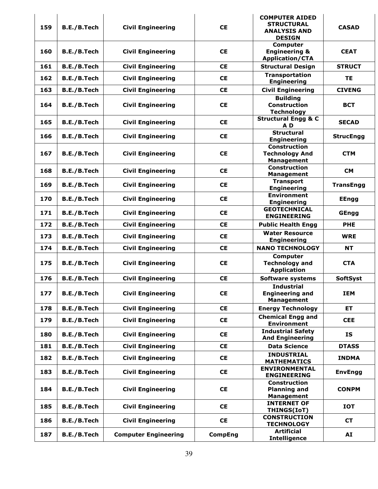| 159 | B.E./B.Tech | <b>Civil Engineering</b>    | <b>CE</b>      | <b>COMPUTER AIDED</b><br><b>STRUCTURAL</b><br><b>ANALYSIS AND</b><br><b>DESIGN</b> | <b>CASAD</b>     |
|-----|-------------|-----------------------------|----------------|------------------------------------------------------------------------------------|------------------|
| 160 | B.E./B.Tech | <b>Civil Engineering</b>    | <b>CE</b>      | <b>Computer</b><br><b>Engineering &amp;</b><br><b>Application/CTA</b>              | <b>CEAT</b>      |
| 161 | B.E./B.Tech | <b>Civil Engineering</b>    | <b>CE</b>      | <b>Structural Design</b>                                                           | <b>STRUCT</b>    |
| 162 | B.E./B.Tech | <b>Civil Engineering</b>    | <b>CE</b>      | <b>Transportation</b><br><b>Engineering</b>                                        | <b>TE</b>        |
| 163 | B.E./B.Tech | <b>Civil Engineering</b>    | <b>CE</b>      | <b>Civil Engineering</b>                                                           | <b>CIVENG</b>    |
| 164 | B.E./B.Tech | <b>Civil Engineering</b>    | <b>CE</b>      | <b>Building</b><br><b>Construction</b><br><b>Technology</b>                        | <b>BCT</b>       |
| 165 | B.E./B.Tech | <b>Civil Engineering</b>    | <b>CE</b>      | <b>Structural Engg &amp; C</b><br>A <sub>D</sub>                                   | <b>SECAD</b>     |
| 166 | B.E./B.Tech | <b>Civil Engineering</b>    | <b>CE</b>      | <b>Structural</b><br><b>Engineering</b>                                            | <b>StrucEngg</b> |
| 167 | B.E./B.Tech | <b>Civil Engineering</b>    | <b>CE</b>      | <b>Construction</b><br><b>Technology And</b><br><b>Management</b>                  | <b>CTM</b>       |
| 168 | B.E./B.Tech | <b>Civil Engineering</b>    | <b>CE</b>      | <b>Construction</b><br><b>Management</b>                                           | <b>CM</b>        |
| 169 | B.E./B.Tech | <b>Civil Engineering</b>    | <b>CE</b>      | <b>Transport</b><br><b>Engineering</b>                                             | <b>TransEngg</b> |
| 170 | B.E./B.Tech | <b>Civil Engineering</b>    | <b>CE</b>      | <b>Environment</b><br><b>Engineering</b>                                           | <b>EEngg</b>     |
| 171 | B.E./B.Tech | <b>Civil Engineering</b>    | <b>CE</b>      | <b>GEOTECHNICAL</b><br><b>ENGINEERING</b>                                          | GEngg            |
| 172 | B.E./B.Tech | <b>Civil Engineering</b>    | <b>CE</b>      | <b>Public Health Engg</b>                                                          | <b>PHE</b>       |
| 173 | B.E./B.Tech | <b>Civil Engineering</b>    | <b>CE</b>      | <b>Water Resource</b><br><b>Engineering</b>                                        | <b>WRE</b>       |
| 174 | B.E./B.Tech | <b>Civil Engineering</b>    | <b>CE</b>      | <b>NANO TECHNOLOGY</b>                                                             | <b>NT</b>        |
| 175 | B.E./B.Tech | <b>Civil Engineering</b>    | <b>CE</b>      | Computer<br><b>Technology and</b><br><b>Application</b>                            | <b>CTA</b>       |
| 176 | B.E./B.Tech | <b>Civil Engineering</b>    | <b>CE</b>      | <b>Software systems</b>                                                            | <b>SoftSyst</b>  |
| 177 | B.E./B.Tech | <b>Civil Engineering</b>    | <b>CE</b>      | <b>Industrial</b><br><b>Engineering and</b><br><b>Management</b>                   | IEM              |
| 178 | B.E./B.Tech | <b>Civil Engineering</b>    | <b>CE</b>      | <b>Energy Technology</b>                                                           | ET.              |
| 179 | B.E./B.Tech | <b>Civil Engineering</b>    | <b>CE</b>      | <b>Chemical Engg and</b><br><b>Environment</b>                                     | <b>CEE</b>       |
| 180 | B.E./B.Tech | <b>Civil Engineering</b>    | <b>CE</b>      | <b>Industrial Safety</b><br><b>And Engineering</b>                                 | <b>IS</b>        |
| 181 | B.E./B.Tech | <b>Civil Engineering</b>    | <b>CE</b>      | <b>Data Science</b>                                                                | <b>DTASS</b>     |
| 182 | B.E./B.Tech | <b>Civil Engineering</b>    | <b>CE</b>      | <b>INDUSTRIAL</b><br><b>MATHEMATICS</b>                                            | <b>INDMA</b>     |
| 183 | B.E./B.Tech | <b>Civil Engineering</b>    | <b>CE</b>      | <b>ENVIRONMENTAL</b><br><b>ENGINEERING</b>                                         | <b>EnvEngg</b>   |
| 184 | B.E./B.Tech | <b>Civil Engineering</b>    | <b>CE</b>      | <b>Construction</b><br><b>Planning and</b><br><b>Management</b>                    | <b>CONPM</b>     |
| 185 | B.E./B.Tech | <b>Civil Engineering</b>    | <b>CE</b>      | <b>INTERNET OF</b><br>THINGS(IoT)                                                  | <b>IOT</b>       |
| 186 | B.E./B.Tech | <b>Civil Engineering</b>    | <b>CE</b>      | <b>CONSTRUCTION</b><br><b>TECHNOLOGY</b>                                           | <b>CT</b>        |
| 187 | B.E./B.Tech | <b>Computer Engineering</b> | <b>CompEng</b> | <b>Artificial</b><br><b>Intelligence</b>                                           | AI               |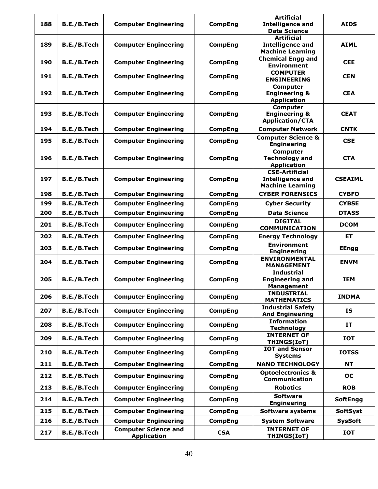| 188 | B.E./B.Tech | <b>Computer Engineering</b>                       | <b>CompEng</b> | <b>Artificial</b><br><b>Intelligence and</b><br><b>Data Science</b>         | <b>AIDS</b>     |
|-----|-------------|---------------------------------------------------|----------------|-----------------------------------------------------------------------------|-----------------|
| 189 | B.E./B.Tech | <b>Computer Engineering</b>                       | <b>CompEng</b> | <b>Artificial</b><br><b>Intelligence and</b><br><b>Machine Learning</b>     | <b>AIML</b>     |
| 190 | B.E./B.Tech | <b>Computer Engineering</b>                       | <b>CompEng</b> | <b>Chemical Engg and</b><br><b>Environment</b>                              | <b>CEE</b>      |
| 191 | B.E./B.Tech | <b>Computer Engineering</b>                       | <b>CompEng</b> | <b>COMPUTER</b><br><b>ENGINEERING</b>                                       | <b>CEN</b>      |
| 192 | B.E./B.Tech | <b>Computer Engineering</b>                       | <b>CompEng</b> | <b>Computer</b><br><b>Engineering &amp;</b><br><b>Application</b>           | <b>CEA</b>      |
| 193 | B.E./B.Tech | <b>Computer Engineering</b>                       | <b>CompEng</b> | <b>Computer</b><br><b>Engineering &amp;</b><br><b>Application/CTA</b>       | <b>CEAT</b>     |
| 194 | B.E./B.Tech | <b>Computer Engineering</b>                       | <b>CompEng</b> | <b>Computer Network</b>                                                     | <b>CNTK</b>     |
| 195 | B.E./B.Tech | <b>Computer Engineering</b>                       | <b>CompEng</b> | <b>Computer Science &amp;</b><br><b>Engineering</b>                         | <b>CSE</b>      |
| 196 | B.E./B.Tech | <b>Computer Engineering</b>                       | <b>CompEng</b> | <b>Computer</b><br><b>Technology and</b><br><b>Application</b>              | <b>CTA</b>      |
| 197 | B.E./B.Tech | <b>Computer Engineering</b>                       | <b>CompEng</b> | <b>CSE-Artificial</b><br><b>Intelligence and</b><br><b>Machine Learning</b> | <b>CSEAIML</b>  |
| 198 | B.E./B.Tech | <b>Computer Engineering</b>                       | <b>CompEng</b> | <b>CYBER FORENSICS</b>                                                      | <b>CYBFO</b>    |
| 199 | B.E./B.Tech | <b>Computer Engineering</b>                       | <b>CompEng</b> | <b>Cyber Security</b>                                                       | <b>CYBSE</b>    |
| 200 | B.E./B.Tech | <b>Computer Engineering</b>                       | <b>CompEng</b> | <b>Data Science</b>                                                         | <b>DTASS</b>    |
| 201 | B.E./B.Tech | <b>Computer Engineering</b>                       | <b>CompEng</b> | <b>DIGITAL</b><br><b>COMMUNICATION</b>                                      | <b>DCOM</b>     |
| 202 | B.E./B.Tech | <b>Computer Engineering</b>                       | <b>CompEng</b> | <b>Energy Technology</b>                                                    | EТ              |
| 203 | B.E./B.Tech | <b>Computer Engineering</b>                       | <b>CompEng</b> | <b>Environment</b><br><b>Engineering</b>                                    | <b>EEngg</b>    |
| 204 | B.E./B.Tech | <b>Computer Engineering</b>                       | <b>CompEng</b> | <b>ENVIRONMENTAL</b><br><b>MANAGEMENT</b>                                   | <b>ENVM</b>     |
| 205 | B.E./B.Tech | <b>Computer Engineering</b>                       | <b>CompEng</b> | <b>Industrial</b><br><b>Engineering and</b><br><b>Management</b>            | <b>IEM</b>      |
| 206 | B.E./B.Tech | <b>Computer Engineering</b>                       | <b>CompEng</b> | <b>INDUSTRIAL</b><br><b>MATHEMATICS</b>                                     | <b>INDMA</b>    |
| 207 | B.E./B.Tech | <b>Computer Engineering</b>                       | <b>CompEng</b> | <b>Industrial Safety</b><br><b>And Engineering</b>                          | IS              |
| 208 | B.E./B.Tech | <b>Computer Engineering</b>                       | <b>CompEng</b> | <b>Information</b><br><b>Technology</b>                                     | IT              |
| 209 | B.E./B.Tech | <b>Computer Engineering</b>                       | <b>CompEng</b> | <b>INTERNET OF</b><br>THINGS(IoT)                                           | <b>IOT</b>      |
| 210 | B.E./B.Tech | <b>Computer Engineering</b>                       | <b>CompEng</b> | <b>IOT and Sensor</b><br><b>Systems</b>                                     | <b>IOTSS</b>    |
| 211 | B.E./B.Tech | <b>Computer Engineering</b>                       | <b>CompEng</b> | <b>NANO TECHNOLOGY</b>                                                      | <b>NT</b>       |
| 212 | B.E./B.Tech | <b>Computer Engineering</b>                       | <b>CompEng</b> | <b>Optoelectronics &amp;</b><br>Communication                               | <b>OC</b>       |
| 213 | B.E./B.Tech | <b>Computer Engineering</b>                       | <b>CompEng</b> | <b>Robotics</b>                                                             | <b>ROB</b>      |
| 214 | B.E./B.Tech | <b>Computer Engineering</b>                       | <b>CompEng</b> | <b>Software</b><br><b>Engineering</b>                                       | <b>SoftEngg</b> |
| 215 | B.E./B.Tech | <b>Computer Engineering</b>                       | <b>CompEng</b> | <b>Software systems</b>                                                     | <b>SoftSyst</b> |
| 216 | B.E./B.Tech | <b>Computer Engineering</b>                       | <b>CompEng</b> | <b>System Software</b>                                                      | <b>SysSoft</b>  |
| 217 | B.E./B.Tech | <b>Computer Science and</b><br><b>Application</b> | <b>CSA</b>     | <b>INTERNET OF</b><br>THINGS(IoT)                                           | <b>IOT</b>      |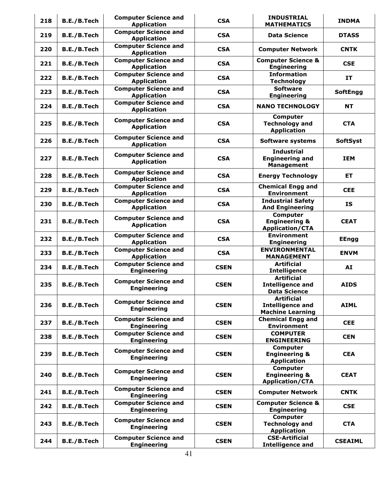| 218 | B.E./B.Tech | <b>Computer Science and</b><br><b>Application</b> | <b>CSA</b>  | <b>INDUSTRIAL</b><br><b>MATHEMATICS</b>                                 | <b>INDMA</b>    |
|-----|-------------|---------------------------------------------------|-------------|-------------------------------------------------------------------------|-----------------|
| 219 | B.E./B.Tech | <b>Computer Science and</b><br><b>Application</b> | <b>CSA</b>  | <b>Data Science</b>                                                     | <b>DTASS</b>    |
| 220 | B.E./B.Tech | <b>Computer Science and</b><br><b>Application</b> | <b>CSA</b>  | <b>Computer Network</b>                                                 | <b>CNTK</b>     |
| 221 | B.E./B.Tech | <b>Computer Science and</b><br><b>Application</b> | <b>CSA</b>  | <b>Computer Science &amp;</b><br><b>Engineering</b>                     | <b>CSE</b>      |
| 222 | B.E./B.Tech | <b>Computer Science and</b><br><b>Application</b> | <b>CSA</b>  | <b>Information</b><br><b>Technology</b>                                 | IT              |
| 223 | B.E./B.Tech | <b>Computer Science and</b><br><b>Application</b> | <b>CSA</b>  | <b>Software</b><br><b>Engineering</b>                                   | <b>SoftEngg</b> |
| 224 | B.E./B.Tech | <b>Computer Science and</b><br><b>Application</b> | <b>CSA</b>  | <b>NANO TECHNOLOGY</b>                                                  | <b>NT</b>       |
| 225 | B.E./B.Tech | <b>Computer Science and</b><br><b>Application</b> | <b>CSA</b>  | Computer<br><b>Technology and</b><br><b>Application</b>                 | <b>CTA</b>      |
| 226 | B.E./B.Tech | <b>Computer Science and</b><br><b>Application</b> | <b>CSA</b>  | <b>Software systems</b>                                                 | <b>SoftSyst</b> |
| 227 | B.E./B.Tech | <b>Computer Science and</b><br><b>Application</b> | <b>CSA</b>  | <b>Industrial</b><br><b>Engineering and</b><br><b>Management</b>        | <b>IEM</b>      |
| 228 | B.E./B.Tech | <b>Computer Science and</b><br><b>Application</b> | <b>CSA</b>  | <b>Energy Technology</b>                                                | ET              |
| 229 | B.E./B.Tech | <b>Computer Science and</b><br><b>Application</b> | <b>CSA</b>  | <b>Chemical Engg and</b><br><b>Environment</b>                          | <b>CEE</b>      |
| 230 | B.E./B.Tech | <b>Computer Science and</b><br><b>Application</b> | <b>CSA</b>  | <b>Industrial Safety</b><br><b>And Engineering</b>                      | <b>IS</b>       |
| 231 | B.E./B.Tech | <b>Computer Science and</b><br><b>Application</b> | <b>CSA</b>  | Computer<br><b>Engineering &amp;</b><br><b>Application/CTA</b>          | <b>CEAT</b>     |
| 232 | B.E./B.Tech | <b>Computer Science and</b><br><b>Application</b> | <b>CSA</b>  | <b>Environment</b><br><b>Engineering</b>                                | <b>EEngg</b>    |
| 233 | B.E./B.Tech | <b>Computer Science and</b><br><b>Application</b> | <b>CSA</b>  | <b>ENVIRONMENTAL</b><br><b>MANAGEMENT</b>                               | <b>ENVM</b>     |
| 234 | B.E./B.Tech | <b>Computer Science and</b><br><b>Engineering</b> | <b>CSEN</b> | <b>Artificial</b><br><b>Intelligence</b>                                | AI              |
| 235 | B.E./B.Tech | <b>Computer Science and</b><br><b>Engineering</b> | <b>CSEN</b> | <b>Artificial</b><br><b>Intelligence and</b><br><b>Data Science</b>     | <b>AIDS</b>     |
| 236 | B.E./B.Tech | <b>Computer Science and</b><br><b>Engineering</b> | <b>CSEN</b> | <b>Artificial</b><br><b>Intelligence and</b><br><b>Machine Learning</b> | <b>AIML</b>     |
| 237 | B.E./B.Tech | <b>Computer Science and</b><br><b>Engineering</b> | <b>CSEN</b> | <b>Chemical Engg and</b><br><b>Environment</b>                          | <b>CEE</b>      |
| 238 | B.E./B.Tech | <b>Computer Science and</b><br><b>Engineering</b> | <b>CSEN</b> | <b>COMPUTER</b><br><b>ENGINEERING</b>                                   | <b>CEN</b>      |
| 239 | B.E./B.Tech | <b>Computer Science and</b><br><b>Engineering</b> | <b>CSEN</b> | Computer<br><b>Engineering &amp;</b><br><b>Application</b>              | <b>CEA</b>      |
| 240 | B.E./B.Tech | <b>Computer Science and</b><br><b>Engineering</b> | <b>CSEN</b> | <b>Computer</b><br><b>Engineering &amp;</b><br><b>Application/CTA</b>   | <b>CEAT</b>     |
| 241 | B.E./B.Tech | <b>Computer Science and</b><br><b>Engineering</b> | <b>CSEN</b> | <b>Computer Network</b>                                                 | <b>CNTK</b>     |
| 242 | B.E./B.Tech | <b>Computer Science and</b><br><b>Engineering</b> | <b>CSEN</b> | <b>Computer Science &amp;</b><br><b>Engineering</b>                     | <b>CSE</b>      |
| 243 | B.E./B.Tech | <b>Computer Science and</b><br><b>Engineering</b> | <b>CSEN</b> | Computer<br><b>Technology and</b><br><b>Application</b>                 | <b>CTA</b>      |
| 244 | B.E./B.Tech | <b>Computer Science and</b><br><b>Engineering</b> | <b>CSEN</b> | <b>CSE-Artificial</b><br><b>Intelligence and</b>                        | <b>CSEAIML</b>  |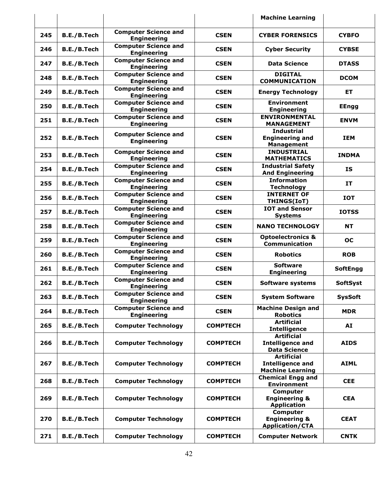|     |             |                                                   |                 | <b>Machine Learning</b>                                                 |                 |
|-----|-------------|---------------------------------------------------|-----------------|-------------------------------------------------------------------------|-----------------|
| 245 | B.E./B.Tech | <b>Computer Science and</b><br><b>Engineering</b> | <b>CSEN</b>     | <b>CYBER FORENSICS</b>                                                  | <b>CYBFO</b>    |
| 246 | B.E./B.Tech | <b>Computer Science and</b><br><b>Engineering</b> | <b>CSEN</b>     | <b>Cyber Security</b>                                                   | <b>CYBSE</b>    |
| 247 | B.E./B.Tech | <b>Computer Science and</b><br><b>Engineering</b> | <b>CSEN</b>     | <b>Data Science</b>                                                     | <b>DTASS</b>    |
| 248 | B.E./B.Tech | <b>Computer Science and</b><br><b>Engineering</b> | <b>CSEN</b>     | <b>DIGITAL</b><br><b>COMMUNICATION</b>                                  | <b>DCOM</b>     |
| 249 | B.E./B.Tech | <b>Computer Science and</b><br><b>Engineering</b> | <b>CSEN</b>     | <b>Energy Technology</b>                                                | <b>ET</b>       |
| 250 | B.E./B.Tech | <b>Computer Science and</b><br><b>Engineering</b> | <b>CSEN</b>     | <b>Environment</b><br><b>Engineering</b>                                | <b>EEngg</b>    |
| 251 | B.E./B.Tech | <b>Computer Science and</b><br><b>Engineering</b> | <b>CSEN</b>     | <b>ENVIRONMENTAL</b><br><b>MANAGEMENT</b>                               | <b>ENVM</b>     |
| 252 | B.E./B.Tech | <b>Computer Science and</b><br><b>Engineering</b> | <b>CSEN</b>     | <b>Industrial</b><br><b>Engineering and</b><br><b>Management</b>        | <b>IEM</b>      |
| 253 | B.E./B.Tech | <b>Computer Science and</b><br><b>Engineering</b> | <b>CSEN</b>     | <b>INDUSTRIAL</b><br><b>MATHEMATICS</b>                                 | <b>INDMA</b>    |
| 254 | B.E./B.Tech | <b>Computer Science and</b><br><b>Engineering</b> | <b>CSEN</b>     | <b>Industrial Safety</b><br><b>And Engineering</b>                      | <b>IS</b>       |
| 255 | B.E./B.Tech | <b>Computer Science and</b><br><b>Engineering</b> | <b>CSEN</b>     | <b>Information</b><br><b>Technology</b>                                 | IT              |
| 256 | B.E./B.Tech | <b>Computer Science and</b><br><b>Engineering</b> | <b>CSEN</b>     | <b>INTERNET OF</b><br><b>THINGS(IoT)</b>                                | <b>IOT</b>      |
| 257 | B.E./B.Tech | <b>Computer Science and</b><br><b>Engineering</b> | <b>CSEN</b>     | <b>IOT and Sensor</b><br><b>Systems</b>                                 | <b>IOTSS</b>    |
| 258 | B.E./B.Tech | <b>Computer Science and</b><br><b>Engineering</b> | <b>CSEN</b>     | <b>NANO TECHNOLOGY</b>                                                  | <b>NT</b>       |
| 259 | B.E./B.Tech | <b>Computer Science and</b><br><b>Engineering</b> | <b>CSEN</b>     | <b>Optoelectronics &amp;</b><br>Communication                           | <b>OC</b>       |
| 260 | B.E./B.Tech | <b>Computer Science and</b><br><b>Engineering</b> | <b>CSEN</b>     | <b>Robotics</b>                                                         | <b>ROB</b>      |
| 261 | B.E./B.Tech | <b>Computer Science and</b><br><b>Engineering</b> | <b>CSEN</b>     | <b>Software</b><br><b>Engineering</b>                                   | <b>SoftEngg</b> |
| 262 | B.E./B.Tech | <b>Computer Science and</b><br><b>Engineering</b> | <b>CSEN</b>     | <b>Software systems</b>                                                 | <b>SoftSyst</b> |
| 263 | B.E./B.Tech | <b>Computer Science and</b><br><b>Engineering</b> | <b>CSEN</b>     | <b>System Software</b>                                                  | <b>SysSoft</b>  |
| 264 | B.E./B.Tech | <b>Computer Science and</b><br><b>Engineering</b> | <b>CSEN</b>     | <b>Machine Design and</b><br><b>Robotics</b>                            | <b>MDR</b>      |
| 265 | B.E./B.Tech | <b>Computer Technology</b>                        | <b>COMPTECH</b> | <b>Artificial</b><br><b>Intelligence</b>                                | AI              |
| 266 | B.E./B.Tech | <b>Computer Technology</b>                        | <b>COMPTECH</b> | <b>Artificial</b><br><b>Intelligence and</b><br><b>Data Science</b>     | <b>AIDS</b>     |
| 267 | B.E./B.Tech | <b>Computer Technology</b>                        | <b>COMPTECH</b> | <b>Artificial</b><br><b>Intelligence and</b><br><b>Machine Learning</b> | <b>AIML</b>     |
| 268 | B.E./B.Tech | <b>Computer Technology</b>                        | <b>COMPTECH</b> | <b>Chemical Engg and</b><br><b>Environment</b>                          | <b>CEE</b>      |
| 269 | B.E./B.Tech | <b>Computer Technology</b>                        | <b>COMPTECH</b> | <b>Computer</b><br><b>Engineering &amp;</b><br><b>Application</b>       | <b>CEA</b>      |
| 270 | B.E./B.Tech | <b>Computer Technology</b>                        | <b>COMPTECH</b> | Computer<br><b>Engineering &amp;</b><br><b>Application/CTA</b>          | <b>CEAT</b>     |
| 271 | B.E./B.Tech | <b>Computer Technology</b>                        | <b>COMPTECH</b> | <b>Computer Network</b>                                                 | <b>CNTK</b>     |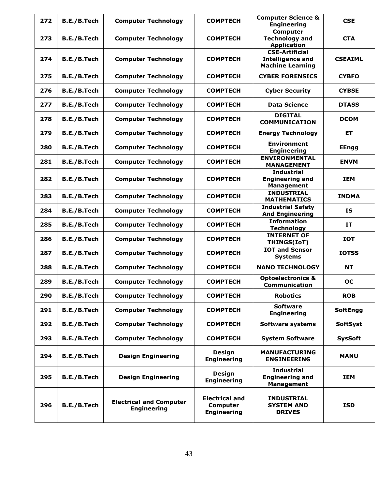| 272 | B.E./B.Tech | <b>Computer Technology</b>                           | <b>COMPTECH</b>                                         | <b>Computer Science &amp;</b><br><b>Engineering</b>                         | <b>CSE</b>      |
|-----|-------------|------------------------------------------------------|---------------------------------------------------------|-----------------------------------------------------------------------------|-----------------|
| 273 | B.E./B.Tech | <b>Computer Technology</b>                           | <b>COMPTECH</b>                                         | <b>Computer</b><br><b>Technology and</b><br><b>Application</b>              | <b>CTA</b>      |
| 274 | B.E./B.Tech | <b>Computer Technology</b>                           | <b>COMPTECH</b>                                         | <b>CSE-Artificial</b><br><b>Intelligence and</b><br><b>Machine Learning</b> | <b>CSEAIML</b>  |
| 275 | B.E./B.Tech | <b>Computer Technology</b>                           | <b>COMPTECH</b>                                         | <b>CYBER FORENSICS</b>                                                      | <b>CYBFO</b>    |
| 276 | B.E./B.Tech | <b>Computer Technology</b>                           | <b>COMPTECH</b>                                         | <b>Cyber Security</b>                                                       | <b>CYBSE</b>    |
| 277 | B.E./B.Tech | <b>Computer Technology</b>                           | <b>COMPTECH</b>                                         | <b>Data Science</b>                                                         | <b>DTASS</b>    |
| 278 | B.E./B.Tech | <b>Computer Technology</b>                           | <b>COMPTECH</b>                                         | <b>DIGITAL</b><br><b>COMMUNICATION</b>                                      | <b>DCOM</b>     |
| 279 | B.E./B.Tech | <b>Computer Technology</b>                           | <b>COMPTECH</b>                                         | <b>Energy Technology</b>                                                    | ET              |
| 280 | B.E./B.Tech | <b>Computer Technology</b>                           | <b>COMPTECH</b>                                         | <b>Environment</b><br><b>Engineering</b>                                    | <b>EEngg</b>    |
| 281 | B.E./B.Tech | <b>Computer Technology</b>                           | <b>COMPTECH</b>                                         | <b>ENVIRONMENTAL</b><br><b>MANAGEMENT</b>                                   | <b>ENVM</b>     |
| 282 | B.E./B.Tech | <b>Computer Technology</b>                           | <b>COMPTECH</b>                                         | <b>Industrial</b><br><b>Engineering and</b><br><b>Management</b>            | <b>IEM</b>      |
| 283 | B.E./B.Tech | <b>Computer Technology</b>                           | <b>COMPTECH</b>                                         | <b>INDUSTRIAL</b><br><b>MATHEMATICS</b>                                     | <b>INDMA</b>    |
| 284 | B.E./B.Tech | <b>Computer Technology</b>                           | <b>COMPTECH</b>                                         | <b>Industrial Safety</b><br><b>And Engineering</b>                          | <b>IS</b>       |
| 285 | B.E./B.Tech | <b>Computer Technology</b>                           | <b>COMPTECH</b>                                         | <b>Information</b><br><b>Technology</b>                                     | IT              |
| 286 | B.E./B.Tech | <b>Computer Technology</b>                           | <b>COMPTECH</b>                                         | <b>INTERNET OF</b><br>THINGS(IoT)                                           | <b>IOT</b>      |
| 287 | B.E./B.Tech | <b>Computer Technology</b>                           | <b>COMPTECH</b>                                         | <b>IOT and Sensor</b><br><b>Systems</b>                                     | <b>IOTSS</b>    |
| 288 | B.E./B.Tech | <b>Computer Technology</b>                           | <b>COMPTECH</b>                                         | <b>NANO TECHNOLOGY</b>                                                      | <b>NT</b>       |
| 289 | B.E./B.Tech | <b>Computer Technology</b>                           | <b>COMPTECH</b>                                         | <b>Optoelectronics &amp;</b><br><b>Communication</b>                        | <b>OC</b>       |
| 290 | B.E./B.Tech | <b>Computer Technology</b>                           | <b>COMPTECH</b>                                         | <b>Robotics</b>                                                             | <b>ROB</b>      |
| 291 | B.E./B.Tech | <b>Computer Technology</b>                           | <b>COMPTECH</b>                                         | <b>Software</b><br><b>Engineering</b>                                       | <b>SoftEngg</b> |
| 292 | B.E./B.Tech | <b>Computer Technology</b>                           | <b>COMPTECH</b>                                         | Software systems                                                            | <b>SoftSyst</b> |
| 293 | B.E./B.Tech | <b>Computer Technology</b>                           | <b>COMPTECH</b>                                         | <b>System Software</b>                                                      | <b>SysSoft</b>  |
| 294 | B.E./B.Tech | <b>Design Engineering</b>                            | <b>Design</b><br><b>Engineering</b>                     | <b>MANUFACTURING</b><br><b>ENGINEERING</b>                                  | <b>MANU</b>     |
| 295 | B.E./B.Tech | <b>Design Engineering</b>                            | <b>Design</b><br><b>Engineering</b>                     | <b>Industrial</b><br><b>Engineering and</b><br><b>Management</b>            | <b>IEM</b>      |
| 296 | B.E./B.Tech | <b>Electrical and Computer</b><br><b>Engineering</b> | <b>Electrical and</b><br>Computer<br><b>Engineering</b> | <b>INDUSTRIAL</b><br><b>SYSTEM AND</b><br><b>DRIVES</b>                     | <b>ISD</b>      |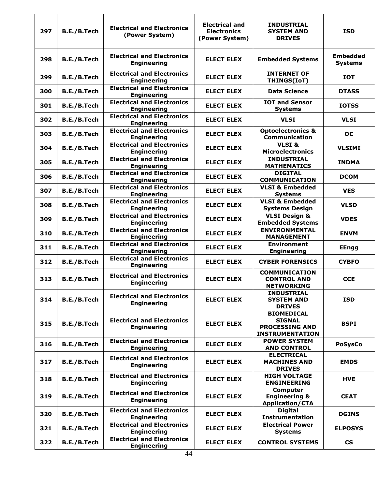| 297 | B.E./B.Tech        | <b>Electrical and Electronics</b><br>(Power System)     | <b>Electrical and</b><br><b>Electronics</b><br>(Power System) | <b>INDUSTRIAL</b><br><b>SYSTEM AND</b><br><b>DRIVES</b>                               | <b>ISD</b>                        |
|-----|--------------------|---------------------------------------------------------|---------------------------------------------------------------|---------------------------------------------------------------------------------------|-----------------------------------|
| 298 | B.E./B.Tech        | <b>Electrical and Electronics</b><br><b>Engineering</b> | <b>ELECT ELEX</b>                                             | <b>Embedded Systems</b>                                                               | <b>Embedded</b><br><b>Systems</b> |
| 299 | B.E./B.Tech        | <b>Electrical and Electronics</b><br><b>Engineering</b> | <b>ELECT ELEX</b>                                             | <b>INTERNET OF</b><br>THINGS(IoT)                                                     | <b>IOT</b>                        |
| 300 | B.E./B.Tech        | <b>Electrical and Electronics</b><br><b>Engineering</b> | <b>ELECT ELEX</b>                                             | <b>Data Science</b>                                                                   | <b>DTASS</b>                      |
| 301 | B.E./B.Tech        | <b>Electrical and Electronics</b><br><b>Engineering</b> | <b>ELECT ELEX</b>                                             | <b>IOT and Sensor</b><br><b>Systems</b>                                               | <b>IOTSS</b>                      |
| 302 | B.E./B.Tech        | <b>Electrical and Electronics</b><br><b>Engineering</b> | <b>ELECT ELEX</b>                                             | <b>VLSI</b>                                                                           | <b>VLSI</b>                       |
| 303 | <b>B.E./B.Tech</b> | <b>Electrical and Electronics</b><br><b>Engineering</b> | <b>ELECT ELEX</b>                                             | <b>Optoelectronics &amp;</b><br>Communication                                         | <b>OC</b>                         |
| 304 | B.E./B.Tech        | <b>Electrical and Electronics</b><br><b>Engineering</b> | <b>ELECT ELEX</b>                                             | VLSI&<br><b>Microelectronics</b>                                                      | <b>VLSIMI</b>                     |
| 305 | B.E./B.Tech        | <b>Electrical and Electronics</b><br><b>Engineering</b> | <b>ELECT ELEX</b>                                             | <b>INDUSTRIAL</b><br><b>MATHEMATICS</b>                                               | <b>INDMA</b>                      |
| 306 | B.E./B.Tech        | <b>Electrical and Electronics</b><br><b>Engineering</b> | <b>ELECT ELEX</b>                                             | <b>DIGITAL</b><br><b>COMMUNICATION</b>                                                | <b>DCOM</b>                       |
| 307 | B.E./B.Tech        | <b>Electrical and Electronics</b><br><b>Engineering</b> | <b>ELECT ELEX</b>                                             | <b>VLSI &amp; Embedded</b><br><b>Systems</b>                                          | <b>VES</b>                        |
| 308 | B.E./B.Tech        | <b>Electrical and Electronics</b><br><b>Engineering</b> | <b>ELECT ELEX</b>                                             | <b>VLSI &amp; Embedded</b><br><b>Systems Design</b>                                   | <b>VLSD</b>                       |
| 309 | B.E./B.Tech        | <b>Electrical and Electronics</b><br><b>Engineering</b> | <b>ELECT ELEX</b>                                             | <b>VLSI Design &amp;</b><br><b>Embedded Systems</b>                                   | <b>VDES</b>                       |
| 310 | B.E./B.Tech        | <b>Electrical and Electronics</b><br><b>Engineering</b> | <b>ELECT ELEX</b>                                             | <b>ENVIRONMENTAL</b><br><b>MANAGEMENT</b>                                             | <b>ENVM</b>                       |
| 311 | B.E./B.Tech        | <b>Electrical and Electronics</b><br><b>Engineering</b> | <b>ELECT ELEX</b>                                             | <b>Environment</b><br><b>Engineering</b>                                              | <b>EEngg</b>                      |
| 312 | B.E./B.Tech        | <b>Electrical and Electronics</b><br><b>Engineering</b> | <b>ELECT ELEX</b>                                             | <b>CYBER FORENSICS</b>                                                                | <b>CYBFO</b>                      |
| 313 | B.E./B.Tech        | <b>Electrical and Electronics</b><br><b>Engineering</b> | <b>ELECT ELEX</b>                                             | <b>COMMUNICATION</b><br><b>CONTROL AND</b><br><b>NEIWORKING</b>                       | <b>CCE</b>                        |
| 314 | B.E./B.Tech        | <b>Electrical and Electronics</b><br><b>Engineering</b> | <b>ELECT ELEX</b>                                             | <b>INDUSTRIAL</b><br><b>SYSTEM AND</b><br><b>DRIVES</b>                               | <b>ISD</b>                        |
| 315 | B.E./B.Tech        | <b>Electrical and Electronics</b><br><b>Engineering</b> | <b>ELECT ELEX</b>                                             | <b>BIOMEDICAL</b><br><b>SIGNAL</b><br><b>PROCESSING AND</b><br><b>INSTRUMENTATION</b> | <b>BSPI</b>                       |
| 316 | B.E./B.Tech        | <b>Electrical and Electronics</b><br><b>Engineering</b> | <b>ELECT ELEX</b>                                             | <b>POWER SYSTEM</b><br><b>AND CONTROL</b>                                             | <b>PoSysCo</b>                    |
| 317 | B.E./B.Tech        | <b>Electrical and Electronics</b><br><b>Engineering</b> | <b>ELECT ELEX</b>                                             | <b>ELECTRICAL</b><br><b>MACHINES AND</b><br><b>DRIVES</b>                             | <b>EMDS</b>                       |
| 318 | B.E./B.Tech        | <b>Electrical and Electronics</b><br><b>Engineering</b> | <b>ELECT ELEX</b>                                             | <b>HIGH VOLTAGE</b><br><b>ENGINEERING</b>                                             | <b>HVE</b>                        |
| 319 | B.E./B.Tech        | <b>Electrical and Electronics</b><br><b>Engineering</b> | <b>ELECT ELEX</b>                                             | <b>Computer</b><br><b>Engineering &amp;</b><br><b>Application/CTA</b>                 | <b>CEAT</b>                       |
| 320 | B.E./B.Tech        | <b>Electrical and Electronics</b><br><b>Engineering</b> | <b>ELECT ELEX</b>                                             | <b>Digital</b><br><b>Instrumentation</b>                                              | <b>DGINS</b>                      |
| 321 | B.E./B.Tech        | <b>Electrical and Electronics</b><br><b>Engineering</b> | <b>ELECT ELEX</b>                                             | <b>Electrical Power</b><br><b>Systems</b>                                             | <b>ELPOSYS</b>                    |
| 322 | B.E./B.Tech        | <b>Electrical and Electronics</b><br><b>Engineering</b> | <b>ELECT ELEX</b>                                             | <b>CONTROL SYSTEMS</b>                                                                | <b>CS</b>                         |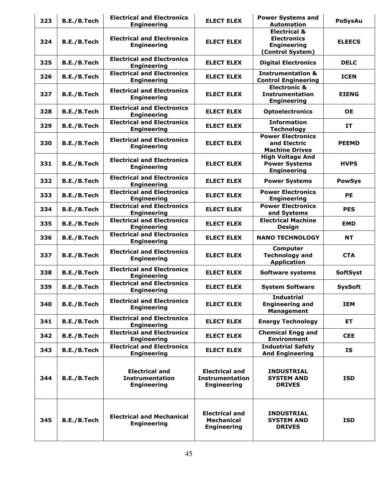| 323 | B.E./B.Tech | <b>Electrical and Electronics</b><br><b>Engineering</b>               | <b>ELECT ELEX</b>                                                     | <b>Power Systems and</b><br><b>Automation</b>                                           | <b>PoSysAu</b>  |
|-----|-------------|-----------------------------------------------------------------------|-----------------------------------------------------------------------|-----------------------------------------------------------------------------------------|-----------------|
| 324 | B.E./B.Tech | <b>Electrical and Electronics</b><br><b>Engineering</b>               | <b>ELECT ELEX</b>                                                     | <b>Electrical &amp;</b><br><b>Electronics</b><br><b>Engineering</b><br>(Control System) | <b>ELEECS</b>   |
| 325 | B.E./B.Tech | <b>Electrical and Electronics</b><br><b>Engineering</b>               | <b>ELECT ELEX</b>                                                     | <b>Digital Electronics</b>                                                              | <b>DELC</b>     |
| 326 | B.E./B.Tech | <b>Electrical and Electronics</b><br><b>Engineering</b>               | <b>ELECT ELEX</b>                                                     | <b>Instrumentation &amp;</b><br><b>Control Engineering</b>                              | <b>ICEN</b>     |
| 327 | B.E./B.Tech | <b>Electrical and Electronics</b><br><b>Engineering</b>               | <b>ELECT ELEX</b>                                                     | <b>Electronic &amp;</b><br><b>Instrumentation</b><br><b>Engineering</b>                 | <b>EIENG</b>    |
| 328 | B.E./B.Tech | <b>Electrical and Electronics</b><br><b>Engineering</b>               | <b>ELECT ELEX</b>                                                     | <b>Optoelectronics</b>                                                                  | <b>OE</b>       |
| 329 | B.E./B.Tech | <b>Electrical and Electronics</b><br><b>Engineering</b>               | <b>ELECT ELEX</b>                                                     | <b>Information</b><br><b>Technology</b>                                                 | <b>IT</b>       |
| 330 | B.E./B.Tech | <b>Electrical and Electronics</b><br><b>Engineering</b>               | <b>ELECT ELEX</b>                                                     | <b>Power Electronics</b><br>and Electric<br><b>Machine Drives</b>                       | <b>PEEMD</b>    |
| 331 | B.E./B.Tech | <b>Electrical and Electronics</b><br><b>Engineering</b>               | <b>ELECT ELEX</b>                                                     | <b>High Voltage And</b><br><b>Power Systems</b><br><b>Engineering</b>                   | <b>HVPS</b>     |
| 332 | B.E./B.Tech | <b>Electrical and Electronics</b><br><b>Engineering</b>               | <b>ELECT ELEX</b>                                                     | <b>Power Systems</b>                                                                    | <b>PowSys</b>   |
| 333 | B.E./B.Tech | <b>Electrical and Electronics</b><br><b>Engineering</b>               | <b>ELECT ELEX</b>                                                     | <b>Power Electronics</b><br><b>Engineering</b>                                          | PE              |
| 334 | B.E./B.Tech | <b>Electrical and Electronics</b><br><b>Engineering</b>               | <b>ELECT ELEX</b>                                                     | <b>Power Electronics</b><br>and Systems                                                 | <b>PES</b>      |
| 335 | B.E./B.Tech | <b>Electrical and Electronics</b><br><b>Engineering</b>               | <b>ELECT ELEX</b>                                                     | <b>Electrical Machine</b><br>Design                                                     | <b>EMD</b>      |
| 336 | B.E./B.Tech | <b>Electrical and Electronics</b><br><b>Engineering</b>               | <b>ELECT ELEX</b>                                                     | <b>NANO TECHNOLOGY</b>                                                                  | <b>NT</b>       |
| 337 | B.E./B.Tech | <b>Electrical and Electronics</b><br><b>Engineering</b>               | <b>ELECT ELEX</b>                                                     | <b>Computer</b><br><b>Technology and</b><br><b>Application</b>                          | <b>CTA</b>      |
| 338 | B.E./B.Tech | <b>Electrical and Electronics</b><br><b>Engineering</b>               | <b>ELECT ELEX</b>                                                     | <b>Software systems</b>                                                                 | <b>SoftSyst</b> |
| 339 | B.E./B.Tech | <b>Electrical and Electronics</b><br><b>Engineering</b>               | <b>ELECT ELEX</b>                                                     | <b>System Software</b>                                                                  | <b>SysSoft</b>  |
| 340 | B.E./B.Tech | <b>Electrical and Electronics</b><br><b>Engineering</b>               | <b>ELECT ELEX</b>                                                     | <b>Industrial</b><br><b>Engineering and</b><br><b>Management</b>                        | <b>IEM</b>      |
| 341 | B.E./B.Tech | <b>Electrical and Electronics</b><br><b>Engineering</b>               | <b>ELECT ELEX</b>                                                     | <b>Energy Technology</b>                                                                | <b>ET</b>       |
| 342 | B.E./B.Tech | <b>Electrical and Electronics</b><br><b>Engineering</b>               | <b>ELECT ELEX</b>                                                     | <b>Chemical Engg and</b><br><b>Environment</b>                                          | <b>CEE</b>      |
| 343 | B.E./B.Tech | <b>Electrical and Electronics</b><br><b>Engineering</b>               | <b>ELECT ELEX</b>                                                     | <b>Industrial Safety</b><br><b>And Engineering</b>                                      | <b>IS</b>       |
| 344 | B.E./B.Tech | <b>Electrical and</b><br><b>Instrumentation</b><br><b>Engineering</b> | <b>Electrical and</b><br><b>Instrumentation</b><br><b>Engineering</b> | <b>INDUSTRIAL</b><br><b>SYSTEM AND</b><br><b>DRIVES</b>                                 | <b>ISD</b>      |
| 345 | B.E./B.Tech | <b>Electrical and Mechanical</b><br><b>Engineering</b>                | <b>Electrical and</b><br><b>Mechanical</b><br><b>Engineering</b>      | <b>INDUSTRIAL</b><br><b>SYSTEM AND</b><br><b>DRIVES</b>                                 | <b>ISD</b>      |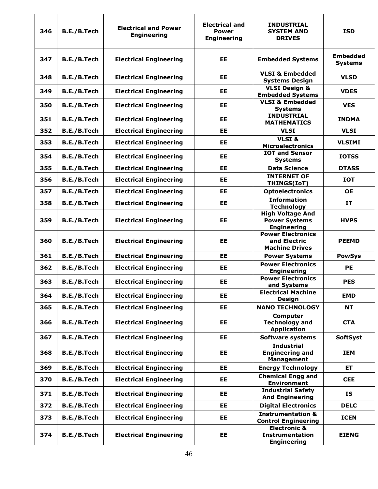|     |             |                                                   | <b>Electrical and</b>              | <b>INDUSTRIAL</b>                                                       |                                   |
|-----|-------------|---------------------------------------------------|------------------------------------|-------------------------------------------------------------------------|-----------------------------------|
| 346 | B.E./B.Tech | <b>Electrical and Power</b><br><b>Engineering</b> | <b>Power</b><br><b>Engineering</b> | <b>SYSTEM AND</b><br><b>DRIVES</b>                                      | <b>ISD</b>                        |
| 347 | B.E./B.Tech | <b>Electrical Engineering</b>                     | EЕ                                 | <b>Embedded Systems</b>                                                 | <b>Embedded</b><br><b>Systems</b> |
| 348 | B.E./B.Tech | <b>Electrical Engineering</b>                     | EE                                 | <b>VLSI &amp; Embedded</b><br><b>Systems Design</b>                     | <b>VLSD</b>                       |
| 349 | B.E./B.Tech | <b>Electrical Engineering</b>                     | EE                                 | <b>VLSI Design &amp;</b><br><b>Embedded Systems</b>                     | <b>VDES</b>                       |
| 350 | B.E./B.Tech | <b>Electrical Engineering</b>                     | EE                                 | <b>VLSI &amp; Embedded</b><br><b>Systems</b>                            | <b>VES</b>                        |
| 351 | B.E./B.Tech | <b>Electrical Engineering</b>                     | EE                                 | <b>INDUSTRIAL</b><br><b>MATHEMATICS</b>                                 | <b>INDMA</b>                      |
| 352 | B.E./B.Tech | <b>Electrical Engineering</b>                     | <b>EE</b>                          | <b>VLSI</b>                                                             | <b>VLSI</b>                       |
| 353 | B.E./B.Tech | <b>Electrical Engineering</b>                     | EE                                 | VLSI&<br><b>Microelectronics</b>                                        | <b>VLSIMI</b>                     |
| 354 | B.E./B.Tech | <b>Electrical Engineering</b>                     | EE                                 | <b>IOT and Sensor</b><br><b>Systems</b>                                 | <b>IOTSS</b>                      |
| 355 | B.E./B.Tech | <b>Electrical Engineering</b>                     | <b>EE</b>                          | <b>Data Science</b>                                                     | <b>DTASS</b>                      |
| 356 | B.E./B.Tech | <b>Electrical Engineering</b>                     | EE                                 | <b>INTERNET OF</b><br>THINGS(IoT)                                       | <b>IOT</b>                        |
| 357 | B.E./B.Tech | <b>Electrical Engineering</b>                     | <b>EE</b>                          | <b>Optoelectronics</b>                                                  | <b>OE</b>                         |
| 358 | B.E./B.Tech | <b>Electrical Engineering</b>                     | EE                                 | <b>Information</b><br><b>Technology</b>                                 | IT                                |
| 359 | B.E./B.Tech | <b>Electrical Engineering</b>                     | EE                                 | <b>High Voltage And</b><br><b>Power Systems</b><br><b>Engineering</b>   | <b>HVPS</b>                       |
| 360 | B.E./B.Tech | <b>Electrical Engineering</b>                     | EE                                 | <b>Power Electronics</b><br>and Electric<br><b>Machine Drives</b>       | <b>PEEMD</b>                      |
| 361 | B.E./B.Tech | <b>Electrical Engineering</b>                     | EE                                 | <b>Power Systems</b>                                                    | <b>PowSys</b>                     |
| 362 | B.E./B.Tech | <b>Electrical Engineering</b>                     | EE                                 | <b>Power Electronics</b><br><b>Engineering</b>                          | <b>PE</b>                         |
| 363 | B.E./B.Tech | <b>Electrical Engineering</b>                     | EE                                 | <b>Power Electronics</b><br>and Systems                                 | <b>PES</b>                        |
| 364 | B.E./B.Tech | <b>Electrical Engineering</b>                     | EE                                 | <b>Electrical Machine</b><br><b>Design</b>                              | <b>EMD</b>                        |
| 365 | B.E./B.Tech | <b>Electrical Engineering</b>                     | EE                                 | <b>NANO TECHNOLOGY</b>                                                  | <b>NT</b>                         |
| 366 | B.E./B.Tech | <b>Electrical Engineering</b>                     | EE                                 | <b>Computer</b><br><b>Technology and</b><br><b>Application</b>          | <b>CTA</b>                        |
| 367 | B.E./B.Tech | <b>Electrical Engineering</b>                     | EE                                 | <b>Software systems</b>                                                 | <b>SoftSyst</b>                   |
| 368 | B.E./B.Tech | <b>Electrical Engineering</b>                     | EE                                 | <b>Industrial</b><br><b>Engineering and</b><br><b>Management</b>        | IEM                               |
| 369 | B.E./B.Tech | <b>Electrical Engineering</b>                     | EE                                 | <b>Energy Technology</b>                                                | <b>ET</b>                         |
| 370 | B.E./B.Tech | <b>Electrical Engineering</b>                     | EE                                 | <b>Chemical Engg and</b><br><b>Environment</b>                          | <b>CEE</b>                        |
| 371 | B.E./B.Tech | <b>Electrical Engineering</b>                     | EE                                 | <b>Industrial Safety</b><br><b>And Engineering</b>                      | <b>IS</b>                         |
| 372 | B.E./B.Tech | <b>Electrical Engineering</b>                     | <b>EE</b>                          | <b>Digital Electronics</b>                                              | <b>DELC</b>                       |
| 373 | B.E./B.Tech | <b>Electrical Engineering</b>                     | EE                                 | <b>Instrumentation &amp;</b><br><b>Control Engineering</b>              | <b>ICEN</b>                       |
| 374 | B.E./B.Tech | <b>Electrical Engineering</b>                     | <b>EE</b>                          | <b>Electronic &amp;</b><br><b>Instrumentation</b><br><b>Engineering</b> | <b>EIENG</b>                      |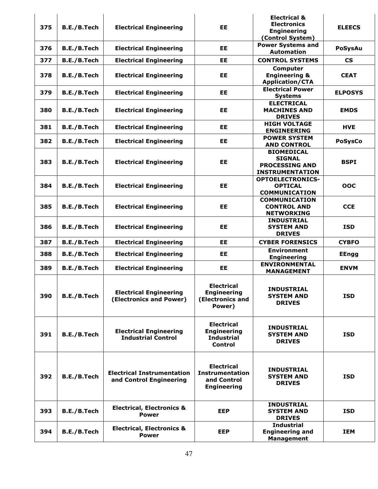| 375 | B.E./B.Tech | <b>Electrical Engineering</b>                                | EE                                                                               | <b>Electrical &amp;</b><br><b>Electronics</b><br><b>Engineering</b><br>(Control System) | <b>ELEECS</b>            |
|-----|-------------|--------------------------------------------------------------|----------------------------------------------------------------------------------|-----------------------------------------------------------------------------------------|--------------------------|
| 376 | B.E./B.Tech | <b>Electrical Engineering</b>                                | EE                                                                               | <b>Power Systems and</b><br><b>Automation</b>                                           | <b>PoSysAu</b>           |
| 377 | B.E./B.Tech | <b>Electrical Engineering</b>                                | EE                                                                               | <b>CONTROL SYSTEMS</b>                                                                  | $\mathsf{CS}\phantom{0}$ |
| 378 | B.E./B.Tech | <b>Electrical Engineering</b>                                | EE                                                                               | Computer<br><b>Engineering &amp;</b><br><b>Application/CTA</b>                          | <b>CEAT</b>              |
| 379 | B.E./B.Tech | <b>Electrical Engineering</b>                                | EE                                                                               | <b>Electrical Power</b><br><b>Systems</b>                                               | <b>ELPOSYS</b>           |
| 380 | B.E./B.Tech | <b>Electrical Engineering</b>                                | <b>EE</b>                                                                        | <b>ELECTRICAL</b><br><b>MACHINES AND</b><br><b>DRIVES</b>                               | <b>EMDS</b>              |
| 381 | B.E./B.Tech | <b>Electrical Engineering</b>                                | EE                                                                               | <b>HIGH VOLTAGE</b><br><b>ENGINEERING</b>                                               | <b>HVE</b>               |
| 382 | B.E./B.Tech | <b>Electrical Engineering</b>                                | EE                                                                               | <b>POWER SYSTEM</b><br><b>AND CONTROL</b>                                               | <b>PoSysCo</b>           |
| 383 | B.E./B.Tech | <b>Electrical Engineering</b>                                | EE                                                                               | <b>BIOMEDICAL</b><br><b>SIGNAL</b><br><b>PROCESSING AND</b><br><b>INSTRUMENTATION</b>   | <b>BSPI</b>              |
| 384 | B.E./B.Tech | <b>Electrical Engineering</b>                                | EE                                                                               | <b>OPTOELECTRONICS-</b><br><b>OPTICAL</b><br><b>COMMUNICATION</b>                       | OOC                      |
| 385 | B.E./B.Tech | <b>Electrical Engineering</b>                                | EE                                                                               | <b>COMMUNICATION</b><br><b>CONTROL AND</b><br><b>NETWORKING</b>                         | <b>CCE</b>               |
| 386 | B.E./B.Tech | <b>Electrical Engineering</b>                                | EE                                                                               | <b>INDUSTRIAL</b><br><b>SYSTEM AND</b><br><b>DRIVES</b>                                 | <b>ISD</b>               |
| 387 | B.E./B.Tech | <b>Electrical Engineering</b>                                | EE                                                                               | <b>CYBER FORENSICS</b>                                                                  | <b>CYBFO</b>             |
| 388 | B.E./B.Tech | <b>Electrical Engineering</b>                                | EE                                                                               | <b>Environment</b><br><b>Engineering</b>                                                | <b>EEngg</b>             |
| 389 | B.E./B.Tech | <b>Electrical Engineering</b>                                | EE                                                                               | <b>ENVIRONMENTAL</b><br><b>MANAGEMENT</b>                                               | <b>ENVM</b>              |
| 390 | B.E./B.Tech | <b>Electrical Engineering</b><br>(Electronics and Power)     | <b>Electrical</b><br><b>Engineering</b><br>(Electronics and<br>Power)            | <b>INDUSTRIAL</b><br><b>SYSTEM AND</b><br><b>DRIVES</b>                                 | <b>ISD</b>               |
| 391 | B.E./B.Tech | <b>Electrical Engineering</b><br><b>Industrial Control</b>   | <b>Electrical</b><br><b>Engineering</b><br><b>Industrial</b><br><b>Control</b>   | <b>INDUSTRIAL</b><br><b>SYSTEM AND</b><br><b>DRIVES</b>                                 | <b>ISD</b>               |
| 392 | B.E./B.Tech | <b>Electrical Instrumentation</b><br>and Control Engineering | <b>Electrical</b><br><b>Instrumentation</b><br>and Control<br><b>Engineering</b> | <b>INDUSTRIAL</b><br><b>SYSTEM AND</b><br><b>DRIVES</b>                                 | <b>ISD</b>               |
| 393 | B.E./B.Tech | <b>Electrical, Electronics &amp;</b><br><b>Power</b>         | <b>EEP</b>                                                                       | <b>INDUSTRIAL</b><br><b>SYSTEM AND</b><br><b>DRIVES</b>                                 | <b>ISD</b>               |
| 394 | B.E./B.Tech | <b>Electrical, Electronics &amp;</b><br><b>Power</b>         | <b>EEP</b>                                                                       | <b>Industrial</b><br><b>Engineering and</b><br><b>Management</b>                        | <b>IEM</b>               |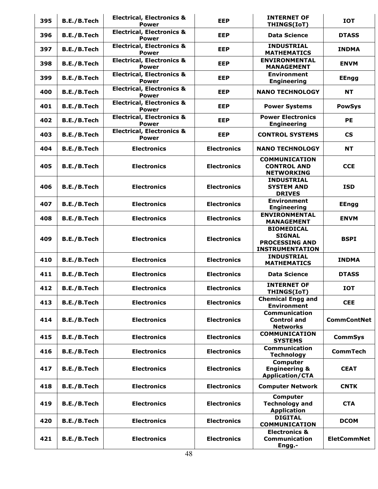| 395 | B.E./B.Tech | <b>Electrical, Electronics &amp;</b><br><b>Power</b> | <b>EEP</b>         | <b>INTERNET OF</b><br>THINGS(IoT)                                                     | <b>IOT</b>               |
|-----|-------------|------------------------------------------------------|--------------------|---------------------------------------------------------------------------------------|--------------------------|
| 396 | B.E./B.Tech | <b>Electrical, Electronics &amp;</b><br><b>Power</b> | <b>EEP</b>         | <b>Data Science</b>                                                                   | <b>DTASS</b>             |
| 397 | B.E./B.Tech | <b>Electrical, Electronics &amp;</b><br><b>Power</b> | <b>EEP</b>         | <b>INDUSTRIAL</b><br><b>MATHEMATICS</b>                                               | <b>INDMA</b>             |
| 398 | B.E./B.Tech | <b>Electrical, Electronics &amp;</b><br><b>Power</b> | <b>EEP</b>         | <b>ENVIRONMENTAL</b><br><b>MANAGEMENT</b>                                             | <b>ENVM</b>              |
| 399 | B.E./B.Tech | <b>Electrical, Electronics &amp;</b><br><b>Power</b> | <b>EEP</b>         | <b>Environment</b><br><b>Engineering</b>                                              | <b>EEngg</b>             |
| 400 | B.E./B.Tech | <b>Electrical, Electronics &amp;</b><br><b>Power</b> | <b>EEP</b>         | <b>NANO TECHNOLOGY</b>                                                                | <b>NT</b>                |
| 401 | B.E./B.Tech | <b>Electrical, Electronics &amp;</b><br><b>Power</b> | <b>EEP</b>         | <b>Power Systems</b>                                                                  | <b>PowSys</b>            |
| 402 | B.E./B.Tech | <b>Electrical, Electronics &amp;</b><br><b>Power</b> | <b>EEP</b>         | <b>Power Electronics</b><br><b>Engineering</b>                                        | <b>PE</b>                |
| 403 | B.E./B.Tech | <b>Electrical, Electronics &amp;</b><br><b>Power</b> | <b>EEP</b>         | <b>CONTROL SYSTEMS</b>                                                                | $\mathsf{CS}\phantom{0}$ |
| 404 | B.E./B.Tech | <b>Electronics</b>                                   | <b>Electronics</b> | <b>NANO TECHNOLOGY</b>                                                                | <b>NT</b>                |
| 405 | B.E./B.Tech | <b>Electronics</b>                                   | <b>Electronics</b> | <b>COMMUNICATION</b><br><b>CONTROL AND</b><br><b>NETWORKING</b>                       | <b>CCE</b>               |
| 406 | B.E./B.Tech | <b>Electronics</b>                                   | <b>Electronics</b> | <b>INDUSTRIAL</b><br><b>SYSTEM AND</b><br><b>DRIVES</b>                               | <b>ISD</b>               |
| 407 | B.E./B.Tech | <b>Electronics</b>                                   | <b>Electronics</b> | <b>Environment</b><br><b>Engineering</b>                                              | <b>EEngg</b>             |
| 408 | B.E./B.Tech | <b>Electronics</b>                                   | <b>Electronics</b> | <b>ENVIRONMENTAL</b><br><b>MANAGEMENT</b>                                             | <b>ENVM</b>              |
| 409 | B.E./B.Tech | <b>Electronics</b>                                   | <b>Electronics</b> | <b>BIOMEDICAL</b><br><b>SIGNAL</b><br><b>PROCESSING AND</b><br><b>INSTRUMENTATION</b> | <b>BSPI</b>              |
| 410 | B.E./B.Tech | <b>Electronics</b>                                   | <b>Electronics</b> | <b>INDUSTRIAL</b><br><b>MATHEMATICS</b>                                               | <b>INDMA</b>             |
| 411 | B.E./B.Tech | <b>Electronics</b>                                   | <b>Electronics</b> | <b>Data Science</b>                                                                   | <b>DTASS</b>             |
| 412 | B.E./B.Tech | <b>Electronics</b>                                   | <b>Electronics</b> | <b>INTERNET OF</b><br><b>THINGS(IoT)</b>                                              | <b>IOT</b>               |
| 413 | B.E./B.Tech | <b>Electronics</b>                                   | <b>Electronics</b> | <b>Chemical Engg and</b><br><b>Environment</b>                                        | <b>CEE</b>               |
| 414 | B.E./B.Tech | <b>Electronics</b>                                   | <b>Electronics</b> | <b>Communication</b><br><b>Control and</b><br><b>Networks</b>                         | <b>CommContNet</b>       |
| 415 | B.E./B.Tech | <b>Electronics</b>                                   | <b>Electronics</b> | <b>COMMUNICATION</b><br><b>SYSTEMS</b>                                                | <b>CommSys</b>           |
| 416 | B.E./B.Tech | <b>Electronics</b>                                   | <b>Electronics</b> | <b>Communication</b><br><b>Technology</b>                                             | <b>CommTech</b>          |
| 417 | B.E./B.Tech | <b>Electronics</b>                                   | <b>Electronics</b> | Computer<br><b>Engineering &amp;</b><br><b>Application/CTA</b>                        | <b>CEAT</b>              |
| 418 | B.E./B.Tech | <b>Electronics</b>                                   | <b>Electronics</b> | <b>Computer Network</b>                                                               | <b>CNTK</b>              |
| 419 | B.E./B.Tech | <b>Electronics</b>                                   | <b>Electronics</b> | Computer<br><b>Technology and</b><br><b>Application</b>                               | <b>CTA</b>               |
| 420 | B.E./B.Tech | <b>Electronics</b>                                   | <b>Electronics</b> | <b>DIGITAL</b><br><b>COMMUNICATION</b>                                                | <b>DCOM</b>              |
| 421 | B.E./B.Tech | <b>Electronics</b>                                   | <b>Electronics</b> | <b>Electronics &amp;</b><br><b>Communication</b><br>Engg.-                            | <b>EletCommNet</b>       |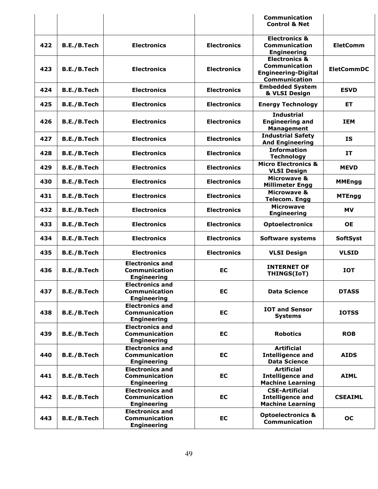|     |             |                                                                      |                    | Communication<br><b>Control &amp; Net</b>                                                              |                   |
|-----|-------------|----------------------------------------------------------------------|--------------------|--------------------------------------------------------------------------------------------------------|-------------------|
| 422 | B.E./B.Tech | <b>Electronics</b>                                                   | <b>Electronics</b> | <b>Electronics &amp;</b><br><b>Communication</b><br><b>Engineering</b>                                 | <b>EletComm</b>   |
| 423 | B.E./B.Tech | <b>Electronics</b>                                                   | <b>Electronics</b> | <b>Electronics &amp;</b><br><b>Communication</b><br><b>Engineering-Digital</b><br><b>Communication</b> | <b>EletCommDC</b> |
| 424 | B.E./B.Tech | <b>Electronics</b>                                                   | <b>Electronics</b> | <b>Embedded System</b><br>& VLSI Design                                                                | <b>ESVD</b>       |
| 425 | B.E./B.Tech | <b>Electronics</b>                                                   | <b>Electronics</b> | <b>Energy Technology</b>                                                                               | ET.               |
| 426 | B.E./B.Tech | <b>Electronics</b>                                                   | <b>Electronics</b> | <b>Industrial</b><br><b>Engineering and</b><br><b>Management</b>                                       | <b>IEM</b>        |
| 427 | B.E./B.Tech | <b>Electronics</b>                                                   | <b>Electronics</b> | <b>Industrial Safety</b><br><b>And Engineering</b>                                                     | <b>IS</b>         |
| 428 | B.E./B.Tech | <b>Electronics</b>                                                   | <b>Electronics</b> | <b>Information</b><br><b>Technology</b>                                                                | <b>IT</b>         |
| 429 | B.E./B.Tech | <b>Electronics</b>                                                   | <b>Electronics</b> | <b>Micro Electronics &amp;</b><br><b>VLSI Design</b>                                                   | <b>MEVD</b>       |
| 430 | B.E./B.Tech | <b>Electronics</b>                                                   | <b>Electronics</b> | <b>Microwave &amp;</b><br><b>Millimeter Engg</b>                                                       | <b>MMEngg</b>     |
| 431 | B.E./B.Tech | <b>Electronics</b>                                                   | <b>Electronics</b> | <b>Microwave &amp;</b><br><b>Telecom. Engg</b>                                                         | <b>MTEngg</b>     |
| 432 | B.E./B.Tech | <b>Electronics</b>                                                   | <b>Electronics</b> | <b>Microwave</b><br><b>Engineering</b>                                                                 | <b>MV</b>         |
| 433 | B.E./B.Tech | <b>Electronics</b>                                                   | <b>Electronics</b> | <b>Optoelectronics</b>                                                                                 | <b>OE</b>         |
| 434 | B.E./B.Tech | <b>Electronics</b>                                                   | <b>Electronics</b> | <b>Software systems</b>                                                                                | <b>SoftSyst</b>   |
| 435 | B.E./B.Tech | <b>Electronics</b>                                                   | <b>Electronics</b> | <b>VLSI Design</b>                                                                                     | <b>VLSID</b>      |
| 436 | B.E./B.Tech | <b>Electronics and</b><br><b>Communication</b><br><b>Engineering</b> | EC                 | <b>INTERNET OF</b><br>THINGS(IoT)                                                                      | <b>IOT</b>        |
| 437 | B.E./B.Tech | <b>Electronics and</b><br><b>Communication</b><br><b>Engineering</b> | EС                 | <b>Data Science</b>                                                                                    | <b>DTASS</b>      |
| 438 | B.E./B.Tech | <b>Electronics and</b><br><b>Communication</b><br><b>Engineering</b> | <b>EC</b>          | <b>IOT and Sensor</b><br><b>Systems</b>                                                                | <b>IOTSS</b>      |
| 439 | B.E./B.Tech | <b>Electronics and</b><br><b>Communication</b><br><b>Engineering</b> | <b>EC</b>          | <b>Robotics</b>                                                                                        | <b>ROB</b>        |
| 440 | B.E./B.Tech | <b>Electronics and</b><br><b>Communication</b><br><b>Engineering</b> | EC                 | <b>Artificial</b><br><b>Intelligence and</b><br><b>Data Science</b>                                    | <b>AIDS</b>       |
| 441 | B.E./B.Tech | <b>Electronics and</b><br>Communication<br><b>Engineering</b>        | EC                 | <b>Artificial</b><br><b>Intelligence and</b><br><b>Machine Learning</b>                                | <b>AIML</b>       |
| 442 | B.E./B.Tech | <b>Electronics and</b><br><b>Communication</b><br><b>Engineering</b> | <b>EC</b>          | <b>CSE-Artificial</b><br><b>Intelligence and</b><br><b>Machine Learning</b>                            | <b>CSEAIML</b>    |
| 443 | B.E./B.Tech | <b>Electronics and</b><br><b>Communication</b><br><b>Engineering</b> | EC                 | <b>Optoelectronics &amp;</b><br><b>Communication</b>                                                   | <b>OC</b>         |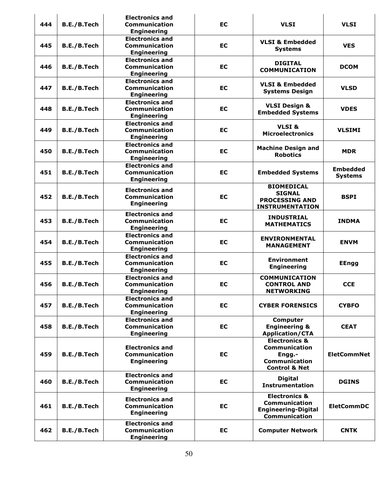| 444 | B.E./B.Tech | <b>Electronics and</b><br><b>Communication</b><br><b>Engineering</b> | <b>EC</b> | <b>VLSI</b>                                                                                             | <b>VLSI</b>                       |
|-----|-------------|----------------------------------------------------------------------|-----------|---------------------------------------------------------------------------------------------------------|-----------------------------------|
| 445 | B.E./B.Tech | <b>Electronics and</b><br><b>Communication</b><br><b>Engineering</b> | EC        | <b>VLSI &amp; Embedded</b><br><b>Systems</b>                                                            | <b>VES</b>                        |
| 446 | B.E./B.Tech | <b>Electronics and</b><br><b>Communication</b><br><b>Engineering</b> | EC        | <b>DIGITAL</b><br><b>COMMUNICATION</b>                                                                  | <b>DCOM</b>                       |
| 447 | B.E./B.Tech | <b>Electronics and</b><br><b>Communication</b><br><b>Engineering</b> | <b>EC</b> | <b>VLSI &amp; Embedded</b><br><b>Systems Design</b>                                                     | <b>VLSD</b>                       |
| 448 | B.E./B.Tech | <b>Electronics and</b><br><b>Communication</b><br><b>Engineering</b> | EC        | <b>VLSI Design &amp;</b><br><b>Embedded Systems</b>                                                     | <b>VDES</b>                       |
| 449 | B.E./B.Tech | <b>Electronics and</b><br><b>Communication</b><br><b>Engineering</b> | <b>EC</b> | VLSI&<br><b>Microelectronics</b>                                                                        | <b>VLSIMI</b>                     |
| 450 | B.E./B.Tech | <b>Electronics and</b><br><b>Communication</b><br><b>Engineering</b> | <b>EC</b> | <b>Machine Design and</b><br><b>Robotics</b>                                                            | <b>MDR</b>                        |
| 451 | B.E./B.Tech | <b>Electronics and</b><br><b>Communication</b><br><b>Engineering</b> | EC        | <b>Embedded Systems</b>                                                                                 | <b>Embedded</b><br><b>Systems</b> |
| 452 | B.E./B.Tech | <b>Electronics and</b><br><b>Communication</b><br><b>Engineering</b> | <b>EC</b> | <b>BIOMEDICAL</b><br><b>SIGNAL</b><br><b>PROCESSING AND</b><br><b>INSTRUMENTATION</b>                   | <b>BSPI</b>                       |
| 453 | B.E./B.Tech | <b>Electronics and</b><br><b>Communication</b><br><b>Engineering</b> | <b>EC</b> | <b>INDUSTRIAL</b><br><b>MATHEMATICS</b>                                                                 | <b>INDMA</b>                      |
| 454 | B.E./B.Tech | <b>Electronics and</b><br>Communication<br><b>Engineering</b>        | EC        | <b>ENVIRONMENTAL</b><br><b>MANAGEMENT</b>                                                               | <b>ENVM</b>                       |
| 455 | B.E./B.Tech | <b>Electronics and</b><br>Communication<br><b>Engineering</b>        | EC        | <b>Environment</b><br><b>Engineering</b>                                                                | <b>EEngg</b>                      |
| 456 | B.E./B.Tech | <b>Electronics and</b><br><b>Communication</b><br><b>Engineering</b> | <b>EC</b> | <b>COMMUNICATION</b><br><b>CONTROL AND</b><br><b>NETWORKING</b>                                         | <b>CCE</b>                        |
| 457 | B.E./B.Tech | <b>Electronics and</b><br><b>Communication</b><br><b>Engineering</b> | <b>EC</b> | <b>CYBER FORENSICS</b>                                                                                  | <b>CYBFO</b>                      |
| 458 | B.E./B.Tech | <b>Electronics and</b><br><b>Communication</b><br><b>Engineering</b> | EC        | <b>Computer</b><br><b>Engineering &amp;</b><br><b>Application/CTA</b>                                   | <b>CEAT</b>                       |
| 459 | B.E./B.Tech | <b>Electronics and</b><br>Communication<br><b>Engineering</b>        | <b>EC</b> | <b>Electronics &amp;</b><br><b>Communication</b><br>Engg.-<br>Communication<br><b>Control &amp; Net</b> | <b>EletCommNet</b>                |
| 460 | B.E./B.Tech | <b>Electronics and</b><br><b>Communication</b><br><b>Engineering</b> | EC        | <b>Digital</b><br><b>Instrumentation</b>                                                                | <b>DGINS</b>                      |
| 461 | B.E./B.Tech | <b>Electronics and</b><br><b>Communication</b><br><b>Engineering</b> | <b>EC</b> | <b>Electronics &amp;</b><br><b>Communication</b><br><b>Engineering-Digital</b><br><b>Communication</b>  | <b>EletCommDC</b>                 |
| 462 | B.E./B.Tech | <b>Electronics and</b><br><b>Communication</b><br><b>Engineering</b> | EC        | <b>Computer Network</b>                                                                                 | <b>CNTK</b>                       |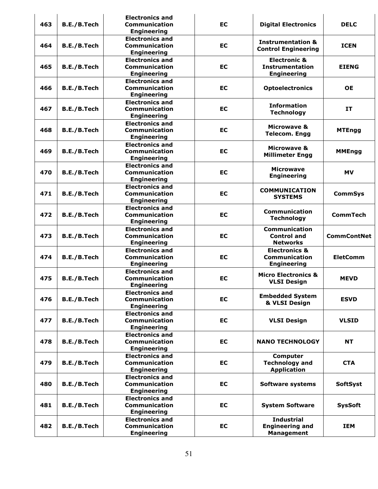| 463 | B.E./B.Tech | <b>Electronics and</b><br><b>Communication</b><br><b>Engineering</b> | <b>EC</b> | <b>Digital Electronics</b>                                              | <b>DELC</b>        |
|-----|-------------|----------------------------------------------------------------------|-----------|-------------------------------------------------------------------------|--------------------|
| 464 | B.E./B.Tech | <b>Electronics and</b><br><b>Communication</b><br><b>Engineering</b> | EC        | <b>Instrumentation &amp;</b><br><b>Control Engineering</b>              | <b>ICEN</b>        |
| 465 | B.E./B.Tech | <b>Electronics and</b><br><b>Communication</b><br><b>Engineering</b> | <b>EC</b> | <b>Electronic &amp;</b><br><b>Instrumentation</b><br><b>Engineering</b> | <b>EIENG</b>       |
| 466 | B.E./B.Tech | <b>Electronics and</b><br><b>Communication</b><br><b>Engineering</b> | <b>EC</b> | <b>Optoelectronics</b>                                                  | <b>OE</b>          |
| 467 | B.E./B.Tech | <b>Electronics and</b><br><b>Communication</b><br><b>Engineering</b> | EC        | <b>Information</b><br><b>Technology</b>                                 | IT                 |
| 468 | B.E./B.Tech | <b>Electronics and</b><br><b>Communication</b><br><b>Engineering</b> | EC        | <b>Microwave &amp;</b><br><b>Telecom. Engg</b>                          | <b>MTEngg</b>      |
| 469 | B.E./B.Tech | <b>Electronics and</b><br><b>Communication</b><br><b>Engineering</b> | EC        | <b>Microwave &amp;</b><br><b>Millimeter Engg</b>                        | <b>MMEngg</b>      |
| 470 | B.E./B.Tech | <b>Electronics and</b><br><b>Communication</b><br><b>Engineering</b> | EC        | <b>Microwave</b><br><b>Engineering</b>                                  | <b>MV</b>          |
| 471 | B.E./B.Tech | <b>Electronics and</b><br><b>Communication</b><br><b>Engineering</b> | EC        | <b>COMMUNICATION</b><br><b>SYSTEMS</b>                                  | <b>CommSys</b>     |
| 472 | B.E./B.Tech | <b>Electronics and</b><br><b>Communication</b><br><b>Engineering</b> | EC        | Communication<br><b>Technology</b>                                      | <b>CommTech</b>    |
| 473 | B.E./B.Tech | <b>Electronics and</b><br><b>Communication</b><br><b>Engineering</b> | <b>EC</b> | <b>Communication</b><br><b>Control and</b><br><b>Networks</b>           | <b>CommContNet</b> |
| 474 | B.E./B.Tech | <b>Electronics and</b><br><b>Communication</b><br><b>Engineering</b> | EC        | <b>Electronics &amp;</b><br><b>Communication</b><br><b>Engineering</b>  | <b>EletComm</b>    |
| 475 | B.E./B.Tech | <b>Electronics and</b><br><b>Communication</b><br><b>Engineering</b> | EC        | <b>Micro Electronics &amp;</b><br><b>VLSI Design</b>                    | <b>MEVD</b>        |
| 476 | B.E./B.Tech | <b>Electronics and</b><br>Communication<br><b>Engineering</b>        | <b>EC</b> | <b>Embedded System</b><br>& VLSI Design                                 | <b>ESVD</b>        |
| 477 | B.E./B.Tech | <b>Electronics and</b><br><b>Communication</b><br><b>Engineering</b> | EC        | <b>VLSI Design</b>                                                      | <b>VLSID</b>       |
| 478 | B.E./B.Tech | <b>Electronics and</b><br><b>Communication</b><br><b>Engineering</b> | EC        | <b>NANO TECHNOLOGY</b>                                                  | <b>NT</b>          |
| 479 | B.E./B.Tech | <b>Electronics and</b><br><b>Communication</b><br><b>Engineering</b> | <b>EC</b> | <b>Computer</b><br><b>Technology and</b><br><b>Application</b>          | <b>CTA</b>         |
| 480 | B.E./B.Tech | <b>Electronics and</b><br><b>Communication</b><br><b>Engineering</b> | <b>EC</b> | Software systems                                                        | <b>SoftSyst</b>    |
| 481 | B.E./B.Tech | <b>Electronics and</b><br>Communication<br><b>Engineering</b>        | EC        | <b>System Software</b>                                                  | <b>SysSoft</b>     |
| 482 | B.E./B.Tech | <b>Electronics and</b><br><b>Communication</b><br><b>Engineering</b> | EC        | <b>Industrial</b><br><b>Engineering and</b><br><b>Management</b>        | <b>IEM</b>         |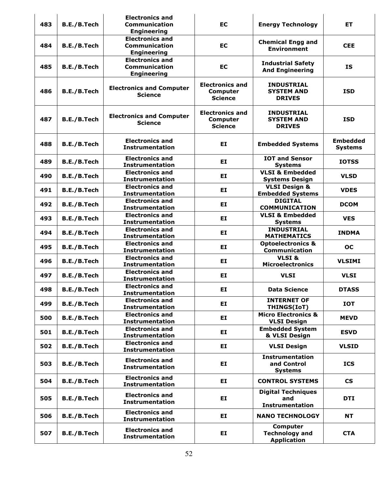| 483 | B.E./B.Tech        | <b>Electronics and</b><br><b>Communication</b><br><b>Engineering</b> | <b>EC</b>                                                   | <b>Energy Technology</b>                                       | ET                                |
|-----|--------------------|----------------------------------------------------------------------|-------------------------------------------------------------|----------------------------------------------------------------|-----------------------------------|
| 484 | B.E./B.Tech        | <b>Electronics and</b><br>Communication<br><b>Engineering</b>        | <b>EC</b>                                                   | <b>Chemical Engg and</b><br><b>Environment</b>                 | <b>CEE</b>                        |
| 485 | B.E./B.Tech        | <b>Electronics and</b><br><b>Communication</b><br><b>Engineering</b> | EC                                                          | <b>Industrial Safety</b><br><b>And Engineering</b>             | <b>IS</b>                         |
| 486 | B.E./B.Tech        | <b>Electronics and Computer</b><br><b>Science</b>                    | <b>Electronics and</b><br><b>Computer</b><br><b>Science</b> | <b>INDUSTRIAL</b><br><b>SYSTEM AND</b><br><b>DRIVES</b>        | <b>ISD</b>                        |
| 487 | B.E./B.Tech        | <b>Electronics and Computer</b><br><b>Science</b>                    | <b>Electronics and</b><br><b>Computer</b><br><b>Science</b> | <b>INDUSTRIAL</b><br><b>SYSTEM AND</b><br><b>DRIVES</b>        | <b>ISD</b>                        |
| 488 | <b>B.E./B.Tech</b> | <b>Electronics and</b><br><b>Instrumentation</b>                     | EI.                                                         | <b>Embedded Systems</b>                                        | <b>Embedded</b><br><b>Systems</b> |
| 489 | B.E./B.Tech        | <b>Electronics and</b><br><b>Instrumentation</b>                     | EI                                                          | <b>IOT and Sensor</b><br><b>Systems</b>                        | <b>IOTSS</b>                      |
| 490 | B.E./B.Tech        | <b>Electronics and</b><br><b>Instrumentation</b>                     | EI                                                          | <b>VLSI &amp; Embedded</b><br><b>Systems Design</b>            | <b>VLSD</b>                       |
| 491 | B.E./B.Tech        | <b>Electronics and</b><br><b>Instrumentation</b>                     | EI.                                                         | <b>VLSI Design &amp;</b><br><b>Embedded Systems</b>            | <b>VDES</b>                       |
| 492 | B.E./B.Tech        | <b>Electronics and</b><br><b>Instrumentation</b>                     | EI.                                                         | <b>DIGITAL</b><br><b>COMMUNICATION</b>                         | <b>DCOM</b>                       |
| 493 | B.E./B.Tech        | <b>Electronics and</b><br><b>Instrumentation</b>                     | EI                                                          | <b>VLSI &amp; Embedded</b><br><b>Systems</b>                   | <b>VES</b>                        |
| 494 | B.E./B.Tech        | <b>Electronics and</b><br><b>Instrumentation</b>                     | EI.                                                         | <b>INDUSTRIAL</b><br><b>MATHEMATICS</b>                        | <b>INDMA</b>                      |
| 495 | B.E./B.Tech        | <b>Electronics and</b><br><b>Instrumentation</b>                     | EI.                                                         | <b>Optoelectronics &amp;</b><br>Communication                  | <b>OC</b>                         |
| 496 | B.E./B.Tech        | <b>Electronics and</b><br><b>Instrumentation</b>                     | EI.                                                         | VLSI&<br><b>Microelectronics</b>                               | <b>VLSIMI</b>                     |
| 497 | B.E./B.Tech        | <b>Electronics and</b><br><b>Instrumentation</b>                     | EI                                                          | <b>VLSI</b>                                                    | <b>VLSI</b>                       |
| 498 | <b>B.E./B.Tech</b> | <b>Electronics and</b><br><b>Instrumentation</b>                     | EI                                                          | <b>Data Science</b>                                            | <b>DTASS</b>                      |
| 499 | B.E./B.Tech        | <b>Electronics and</b><br><b>Instrumentation</b>                     | EI.                                                         | <b>INTERNET OF</b><br>THINGS(IoT)                              | <b>IOT</b>                        |
| 500 | B.E./B.Tech        | <b>Electronics and</b><br><b>Instrumentation</b>                     | EI                                                          | <b>Micro Electronics &amp;</b><br><b>VLSI Design</b>           | <b>MEVD</b>                       |
| 501 | B.E./B.Tech        | <b>Electronics and</b><br><b>Instrumentation</b>                     | EI.                                                         | <b>Embedded System</b><br>& VLSI Design                        | <b>ESVD</b>                       |
| 502 | B.E./B.Tech        | <b>Electronics and</b><br><b>Instrumentation</b>                     | EI.                                                         | <b>VLSI Design</b>                                             | <b>VLSID</b>                      |
| 503 | B.E./B.Tech        | <b>Electronics and</b><br><b>Instrumentation</b>                     | EI                                                          | <b>Instrumentation</b><br>and Control<br><b>Systems</b>        | <b>ICS</b>                        |
| 504 | B.E./B.Tech        | <b>Electronics and</b><br><b>Instrumentation</b>                     | EI.                                                         | <b>CONTROL SYSTEMS</b>                                         | $\mathsf{CS}\phantom{0}$          |
| 505 | B.E./B.Tech        | <b>Electronics and</b><br><b>Instrumentation</b>                     | EI.                                                         | <b>Digital Techniques</b><br>and<br><b>Instrumentation</b>     | <b>DTI</b>                        |
| 506 | B.E./B.Tech        | <b>Electronics and</b><br><b>Instrumentation</b>                     | EI.                                                         | <b>NANO TECHNOLOGY</b>                                         | <b>NT</b>                         |
| 507 | B.E./B.Tech        | <b>Electronics and</b><br><b>Instrumentation</b>                     | EI.                                                         | <b>Computer</b><br><b>Technology and</b><br><b>Application</b> | <b>CTA</b>                        |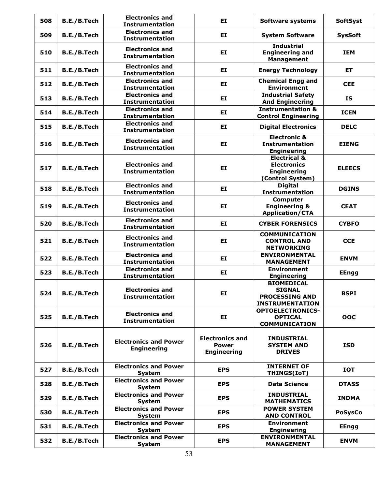| 508 | B.E./B.Tech | <b>Electronics and</b><br><b>Instrumentation</b>   | EI                                                           | <b>Software systems</b>                                                                 | <b>SoftSyst</b> |
|-----|-------------|----------------------------------------------------|--------------------------------------------------------------|-----------------------------------------------------------------------------------------|-----------------|
| 509 | B.E./B.Tech | <b>Electronics and</b><br><b>Instrumentation</b>   | EI                                                           | <b>System Software</b>                                                                  | <b>SysSoft</b>  |
| 510 | B.E./B.Tech | <b>Electronics and</b><br><b>Instrumentation</b>   | EI                                                           | <b>Industrial</b><br><b>Engineering and</b><br><b>Management</b>                        | <b>IEM</b>      |
| 511 | B.E./B.Tech | <b>Electronics and</b><br><b>Instrumentation</b>   | EI                                                           | <b>Energy Technology</b>                                                                | ET.             |
| 512 | B.E./B.Tech | <b>Electronics and</b><br><b>Instrumentation</b>   | EI                                                           | <b>Chemical Engg and</b><br><b>Environment</b>                                          | <b>CEE</b>      |
| 513 | B.E./B.Tech | <b>Electronics and</b><br><b>Instrumentation</b>   | EI                                                           | <b>Industrial Safety</b><br><b>And Engineering</b>                                      | <b>IS</b>       |
| 514 | B.E./B.Tech | <b>Electronics and</b><br><b>Instrumentation</b>   | EI                                                           | <b>Instrumentation &amp;</b><br><b>Control Engineering</b>                              | <b>ICEN</b>     |
| 515 | B.E./B.Tech | <b>Electronics and</b><br><b>Instrumentation</b>   | EI                                                           | <b>Digital Electronics</b>                                                              | <b>DELC</b>     |
| 516 | B.E./B.Tech | <b>Electronics and</b><br><b>Instrumentation</b>   | EI                                                           | <b>Electronic &amp;</b><br><b>Instrumentation</b><br><b>Engineering</b>                 | <b>EIENG</b>    |
| 517 | B.E./B.Tech | <b>Electronics and</b><br><b>Instrumentation</b>   | EI                                                           | <b>Electrical &amp;</b><br><b>Electronics</b><br><b>Engineering</b><br>(Control System) | <b>ELEECS</b>   |
| 518 | B.E./B.Tech | <b>Electronics and</b><br><b>Instrumentation</b>   | EI                                                           | <b>Digital</b><br><b>Instrumentation</b>                                                | <b>DGINS</b>    |
| 519 | B.E./B.Tech | <b>Electronics and</b><br><b>Instrumentation</b>   | EI                                                           | Computer<br><b>Engineering &amp;</b><br><b>Application/CTA</b>                          | <b>CEAT</b>     |
| 520 | B.E./B.Tech | <b>Electronics and</b><br><b>Instrumentation</b>   | EI                                                           | <b>CYBER FORENSICS</b>                                                                  | <b>CYBFO</b>    |
| 521 | B.E./B.Tech | <b>Electronics and</b><br><b>Instrumentation</b>   | EI                                                           | <b>COMMUNICATION</b><br><b>CONTROL AND</b><br><b>NETWORKING</b>                         | <b>CCE</b>      |
| 522 | B.E./B.Tech | <b>Electronics and</b><br><b>Instrumentation</b>   | EI                                                           | <b>ENVIRONMENTAL</b><br><b>MANAGEMENT</b>                                               | <b>ENVM</b>     |
| 523 | B.E./B.Tech | <b>Electronics and</b><br><b>Instrumentation</b>   | EI                                                           | <b>Environment</b><br><b>Engineering</b>                                                | <b>EEngg</b>    |
| 524 | B.E./B.Tech | <b>Electronics and</b><br><b>Instrumentation</b>   | EI                                                           | <b>BIOMEDICAL</b><br><b>SIGNAL</b><br><b>PROCESSING AND</b><br><b>INSTRUMENTATION</b>   | <b>BSPI</b>     |
| 525 | B.E./B.Tech | <b>Electronics and</b><br><b>Instrumentation</b>   | EI.                                                          | <b>OPTOELECTRONICS-</b><br><b>OPTICAL</b><br><b>COMMUNICATION</b>                       | OOC             |
| 526 | B.E./B.Tech | <b>Electronics and Power</b><br><b>Engineering</b> | <b>Electronics and</b><br><b>Power</b><br><b>Engineering</b> | <b>INDUSTRIAL</b><br><b>SYSTEM AND</b><br><b>DRIVES</b>                                 | <b>ISD</b>      |
| 527 | B.E./B.Tech | <b>Electronics and Power</b><br><b>System</b>      | <b>EPS</b>                                                   | <b>INTERNET OF</b><br>THINGS(IoT)                                                       | IOT             |
| 528 | B.E./B.Tech | <b>Electronics and Power</b><br>System             | <b>EPS</b>                                                   | <b>Data Science</b>                                                                     | <b>DTASS</b>    |
| 529 | B.E./B.Tech | <b>Electronics and Power</b><br>System             | <b>EPS</b>                                                   | <b>INDUSTRIAL</b><br><b>MATHEMATICS</b>                                                 | <b>INDMA</b>    |
| 530 | B.E./B.Tech | <b>Electronics and Power</b><br>System             | <b>EPS</b>                                                   | <b>POWER SYSTEM</b><br><b>AND CONTROL</b>                                               | <b>PoSysCo</b>  |
| 531 | B.E./B.Tech | <b>Electronics and Power</b><br><b>System</b>      | <b>EPS</b>                                                   | <b>Environment</b><br><b>Engineering</b>                                                | <b>EEngg</b>    |
| 532 | B.E./B.Tech | <b>Electronics and Power</b><br><b>System</b>      | <b>EPS</b>                                                   | <b>ENVIRONMENTAL</b><br><b>MANAGEMENT</b>                                               | <b>ENVM</b>     |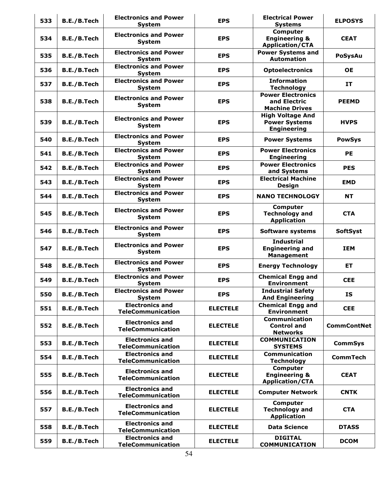| 533 | B.E./B.Tech | <b>Electronics and Power</b><br><b>System</b>      | <b>EPS</b>      | <b>Electrical Power</b><br><b>Systems</b>                             | <b>ELPOSYS</b>     |
|-----|-------------|----------------------------------------------------|-----------------|-----------------------------------------------------------------------|--------------------|
| 534 | B.E./B.Tech | <b>Electronics and Power</b><br><b>System</b>      | <b>EPS</b>      | <b>Computer</b><br><b>Engineering &amp;</b><br><b>Application/CTA</b> | <b>CEAT</b>        |
| 535 | B.E./B.Tech | <b>Electronics and Power</b><br><b>System</b>      | <b>EPS</b>      | <b>Power Systems and</b><br><b>Automation</b>                         | <b>PoSysAu</b>     |
| 536 | B.E./B.Tech | <b>Electronics and Power</b><br><b>System</b>      | <b>EPS</b>      | <b>Optoelectronics</b>                                                | <b>OE</b>          |
| 537 | B.E./B.Tech | <b>Electronics and Power</b><br><b>System</b>      | <b>EPS</b>      | <b>Information</b><br><b>Technology</b>                               | IT                 |
| 538 | B.E./B.Tech | <b>Electronics and Power</b><br><b>System</b>      | <b>EPS</b>      | <b>Power Electronics</b><br>and Electric<br><b>Machine Drives</b>     | <b>PEEMD</b>       |
| 539 | B.E./B.Tech | <b>Electronics and Power</b><br><b>System</b>      | <b>EPS</b>      | <b>High Voltage And</b><br><b>Power Systems</b><br><b>Engineering</b> | <b>HVPS</b>        |
| 540 | B.E./B.Tech | <b>Electronics and Power</b><br><b>System</b>      | <b>EPS</b>      | <b>Power Systems</b>                                                  | <b>PowSys</b>      |
| 541 | B.E./B.Tech | <b>Electronics and Power</b><br>System             | <b>EPS</b>      | <b>Power Electronics</b><br><b>Engineering</b>                        | <b>PE</b>          |
| 542 | B.E./B.Tech | <b>Electronics and Power</b><br><b>System</b>      | <b>EPS</b>      | <b>Power Electronics</b><br>and Systems                               | <b>PES</b>         |
| 543 | B.E./B.Tech | <b>Electronics and Power</b><br><b>System</b>      | <b>EPS</b>      | <b>Electrical Machine</b><br>Design                                   | <b>EMD</b>         |
| 544 | B.E./B.Tech | <b>Electronics and Power</b><br><b>System</b>      | <b>EPS</b>      | <b>NANO TECHNOLOGY</b>                                                | <b>NT</b>          |
| 545 | B.E./B.Tech | <b>Electronics and Power</b><br>System             | <b>EPS</b>      | Computer<br><b>Technology and</b><br><b>Application</b>               | <b>CTA</b>         |
| 546 | B.E./B.Tech | <b>Electronics and Power</b><br><b>System</b>      | <b>EPS</b>      | <b>Software systems</b>                                               | <b>SoftSyst</b>    |
| 547 | B.E./B.Tech | <b>Electronics and Power</b><br><b>System</b>      | <b>EPS</b>      | <b>Industrial</b><br><b>Engineering and</b><br><b>Management</b>      | <b>IEM</b>         |
| 548 | B.E./B.Tech | <b>Electronics and Power</b><br>System             | <b>EPS</b>      | <b>Energy Technology</b>                                              | <b>ET</b>          |
| 549 | B.E./B.Tech | <b>Electronics and Power</b><br>System             | <b>EPS</b>      | <b>Chemical Engg and</b><br><b>Environment</b>                        | <b>CEE</b>         |
| 550 | B.E./B.Tech | <b>Electronics and Power</b><br><b>System</b>      | <b>EPS</b>      | <b>Industrial Safety</b><br><b>And Engineering</b>                    | <b>IS</b>          |
| 551 | B.E./B.Tech | <b>Electronics and</b><br><b>TeleCommunication</b> | <b>ELECTELE</b> | <b>Chemical Engg and</b><br><b>Environment</b>                        | <b>CEE</b>         |
| 552 | B.E./B.Tech | <b>Electronics and</b><br><b>TeleCommunication</b> | <b>ELECTELE</b> | <b>Communication</b><br><b>Control and</b><br><b>Networks</b>         | <b>CommContNet</b> |
| 553 | B.E./B.Tech | <b>Electronics and</b><br><b>TeleCommunication</b> | <b>ELECTELE</b> | <b>COMMUNICATION</b><br><b>SYSTEMS</b>                                | <b>CommSys</b>     |
| 554 | B.E./B.Tech | <b>Electronics and</b><br><b>TeleCommunication</b> | <b>ELECTELE</b> | <b>Communication</b><br><b>Technology</b>                             | <b>CommTech</b>    |
| 555 | B.E./B.Tech | <b>Electronics and</b><br><b>TeleCommunication</b> | <b>ELECTELE</b> | Computer<br><b>Engineering &amp;</b><br><b>Application/CTA</b>        | <b>CEAT</b>        |
| 556 | B.E./B.Tech | <b>Electronics and</b><br><b>TeleCommunication</b> | <b>ELECTELE</b> | <b>Computer Network</b>                                               | <b>CNTK</b>        |
| 557 | B.E./B.Tech | <b>Electronics and</b><br><b>TeleCommunication</b> | <b>ELECTELE</b> | Computer<br><b>Technology and</b><br><b>Application</b>               | <b>CTA</b>         |
| 558 | B.E./B.Tech | <b>Electronics and</b><br><b>TeleCommunication</b> | <b>ELECTELE</b> | <b>Data Science</b>                                                   | <b>DTASS</b>       |
| 559 | B.E./B.Tech | <b>Electronics and</b><br><b>TeleCommunication</b> | <b>ELECTELE</b> | <b>DIGITAL</b><br><b>COMMUNICATION</b>                                | <b>DCOM</b>        |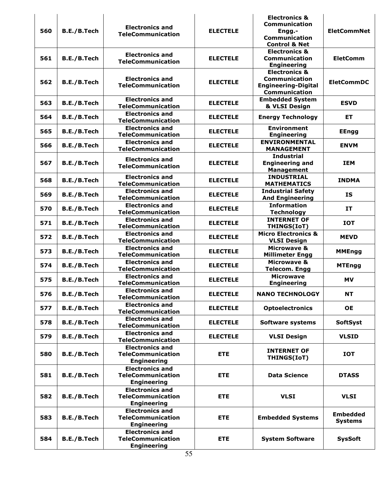| 560 | B.E./B.Tech | <b>Electronics and</b>                                                   | <b>ELECTELE</b> | <b>Electronics &amp;</b><br><b>Communication</b><br>Engg.-                                             | <b>EletCommNet</b>                |
|-----|-------------|--------------------------------------------------------------------------|-----------------|--------------------------------------------------------------------------------------------------------|-----------------------------------|
|     |             | <b>TeleCommunication</b>                                                 |                 | <b>Communication</b><br><b>Control &amp; Net</b>                                                       |                                   |
| 561 | B.E./B.Tech | <b>Electronics and</b><br><b>TeleCommunication</b>                       | <b>ELECTELE</b> | <b>Electronics &amp;</b><br><b>Communication</b><br><b>Engineering</b>                                 | <b>EletComm</b>                   |
| 562 | B.E./B.Tech | <b>Electronics and</b><br><b>TeleCommunication</b>                       | <b>ELECTELE</b> | <b>Electronics &amp;</b><br><b>Communication</b><br><b>Engineering-Digital</b><br><b>Communication</b> | <b>EletCommDC</b>                 |
| 563 | B.E./B.Tech | <b>Electronics and</b><br><b>TeleCommunication</b>                       | <b>ELECTELE</b> | <b>Embedded System</b><br>& VLSI Design                                                                | <b>ESVD</b>                       |
| 564 | B.E./B.Tech | <b>Electronics and</b><br><b>TeleCommunication</b>                       | <b>ELECTELE</b> | <b>Energy Technology</b>                                                                               | <b>ET</b>                         |
| 565 | B.E./B.Tech | <b>Electronics and</b><br>TeleCommunication                              | <b>ELECTELE</b> | <b>Environment</b><br><b>Engineering</b>                                                               | <b>EEngg</b>                      |
| 566 | B.E./B.Tech | <b>Electronics and</b><br><b>TeleCommunication</b>                       | <b>ELECTELE</b> | <b>ENVIRONMENTAL</b><br><b>MANAGEMENT</b>                                                              | <b>ENVM</b>                       |
| 567 | B.E./B.Tech | <b>Electronics and</b><br><b>TeleCommunication</b>                       | <b>ELECTELE</b> | <b>Industrial</b><br><b>Engineering and</b><br><b>Management</b>                                       | <b>IEM</b>                        |
| 568 | B.E./B.Tech | <b>Electronics and</b><br><b>TeleCommunication</b>                       | <b>ELECTELE</b> | <b>INDUSTRIAL</b><br><b>MATHEMATICS</b>                                                                | <b>INDMA</b>                      |
| 569 | B.E./B.Tech | <b>Electronics and</b><br><b>TeleCommunication</b>                       | <b>ELECTELE</b> | <b>Industrial Safety</b><br><b>And Engineering</b>                                                     | <b>IS</b>                         |
| 570 | B.E./B.Tech | <b>Electronics and</b><br><b>TeleCommunication</b>                       | <b>ELECTELE</b> | <b>Information</b><br><b>Technology</b>                                                                | <b>IT</b>                         |
| 571 | B.E./B.Tech | <b>Electronics and</b><br><b>TeleCommunication</b>                       | <b>ELECTELE</b> | <b>INTERNET OF</b><br>THINGS(IoT)                                                                      | <b>IOT</b>                        |
| 572 | B.E./B.Tech | <b>Electronics and</b><br><b>TeleCommunication</b>                       | <b>ELECTELE</b> | <b>Micro Electronics &amp;</b><br><b>VLSI Design</b>                                                   | <b>MEVD</b>                       |
| 573 | B.E./B.Tech | <b>Electronics and</b><br><b>TeleCommunication</b>                       | <b>ELECTELE</b> | Microwave &<br><b>Millimeter Engg</b>                                                                  | <b>MMEngg</b>                     |
| 574 | B.E./B.Tech | <b>Electronics and</b><br>TeleCommunication                              | <b>ELECTELE</b> | <b>Microwave &amp;</b><br><b>Telecom. Engg</b>                                                         | <b>MTEngg</b>                     |
| 575 | B.E./B.Tech | <b>Electronics and</b><br><b>TeleCommunication</b>                       | <b>ELECTELE</b> | <b>Microwave</b><br><b>Engineering</b>                                                                 | <b>MV</b>                         |
| 576 | B.E./B.Tech | <b>Electronics and</b><br><b>TeleCommunication</b>                       | <b>ELECTELE</b> | <b>NANO TECHNOLOGY</b>                                                                                 | <b>NT</b>                         |
| 577 | B.E./B.Tech | <b>Electronics and</b><br>TeleCommunication                              | <b>ELECTELE</b> | <b>Optoelectronics</b>                                                                                 | <b>OE</b>                         |
| 578 | B.E./B.Tech | <b>Electronics and</b><br><b>TeleCommunication</b>                       | <b>ELECTELE</b> | Software systems                                                                                       | <b>SoftSyst</b>                   |
| 579 | B.E./B.Tech | <b>Electronics and</b><br><b>TeleCommunication</b>                       | <b>ELECTELE</b> | <b>VLSI Design</b>                                                                                     | <b>VLSID</b>                      |
| 580 | B.E./B.Tech | <b>Electronics and</b><br><b>TeleCommunication</b><br><b>Engineering</b> | <b>ETE</b>      | <b>INTERNET OF</b><br><b>THINGS(IoT)</b>                                                               | <b>IOT</b>                        |
| 581 | B.E./B.Tech | <b>Electronics and</b><br><b>TeleCommunication</b><br><b>Engineering</b> | <b>ETE</b>      | <b>Data Science</b>                                                                                    | <b>DTASS</b>                      |
| 582 | B.E./B.Tech | <b>Electronics and</b><br><b>TeleCommunication</b><br><b>Engineering</b> | <b>ETE</b>      | <b>VLSI</b>                                                                                            | <b>VLSI</b>                       |
| 583 | B.E./B.Tech | <b>Electronics and</b><br><b>TeleCommunication</b><br><b>Engineering</b> | <b>ETE</b>      | <b>Embedded Systems</b>                                                                                | <b>Embedded</b><br><b>Systems</b> |
| 584 | B.E./B.Tech | <b>Electronics and</b><br><b>TeleCommunication</b><br><b>Engineering</b> | <b>ETE</b>      | <b>System Software</b>                                                                                 | <b>SysSoft</b>                    |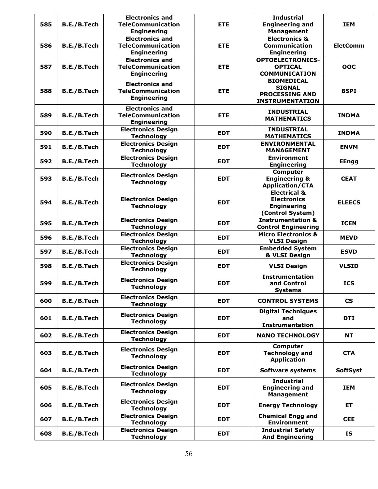| 585 | B.E./B.Tech        | <b>Electronics and</b><br><b>TeleCommunication</b>                                             | <b>ETE</b> | <b>Industrial</b><br><b>Engineering and</b>                                                 | <b>IEM</b>               |
|-----|--------------------|------------------------------------------------------------------------------------------------|------------|---------------------------------------------------------------------------------------------|--------------------------|
| 586 | B.E./B.Tech        | <b>Engineering</b><br><b>Electronics and</b><br><b>TeleCommunication</b><br><b>Engineering</b> | <b>ETE</b> | <b>Management</b><br><b>Electronics &amp;</b><br><b>Communication</b><br><b>Engineering</b> | <b>EletComm</b>          |
| 587 | B.E./B.Tech        | <b>Electronics and</b><br><b>TeleCommunication</b><br><b>Engineering</b>                       | <b>ETE</b> | <b>OPTOELECTRONICS-</b><br><b>OPTICAL</b><br><b>COMMUNICATION</b>                           | OOC                      |
| 588 | B.E./B.Tech        | <b>Electronics and</b><br><b>TeleCommunication</b><br><b>Engineering</b>                       | <b>ETE</b> | <b>BIOMEDICAL</b><br><b>SIGNAL</b><br><b>PROCESSING AND</b><br><b>INSTRUMENTATION</b>       | <b>BSPI</b>              |
| 589 | B.E./B.Tech        | <b>Electronics and</b><br><b>TeleCommunication</b><br><b>Engineering</b>                       | <b>ETE</b> | <b>INDUSTRIAL</b><br><b>MATHEMATICS</b>                                                     | <b>INDMA</b>             |
| 590 | B.E./B.Tech        | <b>Electronics Design</b><br><b>Technology</b>                                                 | <b>EDT</b> | <b>INDUSTRIAL</b><br><b>MATHEMATICS</b>                                                     | <b>INDMA</b>             |
| 591 | B.E./B.Tech        | <b>Electronics Design</b><br><b>Technology</b>                                                 | <b>EDT</b> | <b>ENVIRONMENTAL</b><br><b>MANAGEMENT</b>                                                   | <b>ENVM</b>              |
| 592 | B.E./B.Tech        | <b>Electronics Design</b><br><b>Technology</b>                                                 | <b>EDT</b> | <b>Environment</b><br><b>Engineering</b>                                                    | <b>EEngg</b>             |
| 593 | B.E./B.Tech        | <b>Electronics Design</b><br><b>Technology</b>                                                 | <b>EDT</b> | Computer<br><b>Engineering &amp;</b><br><b>Application/CTA</b>                              | <b>CEAT</b>              |
| 594 | B.E./B.Tech        | <b>Electronics Design</b><br><b>Technology</b>                                                 | <b>EDT</b> | <b>Electrical &amp;</b><br><b>Electronics</b><br><b>Engineering</b><br>(Control System)     | <b>ELEECS</b>            |
| 595 | B.E./B.Tech        | <b>Electronics Design</b><br><b>Technology</b>                                                 | <b>EDT</b> | <b>Instrumentation &amp;</b><br><b>Control Engineering</b>                                  | <b>ICEN</b>              |
| 596 | B.E./B.Tech        | <b>Electronics Design</b><br><b>Technology</b>                                                 | <b>EDT</b> | <b>Micro Electronics &amp;</b><br><b>VLSI Design</b>                                        | <b>MEVD</b>              |
| 597 | B.E./B.Tech        | <b>Electronics Design</b><br><b>Technology</b>                                                 | <b>EDT</b> | <b>Embedded System</b><br>& VLSI Design                                                     | <b>ESVD</b>              |
| 598 | <b>B.E./B.Tech</b> | <b>Electronics Design</b><br><b>Technology</b>                                                 | <b>EDT</b> | <b>VLSI Design</b>                                                                          | <b>VLSID</b>             |
| 599 | B.E./B.Tech        | <b>Electronics Design</b><br><b>Technology</b>                                                 | <b>EDT</b> | <b>Instrumentation</b><br>and Control<br><b>Systems</b>                                     | <b>ICS</b>               |
| 600 | B.E./B.Tech        | <b>Electronics Design</b><br><b>Technology</b>                                                 | <b>EDT</b> | <b>CONTROL SYSTEMS</b>                                                                      | $\mathsf{CS}\phantom{0}$ |
| 601 | B.E./B.Tech        | <b>Electronics Design</b><br><b>Technology</b>                                                 | <b>EDT</b> | <b>Digital Techniques</b><br>and<br><b>Instrumentation</b>                                  | <b>DTI</b>               |
| 602 | B.E./B.Tech        | <b>Electronics Design</b><br><b>Technology</b>                                                 | <b>EDT</b> | <b>NANO TECHNOLOGY</b>                                                                      | <b>NT</b>                |
| 603 | B.E./B.Tech        | <b>Electronics Design</b><br><b>Technology</b>                                                 | <b>EDT</b> | Computer<br><b>Technology and</b><br><b>Application</b>                                     | <b>CTA</b>               |
| 604 | B.E./B.Tech        | <b>Electronics Design</b><br><b>Technology</b>                                                 | <b>EDT</b> | <b>Software systems</b>                                                                     | <b>SoftSyst</b>          |
| 605 | B.E./B.Tech        | <b>Electronics Design</b><br><b>Technology</b>                                                 | <b>EDT</b> | <b>Industrial</b><br><b>Engineering and</b><br><b>Management</b>                            | <b>IEM</b>               |
| 606 | B.E./B.Tech        | <b>Electronics Design</b><br><b>Technology</b>                                                 | <b>EDT</b> | <b>Energy Technology</b>                                                                    | <b>ET</b>                |
| 607 | B.E./B.Tech        | <b>Electronics Design</b><br><b>Technology</b>                                                 | <b>EDT</b> | <b>Chemical Engg and</b><br><b>Environment</b>                                              | <b>CEE</b>               |
| 608 | B.E./B.Tech        | <b>Electronics Design</b><br><b>Technology</b>                                                 | <b>EDT</b> | <b>Industrial Safety</b><br><b>And Engineering</b>                                          | <b>IS</b>                |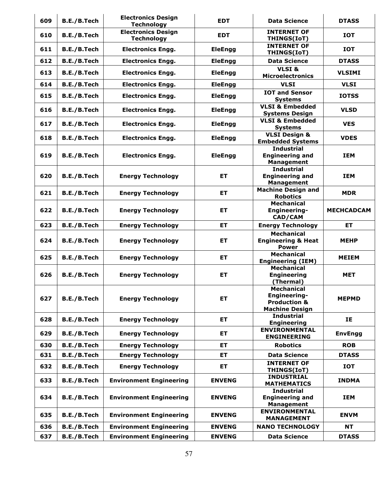| 609 | B.E./B.Tech        | <b>Electronics Design</b><br><b>Technology</b> | <b>EDT</b>     | <b>Data Science</b>                                                                   | <b>DTASS</b>      |
|-----|--------------------|------------------------------------------------|----------------|---------------------------------------------------------------------------------------|-------------------|
| 610 | B.E./B.Tech        | <b>Electronics Design</b><br><b>Technology</b> | <b>EDT</b>     | <b>INTERNET OF</b><br>THINGS(IoT)                                                     | <b>IOT</b>        |
| 611 | B.E./B.Tech        | <b>Electronics Engg.</b>                       | <b>EleEngg</b> | <b>INTERNET OF</b><br>THINGS(IoT)                                                     | <b>IOT</b>        |
| 612 | B.E./B.Tech        | <b>Electronics Engg.</b>                       | <b>EleEngg</b> | <b>Data Science</b>                                                                   | <b>DTASS</b>      |
| 613 | B.E./B.Tech        | <b>Electronics Engg.</b>                       | <b>EleEngg</b> | VLSI&<br><b>Microelectronics</b>                                                      | <b>VLSIMI</b>     |
| 614 | B.E./B.Tech        | <b>Electronics Engg.</b>                       | <b>EleEngg</b> | <b>VLSI</b>                                                                           | <b>VLSI</b>       |
| 615 | B.E./B.Tech        | <b>Electronics Engg.</b>                       | <b>EleEngg</b> | <b>IOT and Sensor</b><br><b>Systems</b>                                               | <b>IOTSS</b>      |
| 616 | B.E./B.Tech        | <b>Electronics Engg.</b>                       | <b>EleEngg</b> | <b>VLSI &amp; Embedded</b><br><b>Systems Design</b>                                   | <b>VLSD</b>       |
| 617 | B.E./B.Tech        | <b>Electronics Engg.</b>                       | <b>EleEngg</b> | <b>VLSI &amp; Embedded</b><br><b>Systems</b>                                          | <b>VES</b>        |
| 618 | <b>B.E./B.Tech</b> | <b>Electronics Engg.</b>                       | <b>EleEngg</b> | <b>VLSI Design &amp;</b><br><b>Embedded Systems</b>                                   | <b>VDES</b>       |
| 619 | B.E./B.Tech        | <b>Electronics Engg.</b>                       | <b>EleEngg</b> | <b>Industrial</b><br><b>Engineering and</b><br><b>Management</b>                      | <b>IEM</b>        |
| 620 | B.E./B.Tech        | <b>Energy Technology</b>                       | ET             | <b>Industrial</b><br><b>Engineering and</b><br><b>Management</b>                      | <b>IEM</b>        |
| 621 | B.E./B.Tech        | <b>Energy Technology</b>                       | <b>ET</b>      | <b>Machine Design and</b><br><b>Robotics</b>                                          | <b>MDR</b>        |
| 622 | B.E./B.Tech        | <b>Energy Technology</b>                       | ET             | <b>Mechanical</b><br><b>Engineering-</b><br><b>CAD/CAM</b>                            | <b>MECHCADCAM</b> |
| 623 | B.E./B.Tech        | <b>Energy Technology</b>                       | ET             | <b>Energy Technology</b>                                                              | <b>ET</b>         |
| 624 | B.E./B.Tech        | <b>Energy Technology</b>                       | <b>ET</b>      | <b>Mechanical</b><br><b>Engineering &amp; Heat</b><br><b>Power</b>                    | <b>MEHP</b>       |
| 625 | B.E./B.Tech        | <b>Energy Technology</b>                       | ET             | <b>Mechanical</b><br><b>Engineering (IEM)</b>                                         | <b>MEIEM</b>      |
| 626 | <b>B.E./B.Tech</b> | <b>Energy Technology</b>                       | ET             | <b>Mechanical</b><br><b>Engineering</b><br>(Thermal)                                  | <b>MET</b>        |
| 627 | B.E./B.Tech        | <b>Energy Technology</b>                       | ET             | <b>Mechanical</b><br>Engineering-<br><b>Production &amp;</b><br><b>Machine Design</b> | <b>MEPMD</b>      |
| 628 | B.E./B.Tech        | <b>Energy Technology</b>                       | ET             | <b>Industrial</b><br><b>Engineering</b>                                               | IE                |
| 629 | B.E./B.Tech        | <b>Energy Technology</b>                       | ET             | <b>ENVIRONMENTAL</b><br><b>ENGINEERING</b>                                            | <b>EnvEngg</b>    |
| 630 | B.E./B.Tech        | <b>Energy Technology</b>                       | <b>ET</b>      | <b>Robotics</b>                                                                       | <b>ROB</b>        |
| 631 | B.E./B.Tech        | <b>Energy Technology</b>                       | ET             | <b>Data Science</b>                                                                   | <b>DTASS</b>      |
| 632 | B.E./B.Tech        | <b>Energy Technology</b>                       | ET             | <b>INTERNET OF</b><br>THINGS(IoT)                                                     | <b>IOT</b>        |
| 633 | B.E./B.Tech        | <b>Environment Engineering</b>                 | <b>ENVENG</b>  | <b>INDUSTRIAL</b><br><b>MATHEMATICS</b>                                               | <b>INDMA</b>      |
| 634 | B.E./B.Tech        | <b>Environment Engineering</b>                 | <b>ENVENG</b>  | <b>Industrial</b><br><b>Engineering and</b><br><b>Management</b>                      | <b>IEM</b>        |
| 635 | B.E./B.Tech        | <b>Environment Engineering</b>                 | <b>ENVENG</b>  | <b>ENVIRONMENTAL</b><br><b>MANAGEMENT</b>                                             | <b>ENVM</b>       |
| 636 | B.E./B.Tech        | <b>Environment Engineering</b>                 | <b>ENVENG</b>  | <b>NANO TECHNOLOGY</b>                                                                | <b>NT</b>         |
| 637 | B.E./B.Tech        | <b>Environment Engineering</b>                 | <b>ENVENG</b>  | <b>Data Science</b>                                                                   | <b>DTASS</b>      |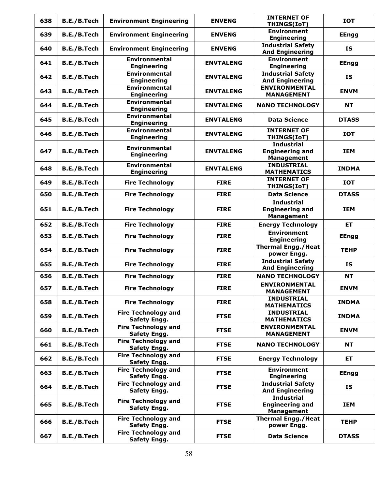| 638 | B.E./B.Tech        | <b>Environment Engineering</b>                    | <b>ENVENG</b>    | <b>INTERNET OF</b><br>THINGS(IoT)                                | <b>IOT</b>   |
|-----|--------------------|---------------------------------------------------|------------------|------------------------------------------------------------------|--------------|
| 639 | B.E./B.Tech        | <b>Environment Engineering</b>                    | <b>ENVENG</b>    | <b>Environment</b><br><b>Engineering</b>                         | <b>EEngg</b> |
| 640 | B.E./B.Tech        | <b>Environment Engineering</b>                    | <b>ENVENG</b>    | <b>Industrial Safety</b><br><b>And Engineering</b>               | IS           |
| 641 | B.E./B.Tech        | <b>Environmental</b><br><b>Engineering</b>        | <b>ENVTALENG</b> | <b>Environment</b><br><b>Engineering</b>                         | <b>EEngg</b> |
| 642 | B.E./B.Tech        | <b>Environmental</b><br><b>Engineering</b>        | <b>ENVTALENG</b> | <b>Industrial Safety</b><br><b>And Engineering</b>               | IS           |
| 643 | B.E./B.Tech        | <b>Environmental</b><br><b>Engineering</b>        | <b>ENVTALENG</b> | <b>ENVIRONMENTAL</b><br><b>MANAGEMENT</b>                        | <b>ENVM</b>  |
| 644 | B.E./B.Tech        | <b>Environmental</b><br><b>Engineering</b>        | <b>ENVTALENG</b> | <b>NANO TECHNOLOGY</b>                                           | <b>NT</b>    |
| 645 | B.E./B.Tech        | <b>Environmental</b><br><b>Engineering</b>        | <b>ENVTALENG</b> | <b>Data Science</b>                                              | <b>DTASS</b> |
| 646 | B.E./B.Tech        | <b>Environmental</b><br><b>Engineering</b>        | <b>ENVTALENG</b> | <b>INTERNET OF</b><br>THINGS(IoT)                                | <b>IOT</b>   |
| 647 | B.E./B.Tech        | <b>Environmental</b><br><b>Engineering</b>        | <b>ENVTALENG</b> | <b>Industrial</b><br><b>Engineering and</b><br><b>Management</b> | <b>IEM</b>   |
| 648 | B.E./B.Tech        | <b>Environmental</b><br><b>Engineering</b>        | <b>ENVTALENG</b> | <b>INDUSTRIAL</b><br><b>MATHEMATICS</b>                          | <b>INDMA</b> |
| 649 | B.E./B.Tech        | <b>Fire Technology</b>                            | <b>FIRE</b>      | <b>INTERNET OF</b><br>THINGS(IoT)                                | <b>IOT</b>   |
| 650 | B.E./B.Tech        | <b>Fire Technology</b>                            | <b>FIRE</b>      | <b>Data Science</b>                                              | <b>DTASS</b> |
| 651 | B.E./B.Tech        | <b>Fire Technology</b>                            | <b>FIRE</b>      | <b>Industrial</b><br><b>Engineering and</b><br><b>Management</b> | <b>IEM</b>   |
| 652 | B.E./B.Tech        | <b>Fire Technology</b>                            | <b>FIRE</b>      | <b>Energy Technology</b>                                         | <b>ET</b>    |
| 653 | B.E./B.Tech        | <b>Fire Technology</b>                            | <b>FIRE</b>      | <b>Environment</b><br><b>Engineering</b>                         | <b>EEngg</b> |
| 654 | B.E./B.Tech        | <b>Fire Technology</b>                            | <b>FIRE</b>      | <b>Thermal Engg./Heat</b><br>power Engg.                         | <b>TEHP</b>  |
| 655 | B.E./B.Tech        | <b>Fire Technology</b>                            | <b>FIRE</b>      | <b>Industrial Safety</b><br><b>And Engineering</b>               | IS           |
| 656 | <b>B.E./B.Tech</b> | <b>Fire Technology</b>                            | <b>FIRE</b>      | <b>NANO TECHNOLOGY</b>                                           | <b>NT</b>    |
| 657 | B.E./B.Tech        | <b>Fire Technology</b>                            | <b>FIRE</b>      | <b>ENVIRONMENTAL</b><br><b>MANAGEMENT</b>                        | <b>ENVM</b>  |
| 658 | B.E./B.Tech        | <b>Fire Technology</b>                            | <b>FIRE</b>      | <b>INDUSTRIAL</b><br><b>MATHEMATICS</b>                          | <b>INDMA</b> |
| 659 | B.E./B.Tech        | <b>Fire Technology and</b><br>Safety Engg.        | <b>FTSE</b>      | <b>INDUSTRIAL</b><br><b>MATHEMATICS</b>                          | <b>INDMA</b> |
| 660 | B.E./B.Tech        | <b>Fire Technology and</b><br>Safety Engg.        | <b>FTSE</b>      | <b>ENVIRONMENTAL</b><br><b>MANAGEMENT</b>                        | <b>ENVM</b>  |
| 661 | B.E./B.Tech        | <b>Fire Technology and</b><br>Safety Engg.        | <b>FTSE</b>      | <b>NANO TECHNOLOGY</b>                                           | <b>NT</b>    |
| 662 | B.E./B.Tech        | <b>Fire Technology and</b><br>Safety Engg.        | <b>FTSE</b>      | <b>Energy Technology</b>                                         | ET.          |
| 663 | B.E./B.Tech        | <b>Fire Technology and</b><br>Safety Engg.        | <b>FTSE</b>      | <b>Environment</b><br><b>Engineering</b>                         | <b>EEngg</b> |
| 664 | B.E./B.Tech        | <b>Fire Technology and</b><br>Safety Engg.        | <b>FTSE</b>      | <b>Industrial Safety</b><br><b>And Engineering</b>               | IS           |
| 665 | B.E./B.Tech        | <b>Fire Technology and</b><br><b>Safety Engg.</b> | <b>FTSE</b>      | <b>Industrial</b><br><b>Engineering and</b><br><b>Management</b> | <b>IEM</b>   |
| 666 | B.E./B.Tech        | <b>Fire Technology and</b><br>Safety Engg.        | <b>FTSE</b>      | <b>Thermal Engg./Heat</b><br>power Engg.                         | <b>TEHP</b>  |
| 667 | B.E./B.Tech        | <b>Fire Technology and</b><br>Safety Engg.        | <b>FTSE</b>      | <b>Data Science</b>                                              | <b>DTASS</b> |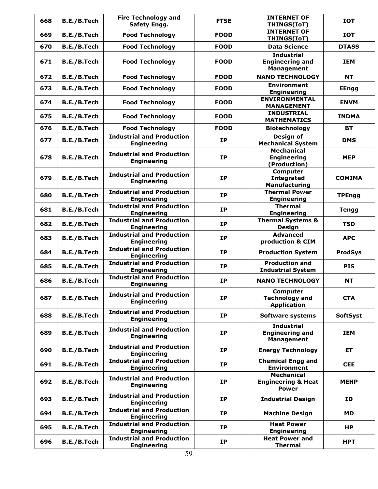| 668 | B.E./B.Tech        | <b>Fire Technology and</b><br><b>Safety Engg.</b>      | <b>FTSE</b> | <b>INTERNET OF</b><br>THINGS(IoT)                                  | <b>IOT</b>      |
|-----|--------------------|--------------------------------------------------------|-------------|--------------------------------------------------------------------|-----------------|
| 669 | B.E./B.Tech        | <b>Food Technology</b>                                 | <b>FOOD</b> | <b>INTERNET OF</b><br>THINGS(IoT)                                  | <b>IOT</b>      |
| 670 | B.E./B.Tech        | <b>Food Technology</b>                                 | <b>FOOD</b> | <b>Data Science</b>                                                | <b>DTASS</b>    |
| 671 | B.E./B.Tech        | <b>Food Technology</b>                                 | <b>FOOD</b> | <b>Industrial</b><br><b>Engineering and</b><br><b>Management</b>   | <b>IEM</b>      |
| 672 | B.E./B.Tech        | <b>Food Technology</b>                                 | <b>FOOD</b> | <b>NANO TECHNOLOGY</b>                                             | <b>NT</b>       |
| 673 | <b>B.E./B.Tech</b> | <b>Food Technology</b>                                 | <b>FOOD</b> | <b>Environment</b><br><b>Engineering</b>                           | <b>EEngg</b>    |
| 674 | B.E./B.Tech        | <b>Food Technology</b>                                 | <b>FOOD</b> | <b>ENVIRONMENTAL</b><br><b>MANAGEMENT</b>                          | <b>ENVM</b>     |
| 675 | B.E./B.Tech        | <b>Food Technology</b>                                 | <b>FOOD</b> | <b>INDUSTRIAL</b><br><b>MATHEMATICS</b>                            | <b>INDMA</b>    |
| 676 | B.E./B.Tech        | <b>Food Technology</b>                                 | <b>FOOD</b> | <b>Biotechnology</b>                                               | <b>BT</b>       |
| 677 | B.E./B.Tech        | <b>Industrial and Production</b><br><b>Engineering</b> | <b>IP</b>   | Design of<br><b>Mechanical System</b>                              | <b>DMS</b>      |
| 678 | B.E./B.Tech        | <b>Industrial and Production</b><br><b>Engineering</b> | <b>IP</b>   | <b>Mechanical</b><br><b>Engineering</b><br>(Production)            | <b>MEP</b>      |
| 679 | <b>B.E./B.Tech</b> | <b>Industrial and Production</b><br><b>Engineering</b> | <b>IP</b>   | <b>Computer</b><br><b>Integrated</b><br>Manufacturing              | <b>COMIMA</b>   |
| 680 | B.E./B.Tech        | <b>Industrial and Production</b><br><b>Engineering</b> | <b>IP</b>   | <b>Thermal Power</b><br><b>Engineering</b>                         | <b>TPEngg</b>   |
| 681 | B.E./B.Tech        | <b>Industrial and Production</b><br><b>Engineering</b> | <b>IP</b>   | <b>Thermal</b><br><b>Engineering</b>                               | <b>Tengg</b>    |
| 682 | B.E./B.Tech        | <b>Industrial and Production</b><br><b>Engineering</b> | <b>IP</b>   | <b>Thermal Systems &amp;</b><br><b>Design</b>                      | <b>TSD</b>      |
| 683 | B.E./B.Tech        | <b>Industrial and Production</b><br><b>Engineering</b> | <b>IP</b>   | <b>Advanced</b><br>production & CIM                                | <b>APC</b>      |
| 684 | <b>B.E./B.Tech</b> | <b>Industrial and Production</b><br><b>Engineering</b> | <b>IP</b>   | <b>Production System</b>                                           | <b>ProdSys</b>  |
| 685 | B.E./B.Tech        | <b>Industrial and Production</b><br><b>Engineering</b> | <b>IP</b>   | <b>Production and</b><br><b>Industrial System</b>                  | <b>PIS</b>      |
| 686 | B.E./B.Tech        | <b>Industrial and Production</b><br><b>Engineering</b> | <b>IP</b>   | <b>NANO TECHNOLOGY</b>                                             | <b>NT</b>       |
| 687 | B.E./B.Tech        | <b>Industrial and Production</b><br><b>Engineering</b> | <b>IP</b>   | <b>Computer</b><br><b>Technology and</b><br><b>Application</b>     | <b>CTA</b>      |
| 688 | B.E./B.Tech        | <b>Industrial and Production</b><br><b>Engineering</b> | <b>IP</b>   | Software systems                                                   | <b>SoftSyst</b> |
| 689 | B.E./B.Tech        | <b>Industrial and Production</b><br><b>Engineering</b> | <b>IP</b>   | <b>Industrial</b><br><b>Engineering and</b><br><b>Management</b>   | <b>IEM</b>      |
| 690 | B.E./B.Tech        | <b>Industrial and Production</b><br><b>Engineering</b> | <b>IP</b>   | <b>Energy Technology</b>                                           | ET.             |
| 691 | B.E./B.Tech        | <b>Industrial and Production</b><br><b>Engineering</b> | <b>IP</b>   | <b>Chemical Engg and</b><br><b>Environment</b>                     | <b>CEE</b>      |
| 692 | B.E./B.Tech        | <b>Industrial and Production</b><br><b>Engineering</b> | <b>IP</b>   | <b>Mechanical</b><br><b>Engineering &amp; Heat</b><br><b>Power</b> | <b>MEHP</b>     |
| 693 | B.E./B.Tech        | <b>Industrial and Production</b><br><b>Engineering</b> | <b>IP</b>   | <b>Industrial Design</b>                                           | ID              |
| 694 | B.E./B.Tech        | <b>Industrial and Production</b><br><b>Engineering</b> | <b>IP</b>   | <b>Machine Design</b>                                              | MD.             |
| 695 | B.E./B.Tech        | <b>Industrial and Production</b><br><b>Engineering</b> | IP          | <b>Heat Power</b><br><b>Engineering</b>                            | ΗP              |
| 696 | B.E./B.Tech        | <b>Industrial and Production</b><br><b>Engineering</b> | IP          | <b>Heat Power and</b><br><b>Thermal</b>                            | <b>HPT</b>      |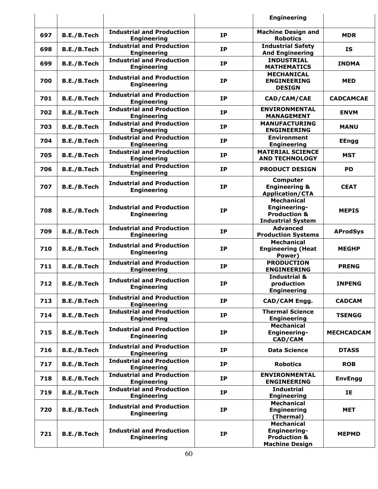|     |             |                                                        |           | <b>Engineering</b>                                                                              |                   |
|-----|-------------|--------------------------------------------------------|-----------|-------------------------------------------------------------------------------------------------|-------------------|
| 697 | B.E./B.Tech | <b>Industrial and Production</b><br><b>Engineering</b> | <b>IP</b> | <b>Machine Design and</b><br><b>Robotics</b>                                                    | <b>MDR</b>        |
| 698 | B.E./B.Tech | <b>Industrial and Production</b><br><b>Engineering</b> | <b>IP</b> | <b>Industrial Safety</b><br><b>And Engineering</b>                                              | IS                |
| 699 | B.E./B.Tech | <b>Industrial and Production</b><br><b>Engineering</b> | <b>IP</b> | <b>INDUSTRIAL</b><br><b>MATHEMATICS</b>                                                         | <b>INDMA</b>      |
| 700 | B.E./B.Tech | <b>Industrial and Production</b><br><b>Engineering</b> | <b>IP</b> | <b>MECHANICAL</b><br><b>ENGINEERING</b><br><b>DESIGN</b>                                        | <b>MED</b>        |
| 701 | B.E./B.Tech | <b>Industrial and Production</b><br><b>Engineering</b> | <b>IP</b> | CAD/CAM/CAE                                                                                     | <b>CADCAMCAE</b>  |
| 702 | B.E./B.Tech | <b>Industrial and Production</b><br><b>Engineering</b> | <b>IP</b> | <b>ENVIRONMENTAL</b><br><b>MANAGEMENT</b>                                                       | <b>ENVM</b>       |
| 703 | B.E./B.Tech | <b>Industrial and Production</b><br><b>Engineering</b> | <b>IP</b> | <b>MANUFACTURING</b><br><b>ENGINEERING</b>                                                      | <b>MANU</b>       |
| 704 | B.E./B.Tech | <b>Industrial and Production</b><br><b>Engineering</b> | <b>IP</b> | <b>Environment</b><br><b>Engineering</b>                                                        | <b>EEngg</b>      |
| 705 | B.E./B.Tech | <b>Industrial and Production</b><br><b>Engineering</b> | <b>IP</b> | <b>MATERIAL SCIENCE</b><br><b>AND TECHNOLOGY</b>                                                | <b>MST</b>        |
| 706 | B.E./B.Tech | <b>Industrial and Production</b><br><b>Engineering</b> | <b>IP</b> | <b>PRODUCT DESIGN</b>                                                                           | <b>PD</b>         |
| 707 | B.E./B.Tech | <b>Industrial and Production</b><br><b>Engineering</b> | <b>IP</b> | <b>Computer</b><br><b>Engineering &amp;</b><br><b>Application/CTA</b>                           | <b>CEAT</b>       |
| 708 | B.E./B.Tech | <b>Industrial and Production</b><br><b>Engineering</b> | <b>IP</b> | <b>Mechanical</b><br><b>Engineering-</b><br><b>Production &amp;</b><br><b>Industrial System</b> | <b>MEPIS</b>      |
| 709 | B.E./B.Tech | <b>Industrial and Production</b><br><b>Engineering</b> | <b>IP</b> | <b>Advanced</b><br><b>Production Systems</b>                                                    | <b>AProdSys</b>   |
| 710 | B.E./B.Tech | <b>Industrial and Production</b><br><b>Engineering</b> | <b>IP</b> | Mechanical<br><b>Engineering (Heat</b><br>Power)                                                | <b>MEGHP</b>      |
| 711 | B.E./B.Tech | <b>Industrial and Production</b><br><b>Engineering</b> | <b>IP</b> | <b>PRODUCTION</b><br><b>ENGINEERING</b>                                                         | <b>PRENG</b>      |
| 712 | B.E./B.Tech | <b>Industrial and Production</b><br><b>Engineering</b> | <b>IP</b> | <b>Industrial &amp;</b><br>production<br><b>Engineering</b>                                     | <b>INPENG</b>     |
| 713 | B.E./B.Tech | <b>Industrial and Production</b><br><b>Engineering</b> | <b>IP</b> | CAD/CAM Engg.                                                                                   | <b>CADCAM</b>     |
| 714 | B.E./B.Tech | <b>Industrial and Production</b><br><b>Engineering</b> | <b>IP</b> | <b>Thermal Science</b><br><b>Engineering</b>                                                    | <b>TSENGG</b>     |
| 715 | B.E./B.Tech | <b>Industrial and Production</b><br><b>Engineering</b> | <b>IP</b> | <b>Mechanical</b><br>Engineering-<br>CAD/CAM                                                    | <b>MECHCADCAM</b> |
| 716 | B.E./B.Tech | <b>Industrial and Production</b><br><b>Engineering</b> | <b>IP</b> | <b>Data Science</b>                                                                             | <b>DTASS</b>      |
| 717 | B.E./B.Tech | <b>Industrial and Production</b><br><b>Engineering</b> | <b>IP</b> | <b>Robotics</b>                                                                                 | <b>ROB</b>        |
| 718 | B.E./B.Tech | <b>Industrial and Production</b><br><b>Engineering</b> | <b>IP</b> | <b>ENVIRONMENTAL</b><br><b>ENGINEERING</b>                                                      | <b>EnvEngg</b>    |
| 719 | B.E./B.Tech | <b>Industrial and Production</b><br><b>Engineering</b> | <b>IP</b> | <b>Industrial</b><br><b>Engineering</b>                                                         | IE                |
| 720 | B.E./B.Tech | <b>Industrial and Production</b><br><b>Engineering</b> | <b>IP</b> | <b>Mechanical</b><br><b>Engineering</b><br>(Thermal)                                            | <b>MET</b>        |
| 721 | B.E./B.Tech | <b>Industrial and Production</b><br><b>Engineering</b> | <b>IP</b> | <b>Mechanical</b><br><b>Engineering-</b><br><b>Production &amp;</b><br><b>Machine Design</b>    | <b>MEPMD</b>      |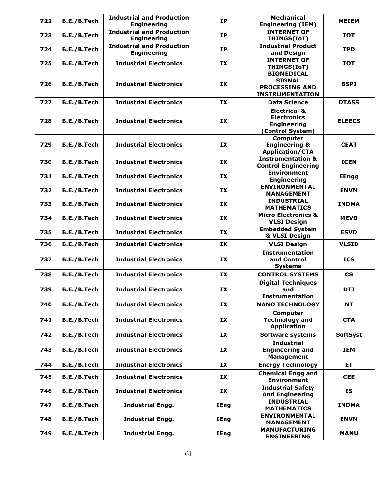| 722 | B.E./B.Tech        | <b>Industrial and Production</b><br><b>Engineering</b> | <b>IP</b>   | <b>Mechanical</b><br><b>Engineering (IEM)</b>                                           | <b>MEIEM</b>             |
|-----|--------------------|--------------------------------------------------------|-------------|-----------------------------------------------------------------------------------------|--------------------------|
| 723 | B.E./B.Tech        | <b>Industrial and Production</b><br><b>Engineering</b> | <b>IP</b>   | <b>INTERNET OF</b><br>THINGS(IoT)                                                       | <b>IOT</b>               |
| 724 | B.E./B.Tech        | <b>Industrial and Production</b><br><b>Engineering</b> | <b>IP</b>   | <b>Industrial Product</b><br>and Design                                                 | <b>IPD</b>               |
| 725 | B.E./B.Tech        | <b>Industrial Electronics</b>                          | IX          | <b>INTERNET OF</b><br>THINGS(IoT)                                                       | <b>IOT</b>               |
| 726 | B.E./B.Tech        | <b>Industrial Electronics</b>                          | IX          | <b>BIOMEDICAL</b><br><b>SIGNAL</b><br><b>PROCESSING AND</b><br><b>INSTRUMENTATION</b>   | <b>BSPI</b>              |
| 727 | B.E./B.Tech        | <b>Industrial Electronics</b>                          | IX          | <b>Data Science</b>                                                                     | <b>DTASS</b>             |
| 728 | B.E./B.Tech        | <b>Industrial Electronics</b>                          | IX          | <b>Electrical &amp;</b><br><b>Electronics</b><br><b>Engineering</b><br>(Control System) | <b>ELEECS</b>            |
| 729 | B.E./B.Tech        | <b>Industrial Electronics</b>                          | IX          | Computer<br><b>Engineering &amp;</b><br><b>Application/CTA</b>                          | <b>CEAT</b>              |
| 730 | B.E./B.Tech        | <b>Industrial Electronics</b>                          | IX          | <b>Instrumentation &amp;</b><br><b>Control Engineering</b>                              | <b>ICEN</b>              |
| 731 | B.E./B.Tech        | <b>Industrial Electronics</b>                          | IX          | <b>Environment</b><br><b>Engineering</b>                                                | <b>EEngg</b>             |
| 732 | B.E./B.Tech        | <b>Industrial Electronics</b>                          | IX          | <b>ENVIRONMENTAL</b><br><b>MANAGEMENT</b>                                               | <b>ENVM</b>              |
| 733 | B.E./B.Tech        | <b>Industrial Electronics</b>                          | IX          | <b>INDUSTRIAL</b><br><b>MATHEMATICS</b>                                                 | <b>INDMA</b>             |
| 734 | B.E./B.Tech        | <b>Industrial Electronics</b>                          | IX          | <b>Micro Electronics &amp;</b><br><b>VLSI Design</b>                                    | <b>MEVD</b>              |
| 735 | B.E./B.Tech        | <b>Industrial Electronics</b>                          | IX          | <b>Embedded System</b><br>& VLSI Design                                                 | <b>ESVD</b>              |
| 736 | B.E./B.Tech        | <b>Industrial Electronics</b>                          | IX          | <b>VLSI Design</b>                                                                      | <b>VLSID</b>             |
| 737 | B.E./B.Tech        | <b>Industrial Electronics</b>                          | IX          | <b>Instrumentation</b><br>and Control<br><b>Systems</b>                                 | <b>ICS</b>               |
| 738 | B.E./B.Tech        | <b>Industrial Electronics</b>                          | IX          | <b>CONTROL SYSTEMS</b>                                                                  | $\mathsf{CS}\phantom{0}$ |
| 739 | <b>B.E./B.Tech</b> | <b>Industrial Electronics</b>                          | IX          | <b>Digital Techniques</b><br>and<br><b>Instrumentation</b>                              | <b>DTI</b>               |
| 740 | B.E./B.Tech        | <b>Industrial Electronics</b>                          | IX          | <b>NANO TECHNOLOGY</b>                                                                  | <b>NT</b>                |
| 741 | B.E./B.Tech        | <b>Industrial Electronics</b>                          | IX          | Computer<br><b>Technology and</b><br><b>Application</b>                                 | <b>CTA</b>               |
| 742 | B.E./B.Tech        | <b>Industrial Electronics</b>                          | IX          | <b>Software systems</b>                                                                 | <b>SoftSyst</b>          |
| 743 | B.E./B.Tech        | <b>Industrial Electronics</b>                          | IX          | <b>Industrial</b><br><b>Engineering and</b><br><b>Management</b>                        | <b>IEM</b>               |
| 744 | B.E./B.Tech        | <b>Industrial Electronics</b>                          | IX          | <b>Energy Technology</b>                                                                | ET.                      |
| 745 | B.E./B.Tech        | <b>Industrial Electronics</b>                          | IX          | <b>Chemical Engg and</b><br><b>Environment</b>                                          | <b>CEE</b>               |
| 746 | B.E./B.Tech        | <b>Industrial Electronics</b>                          | IX          | <b>Industrial Safety</b><br><b>And Engineering</b>                                      | IS                       |
| 747 | B.E./B.Tech        | <b>Industrial Engg.</b>                                | <b>IEng</b> | <b>INDUSTRIAL</b><br><b>MATHEMATICS</b>                                                 | <b>INDMA</b>             |
| 748 | B.E./B.Tech        | <b>Industrial Engg.</b>                                | <b>IEng</b> | <b>ENVIRONMENTAL</b><br><b>MANAGEMENT</b>                                               | <b>ENVM</b>              |
| 749 | B.E./B.Tech        | <b>Industrial Engg.</b>                                | <b>IEng</b> | <b>MANUFACTURING</b><br><b>ENGINEERING</b>                                              | <b>MANU</b>              |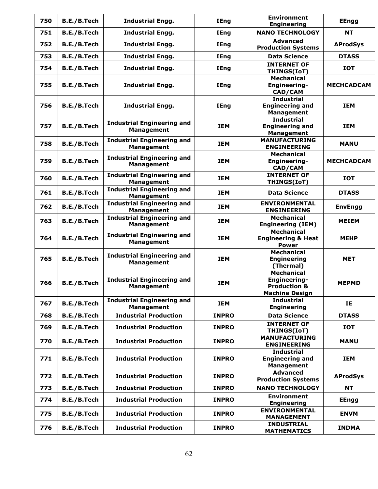| 750 | B.E./B.Tech | <b>Industrial Engg.</b>                                | <b>IEng</b>  | <b>Environment</b><br><b>Engineering</b>                                              | <b>EEngg</b>      |
|-----|-------------|--------------------------------------------------------|--------------|---------------------------------------------------------------------------------------|-------------------|
| 751 | B.E./B.Tech | <b>Industrial Engg.</b>                                | <b>IEng</b>  | <b>NANO TECHNOLOGY</b>                                                                | <b>NT</b>         |
| 752 | B.E./B.Tech | <b>Industrial Engg.</b>                                | <b>IEng</b>  | <b>Advanced</b><br><b>Production Systems</b>                                          | <b>AProdSys</b>   |
| 753 | B.E./B.Tech | <b>Industrial Engg.</b>                                | <b>IEng</b>  | <b>Data Science</b>                                                                   | <b>DTASS</b>      |
| 754 | B.E./B.Tech | <b>Industrial Engg.</b>                                | <b>IEng</b>  | <b>INTERNET OF</b><br>THINGS(IoT)                                                     | <b>IOT</b>        |
| 755 | B.E./B.Tech | <b>Industrial Engg.</b>                                | <b>IEng</b>  | <b>Mechanical</b><br>Engineering-<br>CAD/CAM                                          | <b>MECHCADCAM</b> |
| 756 | B.E./B.Tech | <b>Industrial Engg.</b>                                | <b>IEng</b>  | <b>Industrial</b><br><b>Engineering and</b><br><b>Management</b>                      | <b>IEM</b>        |
| 757 | B.E./B.Tech | <b>Industrial Engineering and</b><br><b>Management</b> | <b>IEM</b>   | <b>Industrial</b><br><b>Engineering and</b><br><b>Management</b>                      | <b>IEM</b>        |
| 758 | B.E./B.Tech | <b>Industrial Engineering and</b><br><b>Management</b> | <b>IEM</b>   | <b>MANUFACTURING</b><br><b>ENGINEERING</b>                                            | <b>MANU</b>       |
| 759 | B.E./B.Tech | <b>Industrial Engineering and</b><br><b>Management</b> | <b>IEM</b>   | <b>Mechanical</b><br>Engineering-<br>CAD/CAM                                          | <b>MECHCADCAM</b> |
| 760 | B.E./B.Tech | <b>Industrial Engineering and</b><br><b>Management</b> | <b>IEM</b>   | <b>INTERNET OF</b><br>THINGS(IoT)                                                     | <b>IOT</b>        |
| 761 | B.E./B.Tech | <b>Industrial Engineering and</b><br><b>Management</b> | <b>IEM</b>   | <b>Data Science</b>                                                                   | <b>DTASS</b>      |
| 762 | B.E./B.Tech | <b>Industrial Engineering and</b><br><b>Management</b> | <b>IEM</b>   | <b>ENVIRONMENTAL</b><br><b>ENGINEERING</b>                                            | <b>EnvEngg</b>    |
| 763 | B.E./B.Tech | <b>Industrial Engineering and</b><br><b>Management</b> | <b>IEM</b>   | <b>Mechanical</b><br><b>Engineering (IEM)</b>                                         | <b>MEIEM</b>      |
| 764 | B.E./B.Tech | <b>Industrial Engineering and</b><br><b>Management</b> | <b>IEM</b>   | <b>Mechanical</b><br><b>Engineering &amp; Heat</b><br><b>Power</b>                    | <b>MEHP</b>       |
| 765 | B.E./B.Tech | <b>Industrial Engineering and</b><br><b>Management</b> | <b>IEM</b>   | <b>Mechanical</b><br><b>Engineering</b><br>(Thermal)                                  | <b>MET</b>        |
| 766 | B.E./B.Tech | <b>Industrial Engineering and</b><br><b>Management</b> | <b>IEM</b>   | <b>Mechanical</b><br>Engineering-<br><b>Production &amp;</b><br><b>Machine Design</b> | <b>MEPMD</b>      |
| 767 | B.E./B.Tech | <b>Industrial Engineering and</b><br><b>Management</b> | <b>IEM</b>   | <b>Industrial</b><br><b>Engineering</b>                                               | <b>IE</b>         |
| 768 | B.E./B.Tech | <b>Industrial Production</b>                           | <b>INPRO</b> | <b>Data Science</b>                                                                   | <b>DTASS</b>      |
| 769 | B.E./B.Tech | <b>Industrial Production</b>                           | <b>INPRO</b> | <b>INTERNET OF</b><br>THINGS(IoT)                                                     | <b>IOT</b>        |
| 770 | B.E./B.Tech | <b>Industrial Production</b>                           | <b>INPRO</b> | <b>MANUFACTURING</b><br><b>ENGINEERING</b>                                            | <b>MANU</b>       |
| 771 | B.E./B.Tech | <b>Industrial Production</b>                           | <b>INPRO</b> | <b>Industrial</b><br><b>Engineering and</b><br><b>Management</b>                      | <b>IEM</b>        |
| 772 | B.E./B.Tech | <b>Industrial Production</b>                           | <b>INPRO</b> | <b>Advanced</b><br><b>Production Systems</b>                                          | <b>AProdSys</b>   |
| 773 | B.E./B.Tech | <b>Industrial Production</b>                           | <b>INPRO</b> | <b>NANO TECHNOLOGY</b>                                                                | <b>NT</b>         |
| 774 | B.E./B.Tech | <b>Industrial Production</b>                           | <b>INPRO</b> | <b>Environment</b><br><b>Engineering</b>                                              | <b>EEngg</b>      |
| 775 | B.E./B.Tech | <b>Industrial Production</b>                           | <b>INPRO</b> | <b>ENVIRONMENTAL</b><br><b>MANAGEMENT</b>                                             | <b>ENVM</b>       |
| 776 | B.E./B.Tech | <b>Industrial Production</b>                           | <b>INPRO</b> | <b>INDUSTRIAL</b><br><b>MATHEMATICS</b>                                               | <b>INDMA</b>      |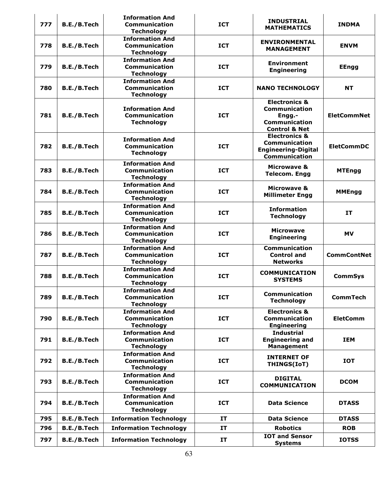| 777 | B.E./B.Tech | <b>Information And</b><br>Communication<br><b>Technology</b>        | <b>ICT</b> | <b>INDUSTRIAL</b><br><b>MATHEMATICS</b>                                                                 | <b>INDMA</b>       |
|-----|-------------|---------------------------------------------------------------------|------------|---------------------------------------------------------------------------------------------------------|--------------------|
| 778 | B.E./B.Tech | <b>Information And</b><br>Communication<br><b>Technology</b>        | <b>ICT</b> | <b>ENVIRONMENTAL</b><br><b>MANAGEMENT</b>                                                               | <b>ENVM</b>        |
| 779 | B.E./B.Tech | <b>Information And</b><br><b>Communication</b><br><b>Technology</b> | <b>ICT</b> | <b>Environment</b><br><b>Engineering</b>                                                                | <b>EEngg</b>       |
| 780 | B.E./B.Tech | <b>Information And</b><br>Communication<br><b>Technology</b>        | <b>ICT</b> | <b>NANO TECHNOLOGY</b>                                                                                  | <b>NT</b>          |
| 781 | B.E./B.Tech | <b>Information And</b><br>Communication<br><b>Technology</b>        | <b>ICT</b> | <b>Electronics &amp;</b><br><b>Communication</b><br>Engg.-<br>Communication<br><b>Control &amp; Net</b> | <b>EletCommNet</b> |
| 782 | B.E./B.Tech | <b>Information And</b><br>Communication<br><b>Technology</b>        | <b>ICT</b> | <b>Electronics &amp;</b><br><b>Communication</b><br><b>Engineering-Digital</b><br><b>Communication</b>  | <b>EletCommDC</b>  |
| 783 | B.E./B.Tech | <b>Information And</b><br><b>Communication</b><br><b>Technology</b> | <b>ICT</b> | Microwave &<br><b>Telecom. Engg</b>                                                                     | <b>MTEngg</b>      |
| 784 | B.E./B.Tech | <b>Information And</b><br>Communication<br><b>Technology</b>        | <b>ICT</b> | <b>Microwave &amp;</b><br><b>Millimeter Engg</b>                                                        | <b>MMEngg</b>      |
| 785 | B.E./B.Tech | <b>Information And</b><br>Communication<br><b>Technology</b>        | <b>ICT</b> | <b>Information</b><br><b>Technology</b>                                                                 | IT                 |
| 786 | B.E./B.Tech | <b>Information And</b><br>Communication<br><b>Technology</b>        | <b>ICT</b> | <b>Microwave</b><br><b>Engineering</b>                                                                  | <b>MV</b>          |
| 787 | B.E./B.Tech | <b>Information And</b><br><b>Communication</b><br><b>Technology</b> | <b>ICT</b> | Communication<br><b>Control and</b><br><b>Networks</b>                                                  | <b>CommContNet</b> |
| 788 | B.E./B.Tech | <b>Information And</b><br>Communication<br><b>Technology</b>        | <b>ICT</b> | <b>COMMUNICATION</b><br><b>SYSTEMS</b>                                                                  | <b>CommSys</b>     |
| 789 | B.E./B.Tech | <b>Information And</b><br>Communication<br><b>Technology</b>        | <b>ICT</b> | Communication<br><b>Technology</b>                                                                      | <b>CommTech</b>    |
| 790 | B.E./B.Tech | <b>Information And</b><br>Communication<br><b>Technology</b>        | <b>ICT</b> | <b>Electronics &amp;</b><br>Communication<br><b>Engineering</b>                                         | <b>EletComm</b>    |
| 791 | B.E./B.Tech | <b>Information And</b><br>Communication<br><b>Technology</b>        | <b>ICT</b> | <b>Industrial</b><br><b>Engineering and</b><br><b>Management</b>                                        | <b>IEM</b>         |
| 792 | B.E./B.Tech | <b>Information And</b><br><b>Communication</b><br><b>Technology</b> | <b>ICT</b> | <b>INTERNET OF</b><br>THINGS(IoT)                                                                       | <b>IOT</b>         |
| 793 | B.E./B.Tech | <b>Information And</b><br>Communication<br><b>Technology</b>        | <b>ICT</b> | <b>DIGITAL</b><br><b>COMMUNICATION</b>                                                                  | <b>DCOM</b>        |
| 794 | B.E./B.Tech | <b>Information And</b><br><b>Communication</b><br><b>Technology</b> | <b>ICT</b> | <b>Data Science</b>                                                                                     | <b>DTASS</b>       |
| 795 | B.E./B.Tech | <b>Information Technology</b>                                       | IT         | <b>Data Science</b>                                                                                     | <b>DTASS</b>       |
| 796 | B.E./B.Tech | <b>Information Technology</b>                                       | <b>IT</b>  | <b>Robotics</b>                                                                                         | <b>ROB</b>         |
| 797 | B.E./B.Tech | <b>Information Technology</b>                                       | IT         | <b>IOT and Sensor</b><br><b>Systems</b>                                                                 | <b>IOTSS</b>       |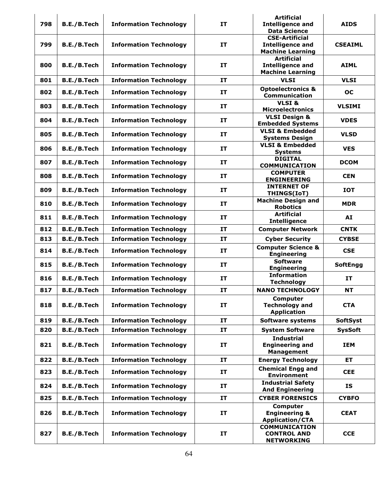|     |                    |                               |           | <b>Artificial</b>                                                           |                 |
|-----|--------------------|-------------------------------|-----------|-----------------------------------------------------------------------------|-----------------|
| 798 | B.E./B.Tech        | <b>Information Technology</b> | <b>IT</b> | <b>Intelligence and</b><br><b>Data Science</b>                              | <b>AIDS</b>     |
| 799 | B.E./B.Tech        | <b>Information Technology</b> | IT        | <b>CSE-Artificial</b><br><b>Intelligence and</b><br><b>Machine Learning</b> | <b>CSEAIML</b>  |
| 800 | B.E./B.Tech        | <b>Information Technology</b> | <b>IT</b> | <b>Artificial</b><br><b>Intelligence and</b><br><b>Machine Learning</b>     | <b>AIML</b>     |
| 801 | B.E./B.Tech        | <b>Information Technology</b> | <b>IT</b> | <b>VLSI</b>                                                                 | <b>VLSI</b>     |
| 802 | B.E./B.Tech        | <b>Information Technology</b> | IT        | <b>Optoelectronics &amp;</b><br>Communication                               | <b>OC</b>       |
| 803 | B.E./B.Tech        | <b>Information Technology</b> | <b>IT</b> | VLSI&<br><b>Microelectronics</b>                                            | <b>VLSIMI</b>   |
| 804 | B.E./B.Tech        | <b>Information Technology</b> | <b>IT</b> | <b>VLSI Design &amp;</b><br><b>Embedded Systems</b>                         | <b>VDES</b>     |
| 805 | B.E./B.Tech        | <b>Information Technology</b> | <b>IT</b> | <b>VLSI &amp; Embedded</b><br><b>Systems Design</b>                         | <b>VLSD</b>     |
| 806 | B.E./B.Tech        | <b>Information Technology</b> | IT        | <b>VLSI &amp; Embedded</b><br><b>Systems</b>                                | <b>VES</b>      |
| 807 | B.E./B.Tech        | <b>Information Technology</b> | <b>IT</b> | <b>DIGITAL</b><br><b>COMMUNICATION</b>                                      | <b>DCOM</b>     |
| 808 | B.E./B.Tech        | <b>Information Technology</b> | IT        | <b>COMPUTER</b><br><b>ENGINEERING</b>                                       | <b>CEN</b>      |
| 809 | B.E./B.Tech        | <b>Information Technology</b> | <b>IT</b> | <b>INTERNET OF</b><br>THINGS(IoT)                                           | <b>IOT</b>      |
| 810 | B.E./B.Tech        | <b>Information Technology</b> | <b>IT</b> | <b>Machine Design and</b><br><b>Robotics</b>                                | <b>MDR</b>      |
| 811 | B.E./B.Tech        | <b>Information Technology</b> | <b>IT</b> | <b>Artificial</b><br><b>Intelligence</b>                                    | AI              |
| 812 | B.E./B.Tech        | <b>Information Technology</b> | <b>IT</b> | <b>Computer Network</b>                                                     | <b>CNTK</b>     |
| 813 | B.E./B.Tech        | <b>Information Technology</b> | <b>IT</b> | <b>Cyber Security</b>                                                       | <b>CYBSE</b>    |
| 814 | B.E./B.Tech        | <b>Information Technology</b> | IT        | <b>Computer Science &amp;</b><br><b>Engineering</b>                         | <b>CSE</b>      |
| 815 | B.E./B.Tech        | <b>Information Technology</b> | IT        | <b>Software</b><br><b>Engineering</b>                                       | <b>SoftEngg</b> |
| 816 | B.E./B.Tech        | <b>Information Technology</b> | IT        | <b>Information</b><br><b>Technology</b>                                     | IT              |
| 817 | B.E./B.Tech        | <b>Information Technology</b> | IT        | <b>NANO TECHNOLOGY</b>                                                      | NΤ              |
| 818 | B.E./B.Tech        | <b>Information Technology</b> | IT        | <b>Computer</b><br><b>Technology and</b><br><b>Application</b>              | <b>CTA</b>      |
| 819 | B.E./B.Tech        | <b>Information Technology</b> | IT        | Software systems                                                            | <b>SoftSyst</b> |
| 820 | <b>B.E./B.Tech</b> | <b>Information Technology</b> | IT        | <b>System Software</b>                                                      | <b>SysSoft</b>  |
| 821 | B.E./B.Tech        | <b>Information Technology</b> | IT        | <b>Industrial</b><br><b>Engineering and</b><br><b>Management</b>            | IEM             |
| 822 | B.E./B.Tech        | <b>Information Technology</b> | <b>IT</b> | <b>Energy Technology</b>                                                    | <b>ET</b>       |
| 823 | B.E./B.Tech        | <b>Information Technology</b> | IT        | <b>Chemical Engg and</b><br><b>Environment</b>                              | <b>CEE</b>      |
| 824 | B.E./B.Tech        | <b>Information Technology</b> | IT        | <b>Industrial Safety</b><br><b>And Engineering</b>                          | <b>IS</b>       |
| 825 | B.E./B.Tech        | <b>Information Technology</b> | IT        | <b>CYBER FORENSICS</b>                                                      | <b>CYBFO</b>    |
| 826 | B.E./B.Tech        | <b>Information Technology</b> | IT        | Computer<br><b>Engineering &amp;</b><br><b>Application/CTA</b>              | <b>CEAT</b>     |
| 827 | B.E./B.Tech        | <b>Information Technology</b> | IT        | <b>COMMUNICATION</b><br><b>CONTROL AND</b><br><b>NETWORKING</b>             | <b>CCE</b>      |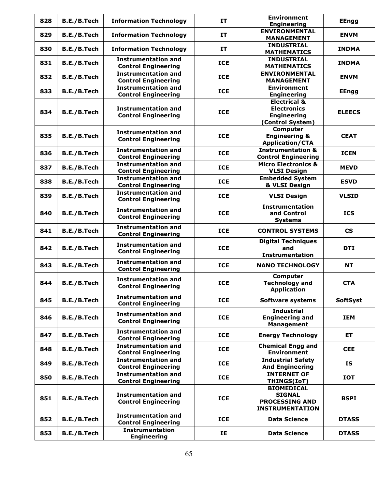| 828 | B.E./B.Tech | <b>Information Technology</b> | IT         | <b>Environment</b>             | <b>EEngg</b>             |
|-----|-------------|-------------------------------|------------|--------------------------------|--------------------------|
|     |             |                               |            | <b>Engineering</b>             |                          |
| 829 | B.E./B.Tech | <b>Information Technology</b> | IT         | <b>ENVIRONMENTAL</b>           | <b>ENVM</b>              |
|     |             |                               |            | <b>MANAGEMENT</b>              |                          |
|     |             |                               |            | <b>INDUSTRIAL</b>              |                          |
| 830 | B.E./B.Tech | <b>Information Technology</b> | IT         | <b>MATHEMATICS</b>             | <b>INDMA</b>             |
|     |             | <b>Instrumentation and</b>    |            | <b>INDUSTRIAL</b>              |                          |
| 831 | B.E./B.Tech |                               | <b>ICE</b> |                                | <b>INDMA</b>             |
|     |             | <b>Control Engineering</b>    |            | <b>MATHEMATICS</b>             |                          |
| 832 | B.E./B.Tech | <b>Instrumentation and</b>    | <b>ICE</b> | <b>ENVIRONMENTAL</b>           | <b>ENVM</b>              |
|     |             | <b>Control Engineering</b>    |            | <b>MANAGEMENT</b>              |                          |
|     |             | <b>Instrumentation and</b>    |            | <b>Environment</b>             |                          |
| 833 | B.E./B.Tech | <b>Control Engineering</b>    | <b>ICE</b> | <b>Engineering</b>             | <b>EEngg</b>             |
|     |             |                               |            |                                |                          |
|     |             |                               |            | <b>Electrical &amp;</b>        |                          |
| 834 | B.E./B.Tech | <b>Instrumentation and</b>    | <b>ICE</b> | <b>Electronics</b>             | <b>ELEECS</b>            |
|     |             | <b>Control Engineering</b>    |            | <b>Engineering</b>             |                          |
|     |             |                               |            | (Control System)               |                          |
|     |             |                               |            | Computer                       |                          |
| 835 | B.E./B.Tech | <b>Instrumentation and</b>    | <b>ICE</b> | <b>Engineering &amp;</b>       | <b>CEAT</b>              |
|     |             | <b>Control Engineering</b>    |            |                                |                          |
|     |             |                               |            | <b>Application/CTA</b>         |                          |
| 836 | B.E./B.Tech | <b>Instrumentation and</b>    | <b>ICE</b> | <b>Instrumentation &amp;</b>   | <b>ICEN</b>              |
|     |             | <b>Control Engineering</b>    |            | <b>Control Engineering</b>     |                          |
|     |             | <b>Instrumentation and</b>    |            | <b>Micro Electronics &amp;</b> |                          |
| 837 | B.E./B.Tech | <b>Control Engineering</b>    | <b>ICE</b> | <b>VLSI Design</b>             | <b>MEVD</b>              |
|     |             |                               |            |                                |                          |
| 838 | B.E./B.Tech | <b>Instrumentation and</b>    | <b>ICE</b> | <b>Embedded System</b>         | <b>ESVD</b>              |
|     |             | <b>Control Engineering</b>    |            | & VLSI Design                  |                          |
|     |             | <b>Instrumentation and</b>    |            |                                |                          |
| 839 | B.E./B.Tech | <b>Control Engineering</b>    | <b>ICE</b> | <b>VLSI Design</b>             | <b>VLSID</b>             |
|     |             |                               |            | <b>Instrumentation</b>         |                          |
| 840 |             | <b>Instrumentation and</b>    | <b>ICE</b> | and Control                    | <b>ICS</b>               |
|     | B.E./B.Tech | <b>Control Engineering</b>    |            |                                |                          |
|     |             |                               |            | <b>Systems</b>                 |                          |
| 841 | B.E./B.Tech | <b>Instrumentation and</b>    | <b>ICE</b> | <b>CONTROL SYSTEMS</b>         | $\mathsf{CS}\phantom{0}$ |
|     |             | <b>Control Engineering</b>    |            |                                |                          |
|     |             |                               |            | <b>Digital Techniques</b>      |                          |
| 842 | B.E./B.Tech | <b>Instrumentation and</b>    | <b>ICE</b> | and                            | <b>DTI</b>               |
|     |             | <b>Control Engineering</b>    |            |                                |                          |
|     |             |                               |            | <b>Instrumentation</b>         |                          |
| 843 | B.E./B.Tech | <b>Instrumentation and</b>    | <b>ICE</b> | <b>NANO TECHNOLOGY</b>         | <b>NT</b>                |
|     |             | <b>Control Engineering</b>    |            |                                |                          |
|     |             |                               |            | <b>Computer</b>                |                          |
| 844 | B.E./B.Tech | <b>Instrumentation and</b>    | <b>ICE</b> | <b>Technology and</b>          | <b>CTA</b>               |
|     |             | <b>Control Engineering</b>    |            | <b>Application</b>             |                          |
|     |             |                               |            |                                |                          |
| 845 | B.E./B.Tech | <b>Instrumentation and</b>    | <b>ICE</b> | <b>Software systems</b>        | <b>SoftSyst</b>          |
|     |             | <b>Control Engineering</b>    |            |                                |                          |
|     |             |                               |            | <b>Industrial</b>              |                          |
| 846 | B.E./B.Tech | <b>Instrumentation and</b>    | <b>ICE</b> | <b>Engineering and</b>         | <b>IEM</b>               |
|     |             | <b>Control Engineering</b>    |            | <b>Management</b>              |                          |
|     |             |                               |            |                                |                          |
| 847 | B.E./B.Tech | <b>Instrumentation and</b>    | <b>ICE</b> | <b>Energy Technology</b>       | ET                       |
|     |             | <b>Control Engineering</b>    |            |                                |                          |
|     |             | <b>Instrumentation and</b>    |            | <b>Chemical Engg and</b>       |                          |
| 848 | B.E./B.Tech | <b>Control Engineering</b>    | <b>ICE</b> | <b>Environment</b>             | <b>CEE</b>               |
|     |             | <b>Instrumentation and</b>    |            | <b>Industrial Safety</b>       |                          |
| 849 | B.E./B.Tech |                               | <b>ICE</b> |                                | <b>IS</b>                |
|     |             | <b>Control Engineering</b>    |            | <b>And Engineering</b>         |                          |
| 850 |             | <b>Instrumentation and</b>    | <b>ICE</b> | <b>INTERNET OF</b>             |                          |
|     | B.E./B.Tech | <b>Control Engineering</b>    |            | THINGS(IoT)                    | <b>IOT</b>               |
|     |             |                               |            | <b>BIOMEDICAL</b>              |                          |
|     |             | <b>Instrumentation and</b>    |            | <b>SIGNAL</b>                  |                          |
| 851 | B.E./B.Tech |                               | <b>ICE</b> |                                | <b>BSPI</b>              |
|     |             | <b>Control Engineering</b>    |            | <b>PROCESSING AND</b>          |                          |
|     |             |                               |            | <b>INSTRUMENTATION</b>         |                          |
|     |             | <b>Instrumentation and</b>    |            |                                |                          |
| 852 | B.E./B.Tech | <b>Control Engineering</b>    | <b>ICE</b> | <b>Data Science</b>            | <b>DTASS</b>             |
|     |             | <b>Instrumentation</b>        |            |                                |                          |
| 853 | B.E./B.Tech | <b>Engineering</b>            | IE         | <b>Data Science</b>            | <b>DTASS</b>             |
|     |             |                               |            |                                |                          |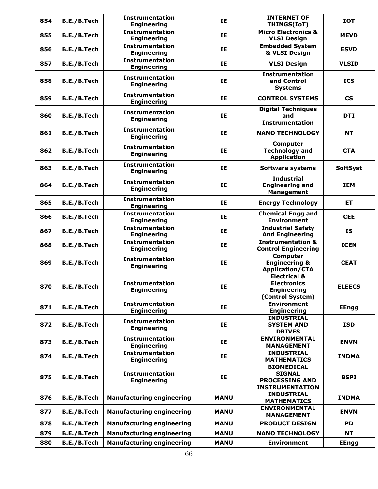| 854 | B.E./B.Tech        | <b>Instrumentation</b><br><b>Engineering</b> | IE          | <b>INTERNET OF</b><br>THINGS(IoT)                                                       | <b>IOT</b>               |
|-----|--------------------|----------------------------------------------|-------------|-----------------------------------------------------------------------------------------|--------------------------|
| 855 | B.E./B.Tech        | <b>Instrumentation</b><br><b>Engineering</b> | IE          | <b>Micro Electronics &amp;</b><br><b>VLSI Design</b>                                    | <b>MEVD</b>              |
| 856 | B.E./B.Tech        | <b>Instrumentation</b><br><b>Engineering</b> | IE          | <b>Embedded System</b><br>& VLSI Design                                                 | <b>ESVD</b>              |
| 857 | B.E./B.Tech        | <b>Instrumentation</b><br><b>Engineering</b> | IE          | <b>VLSI Design</b>                                                                      | <b>VLSID</b>             |
| 858 | B.E./B.Tech        | <b>Instrumentation</b><br><b>Engineering</b> | IE          | <b>Instrumentation</b><br>and Control<br><b>Systems</b>                                 | <b>ICS</b>               |
| 859 | B.E./B.Tech        | <b>Instrumentation</b><br><b>Engineering</b> | IE          | <b>CONTROL SYSTEMS</b>                                                                  | $\mathsf{CS}\phantom{0}$ |
| 860 | B.E./B.Tech        | <b>Instrumentation</b><br><b>Engineering</b> | IE          | <b>Digital Techniques</b><br>and<br><b>Instrumentation</b>                              | <b>DTI</b>               |
| 861 | B.E./B.Tech        | <b>Instrumentation</b><br><b>Engineering</b> | IE          | <b>NANO TECHNOLOGY</b>                                                                  | <b>NT</b>                |
| 862 | B.E./B.Tech        | <b>Instrumentation</b><br><b>Engineering</b> | <b>IE</b>   | Computer<br><b>Technology and</b><br><b>Application</b>                                 | <b>CTA</b>               |
| 863 | B.E./B.Tech        | <b>Instrumentation</b><br><b>Engineering</b> | IE          | <b>Software systems</b>                                                                 | <b>SoftSyst</b>          |
| 864 | B.E./B.Tech        | <b>Instrumentation</b><br><b>Engineering</b> | IE          | <b>Industrial</b><br><b>Engineering and</b><br><b>Management</b>                        | <b>IEM</b>               |
| 865 | B.E./B.Tech        | <b>Instrumentation</b><br><b>Engineering</b> | IE          | <b>Energy Technology</b>                                                                | ET.                      |
| 866 | B.E./B.Tech        | <b>Instrumentation</b><br><b>Engineering</b> | IE          | <b>Chemical Engg and</b><br><b>Environment</b>                                          | <b>CEE</b>               |
| 867 | B.E./B.Tech        | <b>Instrumentation</b><br><b>Engineering</b> | IE          | <b>Industrial Safety</b><br><b>And Engineering</b>                                      | <b>IS</b>                |
| 868 | B.E./B.Tech        | <b>Instrumentation</b><br><b>Engineering</b> | IE          | <b>Instrumentation &amp;</b><br><b>Control Engineering</b>                              | <b>ICEN</b>              |
| 869 | <b>B.E./B.Tech</b> | <b>Instrumentation</b><br><b>Engineering</b> | IE          | <b>Computer</b><br><b>Engineering &amp;</b><br><b>Application/CTA</b>                   | <b>CEAT</b>              |
| 870 | B.E./B.Tech        | <b>Instrumentation</b><br><b>Engineering</b> | IE          | <b>Electrical &amp;</b><br><b>Electronics</b><br><b>Engineering</b><br>(Control System) | <b>ELEECS</b>            |
| 871 | B.E./B.Tech        | <b>Instrumentation</b><br><b>Engineering</b> | IE          | <b>Environment</b><br><b>Engineering</b>                                                | <b>EEngg</b>             |
| 872 | B.E./B.Tech        | <b>Instrumentation</b><br><b>Engineering</b> | IE          | <b>INDUSTRIAL</b><br><b>SYSTEM AND</b><br><b>DRIVES</b>                                 | <b>ISD</b>               |
| 873 | B.E./B.Tech        | <b>Instrumentation</b><br><b>Engineering</b> | IE          | <b>ENVIRONMENTAL</b><br><b>MANAGEMENT</b>                                               | <b>ENVM</b>              |
| 874 | B.E./B.Tech        | <b>Instrumentation</b><br><b>Engineering</b> | IE          | <b>INDUSTRIAL</b><br><b>MATHEMATICS</b>                                                 | <b>INDMA</b>             |
| 875 | B.E./B.Tech        | <b>Instrumentation</b><br><b>Engineering</b> | IE          | <b>BIOMEDICAL</b><br><b>SIGNAL</b><br><b>PROCESSING AND</b><br><b>INSTRUMENTATION</b>   | <b>BSPI</b>              |
| 876 | B.E./B.Tech        | <b>Manufacturing engineering</b>             | <b>MANU</b> | <b>INDUSTRIAL</b><br><b>MATHEMATICS</b>                                                 | <b>INDMA</b>             |
| 877 | B.E./B.Tech        | <b>Manufacturing engineering</b>             | <b>MANU</b> | <b>ENVIRONMENTAL</b><br><b>MANAGEMENT</b>                                               | <b>ENVM</b>              |
| 878 | B.E./B.Tech        | <b>Manufacturing engineering</b>             | <b>MANU</b> | <b>PRODUCT DESIGN</b>                                                                   | <b>PD</b>                |
| 879 | B.E./B.Tech        | <b>Manufacturing engineering</b>             | <b>MANU</b> | <b>NANO TECHNOLOGY</b>                                                                  | <b>NT</b>                |
| 880 | B.E./B.Tech        | <b>Manufacturing engineering</b>             | <b>MANU</b> | <b>Environment</b>                                                                      | <b>EEngg</b>             |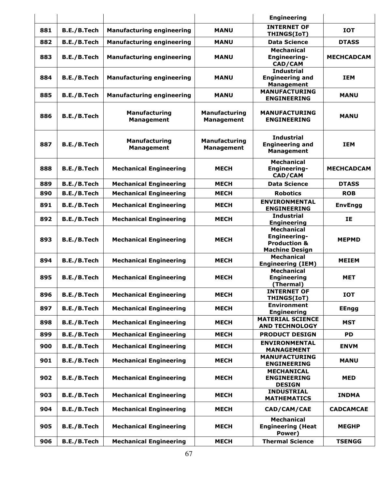|     |                    |                                    |                                           | <b>Engineering</b>                                                                    |                   |
|-----|--------------------|------------------------------------|-------------------------------------------|---------------------------------------------------------------------------------------|-------------------|
| 881 | B.E./B.Tech        | <b>Manufacturing engineering</b>   | <b>MANU</b>                               | <b>INTERNET OF</b><br>THINGS(IoT)                                                     | <b>IOT</b>        |
| 882 | B.E./B.Tech        | <b>Manufacturing engineering</b>   | <b>MANU</b>                               | <b>Data Science</b>                                                                   | <b>DTASS</b>      |
| 883 | B.E./B.Tech        | <b>Manufacturing engineering</b>   | <b>MANU</b>                               | <b>Mechanical</b><br>Engineering-<br><b>CAD/CAM</b>                                   | <b>MECHCADCAM</b> |
| 884 | B.E./B.Tech        | <b>Manufacturing engineering</b>   | <b>MANU</b>                               | <b>Industrial</b><br><b>Engineering and</b><br><b>Management</b>                      | <b>IEM</b>        |
| 885 | B.E./B.Tech        | <b>Manufacturing engineering</b>   | <b>MANU</b>                               | <b>MANUFACTURING</b><br><b>ENGINEERING</b>                                            | <b>MANU</b>       |
| 886 | B.E./B.Tech        | Manufacturing<br><b>Management</b> | Manufacturing<br><b>Management</b>        | <b>MANUFACTURING</b><br><b>ENGINEERING</b>                                            | <b>MANU</b>       |
| 887 | <b>B.E./B.Tech</b> | Manufacturing<br><b>Management</b> | <b>Manufacturing</b><br><b>Management</b> | <b>Industrial</b><br><b>Engineering and</b><br><b>Management</b>                      | <b>IEM</b>        |
| 888 | B.E./B.Tech        | <b>Mechanical Engineering</b>      | <b>MECH</b>                               | <b>Mechanical</b><br><b>Engineering-</b><br>CAD/CAM                                   | <b>MECHCADCAM</b> |
| 889 | B.E./B.Tech        | <b>Mechanical Engineering</b>      | <b>MECH</b>                               | <b>Data Science</b>                                                                   | <b>DTASS</b>      |
| 890 | B.E./B.Tech        | <b>Mechanical Engineering</b>      | <b>MECH</b>                               | <b>Robotics</b>                                                                       | <b>ROB</b>        |
| 891 | B.E./B.Tech        | <b>Mechanical Engineering</b>      | <b>MECH</b>                               | <b>ENVIRONMENTAL</b><br><b>ENGINEERING</b>                                            | <b>EnvEngg</b>    |
| 892 | B.E./B.Tech        | <b>Mechanical Engineering</b>      | <b>MECH</b>                               | <b>Industrial</b><br><b>Engineering</b>                                               | IE                |
| 893 | B.E./B.Tech        | <b>Mechanical Engineering</b>      | <b>MECH</b>                               | <b>Mechanical</b><br>Engineering-<br><b>Production &amp;</b><br><b>Machine Design</b> | <b>MEPMD</b>      |
| 894 | B.E./B.Tech        | <b>Mechanical Engineering</b>      | <b>MECH</b>                               | <b>Mechanical</b><br><b>Engineering (IEM)</b>                                         | <b>MEIEM</b>      |
| 895 | B.E./B.Tech        | <b>Mechanical Engineering</b>      | <b>MECH</b>                               | <b>Mechanical</b><br><b>Engineering</b><br>(Thermal)                                  | <b>MET</b>        |
| 896 | B.E./B.Tech        | <b>Mechanical Engineering</b>      | <b>MECH</b>                               | <b>INTERNET OF</b><br>THINGS(IoT)                                                     | <b>IOT</b>        |
| 897 | B.E./B.Tech        | <b>Mechanical Engineering</b>      | <b>MECH</b>                               | <b>Environment</b><br><b>Engineering</b>                                              | <b>EEngg</b>      |
| 898 | B.E./B.Tech        | <b>Mechanical Engineering</b>      | <b>MECH</b>                               | <b>MATERIAL SCIENCE</b><br><b>AND TECHNOLOGY</b>                                      | <b>MST</b>        |
| 899 | B.E./B.Tech        | <b>Mechanical Engineering</b>      | <b>MECH</b>                               | <b>PRODUCT DESIGN</b>                                                                 | <b>PD</b>         |
| 900 | B.E./B.Tech        | <b>Mechanical Engineering</b>      | <b>MECH</b>                               | <b>ENVIRONMENTAL</b><br><b>MANAGEMENT</b>                                             | <b>ENVM</b>       |
| 901 | B.E./B.Tech        | <b>Mechanical Engineering</b>      | <b>MECH</b>                               | <b>MANUFACTURING</b><br><b>ENGINEERING</b>                                            | <b>MANU</b>       |
| 902 | B.E./B.Tech        | <b>Mechanical Engineering</b>      | <b>MECH</b>                               | <b>MECHANICAL</b><br><b>ENGINEERING</b><br><b>DESIGN</b>                              | <b>MED</b>        |
| 903 | B.E./B.Tech        | <b>Mechanical Engineering</b>      | <b>MECH</b>                               | <b>INDUSTRIAL</b><br><b>MATHEMATICS</b>                                               | <b>INDMA</b>      |
| 904 | B.E./B.Tech        | <b>Mechanical Engineering</b>      | <b>MECH</b>                               | CAD/CAM/CAE                                                                           | <b>CADCAMCAE</b>  |
| 905 | B.E./B.Tech        | <b>Mechanical Engineering</b>      | <b>MECH</b>                               | <b>Mechanical</b><br><b>Engineering (Heat</b><br>Power)                               | <b>MEGHP</b>      |
| 906 | B.E./B.Tech        | <b>Mechanical Engineering</b>      | <b>MECH</b>                               | <b>Thermal Science</b>                                                                | <b>TSENGG</b>     |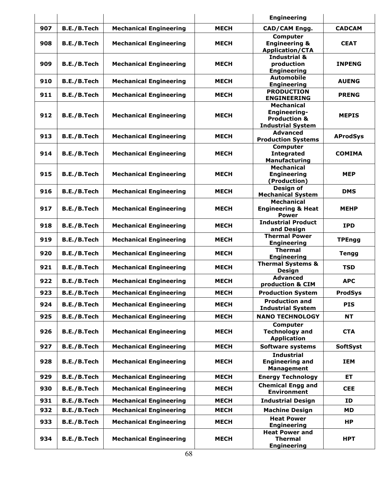|     |                    |                               |             | <b>Engineering</b>                                                                       |                 |
|-----|--------------------|-------------------------------|-------------|------------------------------------------------------------------------------------------|-----------------|
| 907 | B.E./B.Tech        | <b>Mechanical Engineering</b> | <b>MECH</b> | CAD/CAM Engg.                                                                            | <b>CADCAM</b>   |
| 908 | B.E./B.Tech        | <b>Mechanical Engineering</b> | <b>MECH</b> | <b>Computer</b><br><b>Engineering &amp;</b><br><b>Application/CTA</b>                    | <b>CEAT</b>     |
| 909 | B.E./B.Tech        | <b>Mechanical Engineering</b> | <b>MECH</b> | <b>Industrial &amp;</b><br>production<br><b>Engineering</b>                              | <b>INPENG</b>   |
| 910 | B.E./B.Tech        | <b>Mechanical Engineering</b> | <b>MECH</b> | <b>Automobile</b><br><b>Engineering</b>                                                  | <b>AUENG</b>    |
| 911 | B.E./B.Tech        | <b>Mechanical Engineering</b> | <b>MECH</b> | <b>PRODUCTION</b><br><b>ENGINEERING</b>                                                  | <b>PRENG</b>    |
| 912 | B.E./B.Tech        | <b>Mechanical Engineering</b> | <b>MECH</b> | <b>Mechanical</b><br>Engineering-<br><b>Production &amp;</b><br><b>Industrial System</b> | <b>MEPIS</b>    |
| 913 | B.E./B.Tech        | <b>Mechanical Engineering</b> | <b>MECH</b> | <b>Advanced</b><br><b>Production Systems</b>                                             | <b>AProdSys</b> |
| 914 | B.E./B.Tech        | <b>Mechanical Engineering</b> | <b>MECH</b> | Computer<br><b>Integrated</b><br><b>Manufacturing</b>                                    | <b>COMIMA</b>   |
| 915 | B.E./B.Tech        | <b>Mechanical Engineering</b> | <b>MECH</b> | <b>Mechanical</b><br><b>Engineering</b><br>(Production)                                  | <b>MEP</b>      |
| 916 | B.E./B.Tech        | <b>Mechanical Engineering</b> | <b>MECH</b> | Design of<br><b>Mechanical System</b>                                                    | <b>DMS</b>      |
| 917 | B.E./B.Tech        | <b>Mechanical Engineering</b> | <b>MECH</b> | <b>Mechanical</b><br><b>Engineering &amp; Heat</b><br><b>Power</b>                       | <b>MEHP</b>     |
| 918 | B.E./B.Tech        | <b>Mechanical Engineering</b> | <b>MECH</b> | <b>Industrial Product</b><br>and Design                                                  | <b>IPD</b>      |
| 919 | B.E./B.Tech        | <b>Mechanical Engineering</b> | <b>MECH</b> | <b>Thermal Power</b><br><b>Engineering</b>                                               | <b>TPEngg</b>   |
| 920 | B.E./B.Tech        | <b>Mechanical Engineering</b> | <b>MECH</b> | <b>Thermal</b><br><b>Engineering</b>                                                     | <b>Tengg</b>    |
| 921 | B.E./B.Tech        | <b>Mechanical Engineering</b> | <b>MECH</b> | <b>Thermal Systems &amp;</b><br><b>Design</b>                                            | <b>TSD</b>      |
| 922 | B.E./B.Tech        | <b>Mechanical Engineering</b> | <b>MECH</b> | <b>Advanced</b><br>production & CIM                                                      | <b>APC</b>      |
| 923 | B.E./B.Tech        | <b>Mechanical Engineering</b> | <b>MECH</b> | <b>Production System</b>                                                                 | <b>ProdSys</b>  |
| 924 | B.E./B.Tech        | <b>Mechanical Engineering</b> | <b>MECH</b> | <b>Production and</b><br><b>Industrial System</b>                                        | <b>PIS</b>      |
| 925 | B.E./B.Tech        | <b>Mechanical Engineering</b> | <b>MECH</b> | <b>NANO TECHNOLOGY</b>                                                                   | <b>NT</b>       |
| 926 | B.E./B.Tech        | <b>Mechanical Engineering</b> | <b>MECH</b> | <b>Computer</b><br><b>Technology and</b><br><b>Application</b>                           | <b>CTA</b>      |
| 927 | B.E./B.Tech        | <b>Mechanical Engineering</b> | <b>MECH</b> | Software systems                                                                         | <b>SoftSyst</b> |
| 928 | <b>B.E./B.Tech</b> | <b>Mechanical Engineering</b> | <b>MECH</b> | <b>Industrial</b><br><b>Engineering and</b><br><b>Management</b>                         | IEM             |
| 929 | B.E./B.Tech        | <b>Mechanical Engineering</b> | <b>MECH</b> | <b>Energy Technology</b>                                                                 | ET.             |
| 930 | B.E./B.Tech        | <b>Mechanical Engineering</b> | <b>MECH</b> | <b>Chemical Engg and</b><br><b>Environment</b>                                           | <b>CEE</b>      |
| 931 | B.E./B.Tech        | <b>Mechanical Engineering</b> | <b>MECH</b> | <b>Industrial Design</b>                                                                 | ID              |
| 932 | B.E./B.Tech        | <b>Mechanical Engineering</b> | <b>MECH</b> | <b>Machine Design</b>                                                                    | <b>MD</b>       |
| 933 | B.E./B.Tech        | <b>Mechanical Engineering</b> | <b>MECH</b> | <b>Heat Power</b><br><b>Engineering</b>                                                  | HP.             |
| 934 | B.E./B.Tech        | <b>Mechanical Engineering</b> | <b>MECH</b> | <b>Heat Power and</b><br><b>Thermal</b><br><b>Engineering</b>                            | <b>HPT</b>      |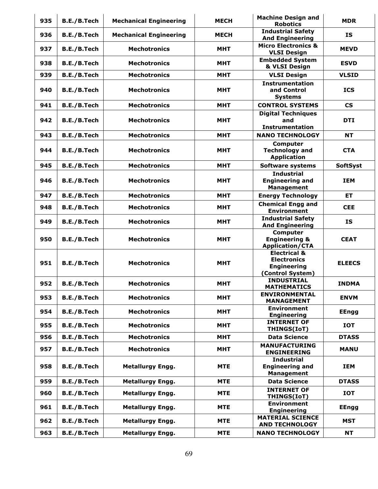| 935 | B.E./B.Tech | <b>Mechanical Engineering</b> | <b>MECH</b> | <b>Machine Design and</b><br><b>Robotics</b>                                            | <b>MDR</b>               |
|-----|-------------|-------------------------------|-------------|-----------------------------------------------------------------------------------------|--------------------------|
| 936 | B.E./B.Tech | <b>Mechanical Engineering</b> | <b>MECH</b> | <b>Industrial Safety</b><br><b>And Engineering</b>                                      | <b>IS</b>                |
| 937 | B.E./B.Tech | <b>Mechotronics</b>           | <b>MHT</b>  | <b>Micro Electronics &amp;</b><br><b>VLSI Design</b>                                    | <b>MEVD</b>              |
| 938 | B.E./B.Tech | <b>Mechotronics</b>           | MHT         | <b>Embedded System</b><br>& VLSI Design                                                 | <b>ESVD</b>              |
| 939 | B.E./B.Tech | <b>Mechotronics</b>           | <b>MHT</b>  | <b>VLSI Design</b>                                                                      | <b>VLSID</b>             |
| 940 | B.E./B.Tech | <b>Mechotronics</b>           | <b>MHT</b>  | <b>Instrumentation</b><br>and Control<br><b>Systems</b>                                 | <b>ICS</b>               |
| 941 | B.E./B.Tech | <b>Mechotronics</b>           | <b>MHT</b>  | <b>CONTROL SYSTEMS</b>                                                                  | $\mathsf{CS}\phantom{0}$ |
| 942 | B.E./B.Tech | <b>Mechotronics</b>           | <b>MHT</b>  | <b>Digital Techniques</b><br>and<br><b>Instrumentation</b>                              | <b>DTI</b>               |
| 943 | B.E./B.Tech | <b>Mechotronics</b>           | <b>MHT</b>  | <b>NANO TECHNOLOGY</b>                                                                  | <b>NT</b>                |
| 944 | B.E./B.Tech | <b>Mechotronics</b>           | <b>MHT</b>  | <b>Computer</b><br><b>Technology and</b><br><b>Application</b>                          | <b>CTA</b>               |
| 945 | B.E./B.Tech | <b>Mechotronics</b>           | <b>MHT</b>  | <b>Software systems</b>                                                                 | <b>SoftSyst</b>          |
| 946 | B.E./B.Tech | <b>Mechotronics</b>           | <b>MHT</b>  | <b>Industrial</b><br><b>Engineering and</b><br><b>Management</b>                        | <b>IEM</b>               |
| 947 | B.E./B.Tech | <b>Mechotronics</b>           | <b>MHT</b>  | <b>Energy Technology</b>                                                                | ET.                      |
| 948 | B.E./B.Tech | <b>Mechotronics</b>           | <b>MHT</b>  | <b>Chemical Engg and</b><br><b>Environment</b>                                          | <b>CEE</b>               |
| 949 | B.E./B.Tech | <b>Mechotronics</b>           | <b>MHT</b>  | <b>Industrial Safety</b><br><b>And Engineering</b>                                      | <b>IS</b>                |
| 950 | B.E./B.Tech | <b>Mechotronics</b>           | <b>MHT</b>  | <b>Computer</b><br><b>Engineering &amp;</b><br><b>Application/CTA</b>                   | <b>CEAT</b>              |
| 951 | B.E./B.Tech | <b>Mechotronics</b>           | <b>MHT</b>  | <b>Electrical &amp;</b><br><b>Electronics</b><br><b>Engineering</b><br>(Control System) | <b>ELEECS</b>            |
| 952 | B.E./B.Tech | <b>Mechotronics</b>           | <b>MHT</b>  | <b>INDUSTRIAL</b><br><b>MATHEMATICS</b>                                                 | <b>INDMA</b>             |
| 953 | B.E./B.Tech | <b>Mechotronics</b>           | <b>MHT</b>  | <b>ENVIRONMENTAL</b><br><b>MANAGEMENT</b>                                               | <b>ENVM</b>              |
| 954 | B.E./B.Tech | <b>Mechotronics</b>           | <b>MHT</b>  | <b>Environment</b><br><b>Engineering</b>                                                | <b>EEngg</b>             |
| 955 | B.E./B.Tech | <b>Mechotronics</b>           | <b>MHT</b>  | <b>INTERNET OF</b><br>THINGS(IoT)                                                       | <b>IOT</b>               |
| 956 | B.E./B.Tech | <b>Mechotronics</b>           | <b>MHT</b>  | <b>Data Science</b>                                                                     | <b>DTASS</b>             |
| 957 | B.E./B.Tech | <b>Mechotronics</b>           | <b>MHT</b>  | <b>MANUFACTURING</b><br><b>ENGINEERING</b>                                              | <b>MANU</b>              |
| 958 | B.E./B.Tech | <b>Metallurgy Engg.</b>       | <b>MTE</b>  | <b>Industrial</b><br><b>Engineering and</b><br><b>Management</b>                        | <b>IEM</b>               |
| 959 | B.E./B.Tech | <b>Metallurgy Engg.</b>       | <b>MTE</b>  | <b>Data Science</b>                                                                     | <b>DTASS</b>             |
| 960 | B.E./B.Tech | <b>Metallurgy Engg.</b>       | <b>MTE</b>  | <b>INTERNET OF</b><br>THINGS(IoT)                                                       | <b>IOT</b>               |
| 961 | B.E./B.Tech | <b>Metallurgy Engg.</b>       | <b>MTE</b>  | <b>Environment</b><br><b>Engineering</b>                                                | <b>EEngg</b>             |
| 962 | B.E./B.Tech | <b>Metallurgy Engg.</b>       | <b>MTE</b>  | <b>MATERIAL SCIENCE</b><br><b>AND TECHNOLOGY</b>                                        | <b>MST</b>               |
| 963 | B.E./B.Tech | <b>Metallurgy Engg.</b>       | <b>MTE</b>  | <b>NANO TECHNOLOGY</b>                                                                  | <b>NT</b>                |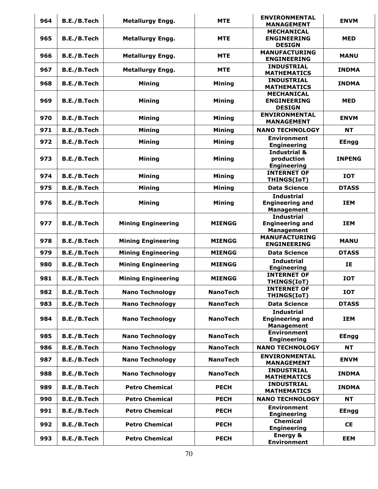| 964 | B.E./B.Tech        | <b>Metallurgy Engg.</b>   | <b>MTE</b>      | <b>ENVIRONMENTAL</b><br><b>MANAGEMENT</b>                        | <b>ENVM</b>   |
|-----|--------------------|---------------------------|-----------------|------------------------------------------------------------------|---------------|
| 965 | B.E./B.Tech        | <b>Metallurgy Engg.</b>   | <b>MTE</b>      | <b>MECHANICAL</b><br><b>ENGINEERING</b><br><b>DESIGN</b>         | <b>MED</b>    |
| 966 | B.E./B.Tech        | <b>Metallurgy Engg.</b>   | <b>MTE</b>      | <b>MANUFACTURING</b><br><b>ENGINEERING</b>                       | <b>MANU</b>   |
| 967 | B.E./B.Tech        | <b>Metallurgy Engg.</b>   | <b>MTE</b>      | <b>INDUSTRIAL</b><br><b>MATHEMATICS</b>                          | <b>INDMA</b>  |
| 968 | <b>B.E./B.Tech</b> | <b>Mining</b>             | <b>Mining</b>   | <b>INDUSTRIAL</b><br><b>MATHEMATICS</b>                          | <b>INDMA</b>  |
| 969 | B.E./B.Tech        | <b>Mining</b>             | <b>Mining</b>   | <b>MECHANICAL</b><br><b>ENGINEERING</b><br><b>DESIGN</b>         | <b>MED</b>    |
| 970 | B.E./B.Tech        | <b>Mining</b>             | <b>Mining</b>   | <b>ENVIRONMENTAL</b><br><b>MANAGEMENT</b>                        | <b>ENVM</b>   |
| 971 | B.E./B.Tech        | <b>Mining</b>             | <b>Mining</b>   | <b>NANO TECHNOLOGY</b>                                           | <b>NT</b>     |
| 972 | B.E./B.Tech        | <b>Mining</b>             | <b>Mining</b>   | <b>Environment</b><br><b>Engineering</b>                         | <b>EEngg</b>  |
| 973 | B.E./B.Tech        | <b>Mining</b>             | <b>Mining</b>   | <b>Industrial &amp;</b><br>production<br><b>Engineering</b>      | <b>INPENG</b> |
| 974 | B.E./B.Tech        | <b>Mining</b>             | <b>Mining</b>   | <b>INTERNET OF</b><br>THINGS(IoT)                                | <b>IOT</b>    |
| 975 | B.E./B.Tech        | <b>Mining</b>             | <b>Mining</b>   | <b>Data Science</b>                                              | <b>DTASS</b>  |
| 976 | B.E./B.Tech        | <b>Mining</b>             | <b>Mining</b>   | <b>Industrial</b><br><b>Engineering and</b><br><b>Management</b> | <b>IEM</b>    |
| 977 | B.E./B.Tech        | <b>Mining Engineering</b> | <b>MIENGG</b>   | <b>Industrial</b><br><b>Engineering and</b><br><b>Management</b> | <b>IEM</b>    |
| 978 | B.E./B.Tech        | <b>Mining Engineering</b> | <b>MIENGG</b>   | <b>MANUFACTURING</b><br><b>ENGINEERING</b>                       | <b>MANU</b>   |
| 979 | B.E./B.Tech        | <b>Mining Engineering</b> | <b>MIENGG</b>   | <b>Data Science</b>                                              | <b>DTASS</b>  |
| 980 | B.E./B.Tech        | <b>Mining Engineering</b> | <b>MIENGG</b>   | <b>Industrial</b><br><b>Engineering</b>                          | IE            |
| 981 | B.E./B.Tech        | <b>Mining Engineering</b> | <b>MIENGG</b>   | <b>INTERNET OF</b><br>THINGS(IoT)                                | <b>IOT</b>    |
| 982 | B.E./B.Tech        | <b>Nano Technology</b>    | <b>NanoTech</b> | <b>INTERNET OF</b><br>THINGS(IoT)                                | <b>IOT</b>    |
| 983 | B.E./B.Tech        | <b>Nano Technology</b>    | <b>NanoTech</b> | <b>Data Science</b>                                              | <b>DTASS</b>  |
| 984 | B.E./B.Tech        | <b>Nano Technology</b>    | <b>NanoTech</b> | <b>Industrial</b><br><b>Engineering and</b><br><b>Management</b> | <b>IEM</b>    |
| 985 | B.E./B.Tech        | <b>Nano Technology</b>    | <b>NanoTech</b> | <b>Environment</b><br><b>Engineering</b>                         | <b>EEngg</b>  |
| 986 | B.E./B.Tech        | <b>Nano Technology</b>    | <b>NanoTech</b> | <b>NANO TECHNOLOGY</b>                                           | <b>NT</b>     |
| 987 | B.E./B.Tech        | <b>Nano Technology</b>    | <b>NanoTech</b> | <b>ENVIRONMENTAL</b><br><b>MANAGEMENT</b>                        | <b>ENVM</b>   |
| 988 | B.E./B.Tech        | <b>Nano Technology</b>    | <b>NanoTech</b> | <b>INDUSTRIAL</b><br><b>MATHEMATICS</b>                          | <b>INDMA</b>  |
| 989 | B.E./B.Tech        | <b>Petro Chemical</b>     | <b>PECH</b>     | <b>INDUSTRIAL</b><br><b>MATHEMATICS</b>                          | <b>INDMA</b>  |
| 990 | B.E./B.Tech        | <b>Petro Chemical</b>     | <b>PECH</b>     | <b>NANO TECHNOLOGY</b>                                           | <b>NT</b>     |
| 991 | B.E./B.Tech        | <b>Petro Chemical</b>     | <b>PECH</b>     | <b>Environment</b><br><b>Engineering</b>                         | <b>EEngg</b>  |
| 992 | B.E./B.Tech        | <b>Petro Chemical</b>     | <b>PECH</b>     | <b>Chemical</b><br><b>Engineering</b>                            | <b>CE</b>     |
| 993 | B.E./B.Tech        | <b>Petro Chemical</b>     | <b>PECH</b>     | <b>Energy &amp;</b><br><b>Environment</b>                        | <b>EEM</b>    |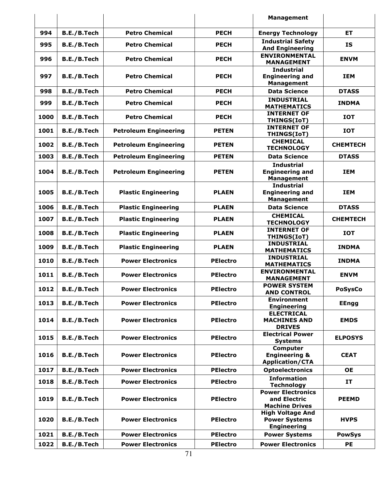|      |                    |                              |                 | <b>Management</b>                                                     |                 |
|------|--------------------|------------------------------|-----------------|-----------------------------------------------------------------------|-----------------|
| 994  | B.E./B.Tech        | <b>Petro Chemical</b>        | <b>PECH</b>     | <b>Energy Technology</b>                                              | ET.             |
| 995  | B.E./B.Tech        | <b>Petro Chemical</b>        | <b>PECH</b>     | <b>Industrial Safety</b><br><b>And Engineering</b>                    | IS              |
| 996  | B.E./B.Tech        | <b>Petro Chemical</b>        | <b>PECH</b>     | <b>ENVIRONMENTAL</b><br><b>MANAGEMENT</b>                             | <b>ENVM</b>     |
| 997  | B.E./B.Tech        | <b>Petro Chemical</b>        | <b>PECH</b>     | <b>Industrial</b><br><b>Engineering and</b><br><b>Management</b>      | <b>IEM</b>      |
| 998  | B.E./B.Tech        | <b>Petro Chemical</b>        | <b>PECH</b>     | <b>Data Science</b>                                                   | <b>DTASS</b>    |
| 999  | B.E./B.Tech        | <b>Petro Chemical</b>        | <b>PECH</b>     | <b>INDUSTRIAL</b><br><b>MATHEMATICS</b>                               | <b>INDMA</b>    |
| 1000 | B.E./B.Tech        | <b>Petro Chemical</b>        | <b>PECH</b>     | <b>INTERNET OF</b><br>THINGS(IoT)                                     | <b>IOT</b>      |
| 1001 | B.E./B.Tech        | <b>Petroleum Engineering</b> | <b>PETEN</b>    | <b>INTERNET OF</b><br>THINGS(IoT)                                     | <b>IOT</b>      |
| 1002 | B.E./B.Tech        | <b>Petroleum Engineering</b> | <b>PETEN</b>    | <b>CHEMICAL</b><br><b>TECHNOLOGY</b>                                  | <b>CHEMTECH</b> |
| 1003 | B.E./B.Tech        | <b>Petroleum Engineering</b> | <b>PETEN</b>    | <b>Data Science</b>                                                   | <b>DTASS</b>    |
| 1004 | B.E./B.Tech        | <b>Petroleum Engineering</b> | <b>PETEN</b>    | <b>Industrial</b><br><b>Engineering and</b><br><b>Management</b>      | <b>IEM</b>      |
| 1005 | B.E./B.Tech        | <b>Plastic Engineering</b>   | <b>PLAEN</b>    | <b>Industrial</b><br><b>Engineering and</b><br><b>Management</b>      | <b>IEM</b>      |
| 1006 | B.E./B.Tech        | <b>Plastic Engineering</b>   | <b>PLAEN</b>    | <b>Data Science</b>                                                   | <b>DTASS</b>    |
| 1007 | B.E./B.Tech        | <b>Plastic Engineering</b>   | <b>PLAEN</b>    | <b>CHEMICAL</b><br><b>TECHNOLOGY</b>                                  | <b>CHEMTECH</b> |
| 1008 | B.E./B.Tech        | <b>Plastic Engineering</b>   | <b>PLAEN</b>    | <b>INTERNET OF</b><br>THINGS(IoT)                                     | <b>IOT</b>      |
| 1009 | <b>B.E./B.Tech</b> | <b>Plastic Engineering</b>   | <b>PLAEN</b>    | <b>INDUSTRIAL</b><br><b>MATHEMATICS</b>                               | <b>INDMA</b>    |
| 1010 | B.E./B.Tech        | <b>Power Electronics</b>     | <b>PElectro</b> | <b>INDUSTRIAL</b><br><b>MATHEMATICS</b>                               | <b>INDMA</b>    |
| 1011 | B.E./B.Tech        | <b>Power Electronics</b>     | <b>PElectro</b> | <b>ENVIRONMENTAL</b><br><b>MANAGEMENT</b>                             | <b>ENVM</b>     |
| 1012 | <b>B.E./B.Tech</b> | <b>Power Electronics</b>     | <b>PElectro</b> | <b>POWER SYSTEM</b><br><b>AND CONTROL</b>                             | <b>PoSysCo</b>  |
| 1013 | B.E./B.Tech        | <b>Power Electronics</b>     | <b>PElectro</b> | <b>Environment</b><br><b>Engineering</b>                              | <b>EEngg</b>    |
| 1014 | B.E./B.Tech        | <b>Power Electronics</b>     | <b>PElectro</b> | <b>ELECTRICAL</b><br><b>MACHINES AND</b><br><b>DRIVES</b>             | <b>EMDS</b>     |
| 1015 | B.E./B.Tech        | <b>Power Electronics</b>     | <b>PElectro</b> | <b>Electrical Power</b><br><b>Systems</b>                             | <b>ELPOSYS</b>  |
| 1016 | B.E./B.Tech        | <b>Power Electronics</b>     | <b>PElectro</b> | <b>Computer</b><br><b>Engineering &amp;</b><br><b>Application/CTA</b> | <b>CEAT</b>     |
| 1017 | B.E./B.Tech        | <b>Power Electronics</b>     | <b>PElectro</b> | <b>Optoelectronics</b>                                                | <b>OE</b>       |
| 1018 | B.E./B.Tech        | <b>Power Electronics</b>     | <b>PElectro</b> | <b>Information</b><br><b>Technology</b>                               | IT              |
| 1019 | B.E./B.Tech        | <b>Power Electronics</b>     | <b>PElectro</b> | <b>Power Electronics</b><br>and Electric<br><b>Machine Drives</b>     | <b>PEEMD</b>    |
| 1020 | B.E./B.Tech        | <b>Power Electronics</b>     | <b>PElectro</b> | <b>High Voltage And</b><br><b>Power Systems</b><br><b>Engineering</b> | <b>HVPS</b>     |
| 1021 | B.E./B.Tech        | <b>Power Electronics</b>     | <b>PElectro</b> | <b>Power Systems</b>                                                  | <b>PowSys</b>   |
| 1022 | B.E./B.Tech        | <b>Power Electronics</b>     | <b>PElectro</b> | <b>Power Electronics</b>                                              | <b>PE</b>       |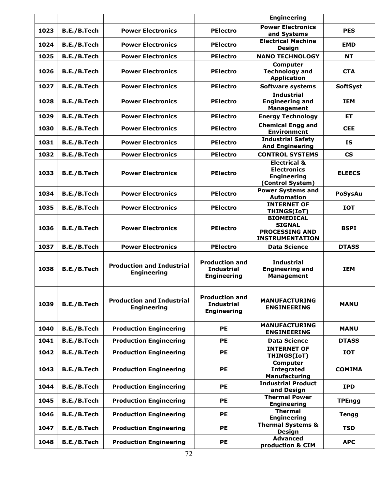|      |             |                                                        |                                                                  | <b>Engineering</b>                                                                      |                          |
|------|-------------|--------------------------------------------------------|------------------------------------------------------------------|-----------------------------------------------------------------------------------------|--------------------------|
| 1023 | B.E./B.Tech | <b>Power Electronics</b>                               | <b>PElectro</b>                                                  | <b>Power Electronics</b><br>and Systems                                                 | <b>PES</b>               |
| 1024 | B.E./B.Tech | <b>Power Electronics</b>                               | <b>PElectro</b>                                                  | <b>Electrical Machine</b><br>Design                                                     | <b>EMD</b>               |
| 1025 | B.E./B.Tech | <b>Power Electronics</b>                               | <b>PElectro</b>                                                  | <b>NANO TECHNOLOGY</b>                                                                  | <b>NT</b>                |
| 1026 | B.E./B.Tech | <b>Power Electronics</b>                               | <b>PElectro</b>                                                  | <b>Computer</b><br><b>Technology and</b><br><b>Application</b>                          | <b>CTA</b>               |
| 1027 | B.E./B.Tech | <b>Power Electronics</b>                               | <b>PElectro</b>                                                  | <b>Software systems</b>                                                                 | <b>SoftSyst</b>          |
| 1028 | B.E./B.Tech | <b>Power Electronics</b>                               | <b>PElectro</b>                                                  | <b>Industrial</b><br><b>Engineering and</b><br><b>Management</b>                        | <b>TEM</b>               |
| 1029 | B.E./B.Tech | <b>Power Electronics</b>                               | <b>PElectro</b>                                                  | <b>Energy Technology</b>                                                                | ET.                      |
| 1030 | B.E./B.Tech | <b>Power Electronics</b>                               | <b>PElectro</b>                                                  | <b>Chemical Engg and</b><br><b>Environment</b>                                          | <b>CEE</b>               |
| 1031 | B.E./B.Tech | <b>Power Electronics</b>                               | <b>PElectro</b>                                                  | <b>Industrial Safety</b><br><b>And Engineering</b>                                      | <b>IS</b>                |
| 1032 | B.E./B.Tech | <b>Power Electronics</b>                               | <b>PElectro</b>                                                  | <b>CONTROL SYSTEMS</b>                                                                  | $\mathsf{CS}\phantom{0}$ |
| 1033 | B.E./B.Tech | <b>Power Electronics</b>                               | <b>PElectro</b>                                                  | <b>Electrical &amp;</b><br><b>Electronics</b><br><b>Engineering</b><br>(Control System) | <b>ELEECS</b>            |
| 1034 | B.E./B.Tech | <b>Power Electronics</b>                               | <b>PElectro</b>                                                  | <b>Power Systems and</b><br><b>Automation</b>                                           | <b>PoSysAu</b>           |
| 1035 | B.E./B.Tech | <b>Power Electronics</b>                               | <b>PElectro</b>                                                  | <b>INTERNET OF</b><br>THINGS(IoT)                                                       | <b>IOT</b>               |
| 1036 | B.E./B.Tech | <b>Power Electronics</b>                               | <b>PElectro</b>                                                  | <b>BIOMEDICAL</b><br><b>SIGNAL</b><br><b>PROCESSING AND</b><br><b>INSTRUMENTATION</b>   | <b>BSPI</b>              |
| 1037 | B.E./B.Tech | <b>Power Electronics</b>                               | <b>PElectro</b>                                                  | <b>Data Science</b>                                                                     | <b>DTASS</b>             |
| 1038 | B.E./B.Tech | <b>Production and Industrial</b><br><b>Engineering</b> | <b>Production and</b><br><b>Industrial</b><br><b>Engineering</b> | <b>Industrial</b><br><b>Engineering and</b><br><b>Management</b>                        | <b>IEM</b>               |
| 1039 | B.E./B.Tech | <b>Production and Industrial</b><br><b>Engineering</b> | <b>Production and</b><br><b>Industrial</b><br><b>Engineering</b> | <b>MANUFACTURING</b><br><b>ENGINEERING</b>                                              | <b>MANU</b>              |
| 1040 | B.E./B.Tech | <b>Production Engineering</b>                          | <b>PE</b>                                                        | <b>MANUFACTURING</b><br><b>ENGINEERING</b>                                              | <b>MANU</b>              |
| 1041 | B.E./B.Tech | <b>Production Engineering</b>                          | <b>PE</b>                                                        | <b>Data Science</b>                                                                     | <b>DTASS</b>             |
| 1042 | B.E./B.Tech | <b>Production Engineering</b>                          | <b>PE</b>                                                        | <b>INTERNET OF</b><br>THINGS(IoT)                                                       | <b>IOT</b>               |
| 1043 | B.E./B.Tech | <b>Production Engineering</b>                          | <b>PE</b>                                                        | Computer<br><b>Integrated</b><br>Manufacturing                                          | <b>COMIMA</b>            |
| 1044 | B.E./B.Tech | <b>Production Engineering</b>                          | <b>PE</b>                                                        | <b>Industrial Product</b><br>and Design                                                 | <b>IPD</b>               |
| 1045 | B.E./B.Tech | <b>Production Engineering</b>                          | <b>PE</b>                                                        | <b>Thermal Power</b><br><b>Engineering</b>                                              | <b>TPEngg</b>            |
| 1046 | B.E./B.Tech | <b>Production Engineering</b>                          | <b>PE</b>                                                        | <b>Thermal</b><br><b>Engineering</b>                                                    | <b>Tengg</b>             |
| 1047 | B.E./B.Tech | <b>Production Engineering</b>                          | <b>PE</b>                                                        | <b>Thermal Systems &amp;</b><br><b>Design</b>                                           | <b>TSD</b>               |
| 1048 | B.E./B.Tech | <b>Production Engineering</b>                          | <b>PE</b>                                                        | <b>Advanced</b><br>production & CIM                                                     | <b>APC</b>               |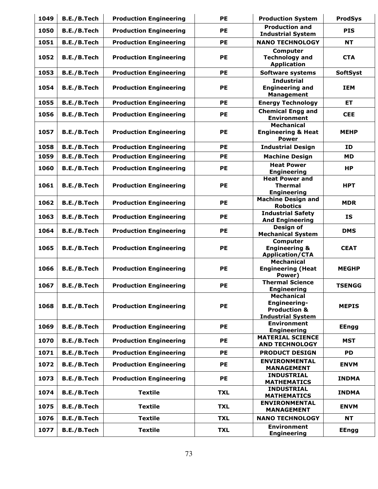| 1049 | B.E./B.Tech | <b>Production Engineering</b> | <b>PE</b>  | <b>Production System</b>                                                                 | <b>ProdSys</b>  |
|------|-------------|-------------------------------|------------|------------------------------------------------------------------------------------------|-----------------|
| 1050 | B.E./B.Tech | <b>Production Engineering</b> | <b>PE</b>  | <b>Production and</b><br><b>Industrial System</b>                                        | <b>PIS</b>      |
| 1051 | B.E./B.Tech | <b>Production Engineering</b> | <b>PE</b>  | <b>NANO TECHNOLOGY</b>                                                                   | <b>NT</b>       |
| 1052 | B.E./B.Tech | <b>Production Engineering</b> | <b>PE</b>  | Computer<br><b>Technology and</b><br><b>Application</b>                                  | <b>CTA</b>      |
| 1053 | B.E./B.Tech | <b>Production Engineering</b> | <b>PE</b>  | <b>Software systems</b>                                                                  | <b>SoftSyst</b> |
| 1054 | B.E./B.Tech | <b>Production Engineering</b> | <b>PE</b>  | <b>Industrial</b><br><b>Engineering and</b><br><b>Management</b>                         | <b>IEM</b>      |
| 1055 | B.E./B.Tech | <b>Production Engineering</b> | <b>PE</b>  | <b>Energy Technology</b>                                                                 | <b>ET</b>       |
| 1056 | B.E./B.Tech | <b>Production Engineering</b> | <b>PE</b>  | <b>Chemical Engg and</b><br><b>Environment</b>                                           | <b>CEE</b>      |
| 1057 | B.E./B.Tech | <b>Production Engineering</b> | <b>PE</b>  | <b>Mechanical</b><br><b>Engineering &amp; Heat</b><br><b>Power</b>                       | <b>MEHP</b>     |
| 1058 | B.E./B.Tech | <b>Production Engineering</b> | <b>PE</b>  | <b>Industrial Design</b>                                                                 | <b>ID</b>       |
| 1059 | B.E./B.Tech | <b>Production Engineering</b> | <b>PE</b>  | <b>Machine Design</b>                                                                    | <b>MD</b>       |
| 1060 | B.E./B.Tech | <b>Production Engineering</b> | <b>PE</b>  | <b>Heat Power</b><br><b>Engineering</b>                                                  | HP              |
| 1061 | B.E./B.Tech | <b>Production Engineering</b> | <b>PE</b>  | <b>Heat Power and</b><br><b>Thermal</b><br><b>Engineering</b>                            | <b>HPT</b>      |
| 1062 | B.E./B.Tech | <b>Production Engineering</b> | <b>PE</b>  | <b>Machine Design and</b><br><b>Robotics</b>                                             | <b>MDR</b>      |
| 1063 | B.E./B.Tech | <b>Production Engineering</b> | PE         | <b>Industrial Safety</b><br><b>And Engineering</b>                                       | IS              |
| 1064 | B.E./B.Tech | <b>Production Engineering</b> | <b>PE</b>  | Design of<br><b>Mechanical System</b>                                                    | <b>DMS</b>      |
| 1065 | B.E./B.Tech | <b>Production Engineering</b> | PE         | Computer<br><b>Engineering &amp;</b><br><b>Application/CTA</b>                           | <b>CEAT</b>     |
| 1066 | B.E./B.Tech | <b>Production Engineering</b> | <b>PE</b>  | <b>Mechanical</b><br><b>Engineering (Heat</b><br>Power)                                  | <b>MEGHP</b>    |
| 1067 | B.E./B.Tech | <b>Production Engineering</b> | PE         | <b>Thermal Science</b><br><b>Engineering</b>                                             | <b>TSENGG</b>   |
| 1068 | B.E./B.Tech | <b>Production Engineering</b> | PE         | <b>Mechanical</b><br>Engineering-<br><b>Production &amp;</b><br><b>Industrial System</b> | <b>MEPIS</b>    |
| 1069 | B.E./B.Tech | <b>Production Engineering</b> | <b>PE</b>  | <b>Environment</b><br><b>Engineering</b>                                                 | <b>EEngg</b>    |
| 1070 | B.E./B.Tech | <b>Production Engineering</b> | <b>PE</b>  | <b>MATERIAL SCIENCE</b><br><b>AND TECHNOLOGY</b>                                         | <b>MST</b>      |
| 1071 | B.E./B.Tech | <b>Production Engineering</b> | <b>PE</b>  | <b>PRODUCT DESIGN</b>                                                                    | <b>PD</b>       |
| 1072 | B.E./B.Tech | <b>Production Engineering</b> | <b>PE</b>  | <b>ENVIRONMENTAL</b><br><b>MANAGEMENT</b>                                                | <b>ENVM</b>     |
| 1073 | B.E./B.Tech | <b>Production Engineering</b> | <b>PE</b>  | <b>INDUSTRIAL</b><br><b>MATHEMATICS</b>                                                  | <b>INDMA</b>    |
| 1074 | B.E./B.Tech | <b>Textile</b>                | <b>TXL</b> | <b>INDUSTRIAL</b><br><b>MATHEMATICS</b>                                                  | <b>INDMA</b>    |
| 1075 | B.E./B.Tech | <b>Textile</b>                | <b>TXL</b> | <b>ENVIRONMENTAL</b><br><b>MANAGEMENT</b>                                                | <b>ENVM</b>     |
| 1076 | B.E./B.Tech | <b>Textile</b>                | <b>TXL</b> | <b>NANO TECHNOLOGY</b>                                                                   | <b>NT</b>       |
| 1077 | B.E./B.Tech | <b>Textile</b>                | <b>TXL</b> | <b>Environment</b><br><b>Engineering</b>                                                 | <b>EEngg</b>    |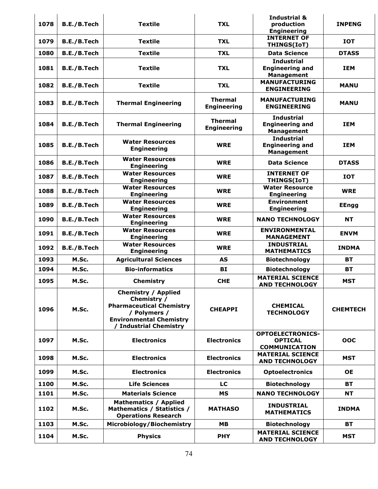| 1078 | B.E./B.Tech | <b>Textile</b>                                                                                                                                                | <b>TXL</b>                           | <b>Industrial &amp;</b><br>production<br><b>Engineering</b>       | <b>INPENG</b>   |
|------|-------------|---------------------------------------------------------------------------------------------------------------------------------------------------------------|--------------------------------------|-------------------------------------------------------------------|-----------------|
| 1079 | B.E./B.Tech | <b>Textile</b>                                                                                                                                                | <b>TXL</b>                           | <b>INTERNET OF</b><br>THINGS(IoT)                                 | <b>IOT</b>      |
| 1080 | B.E./B.Tech | <b>Textile</b>                                                                                                                                                | <b>TXL</b>                           | <b>Data Science</b>                                               | <b>DTASS</b>    |
| 1081 | B.E./B.Tech | <b>Textile</b>                                                                                                                                                | <b>TXL</b>                           | <b>Industrial</b><br><b>Engineering and</b><br><b>Management</b>  | <b>IEM</b>      |
| 1082 | B.E./B.Tech | <b>Textile</b>                                                                                                                                                | <b>TXL</b>                           | <b>MANUFACTURING</b><br><b>ENGINEERING</b>                        | <b>MANU</b>     |
| 1083 | B.E./B.Tech | <b>Thermal Engineering</b>                                                                                                                                    | <b>Thermal</b><br><b>Engineering</b> | <b>MANUFACTURING</b><br><b>ENGINEERING</b>                        | <b>MANU</b>     |
| 1084 | B.E./B.Tech | <b>Thermal Engineering</b>                                                                                                                                    | <b>Thermal</b><br><b>Engineering</b> | <b>Industrial</b><br><b>Engineering and</b><br><b>Management</b>  | <b>IEM</b>      |
| 1085 | B.E./B.Tech | <b>Water Resources</b><br><b>Engineering</b>                                                                                                                  | <b>WRE</b>                           | <b>Industrial</b><br><b>Engineering and</b><br><b>Management</b>  | <b>IEM</b>      |
| 1086 | B.E./B.Tech | <b>Water Resources</b><br><b>Engineering</b>                                                                                                                  | <b>WRE</b>                           | <b>Data Science</b>                                               | <b>DTASS</b>    |
| 1087 | B.E./B.Tech | <b>Water Resources</b><br><b>Engineering</b>                                                                                                                  | <b>WRE</b>                           | <b>INTERNET OF</b><br>THINGS(IoT)                                 | <b>IOT</b>      |
| 1088 | B.E./B.Tech | <b>Water Resources</b><br><b>Engineering</b>                                                                                                                  | <b>WRE</b>                           | <b>Water Resource</b><br><b>Engineering</b>                       | <b>WRE</b>      |
| 1089 | B.E./B.Tech | <b>Water Resources</b><br><b>Engineering</b>                                                                                                                  | <b>WRE</b>                           | <b>Environment</b><br><b>Engineering</b>                          | <b>EEngg</b>    |
| 1090 | B.E./B.Tech | <b>Water Resources</b><br><b>Engineering</b>                                                                                                                  | <b>WRE</b>                           | <b>NANO TECHNOLOGY</b>                                            | <b>NT</b>       |
| 1091 | B.E./B.Tech | <b>Water Resources</b><br><b>Engineering</b>                                                                                                                  | <b>WRE</b>                           | <b>ENVIRONMENTAL</b><br><b>MANAGEMENT</b>                         | <b>ENVM</b>     |
| 1092 | B.E./B.Tech | <b>Water Resources</b><br><b>Engineering</b>                                                                                                                  | <b>WRE</b>                           | <b>INDUSTRIAL</b><br><b>MATHEMATICS</b>                           | <b>INDMA</b>    |
| 1093 | M.Sc.       | <b>Agricultural Sciences</b>                                                                                                                                  | <b>AS</b>                            | <b>Biotechnology</b>                                              | <b>BT</b>       |
| 1094 | M.Sc.       | <b>Bio-informatics</b>                                                                                                                                        | BI                                   | <b>Biotechnology</b>                                              | <b>BT</b>       |
| 1095 | M.Sc.       | Chemistry                                                                                                                                                     | <b>CHE</b>                           | <b>MATERIAL SCIENCE</b><br><b>AND TECHNOLOGY</b>                  | <b>MST</b>      |
| 1096 | M.Sc.       | <b>Chemistry / Applied</b><br>Chemistry /<br><b>Pharmaceutical Chemistry</b><br>/ Polymers /<br><b>Environmental Chemistry</b><br><b>Industrial Chemistry</b> | <b>CHEAPPI</b>                       | <b>CHEMICAL</b><br><b>TECHNOLOGY</b>                              | <b>CHEMTECH</b> |
| 1097 | M.Sc.       | <b>Electronics</b>                                                                                                                                            | <b>Electronics</b>                   | <b>OPTOELECTRONICS-</b><br><b>OPTICAL</b><br><b>COMMUNICATION</b> | <b>OOC</b>      |
| 1098 | M.Sc.       | <b>Electronics</b>                                                                                                                                            | <b>Electronics</b>                   | <b>MATERIAL SCIENCE</b><br><b>AND TECHNOLOGY</b>                  | <b>MST</b>      |
| 1099 | M.Sc.       | <b>Electronics</b>                                                                                                                                            | <b>Electronics</b>                   | <b>Optoelectronics</b>                                            | <b>OE</b>       |
| 1100 | M.Sc.       | <b>Life Sciences</b>                                                                                                                                          | LC                                   | <b>Biotechnology</b>                                              | <b>BT</b>       |
| 1101 | M.Sc.       | <b>Materials Science</b>                                                                                                                                      | <b>MS</b>                            | <b>NANO TECHNOLOGY</b>                                            | NΤ              |
| 1102 | M.Sc.       | <b>Mathematics / Applied</b><br>Mathematics / Statistics /<br><b>Operations Research</b>                                                                      | <b>MATHASO</b>                       | <b>INDUSTRIAL</b><br><b>MATHEMATICS</b>                           | <b>INDMA</b>    |
| 1103 | M.Sc.       | Microbiology/Biochemistry                                                                                                                                     | <b>MB</b>                            | <b>Biotechnology</b>                                              | <b>BT</b>       |
| 1104 | M.Sc.       | <b>Physics</b>                                                                                                                                                | <b>PHY</b>                           | <b>MATERIAL SCIENCE</b><br><b>AND TECHNOLOGY</b>                  | <b>MST</b>      |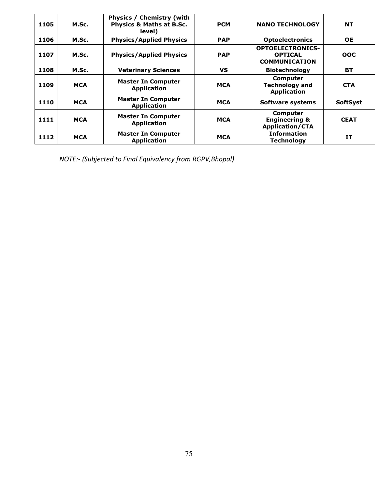| 1105 | M.Sc.      | <b>Physics / Chemistry (with</b><br><b>Physics &amp; Maths at B.Sc.</b><br>level) | <b>PCM</b> | <b>NANO TECHNOLOGY</b>                                            | <b>NT</b>       |
|------|------------|-----------------------------------------------------------------------------------|------------|-------------------------------------------------------------------|-----------------|
| 1106 | M.Sc.      | <b>Physics/Applied Physics</b>                                                    | <b>PAP</b> | <b>Optoelectronics</b>                                            | <b>OE</b>       |
| 1107 | M.Sc.      | <b>Physics/Applied Physics</b>                                                    | <b>PAP</b> | <b>OPTOELECTRONICS-</b><br><b>OPTICAL</b><br><b>COMMUNICATION</b> | <b>OOC</b>      |
| 1108 | M.Sc.      | <b>Veterinary Sciences</b>                                                        | <b>VS</b>  | <b>Biotechnology</b>                                              | <b>BT</b>       |
| 1109 | <b>MCA</b> | <b>Master In Computer</b><br><b>Application</b>                                   | <b>MCA</b> | Computer<br><b>Technology and</b><br><b>Application</b>           | <b>CTA</b>      |
| 1110 | <b>MCA</b> | <b>Master In Computer</b><br><b>Application</b>                                   | <b>MCA</b> | <b>Software systems</b>                                           | <b>SoftSyst</b> |
| 1111 | <b>MCA</b> | <b>Master In Computer</b><br><b>Application</b>                                   | <b>MCA</b> | Computer<br><b>Engineering &amp;</b><br><b>Application/CTA</b>    | <b>CEAT</b>     |
| 1112 | <b>MCA</b> | <b>Master In Computer</b><br><b>Application</b>                                   | <b>MCA</b> | <b>Information</b><br><b>Technology</b>                           | <b>IT</b>       |

*NOTE:- (Subjected to Final Equivalency from RGPV,Bhopal)*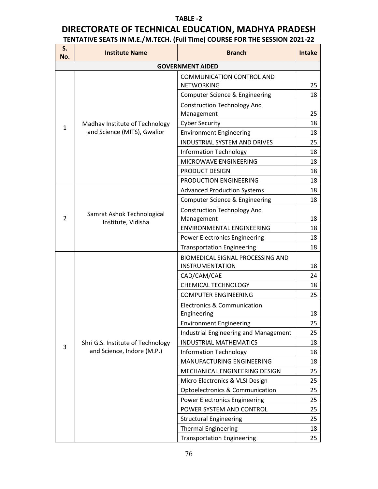## **TABLE -2**

## **DIRECTORATE OF TECHNICAL EDUCATION, MADHYA PRADESH TENTATIVE SEATS IN M.E./M.TECH. (Full Time) COURSE FOR THE SESSION 2021-22**

| No.                                                                                                                                                                                                                                                                                                                                                                                                                                                                                                                                                                                                                                                                                                                                                                                                                                                                                                                                                                                                                 | <b>Institute Name</b>                                           | <b>Branch</b>                                                          | <b>Intake</b> |  |  |
|---------------------------------------------------------------------------------------------------------------------------------------------------------------------------------------------------------------------------------------------------------------------------------------------------------------------------------------------------------------------------------------------------------------------------------------------------------------------------------------------------------------------------------------------------------------------------------------------------------------------------------------------------------------------------------------------------------------------------------------------------------------------------------------------------------------------------------------------------------------------------------------------------------------------------------------------------------------------------------------------------------------------|-----------------------------------------------------------------|------------------------------------------------------------------------|---------------|--|--|
| S.<br><b>GOVERNMENT AIDED</b><br><b>COMMUNICATION CONTROL AND</b><br><b>NETWORKING</b><br><b>Computer Science &amp; Engineering</b><br><b>Construction Technology And</b><br>Management<br><b>Cyber Security</b><br>Madhav Institute of Technology<br>$\mathbf{1}$<br>and Science (MITS), Gwalior<br><b>Environment Engineering</b><br><b>INDUSTRIAL SYSTEM AND DRIVES</b><br><b>Information Technology</b><br>MICROWAVE ENGINEERING<br>PRODUCT DESIGN<br>PRODUCTION ENGINEERING<br><b>Advanced Production Systems</b><br>Computer Science & Engineering<br><b>Construction Technology And</b><br>Samrat Ashok Technological<br>$\overline{2}$<br>Management<br>Institute, Vidisha<br><b>ENVIRONMENTAL ENGINEERING</b><br><b>Power Electronics Engineering</b><br><b>Transportation Engineering</b><br><b>BIOMEDICAL SIGNAL PROCESSING AND</b><br><b>INSTRUMENTATION</b><br>CAD/CAM/CAE<br><b>CHEMICAL TECHNOLOGY</b><br><b>COMPUTER ENGINEERING</b><br><b>Electronics &amp; Communication</b><br>Engineering<br>18 |                                                                 |                                                                        |               |  |  |
|                                                                                                                                                                                                                                                                                                                                                                                                                                                                                                                                                                                                                                                                                                                                                                                                                                                                                                                                                                                                                     |                                                                 |                                                                        | 25            |  |  |
|                                                                                                                                                                                                                                                                                                                                                                                                                                                                                                                                                                                                                                                                                                                                                                                                                                                                                                                                                                                                                     |                                                                 |                                                                        | 18            |  |  |
|                                                                                                                                                                                                                                                                                                                                                                                                                                                                                                                                                                                                                                                                                                                                                                                                                                                                                                                                                                                                                     |                                                                 |                                                                        |               |  |  |
|                                                                                                                                                                                                                                                                                                                                                                                                                                                                                                                                                                                                                                                                                                                                                                                                                                                                                                                                                                                                                     |                                                                 |                                                                        | 25            |  |  |
|                                                                                                                                                                                                                                                                                                                                                                                                                                                                                                                                                                                                                                                                                                                                                                                                                                                                                                                                                                                                                     |                                                                 |                                                                        | 18            |  |  |
|                                                                                                                                                                                                                                                                                                                                                                                                                                                                                                                                                                                                                                                                                                                                                                                                                                                                                                                                                                                                                     |                                                                 |                                                                        | 18            |  |  |
|                                                                                                                                                                                                                                                                                                                                                                                                                                                                                                                                                                                                                                                                                                                                                                                                                                                                                                                                                                                                                     |                                                                 |                                                                        | 25            |  |  |
|                                                                                                                                                                                                                                                                                                                                                                                                                                                                                                                                                                                                                                                                                                                                                                                                                                                                                                                                                                                                                     |                                                                 |                                                                        | 18            |  |  |
|                                                                                                                                                                                                                                                                                                                                                                                                                                                                                                                                                                                                                                                                                                                                                                                                                                                                                                                                                                                                                     |                                                                 |                                                                        | 18            |  |  |
|                                                                                                                                                                                                                                                                                                                                                                                                                                                                                                                                                                                                                                                                                                                                                                                                                                                                                                                                                                                                                     |                                                                 |                                                                        | 18            |  |  |
|                                                                                                                                                                                                                                                                                                                                                                                                                                                                                                                                                                                                                                                                                                                                                                                                                                                                                                                                                                                                                     |                                                                 |                                                                        | 18            |  |  |
|                                                                                                                                                                                                                                                                                                                                                                                                                                                                                                                                                                                                                                                                                                                                                                                                                                                                                                                                                                                                                     |                                                                 |                                                                        | 18            |  |  |
|                                                                                                                                                                                                                                                                                                                                                                                                                                                                                                                                                                                                                                                                                                                                                                                                                                                                                                                                                                                                                     |                                                                 |                                                                        | 18            |  |  |
|                                                                                                                                                                                                                                                                                                                                                                                                                                                                                                                                                                                                                                                                                                                                                                                                                                                                                                                                                                                                                     |                                                                 |                                                                        |               |  |  |
|                                                                                                                                                                                                                                                                                                                                                                                                                                                                                                                                                                                                                                                                                                                                                                                                                                                                                                                                                                                                                     |                                                                 |                                                                        | 18            |  |  |
|                                                                                                                                                                                                                                                                                                                                                                                                                                                                                                                                                                                                                                                                                                                                                                                                                                                                                                                                                                                                                     |                                                                 |                                                                        | 18            |  |  |
|                                                                                                                                                                                                                                                                                                                                                                                                                                                                                                                                                                                                                                                                                                                                                                                                                                                                                                                                                                                                                     |                                                                 |                                                                        | 18            |  |  |
|                                                                                                                                                                                                                                                                                                                                                                                                                                                                                                                                                                                                                                                                                                                                                                                                                                                                                                                                                                                                                     |                                                                 |                                                                        | 18            |  |  |
|                                                                                                                                                                                                                                                                                                                                                                                                                                                                                                                                                                                                                                                                                                                                                                                                                                                                                                                                                                                                                     |                                                                 |                                                                        |               |  |  |
|                                                                                                                                                                                                                                                                                                                                                                                                                                                                                                                                                                                                                                                                                                                                                                                                                                                                                                                                                                                                                     |                                                                 |                                                                        | 18            |  |  |
|                                                                                                                                                                                                                                                                                                                                                                                                                                                                                                                                                                                                                                                                                                                                                                                                                                                                                                                                                                                                                     |                                                                 |                                                                        | 24            |  |  |
|                                                                                                                                                                                                                                                                                                                                                                                                                                                                                                                                                                                                                                                                                                                                                                                                                                                                                                                                                                                                                     |                                                                 |                                                                        | 18            |  |  |
|                                                                                                                                                                                                                                                                                                                                                                                                                                                                                                                                                                                                                                                                                                                                                                                                                                                                                                                                                                                                                     |                                                                 |                                                                        | 25            |  |  |
|                                                                                                                                                                                                                                                                                                                                                                                                                                                                                                                                                                                                                                                                                                                                                                                                                                                                                                                                                                                                                     |                                                                 |                                                                        |               |  |  |
|                                                                                                                                                                                                                                                                                                                                                                                                                                                                                                                                                                                                                                                                                                                                                                                                                                                                                                                                                                                                                     |                                                                 |                                                                        |               |  |  |
|                                                                                                                                                                                                                                                                                                                                                                                                                                                                                                                                                                                                                                                                                                                                                                                                                                                                                                                                                                                                                     |                                                                 | <b>Environment Engineering</b>                                         | 25            |  |  |
|                                                                                                                                                                                                                                                                                                                                                                                                                                                                                                                                                                                                                                                                                                                                                                                                                                                                                                                                                                                                                     |                                                                 | Industrial Engineering and Management<br><b>INDUSTRIAL MATHEMATICS</b> | 25            |  |  |
| 3                                                                                                                                                                                                                                                                                                                                                                                                                                                                                                                                                                                                                                                                                                                                                                                                                                                                                                                                                                                                                   | Shri G.S. Institute of Technology<br>and Science, Indore (M.P.) | <b>Information Technology</b>                                          | 18<br>18      |  |  |
|                                                                                                                                                                                                                                                                                                                                                                                                                                                                                                                                                                                                                                                                                                                                                                                                                                                                                                                                                                                                                     |                                                                 | MANUFACTURING ENGINEERING                                              | 18            |  |  |
|                                                                                                                                                                                                                                                                                                                                                                                                                                                                                                                                                                                                                                                                                                                                                                                                                                                                                                                                                                                                                     |                                                                 | MECHANICAL ENGINEERING DESIGN                                          | 25            |  |  |
|                                                                                                                                                                                                                                                                                                                                                                                                                                                                                                                                                                                                                                                                                                                                                                                                                                                                                                                                                                                                                     |                                                                 | Micro Electronics & VLSI Design                                        | 25            |  |  |
|                                                                                                                                                                                                                                                                                                                                                                                                                                                                                                                                                                                                                                                                                                                                                                                                                                                                                                                                                                                                                     |                                                                 | Optoelectronics & Communication                                        | 25            |  |  |
|                                                                                                                                                                                                                                                                                                                                                                                                                                                                                                                                                                                                                                                                                                                                                                                                                                                                                                                                                                                                                     |                                                                 | <b>Power Electronics Engineering</b>                                   | 25            |  |  |
|                                                                                                                                                                                                                                                                                                                                                                                                                                                                                                                                                                                                                                                                                                                                                                                                                                                                                                                                                                                                                     |                                                                 | POWER SYSTEM AND CONTROL                                               | 25            |  |  |
|                                                                                                                                                                                                                                                                                                                                                                                                                                                                                                                                                                                                                                                                                                                                                                                                                                                                                                                                                                                                                     |                                                                 | <b>Structural Engineering</b>                                          | 25            |  |  |
|                                                                                                                                                                                                                                                                                                                                                                                                                                                                                                                                                                                                                                                                                                                                                                                                                                                                                                                                                                                                                     |                                                                 | <b>Thermal Engineering</b>                                             | 18            |  |  |
|                                                                                                                                                                                                                                                                                                                                                                                                                                                                                                                                                                                                                                                                                                                                                                                                                                                                                                                                                                                                                     |                                                                 | <b>Transportation Engineering</b>                                      | 25            |  |  |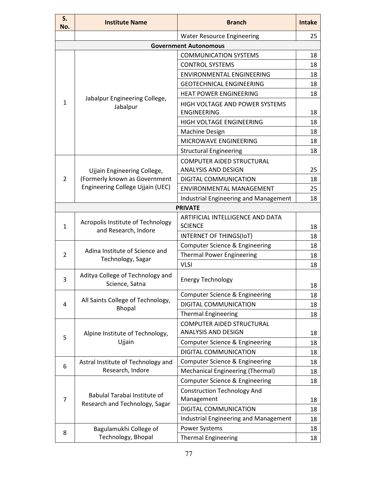| S.<br>No. | <b>Institute Name</b>                                     | <b>Branch</b>                                           | <b>Intake</b> |
|-----------|-----------------------------------------------------------|---------------------------------------------------------|---------------|
|           |                                                           | <b>Water Resource Engineering</b>                       | 25            |
|           |                                                           | <b>Government Autonomous</b>                            |               |
|           |                                                           | <b>COMMUNICATION SYSTEMS</b>                            | 18            |
|           |                                                           | <b>CONTROL SYSTEMS</b>                                  | 18            |
|           |                                                           | <b>ENVIRONMENTAL ENGINEERING</b>                        | 18            |
|           |                                                           | <b>GEOTECHNICAL ENGINEERING</b>                         | 18            |
|           |                                                           | <b>HEAT POWER ENGINEERING</b>                           | 18            |
| 1         | Jabalpur Engineering College,<br>Jabalpur                 | HIGH VOLTAGE AND POWER SYSTEMS<br><b>ENGINEERING</b>    | 18            |
|           |                                                           | HIGH VOLTAGE ENGINEERING                                | 18            |
|           |                                                           | <b>Machine Design</b>                                   | 18            |
|           |                                                           | MICROWAVE ENGINEERING                                   | 18            |
|           |                                                           | <b>Structural Engineering</b>                           | 18            |
|           |                                                           | <b>COMPUTER AIDED STRUCTURAL</b>                        |               |
|           | Ujjain Engineering College,                               | ANALYSIS AND DESIGN                                     | 25            |
| 2         | (Formerly known as Government                             | DIGITAL COMMUNICATION                                   | 18            |
|           | Engineering College Ujjain (UEC)                          | ENVIRONMENTAL MANAGEMENT                                | 25            |
|           |                                                           | Industrial Engineering and Management                   | 18            |
|           |                                                           | <b>PRIVATE</b>                                          |               |
| 1         | Acropolis Institute of Technology<br>and Research, Indore | ARTIFICIAL INTELLIGENCE AND DATA<br><b>SCIENCE</b>      | 18            |
|           |                                                           | INTERNET OF THINGS(IoT)                                 | 18            |
|           | Adina Institute of Science and                            | Computer Science & Engineering                          | 18            |
| 2         | Technology, Sagar                                         | <b>Thermal Power Engineering</b>                        | 18            |
|           |                                                           | <b>VLSI</b>                                             | 18            |
| 3         | Aditya College of Technology and<br>Science, Satna        | <b>Energy Technology</b>                                | 18            |
|           |                                                           | Computer Science & Engineering                          | 18            |
| 4         | All Saints College of Technology,<br><b>Bhopal</b>        | DIGITAL COMMUNICATION                                   | 18            |
|           |                                                           | <b>Thermal Engineering</b>                              | 18            |
|           | Alpine Institute of Technology,                           | <b>COMPUTER AIDED STRUCTURAL</b><br>ANALYSIS AND DESIGN | 18            |
| 5         | Ujjain                                                    | Computer Science & Engineering                          | 18            |
|           |                                                           | DIGITAL COMMUNICATION                                   | 18            |
|           | Astral Institute of Technology and                        | Computer Science & Engineering                          | 18            |
| 6         | Research, Indore                                          | <b>Mechanical Engineering (Thermal)</b>                 | 18            |
|           |                                                           | Computer Science & Engineering                          | 18            |
| 7         | Babulal Tarabai Institute of                              | <b>Construction Technology And</b><br>Management        | 18            |
|           | Research and Technology, Sagar                            | DIGITAL COMMUNICATION                                   | 18            |
|           |                                                           | <b>Industrial Engineering and Management</b>            | 18            |
|           | Bagulamukhi College of                                    | <b>Power Systems</b>                                    | 18            |
| 8         | Technology, Bhopal                                        | <b>Thermal Engineering</b>                              | 18            |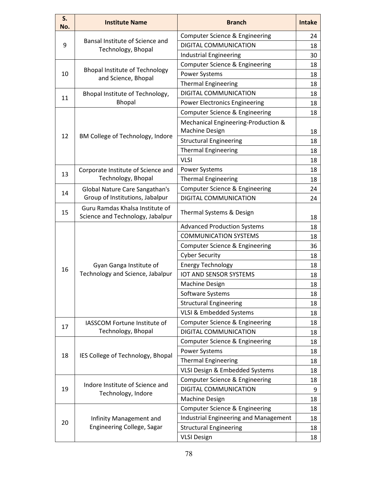| S.<br>No. | <b>Institute Name</b>                                               | <b>Branch</b>                                                                                                                                                                                                                                                                                                                                                                                                                                                                                                                                                                                                                                                                                                                                                                                                                                                                                                                                                                                                                                                                                                                                            | <b>Intake</b> |
|-----------|---------------------------------------------------------------------|----------------------------------------------------------------------------------------------------------------------------------------------------------------------------------------------------------------------------------------------------------------------------------------------------------------------------------------------------------------------------------------------------------------------------------------------------------------------------------------------------------------------------------------------------------------------------------------------------------------------------------------------------------------------------------------------------------------------------------------------------------------------------------------------------------------------------------------------------------------------------------------------------------------------------------------------------------------------------------------------------------------------------------------------------------------------------------------------------------------------------------------------------------|---------------|
|           |                                                                     | Computer Science & Engineering                                                                                                                                                                                                                                                                                                                                                                                                                                                                                                                                                                                                                                                                                                                                                                                                                                                                                                                                                                                                                                                                                                                           | 24            |
| 9         | Bansal Institute of Science and<br>Technology, Bhopal               | DIGITAL COMMUNICATION                                                                                                                                                                                                                                                                                                                                                                                                                                                                                                                                                                                                                                                                                                                                                                                                                                                                                                                                                                                                                                                                                                                                    | 18            |
|           |                                                                     | <b>Industrial Engineering</b>                                                                                                                                                                                                                                                                                                                                                                                                                                                                                                                                                                                                                                                                                                                                                                                                                                                                                                                                                                                                                                                                                                                            | 30            |
|           |                                                                     | Computer Science & Engineering                                                                                                                                                                                                                                                                                                                                                                                                                                                                                                                                                                                                                                                                                                                                                                                                                                                                                                                                                                                                                                                                                                                           | 18            |
| 10        | <b>Bhopal Institute of Technology</b><br>and Science, Bhopal        | <b>Power Systems</b>                                                                                                                                                                                                                                                                                                                                                                                                                                                                                                                                                                                                                                                                                                                                                                                                                                                                                                                                                                                                                                                                                                                                     | 18            |
|           |                                                                     | <b>Thermal Engineering</b><br><b>DIGITAL COMMUNICATION</b><br><b>Power Electronics Engineering</b><br>Computer Science & Engineering<br>Mechanical Engineering-Production &<br><b>Machine Design</b><br><b>Structural Engineering</b><br><b>Thermal Engineering</b><br><b>VLSI</b><br><b>Power Systems</b><br><b>Thermal Engineering</b><br>Computer Science & Engineering<br>DIGITAL COMMUNICATION<br>Thermal Systems & Design<br><b>Advanced Production Systems</b><br><b>COMMUNICATION SYSTEMS</b><br>Computer Science & Engineering<br><b>Cyber Security</b><br><b>Energy Technology</b><br><b>IOT AND SENSOR SYSTEMS</b><br><b>Machine Design</b><br>Software Systems<br><b>Structural Engineering</b><br>VLSI & Embedded Systems<br>Computer Science & Engineering<br>DIGITAL COMMUNICATION<br>Computer Science & Engineering<br><b>Power Systems</b><br><b>Thermal Engineering</b><br>VLSI Design & Embedded Systems<br>Computer Science & Engineering<br>DIGITAL COMMUNICATION<br><b>Machine Design</b><br>Computer Science & Engineering<br><b>Industrial Engineering and Management</b><br><b>Structural Engineering</b><br><b>VLSI Design</b> | 18            |
| 11        | Bhopal Institute of Technology,                                     |                                                                                                                                                                                                                                                                                                                                                                                                                                                                                                                                                                                                                                                                                                                                                                                                                                                                                                                                                                                                                                                                                                                                                          | 18            |
|           | <b>Bhopal</b>                                                       |                                                                                                                                                                                                                                                                                                                                                                                                                                                                                                                                                                                                                                                                                                                                                                                                                                                                                                                                                                                                                                                                                                                                                          | 18            |
|           |                                                                     |                                                                                                                                                                                                                                                                                                                                                                                                                                                                                                                                                                                                                                                                                                                                                                                                                                                                                                                                                                                                                                                                                                                                                          | 18            |
|           |                                                                     |                                                                                                                                                                                                                                                                                                                                                                                                                                                                                                                                                                                                                                                                                                                                                                                                                                                                                                                                                                                                                                                                                                                                                          | 18            |
| 12        | BM College of Technology, Indore                                    |                                                                                                                                                                                                                                                                                                                                                                                                                                                                                                                                                                                                                                                                                                                                                                                                                                                                                                                                                                                                                                                                                                                                                          | 18            |
|           |                                                                     |                                                                                                                                                                                                                                                                                                                                                                                                                                                                                                                                                                                                                                                                                                                                                                                                                                                                                                                                                                                                                                                                                                                                                          | 18            |
|           |                                                                     |                                                                                                                                                                                                                                                                                                                                                                                                                                                                                                                                                                                                                                                                                                                                                                                                                                                                                                                                                                                                                                                                                                                                                          | 18            |
|           | Corporate Institute of Science and                                  |                                                                                                                                                                                                                                                                                                                                                                                                                                                                                                                                                                                                                                                                                                                                                                                                                                                                                                                                                                                                                                                                                                                                                          | 18            |
| 13        | Technology, Bhopal                                                  |                                                                                                                                                                                                                                                                                                                                                                                                                                                                                                                                                                                                                                                                                                                                                                                                                                                                                                                                                                                                                                                                                                                                                          | 18            |
|           | Global Nature Care Sangathan's                                      |                                                                                                                                                                                                                                                                                                                                                                                                                                                                                                                                                                                                                                                                                                                                                                                                                                                                                                                                                                                                                                                                                                                                                          | 24            |
| 14        | Group of Institutions, Jabalpur                                     |                                                                                                                                                                                                                                                                                                                                                                                                                                                                                                                                                                                                                                                                                                                                                                                                                                                                                                                                                                                                                                                                                                                                                          | 24            |
| 15        | Guru Ramdas Khalsa Institute of<br>Science and Technology, Jabalpur |                                                                                                                                                                                                                                                                                                                                                                                                                                                                                                                                                                                                                                                                                                                                                                                                                                                                                                                                                                                                                                                                                                                                                          | 18            |
|           |                                                                     |                                                                                                                                                                                                                                                                                                                                                                                                                                                                                                                                                                                                                                                                                                                                                                                                                                                                                                                                                                                                                                                                                                                                                          | 18            |
|           |                                                                     |                                                                                                                                                                                                                                                                                                                                                                                                                                                                                                                                                                                                                                                                                                                                                                                                                                                                                                                                                                                                                                                                                                                                                          | 18            |
|           |                                                                     |                                                                                                                                                                                                                                                                                                                                                                                                                                                                                                                                                                                                                                                                                                                                                                                                                                                                                                                                                                                                                                                                                                                                                          | 36            |
|           |                                                                     |                                                                                                                                                                                                                                                                                                                                                                                                                                                                                                                                                                                                                                                                                                                                                                                                                                                                                                                                                                                                                                                                                                                                                          | 18            |
|           | Gyan Ganga Institute of                                             |                                                                                                                                                                                                                                                                                                                                                                                                                                                                                                                                                                                                                                                                                                                                                                                                                                                                                                                                                                                                                                                                                                                                                          | 18            |
| 16        | Technology and Science, Jabalpur                                    |                                                                                                                                                                                                                                                                                                                                                                                                                                                                                                                                                                                                                                                                                                                                                                                                                                                                                                                                                                                                                                                                                                                                                          | 18            |
|           |                                                                     |                                                                                                                                                                                                                                                                                                                                                                                                                                                                                                                                                                                                                                                                                                                                                                                                                                                                                                                                                                                                                                                                                                                                                          | 18            |
|           |                                                                     |                                                                                                                                                                                                                                                                                                                                                                                                                                                                                                                                                                                                                                                                                                                                                                                                                                                                                                                                                                                                                                                                                                                                                          | 18            |
|           |                                                                     |                                                                                                                                                                                                                                                                                                                                                                                                                                                                                                                                                                                                                                                                                                                                                                                                                                                                                                                                                                                                                                                                                                                                                          | 18            |
|           |                                                                     |                                                                                                                                                                                                                                                                                                                                                                                                                                                                                                                                                                                                                                                                                                                                                                                                                                                                                                                                                                                                                                                                                                                                                          | 18            |
| 17        | IASSCOM Fortune Institute of                                        |                                                                                                                                                                                                                                                                                                                                                                                                                                                                                                                                                                                                                                                                                                                                                                                                                                                                                                                                                                                                                                                                                                                                                          | 18            |
|           | Technology, Bhopal                                                  |                                                                                                                                                                                                                                                                                                                                                                                                                                                                                                                                                                                                                                                                                                                                                                                                                                                                                                                                                                                                                                                                                                                                                          | 18            |
|           |                                                                     |                                                                                                                                                                                                                                                                                                                                                                                                                                                                                                                                                                                                                                                                                                                                                                                                                                                                                                                                                                                                                                                                                                                                                          | 18            |
| 18        | IES College of Technology, Bhopal                                   |                                                                                                                                                                                                                                                                                                                                                                                                                                                                                                                                                                                                                                                                                                                                                                                                                                                                                                                                                                                                                                                                                                                                                          | 18            |
|           |                                                                     |                                                                                                                                                                                                                                                                                                                                                                                                                                                                                                                                                                                                                                                                                                                                                                                                                                                                                                                                                                                                                                                                                                                                                          | 18            |
|           |                                                                     |                                                                                                                                                                                                                                                                                                                                                                                                                                                                                                                                                                                                                                                                                                                                                                                                                                                                                                                                                                                                                                                                                                                                                          | 18            |
|           |                                                                     |                                                                                                                                                                                                                                                                                                                                                                                                                                                                                                                                                                                                                                                                                                                                                                                                                                                                                                                                                                                                                                                                                                                                                          | 18            |
| 19        | Indore Institute of Science and<br>Technology, Indore               |                                                                                                                                                                                                                                                                                                                                                                                                                                                                                                                                                                                                                                                                                                                                                                                                                                                                                                                                                                                                                                                                                                                                                          | 9             |
|           |                                                                     |                                                                                                                                                                                                                                                                                                                                                                                                                                                                                                                                                                                                                                                                                                                                                                                                                                                                                                                                                                                                                                                                                                                                                          | 18            |
|           |                                                                     |                                                                                                                                                                                                                                                                                                                                                                                                                                                                                                                                                                                                                                                                                                                                                                                                                                                                                                                                                                                                                                                                                                                                                          | 18            |
| 20        | Infinity Management and                                             |                                                                                                                                                                                                                                                                                                                                                                                                                                                                                                                                                                                                                                                                                                                                                                                                                                                                                                                                                                                                                                                                                                                                                          | 18            |
|           | Engineering College, Sagar                                          |                                                                                                                                                                                                                                                                                                                                                                                                                                                                                                                                                                                                                                                                                                                                                                                                                                                                                                                                                                                                                                                                                                                                                          | 18            |
|           |                                                                     |                                                                                                                                                                                                                                                                                                                                                                                                                                                                                                                                                                                                                                                                                                                                                                                                                                                                                                                                                                                                                                                                                                                                                          | 18            |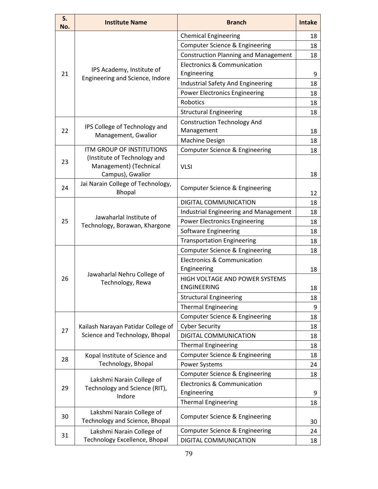| S.<br>No. | <b>Institute Name</b>                                                | <b>Branch</b>                                         | <b>Intake</b> |
|-----------|----------------------------------------------------------------------|-------------------------------------------------------|---------------|
|           |                                                                      | <b>Chemical Engineering</b>                           | 18            |
|           |                                                                      | Computer Science & Engineering                        | 18            |
|           |                                                                      | <b>Construction Planning and Management</b>           | 18            |
|           | IPS Academy, Institute of                                            | <b>Electronics &amp; Communication</b>                |               |
| 21        | Engineering and Science, Indore                                      | Engineering                                           | 9             |
|           |                                                                      | Industrial Safety And Engineering                     | 18            |
|           |                                                                      | <b>Power Electronics Engineering</b>                  | 18            |
|           |                                                                      | <b>Robotics</b>                                       | 18            |
|           |                                                                      | <b>Structural Engineering</b>                         | 18            |
|           | IPS College of Technology and                                        | <b>Construction Technology And</b>                    |               |
| 22        | Management, Gwalior                                                  | Management                                            | 18            |
|           | <b>ITM GROUP OF INSTITUTIONS</b>                                     | <b>Machine Design</b>                                 | 18            |
|           | (Institute of Technology and                                         | Computer Science & Engineering                        | 18            |
| 23        | Management) (Technical                                               | <b>VLSI</b>                                           |               |
|           | Campus), Gwalior                                                     |                                                       | 18            |
| 24        | Jai Narain College of Technology,<br><b>Bhopal</b>                   | Computer Science & Engineering                        | 12            |
|           |                                                                      | DIGITAL COMMUNICATION                                 | 18            |
|           | Jawaharlal Institute of<br>Technology, Borawan, Khargone             | <b>Industrial Engineering and Management</b>          | 18            |
| 25        |                                                                      | <b>Power Electronics Engineering</b>                  | 18            |
|           |                                                                      | Software Engineering                                  | 18            |
|           |                                                                      | <b>Transportation Engineering</b>                     | 18            |
|           |                                                                      | Computer Science & Engineering                        | 18            |
|           |                                                                      | <b>Electronics &amp; Communication</b>                |               |
|           |                                                                      | Engineering                                           | 18            |
| 26        | Jawaharlal Nehru College of<br>Technology, Rewa                      | HIGH VOLTAGE AND POWER SYSTEMS                        |               |
|           |                                                                      | <b>ENGINEERING</b>                                    | 18            |
|           |                                                                      | <b>Structural Engineering</b>                         | 18            |
|           |                                                                      | <b>Thermal Engineering</b>                            | 9             |
|           |                                                                      | Computer Science & Engineering                        | 18            |
| 27        | Kailash Narayan Patidar College of<br>Science and Technology, Bhopal | <b>Cyber Security</b>                                 | 18            |
|           |                                                                      | DIGITAL COMMUNICATION                                 | 18            |
|           |                                                                      | <b>Thermal Engineering</b>                            | 18            |
| 28        | Kopal Institute of Science and<br>Technology, Bhopal                 | Computer Science & Engineering                        | 18            |
|           |                                                                      | <b>Power Systems</b>                                  | 24            |
|           | Lakshmi Narain College of                                            | Computer Science & Engineering                        | 18            |
| 29        | Technology and Science (RIT),                                        | <b>Electronics &amp; Communication</b><br>Engineering |               |
|           | Indore                                                               | <b>Thermal Engineering</b>                            | 9<br>18       |
|           | Lakshmi Narain College of                                            |                                                       |               |
| 30        | Technology and Science, Bhopal                                       | Computer Science & Engineering                        | 30            |
| 31        | Lakshmi Narain College of                                            | Computer Science & Engineering                        | 24            |
|           | Technology Excellence, Bhopal                                        | DIGITAL COMMUNICATION                                 | 18            |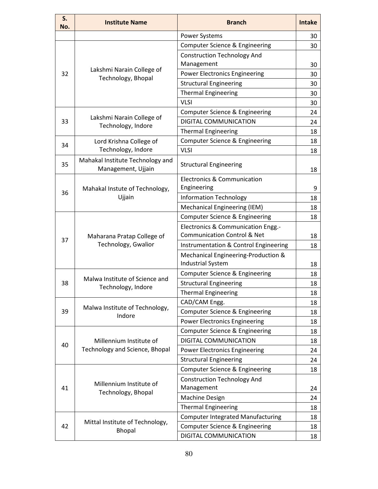| S.<br>No.                                          | <b>Institute Name</b>                                  | <b>Branch</b>                                                   | <b>Intake</b> |
|----------------------------------------------------|--------------------------------------------------------|-----------------------------------------------------------------|---------------|
|                                                    |                                                        | <b>Power Systems</b>                                            | 30            |
|                                                    |                                                        | Computer Science & Engineering                                  | 30            |
|                                                    |                                                        | <b>Construction Technology And</b>                              |               |
| 32<br>33<br>34<br>35<br>36<br>37<br>38<br>39<br>40 |                                                        | Management                                                      | 30            |
|                                                    | Lakshmi Narain College of<br>Technology, Bhopal        | <b>Power Electronics Engineering</b>                            | 30            |
|                                                    |                                                        | <b>Structural Engineering</b>                                   | 30            |
|                                                    |                                                        | <b>Thermal Engineering</b>                                      | 30            |
|                                                    |                                                        | <b>VLSI</b>                                                     | 30            |
|                                                    |                                                        | Computer Science & Engineering                                  | 24            |
|                                                    | Lakshmi Narain College of<br>Technology, Indore        | DIGITAL COMMUNICATION                                           | 24            |
|                                                    |                                                        | <b>Thermal Engineering</b>                                      | 18            |
|                                                    | Lord Krishna College of                                | <b>Computer Science &amp; Engineering</b>                       | 18            |
|                                                    | Technology, Indore                                     | <b>VLSI</b>                                                     | 18            |
|                                                    | Mahakal Institute Technology and<br>Management, Ujjain | <b>Structural Engineering</b>                                   | 18            |
|                                                    |                                                        | <b>Electronics &amp; Communication</b>                          |               |
|                                                    | Mahakal Instute of Technology,                         | Engineering                                                     | 9             |
|                                                    | Ujjain                                                 | <b>Information Technology</b>                                   | 18            |
|                                                    |                                                        | Mechanical Engineering (IEM)                                    | 18            |
|                                                    |                                                        | <b>Computer Science &amp; Engineering</b>                       | 18            |
|                                                    | Maharana Pratap College of                             | Electronics & Communication Engg.-                              |               |
|                                                    |                                                        | <b>Communication Control &amp; Net</b>                          | 18            |
|                                                    | Technology, Gwalior                                    | Instrumentation & Control Engineering                           | 18            |
|                                                    |                                                        | Mechanical Engineering-Production &<br><b>Industrial System</b> | 18            |
|                                                    |                                                        | Computer Science & Engineering                                  | 18            |
|                                                    | Malwa Institute of Science and                         | <b>Structural Engineering</b>                                   | 18            |
|                                                    | Technology, Indore                                     | <b>Thermal Engineering</b>                                      | 18            |
|                                                    |                                                        | CAD/CAM Engg.                                                   | 18            |
|                                                    | Malwa Institute of Technology,                         | Computer Science & Engineering                                  | 18            |
|                                                    | Indore                                                 | <b>Power Electronics Engineering</b>                            | 18            |
|                                                    |                                                        | Computer Science & Engineering                                  | 18            |
|                                                    | Millennium Institute of                                | DIGITAL COMMUNICATION                                           | 18            |
|                                                    | Technology and Science, Bhopal                         | <b>Power Electronics Engineering</b>                            | 24            |
|                                                    |                                                        | <b>Structural Engineering</b>                                   | 24            |
|                                                    |                                                        | <b>Computer Science &amp; Engineering</b>                       | 18            |
|                                                    |                                                        | <b>Construction Technology And</b>                              |               |
| 41                                                 | Millennium Institute of                                | Management                                                      | 24            |
|                                                    | Technology, Bhopal                                     | <b>Machine Design</b>                                           | 24            |
|                                                    |                                                        | <b>Thermal Engineering</b>                                      | 18            |
|                                                    |                                                        | <b>Computer Integrated Manufacturing</b>                        | 18            |
| 42                                                 | Mittal Institute of Technology,<br><b>Bhopal</b>       | Computer Science & Engineering                                  | 18            |
|                                                    |                                                        | DIGITAL COMMUNICATION                                           | 18            |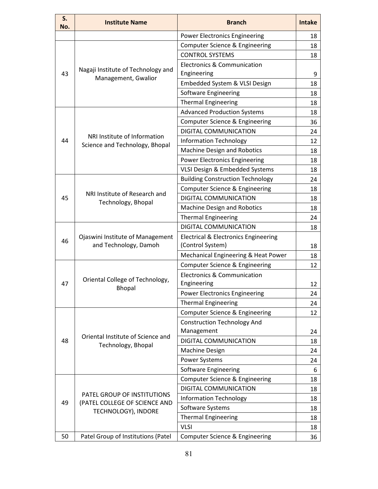| S.<br>No. | <b>Institute Name</b>                                     | <b>Branch</b>                                            | <b>Intake</b> |
|-----------|-----------------------------------------------------------|----------------------------------------------------------|---------------|
|           |                                                           | <b>Power Electronics Engineering</b>                     | 18            |
|           |                                                           | Computer Science & Engineering                           | 18            |
|           | Nagaji Institute of Technology and                        | <b>CONTROL SYSTEMS</b>                                   | 18            |
| 43        |                                                           | Electronics & Communication<br>Engineering               | 9             |
|           | Management, Gwalior                                       | Embedded System & VLSI Design                            | 18            |
|           |                                                           | Software Engineering                                     | 18            |
|           |                                                           | <b>Thermal Engineering</b>                               | 18            |
|           |                                                           | <b>Advanced Production Systems</b>                       | 18            |
|           |                                                           | Computer Science & Engineering                           | 36            |
|           |                                                           | DIGITAL COMMUNICATION                                    | 24            |
| 44        | NRI Institute of Information                              | <b>Information Technology</b>                            | 12            |
|           | Science and Technology, Bhopal                            | <b>Machine Design and Robotics</b>                       | 18            |
|           |                                                           | <b>Power Electronics Engineering</b>                     | 18            |
|           |                                                           | VLSI Design & Embedded Systems                           | 18            |
|           |                                                           | <b>Building Construction Technology</b>                  | 24            |
|           |                                                           | Computer Science & Engineering                           | 18            |
| 45        | NRI Institute of Research and<br>Technology, Bhopal       | DIGITAL COMMUNICATION                                    | 18            |
|           |                                                           | <b>Machine Design and Robotics</b>                       | 18            |
|           |                                                           | <b>Thermal Engineering</b>                               | 24            |
|           |                                                           | DIGITAL COMMUNICATION                                    | 18            |
| 46        | Ojaswini Institute of Management<br>and Technology, Damoh | Electrical & Electronics Engineering<br>(Control System) | 18            |
|           |                                                           | Mechanical Engineering & Heat Power                      | 18            |
|           |                                                           | Computer Science & Engineering                           | 12            |
| 47        | Oriental College of Technology,                           | <b>Electronics &amp; Communication</b><br>Engineering    | 12            |
|           | <b>Bhopal</b>                                             | <b>Power Electronics Engineering</b>                     | 24            |
|           |                                                           | <b>Thermal Engineering</b>                               | 24            |
|           |                                                           | Computer Science & Engineering                           | 12            |
|           |                                                           | <b>Construction Technology And</b>                       |               |
|           |                                                           | Management                                               | 24            |
| 48        | Oriental Institute of Science and                         | DIGITAL COMMUNICATION                                    | 18            |
|           | Technology, Bhopal                                        | <b>Machine Design</b>                                    | 24            |
|           |                                                           | Power Systems                                            | 24            |
|           |                                                           | Software Engineering                                     | 6             |
|           |                                                           | Computer Science & Engineering                           | 18            |
|           |                                                           | DIGITAL COMMUNICATION                                    | 18            |
|           | PATEL GROUP OF INSTITUTIONS                               | <b>Information Technology</b>                            | 18            |
| 49        | (PATEL COLLEGE OF SCIENCE AND<br>TECHNOLOGY), INDORE      | Software Systems                                         | 18            |
|           |                                                           | <b>Thermal Engineering</b>                               | 18            |
|           |                                                           | <b>VLSI</b>                                              | 18            |
| 50        | Patel Group of Institutions (Patel                        | <b>Computer Science &amp; Engineering</b>                | 36            |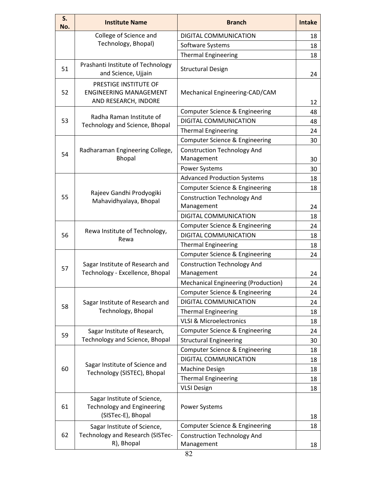| <b>Institute Name</b>                                                                  | <b>Branch</b>                                                                                                                                                                                                                                          | <b>Intake</b> |
|----------------------------------------------------------------------------------------|--------------------------------------------------------------------------------------------------------------------------------------------------------------------------------------------------------------------------------------------------------|---------------|
| College of Science and                                                                 | DIGITAL COMMUNICATION                                                                                                                                                                                                                                  | 18            |
|                                                                                        | Software Systems                                                                                                                                                                                                                                       | 18            |
|                                                                                        | <b>Thermal Engineering</b>                                                                                                                                                                                                                             | 18            |
| Prashanti Institute of Technology<br>and Science, Ujjain                               | <b>Structural Design</b>                                                                                                                                                                                                                               | 24            |
| PRESTIGE INSTITUTE OF<br><b>ENGINEERING MANAGEMENT</b><br>AND RESEARCH, INDORE         | Mechanical Engineering-CAD/CAM                                                                                                                                                                                                                         | 12            |
|                                                                                        | Computer Science & Engineering                                                                                                                                                                                                                         | 48            |
|                                                                                        | DIGITAL COMMUNICATION                                                                                                                                                                                                                                  | 48            |
|                                                                                        | <b>Thermal Engineering</b>                                                                                                                                                                                                                             | 24            |
|                                                                                        | Computer Science & Engineering                                                                                                                                                                                                                         | 30            |
| Radharaman Engineering College,<br>Bhopal                                              | <b>Construction Technology And</b><br>Management                                                                                                                                                                                                       | 30            |
|                                                                                        | <b>Power Systems</b>                                                                                                                                                                                                                                   | 30            |
|                                                                                        | <b>Advanced Production Systems</b>                                                                                                                                                                                                                     | 18            |
|                                                                                        | Computer Science & Engineering                                                                                                                                                                                                                         | 18            |
| Mahavidhyalaya, Bhopal                                                                 | <b>Construction Technology And</b><br>Management                                                                                                                                                                                                       | 24            |
|                                                                                        | DIGITAL COMMUNICATION                                                                                                                                                                                                                                  | 18            |
|                                                                                        | Computer Science & Engineering                                                                                                                                                                                                                         | 24            |
|                                                                                        | DIGITAL COMMUNICATION                                                                                                                                                                                                                                  | 18            |
|                                                                                        | <b>Thermal Engineering</b>                                                                                                                                                                                                                             | 18            |
|                                                                                        | Computer Science & Engineering                                                                                                                                                                                                                         | 24            |
| Sagar Institute of Research and<br>Technology - Excellence, Bhopal                     | <b>Construction Technology And</b><br>Management                                                                                                                                                                                                       | 24            |
|                                                                                        | <b>Mechanical Engineering (Production)</b>                                                                                                                                                                                                             | 24            |
|                                                                                        | Computer Science & Engineering                                                                                                                                                                                                                         | 24            |
| Sagar Institute of Research and                                                        | DIGITAL COMMUNICATION                                                                                                                                                                                                                                  | 24            |
| Technology, Bhopal                                                                     | <b>Thermal Engineering</b>                                                                                                                                                                                                                             | 18            |
|                                                                                        | <b>VLSI &amp; Microelectronics</b>                                                                                                                                                                                                                     | 18            |
| Sagar Institute of Research,                                                           | Computer Science & Engineering                                                                                                                                                                                                                         | 24            |
| Technology and Science, Bhopal                                                         | <b>Structural Engineering</b>                                                                                                                                                                                                                          | 30            |
|                                                                                        | Computer Science & Engineering                                                                                                                                                                                                                         | 18            |
|                                                                                        | DIGITAL COMMUNICATION                                                                                                                                                                                                                                  | 18            |
|                                                                                        | Machine Design                                                                                                                                                                                                                                         | 18            |
|                                                                                        | <b>Thermal Engineering</b>                                                                                                                                                                                                                             | 18            |
|                                                                                        | <b>VLSI Design</b>                                                                                                                                                                                                                                     | 18            |
| Sagar Institute of Science,<br><b>Technology and Engineering</b><br>(SISTec-E), Bhopal | <b>Power Systems</b>                                                                                                                                                                                                                                   | 18            |
|                                                                                        | Computer Science & Engineering                                                                                                                                                                                                                         | 18            |
| Technology and Research (SISTec-<br>R), Bhopal                                         | <b>Construction Technology And</b><br>Management                                                                                                                                                                                                       | 18            |
|                                                                                        | Technology, Bhopal)<br>Radha Raman Institute of<br>Technology and Science, Bhopal<br>Rajeev Gandhi Prodyogiki<br>Rewa Institute of Technology,<br>Rewa<br>Sagar Institute of Science and<br>Technology (SISTEC), Bhopal<br>Sagar Institute of Science, |               |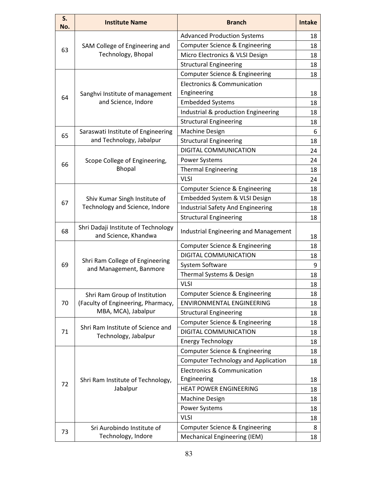| S.<br>No.                                                      | <b>Institute Name</b>                                       | <b>Branch</b>                                         | <b>Intake</b> |
|----------------------------------------------------------------|-------------------------------------------------------------|-------------------------------------------------------|---------------|
|                                                                |                                                             | <b>Advanced Production Systems</b>                    | 18            |
| 63<br>64<br>65<br>66<br>67<br>68<br>69<br>70<br>71<br>72<br>73 | SAM College of Engineering and                              | Computer Science & Engineering                        | 18            |
|                                                                | Technology, Bhopal                                          | Micro Electronics & VLSI Design                       | 18            |
|                                                                |                                                             | <b>Structural Engineering</b>                         | 18            |
|                                                                |                                                             | Computer Science & Engineering                        | 18            |
|                                                                | Sanghvi Institute of management                             | Electronics & Communication<br>Engineering            | 18            |
|                                                                | and Science, Indore                                         | <b>Embedded Systems</b>                               | 18            |
|                                                                |                                                             | Industrial & production Engineering                   | 18            |
|                                                                |                                                             | <b>Structural Engineering</b>                         | 18            |
|                                                                | Saraswati Institute of Engineering                          | <b>Machine Design</b>                                 | 6             |
|                                                                | and Technology, Jabalpur                                    | <b>Structural Engineering</b>                         | 18            |
|                                                                |                                                             | DIGITAL COMMUNICATION                                 | 24            |
|                                                                | Scope College of Engineering,                               | Power Systems                                         | 24            |
|                                                                | <b>Bhopal</b>                                               | <b>Thermal Engineering</b>                            | 18            |
|                                                                |                                                             | <b>VLSI</b>                                           | 24            |
|                                                                |                                                             | Computer Science & Engineering                        | 18            |
|                                                                | Shiv Kumar Singh Institute of                               | Embedded System & VLSI Design                         | 18            |
|                                                                | Technology and Science, Indore                              | <b>Industrial Safety And Engineering</b>              | 18            |
|                                                                |                                                             | <b>Structural Engineering</b>                         | 18            |
|                                                                | Shri Dadaji Institute of Technology<br>and Science, Khandwa | Industrial Engineering and Management                 | 18            |
|                                                                |                                                             | Computer Science & Engineering                        | 18            |
|                                                                |                                                             | <b>DIGITAL COMMUNICATION</b>                          | 18            |
|                                                                | Shri Ram College of Engineering<br>and Management, Banmore  | System Software                                       | 9             |
|                                                                |                                                             | Thermal Systems & Design                              | 18            |
|                                                                |                                                             | <b>VLSI</b>                                           | 18            |
|                                                                | Shri Ram Group of Institution                               | Computer Science & Engineering                        | 18            |
|                                                                | (Faculty of Engineering, Pharmacy,                          | <b>ENVIRONMENTAL ENGINEERING</b>                      | 18            |
|                                                                | MBA, MCA), Jabalpur                                         | <b>Structural Engineering</b>                         | 18            |
|                                                                |                                                             | Computer Science & Engineering                        | 18            |
|                                                                | Shri Ram Institute of Science and<br>Technology, Jabalpur   | DIGITAL COMMUNICATION                                 | 18            |
|                                                                |                                                             | <b>Energy Technology</b>                              | 18            |
|                                                                |                                                             | Computer Science & Engineering                        | 18            |
|                                                                |                                                             | <b>Computer Technology and Application</b>            | 18            |
|                                                                | Shri Ram Institute of Technology,                           | <b>Electronics &amp; Communication</b><br>Engineering | 18            |
|                                                                | Jabalpur                                                    | <b>HEAT POWER ENGINEERING</b>                         | 18            |
|                                                                |                                                             | <b>Machine Design</b>                                 | 18            |
|                                                                |                                                             | Power Systems                                         | 18            |
|                                                                |                                                             | <b>VLSI</b>                                           | 18            |
|                                                                | Sri Aurobindo Institute of                                  | Computer Science & Engineering                        | 8             |
|                                                                | Technology, Indore                                          | Mechanical Engineering (IEM)                          | 18            |
|                                                                |                                                             |                                                       |               |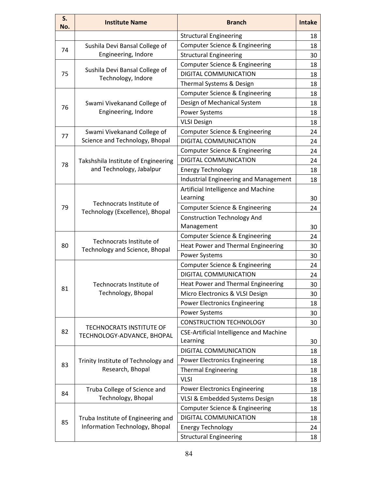| S.<br>No. | <b>Institute Name</b>                                       | <b>Branch</b>                                                                                                                                                                                                                                                                                                                                                                                                                                                                                                                                                                                                                                   | <b>Intake</b> |
|-----------|-------------------------------------------------------------|-------------------------------------------------------------------------------------------------------------------------------------------------------------------------------------------------------------------------------------------------------------------------------------------------------------------------------------------------------------------------------------------------------------------------------------------------------------------------------------------------------------------------------------------------------------------------------------------------------------------------------------------------|---------------|
|           |                                                             | <b>Structural Engineering</b>                                                                                                                                                                                                                                                                                                                                                                                                                                                                                                                                                                                                                   | 18            |
| 74        | Sushila Devi Bansal College of                              | Computer Science & Engineering                                                                                                                                                                                                                                                                                                                                                                                                                                                                                                                                                                                                                  | 18            |
|           | Engineering, Indore                                         | <b>Structural Engineering</b>                                                                                                                                                                                                                                                                                                                                                                                                                                                                                                                                                                                                                   | 30            |
|           |                                                             | Computer Science & Engineering                                                                                                                                                                                                                                                                                                                                                                                                                                                                                                                                                                                                                  | 18            |
| 75        | Sushila Devi Bansal College of<br>Technology, Indore        | DIGITAL COMMUNICATION                                                                                                                                                                                                                                                                                                                                                                                                                                                                                                                                                                                                                           | 18            |
|           |                                                             | Thermal Systems & Design                                                                                                                                                                                                                                                                                                                                                                                                                                                                                                                                                                                                                        | 18            |
|           |                                                             | Computer Science & Engineering                                                                                                                                                                                                                                                                                                                                                                                                                                                                                                                                                                                                                  | 18            |
| 76        | Swami Vivekanand College of                                 | Design of Mechanical System                                                                                                                                                                                                                                                                                                                                                                                                                                                                                                                                                                                                                     | 18            |
|           | Engineering, Indore                                         | <b>Power Systems</b>                                                                                                                                                                                                                                                                                                                                                                                                                                                                                                                                                                                                                            | 18            |
|           |                                                             | <b>VLSI Design</b>                                                                                                                                                                                                                                                                                                                                                                                                                                                                                                                                                                                                                              | 18            |
| 77        | Swami Vivekanand College of                                 | Computer Science & Engineering                                                                                                                                                                                                                                                                                                                                                                                                                                                                                                                                                                                                                  | 24            |
|           | Science and Technology, Bhopal                              | DIGITAL COMMUNICATION                                                                                                                                                                                                                                                                                                                                                                                                                                                                                                                                                                                                                           | 24            |
|           |                                                             | Computer Science & Engineering                                                                                                                                                                                                                                                                                                                                                                                                                                                                                                                                                                                                                  | 24            |
| 78        | Takshshila Institute of Engineering                         | DIGITAL COMMUNICATION                                                                                                                                                                                                                                                                                                                                                                                                                                                                                                                                                                                                                           | 24            |
|           | and Technology, Jabalpur                                    | <b>Energy Technology</b>                                                                                                                                                                                                                                                                                                                                                                                                                                                                                                                                                                                                                        | 18            |
|           |                                                             | Industrial Engineering and Management                                                                                                                                                                                                                                                                                                                                                                                                                                                                                                                                                                                                           | 18            |
|           |                                                             | Artificial Intelligence and Machine                                                                                                                                                                                                                                                                                                                                                                                                                                                                                                                                                                                                             |               |
|           |                                                             | Learning                                                                                                                                                                                                                                                                                                                                                                                                                                                                                                                                                                                                                                        | 30            |
| 79        | Technocrats Institute of<br>Technology (Excellence), Bhopal | Computer Science & Engineering                                                                                                                                                                                                                                                                                                                                                                                                                                                                                                                                                                                                                  | 24            |
|           |                                                             | <b>Construction Technology And</b>                                                                                                                                                                                                                                                                                                                                                                                                                                                                                                                                                                                                              |               |
|           |                                                             | Management                                                                                                                                                                                                                                                                                                                                                                                                                                                                                                                                                                                                                                      | 30            |
|           |                                                             | Computer Science & Engineering                                                                                                                                                                                                                                                                                                                                                                                                                                                                                                                                                                                                                  | 24            |
| 80        | Technocrats Institute of<br>Technology and Science, Bhopal  | Heat Power and Thermal Engineering                                                                                                                                                                                                                                                                                                                                                                                                                                                                                                                                                                                                              | 30            |
|           |                                                             | <b>Power Systems</b><br>Computer Science & Engineering<br><b>DIGITAL COMMUNICATION</b><br>Heat Power and Thermal Engineering<br>Micro Electronics & VLSI Design<br><b>Power Electronics Engineering</b><br><b>Power Systems</b><br><b>CONSTRUCTION TECHNOLOGY</b><br><b>CSE-Artificial Intelligence and Machine</b><br>Learning<br>DIGITAL COMMUNICATION<br><b>Power Electronics Engineering</b><br><b>Thermal Engineering</b><br><b>VLSI</b><br><b>Power Electronics Engineering</b><br>VLSI & Embedded Systems Design<br>Computer Science & Engineering<br>DIGITAL COMMUNICATION<br><b>Energy Technology</b><br><b>Structural Engineering</b> | 30            |
|           |                                                             |                                                                                                                                                                                                                                                                                                                                                                                                                                                                                                                                                                                                                                                 | 24            |
|           |                                                             |                                                                                                                                                                                                                                                                                                                                                                                                                                                                                                                                                                                                                                                 | 24            |
| 81        | Technocrats Institute of                                    |                                                                                                                                                                                                                                                                                                                                                                                                                                                                                                                                                                                                                                                 | 30            |
|           | Technology, Bhopal                                          |                                                                                                                                                                                                                                                                                                                                                                                                                                                                                                                                                                                                                                                 | 30            |
|           |                                                             |                                                                                                                                                                                                                                                                                                                                                                                                                                                                                                                                                                                                                                                 | 18            |
|           |                                                             |                                                                                                                                                                                                                                                                                                                                                                                                                                                                                                                                                                                                                                                 | 30            |
|           | TECHNOCRATS INSTITUTE OF                                    |                                                                                                                                                                                                                                                                                                                                                                                                                                                                                                                                                                                                                                                 | 30            |
| 82        | TECHNOLOGY-ADVANCE, BHOPAL                                  |                                                                                                                                                                                                                                                                                                                                                                                                                                                                                                                                                                                                                                                 |               |
|           |                                                             |                                                                                                                                                                                                                                                                                                                                                                                                                                                                                                                                                                                                                                                 | 30            |
|           |                                                             |                                                                                                                                                                                                                                                                                                                                                                                                                                                                                                                                                                                                                                                 | 18            |
| 83        | Trinity Institute of Technology and                         |                                                                                                                                                                                                                                                                                                                                                                                                                                                                                                                                                                                                                                                 | 18            |
|           | Research, Bhopal                                            |                                                                                                                                                                                                                                                                                                                                                                                                                                                                                                                                                                                                                                                 | 18            |
|           |                                                             |                                                                                                                                                                                                                                                                                                                                                                                                                                                                                                                                                                                                                                                 | 18            |
| 84        | Truba College of Science and                                |                                                                                                                                                                                                                                                                                                                                                                                                                                                                                                                                                                                                                                                 | 18            |
|           | Technology, Bhopal                                          |                                                                                                                                                                                                                                                                                                                                                                                                                                                                                                                                                                                                                                                 | 18            |
|           |                                                             |                                                                                                                                                                                                                                                                                                                                                                                                                                                                                                                                                                                                                                                 | 18            |
| 85        | Truba Institute of Engineering and                          |                                                                                                                                                                                                                                                                                                                                                                                                                                                                                                                                                                                                                                                 | 18            |
|           | Information Technology, Bhopal                              |                                                                                                                                                                                                                                                                                                                                                                                                                                                                                                                                                                                                                                                 | 24            |
|           |                                                             |                                                                                                                                                                                                                                                                                                                                                                                                                                                                                                                                                                                                                                                 | 18            |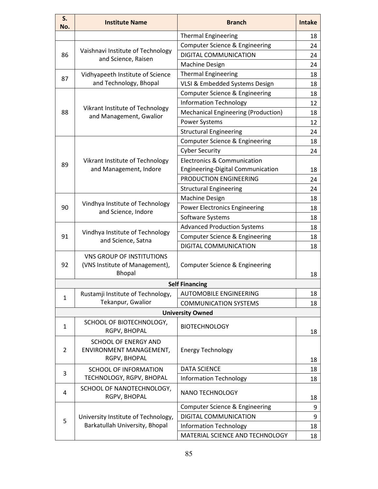| S.<br>No.      | <b>Institute Name</b>                                                               | <b>Branch</b>                              | <b>Intake</b> |
|----------------|-------------------------------------------------------------------------------------|--------------------------------------------|---------------|
|                |                                                                                     | <b>Thermal Engineering</b>                 | 18            |
| 86             |                                                                                     | <b>Computer Science &amp; Engineering</b>  | 24            |
|                | Vaishnavi Institute of Technology                                                   | <b>DIGITAL COMMUNICATION</b>               | 24            |
|                | and Science, Raisen                                                                 | <b>Machine Design</b>                      | 24            |
|                | Vidhyapeeth Institute of Science                                                    | <b>Thermal Engineering</b>                 | 18            |
| 87             | and Technology, Bhopal                                                              | VLSI & Embedded Systems Design             | 18            |
|                | Vikrant Institute of Technology                                                     | Computer Science & Engineering             | 18            |
|                |                                                                                     | <b>Information Technology</b>              | 12            |
| 88             |                                                                                     | <b>Mechanical Engineering (Production)</b> | 18            |
|                | and Management, Gwalior                                                             | <b>Power Systems</b>                       | 12            |
|                |                                                                                     | <b>Structural Engineering</b>              | 24            |
|                |                                                                                     | Computer Science & Engineering             | 18            |
|                |                                                                                     | <b>Cyber Security</b>                      | 24            |
|                | Vikrant Institute of Technology                                                     | <b>Electronics &amp; Communication</b>     |               |
| 89             | and Management, Indore                                                              | Engineering-Digital Communication          | 18            |
|                |                                                                                     | PRODUCTION ENGINEERING                     | 24            |
|                |                                                                                     | <b>Structural Engineering</b>              | 24            |
|                | Vindhya Institute of Technology<br>and Science, Indore                              | <b>Machine Design</b>                      | 18            |
| 90             |                                                                                     | <b>Power Electronics Engineering</b>       | 18            |
|                |                                                                                     | Software Systems                           | 18            |
|                | Vindhya Institute of Technology<br>and Science, Satna                               | <b>Advanced Production Systems</b>         | 18            |
| 91             |                                                                                     | Computer Science & Engineering             | 18            |
|                |                                                                                     | DIGITAL COMMUNICATION                      | 18            |
| 92             | <b>VNS GROUP OF INSTITUTIONS</b><br>(VNS Institute of Management),<br><b>Bhopal</b> | Computer Science & Engineering             | 18            |
|                |                                                                                     | <b>Self Financing</b>                      |               |
|                | Rustamji Institute of Technology,                                                   | <b>AUTOMOBILE ENGINEERING</b>              | 18            |
| $\mathbf{1}$   | Tekanpur, Gwalior                                                                   | <b>COMMUNICATION SYSTEMS</b>               | 18            |
|                |                                                                                     | <b>University Owned</b>                    |               |
| $\mathbf{1}$   | SCHOOL OF BIOTECHNOLOGY,<br>RGPV, BHOPAL                                            | <b>BIOTECHNOLOGY</b>                       | 18            |
| $\overline{2}$ | <b>SCHOOL OF ENERGY AND</b><br>ENVIRONMENT MANAGEMENT,<br>RGPV, BHOPAL              | <b>Energy Technology</b>                   | 18            |
|                | SCHOOL OF INFORMATION                                                               | <b>DATA SCIENCE</b>                        | 18            |
| 3              | TECHNOLOGY, RGPV, BHOPAL                                                            | <b>Information Technology</b>              | 18            |
| 4              | SCHOOL OF NANOTECHNOLOGY,<br>RGPV, BHOPAL                                           | NANO TECHNOLOGY                            | 18            |
|                |                                                                                     | Computer Science & Engineering             | 9             |
| 5              | University Institute of Technology,                                                 | DIGITAL COMMUNICATION                      | 9             |
|                | Barkatullah University, Bhopal                                                      | <b>Information Technology</b>              | 18            |
|                |                                                                                     | MATERIAL SCIENCE AND TECHNOLOGY            | 18            |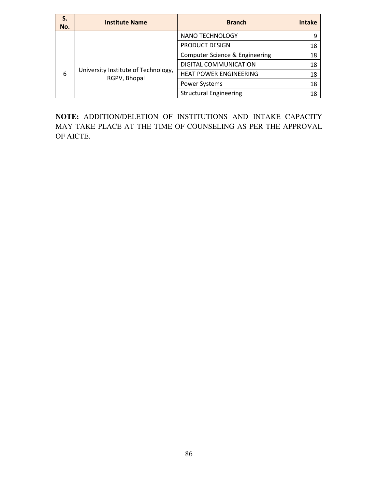| S.<br>No. | <b>Institute Name</b>                               | <b>Branch</b>                  | <b>Intake</b> |
|-----------|-----------------------------------------------------|--------------------------------|---------------|
|           |                                                     | NANO TECHNOLOGY                |               |
|           |                                                     | <b>PRODUCT DESIGN</b>          | 18            |
| 6         | University Institute of Technology,<br>RGPV, Bhopal | Computer Science & Engineering | 18            |
|           |                                                     | DIGITAL COMMUNICATION          | 18            |
|           |                                                     | <b>HEAT POWER ENGINEERING</b>  | 18            |
|           |                                                     | <b>Power Systems</b>           | 18            |
|           |                                                     | <b>Structural Engineering</b>  | 18            |

**NOTE:** ADDITION/DELETION OF INSTITUTIONS AND INTAKE CAPACITY MAY TAKE PLACE AT THE TIME OF COUNSELING AS PER THE APPROVAL OF AICTE.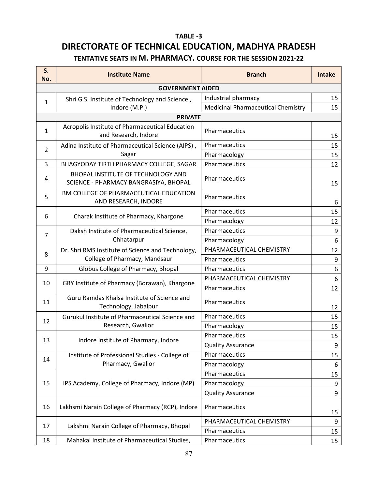## **TABLE -3 DIRECTORATE OF TECHNICAL EDUCATION, MADHYA PRADESH TENTATIVE SEATS IN M. PHARMACY. COURSE FOR THE SESSION 2021-22**

| S.<br>No.               | <b>Institute Name</b>                                                       | <b>Branch</b>                             | <b>Intake</b> |  |
|-------------------------|-----------------------------------------------------------------------------|-------------------------------------------|---------------|--|
| <b>GOVERNMENT AIDED</b> |                                                                             |                                           |               |  |
| $\mathbf{1}$            | Shri G.S. Institute of Technology and Science,                              | Industrial pharmacy                       | 15            |  |
|                         | Indore (M.P.)                                                               | <b>Medicinal Pharmaceutical Chemistry</b> | 15            |  |
|                         | <b>PRIVATE</b>                                                              |                                           |               |  |
| $\mathbf{1}$            | Acropolis Institute of Pharmaceutical Education<br>and Research, Indore     | Pharmaceutics                             | 15            |  |
|                         | Adina Institute of Pharmaceutical Science (AIPS),                           | Pharmaceutics                             | 15            |  |
| $\overline{2}$          | Sagar                                                                       | Pharmacology                              | 15            |  |
| 3                       | BHAGYODAY TIRTH PHARMACY COLLEGE, SAGAR                                     | Pharmaceutics                             | 12            |  |
| 4                       | BHOPAL INSTITUTE OF TECHNOLOGY AND<br>SCIENCE - PHARMACY BANGRASIYA, BHOPAL | Pharmaceutics                             | 15            |  |
| 5                       | BM COLLEGE OF PHARMACEUTICAL EDUCATION<br>AND RESEARCH, INDORE              | Pharmaceutics                             | 6             |  |
| 6                       |                                                                             | Pharmaceutics                             | 15            |  |
|                         | Charak Institute of Pharmacy, Khargone                                      | Pharmacology                              | 12            |  |
| $\overline{7}$          | Daksh Institute of Pharmaceutical Science,<br>Chhatarpur                    | Pharmaceutics                             | 9             |  |
|                         |                                                                             | Pharmacology                              | 6             |  |
|                         | Dr. Shri RMS Institute of Science and Technology,                           | PHARMACEUTICAL CHEMISTRY                  | 12            |  |
| 8                       | College of Pharmacy, Mandsaur                                               | Pharmaceutics                             | 9             |  |
| 9                       | Globus College of Pharmacy, Bhopal                                          | Pharmaceutics                             | 6             |  |
| 10                      | GRY Institute of Pharmacy (Borawan), Khargone                               | PHARMACEUTICAL CHEMISTRY                  | 6             |  |
|                         |                                                                             | Pharmaceutics                             | 12            |  |
| 11                      | Guru Ramdas Khalsa Institute of Science and<br>Technology, Jabalpur         | Pharmaceutics                             | 12            |  |
|                         | Gurukul Institute of Pharmaceutical Science and<br>Research, Gwalior        | Pharmaceutics                             | 15            |  |
| 12                      |                                                                             | Pharmacology                              | 15            |  |
|                         | Indore Institute of Pharmacy, Indore                                        | Pharmaceutics                             | 15            |  |
| 13                      |                                                                             | <b>Quality Assurance</b>                  | 9             |  |
|                         | Institute of Professional Studies - College of                              | Pharmaceutics                             | 15            |  |
| 14                      | Pharmacy, Gwalior                                                           | Pharmacology                              | 6             |  |
| 15                      | IPS Academy, College of Pharmacy, Indore (MP)                               | Pharmaceutics                             | 15            |  |
|                         |                                                                             | Pharmacology                              | 9             |  |
|                         |                                                                             | <b>Quality Assurance</b>                  | 9             |  |
| 16                      | Lakhsmi Narain College of Pharmacy (RCP), Indore                            | Pharmaceutics                             | 15            |  |
|                         |                                                                             | PHARMACEUTICAL CHEMISTRY                  | 9             |  |
| 17                      | Lakshmi Narain College of Pharmacy, Bhopal                                  | Pharmaceutics                             | 15            |  |
| 18                      | Mahakal Institute of Pharmaceutical Studies,                                | Pharmaceutics                             | 15            |  |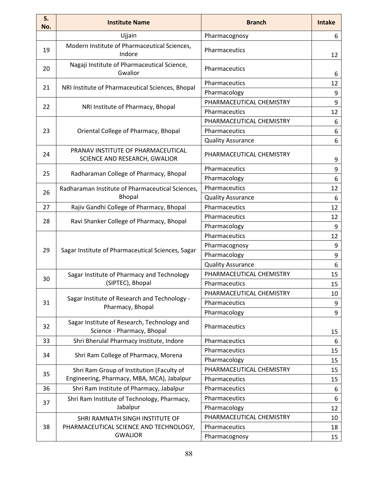| S.<br>No. | <b>Institute Name</b>                                                                   | <b>Branch</b>            | <b>Intake</b> |
|-----------|-----------------------------------------------------------------------------------------|--------------------------|---------------|
|           | Ujjain                                                                                  | Pharmacognosy            | 6             |
| 19        | Modern Institute of Pharmaceutical Sciences,<br>Indore                                  | Pharmaceutics            | 12            |
| 20        | Nagaji Institute of Pharmaceutical Science,<br>Gwalior                                  | Pharmaceutics            | 6             |
| 21        | NRI Institute of Pharmaceutical Sciences, Bhopal                                        | Pharmaceutics            | 12            |
|           |                                                                                         | Pharmacology             | 9             |
| 22        | NRI Institute of Pharmacy, Bhopal                                                       | PHARMACEUTICAL CHEMISTRY | 9             |
|           |                                                                                         | Pharmaceutics            | 12            |
|           |                                                                                         | PHARMACEUTICAL CHEMISTRY | 6             |
| 23        | Oriental College of Pharmacy, Bhopal                                                    | Pharmaceutics            | 6             |
|           |                                                                                         | <b>Quality Assurance</b> | 6             |
| 24        | PRANAV INSTITUTE OF PHARMACEUTICAL<br>SCIENCE AND RESEARCH, GWALIOR                     | PHARMACEUTICAL CHEMISTRY | 9             |
| 25        | Radharaman College of Pharmacy, Bhopal                                                  | Pharmaceutics            | 9             |
|           |                                                                                         | Pharmacology             | 6             |
| 26        | Radharaman Institute of Pharmaceutical Sciences,                                        | Pharmaceutics            | 12            |
|           | <b>Bhopal</b>                                                                           | <b>Quality Assurance</b> | 6             |
| 27        | Rajiv Gandhi College of Pharmacy, Bhopal                                                | Pharmaceutics            | 12            |
| 28        | Ravi Shanker College of Pharmacy, Bhopal                                                | Pharmaceutics            | 12            |
|           |                                                                                         | Pharmacology             | 9             |
|           | Sagar Institute of Pharmaceutical Sciences, Sagar                                       | Pharmaceutics            | 12            |
| 29        |                                                                                         | Pharmacognosy            | 9             |
|           |                                                                                         | Pharmacology             | 9             |
|           |                                                                                         | <b>Quality Assurance</b> | 6             |
| 30        | Sagar Institute of Pharmacy and Technology                                              | PHARMACEUTICAL CHEMISTRY | 15            |
|           | (SIPTEC), Bhopal                                                                        | Pharmaceutics            | 15            |
|           | Sagar Institute of Research and Technology -                                            | PHARMACEUTICAL CHEMISTRY | 10            |
| 31        | Pharmacy, Bhopal                                                                        | Pharmaceutics            | 9             |
|           |                                                                                         | Pharmacology             | 9             |
| 32        | Sagar Institute of Research, Technology and<br>Science - Pharmacy, Bhopal               | Pharmaceutics            | 15            |
| 33        | Shri Bherulal Pharmacy Institute, Indore                                                | Pharmaceutics            | 6             |
|           |                                                                                         | Pharmaceutics            | 15            |
| 34        | Shri Ram College of Pharmacy, Morena                                                    | Pharmacology             | 15            |
| 35        | Shri Ram Group of Institution (Faculty of<br>Engineering, Pharmacy, MBA, MCA), Jabalpur | PHARMACEUTICAL CHEMISTRY | 15            |
|           |                                                                                         | Pharmaceutics            | 15            |
| 36        | Shri Ram Institute of Pharmacy, Jabalpur                                                | Pharmaceutics            | 6             |
| 37        | Shri Ram Institute of Technology, Pharmacy,                                             | Pharmaceutics            | 6             |
|           | Jabalpur                                                                                | Pharmacology             | 12            |
|           | SHRI RAMNATH SINGH INSTITUTE OF                                                         | PHARMACEUTICAL CHEMISTRY | 10            |
| 38        | PHARMACEUTICAL SCIENCE AND TECHNOLOGY,                                                  | Pharmaceutics            | 18            |
|           | <b>GWALIOR</b>                                                                          | Pharmacognosy            | 15            |